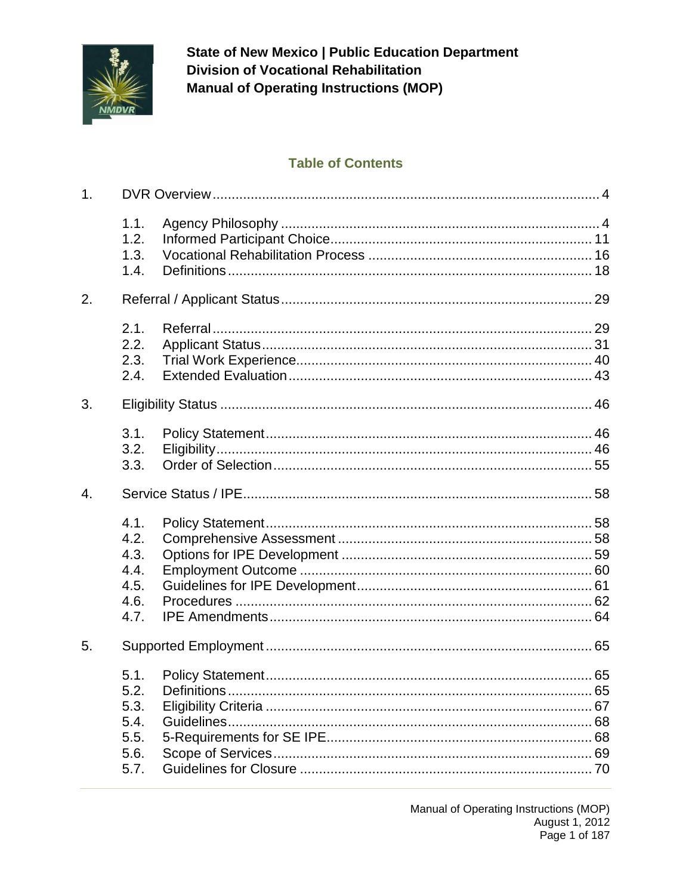

## **Table of Contents**

| 1. |                                                      |  |  |
|----|------------------------------------------------------|--|--|
|    | 1.1.<br>1.2.<br>1.3.<br>1.4.                         |  |  |
| 2. |                                                      |  |  |
|    | 2.1.<br>2.2.<br>2.3.<br>2.4.                         |  |  |
| 3. |                                                      |  |  |
|    | 3.1.<br>3.2.<br>3.3.                                 |  |  |
| 4. |                                                      |  |  |
|    | 4.1.<br>4.2.<br>4.3.<br>4.4.<br>4.5.<br>4.6.<br>4.7. |  |  |
| 5. |                                                      |  |  |
|    | 5.1.<br>5.2.<br>5.3.<br>5.4.<br>5.5.<br>5.6.<br>5.7. |  |  |

Manual of Operating Instructions (MOP) August 1, 2012 Page 1 of 187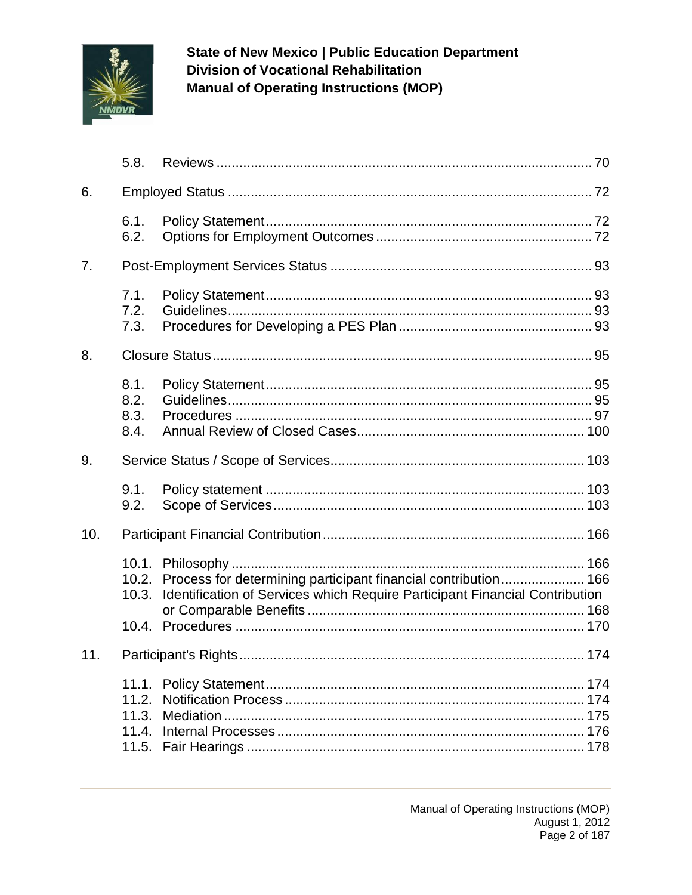

| 5.8.                         |                                                                             |                                                                                                  |
|------------------------------|-----------------------------------------------------------------------------|--------------------------------------------------------------------------------------------------|
|                              |                                                                             |                                                                                                  |
| 6.1.<br>6.2.                 |                                                                             |                                                                                                  |
|                              |                                                                             |                                                                                                  |
| 7.1.<br>7.2.<br>7.3.         |                                                                             |                                                                                                  |
|                              |                                                                             |                                                                                                  |
| 8.1.<br>8.2.<br>8.3.<br>8.4. |                                                                             |                                                                                                  |
|                              |                                                                             |                                                                                                  |
| 9.1.<br>9.2.                 |                                                                             |                                                                                                  |
| 10.                          |                                                                             |                                                                                                  |
| 10.3.                        | Identification of Services which Require Participant Financial Contribution |                                                                                                  |
|                              |                                                                             |                                                                                                  |
|                              |                                                                             |                                                                                                  |
|                              |                                                                             | 10.2. Process for determining participant financial contribution  166<br>11.2.<br>11.4.<br>11.5. |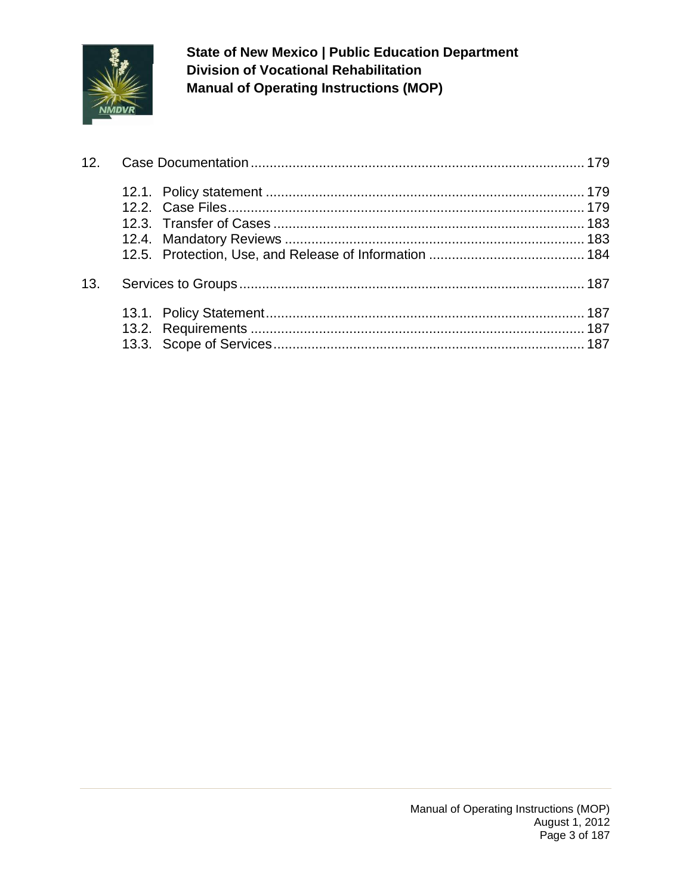

| 13. |  |
|-----|--|
|     |  |
|     |  |
|     |  |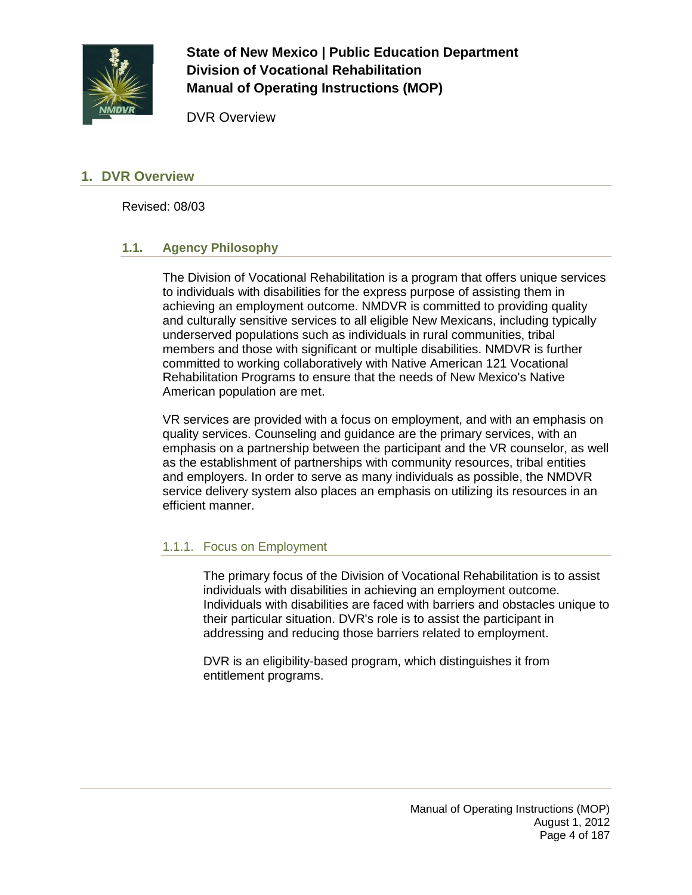

DVR Overview

### <span id="page-3-0"></span>**1. DVR Overview**

Revised: 08/03

#### <span id="page-3-1"></span>**1.1. Agency Philosophy**

The Division of Vocational Rehabilitation is a program that offers unique services to individuals with disabilities for the express purpose of assisting them in achieving an employment outcome. NMDVR is committed to providing quality and culturally sensitive services to all eligible New Mexicans, including typically underserved populations such as individuals in rural communities, tribal members and those with significant or multiple disabilities. NMDVR is further committed to working collaboratively with Native American 121 Vocational Rehabilitation Programs to ensure that the needs of New Mexico's Native American population are met.

VR services are provided with a focus on employment, and with an emphasis on quality services. Counseling and guidance are the primary services, with an emphasis on a partnership between the participant and the VR counselor, as well as the establishment of partnerships with community resources, tribal entities and employers. In order to serve as many individuals as possible, the NMDVR service delivery system also places an emphasis on utilizing its resources in an efficient manner.

### 1.1.1. Focus on Employment

The primary focus of the Division of Vocational Rehabilitation is to assist individuals with disabilities in achieving an employment outcome. Individuals with disabilities are faced with barriers and obstacles unique to their particular situation. DVR's role is to assist the participant in addressing and reducing those barriers related to employment.

DVR is an eligibility-based program, which distinguishes it from entitlement programs.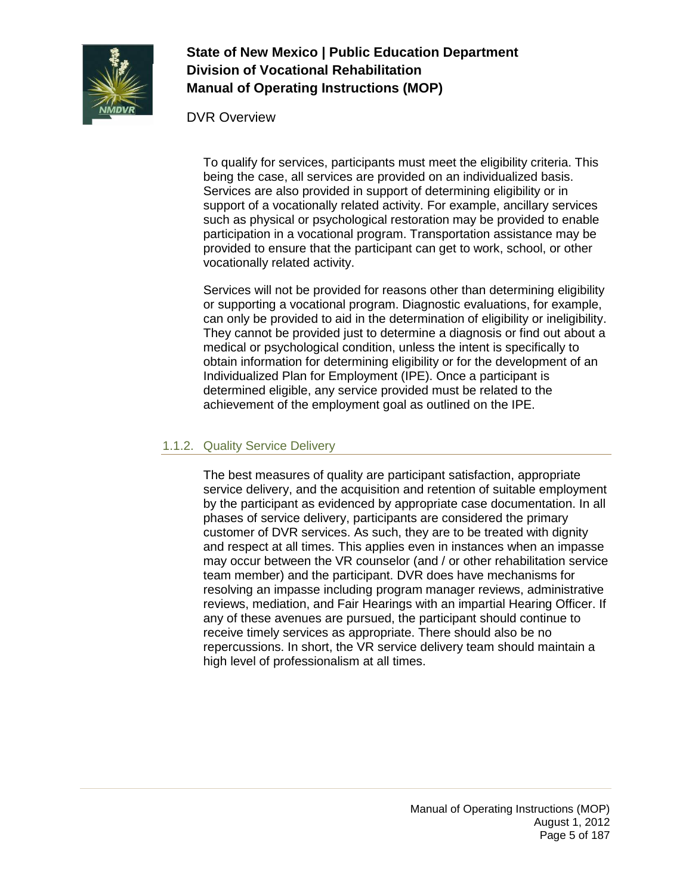

DVR Overview

To qualify for services, participants must meet the eligibility criteria. This being the case, all services are provided on an individualized basis. Services are also provided in support of determining eligibility or in support of a vocationally related activity. For example, ancillary services such as physical or psychological restoration may be provided to enable participation in a vocational program. Transportation assistance may be provided to ensure that the participant can get to work, school, or other vocationally related activity.

Services will not be provided for reasons other than determining eligibility or supporting a vocational program. Diagnostic evaluations, for example, can only be provided to aid in the determination of eligibility or ineligibility. They cannot be provided just to determine a diagnosis or find out about a medical or psychological condition, unless the intent is specifically to obtain information for determining eligibility or for the development of an Individualized Plan for Employment (IPE). Once a participant is determined eligible, any service provided must be related to the achievement of the employment goal as outlined on the IPE.

## 1.1.2. Quality Service Delivery

The best measures of quality are participant satisfaction, appropriate service delivery, and the acquisition and retention of suitable employment by the participant as evidenced by appropriate case documentation. In all phases of service delivery, participants are considered the primary customer of DVR services. As such, they are to be treated with dignity and respect at all times. This applies even in instances when an impasse may occur between the VR counselor (and / or other rehabilitation service team member) and the participant. DVR does have mechanisms for resolving an impasse including program manager reviews, administrative reviews, mediation, and Fair Hearings with an impartial Hearing Officer. If any of these avenues are pursued, the participant should continue to receive timely services as appropriate. There should also be no repercussions. In short, the VR service delivery team should maintain a high level of professionalism at all times.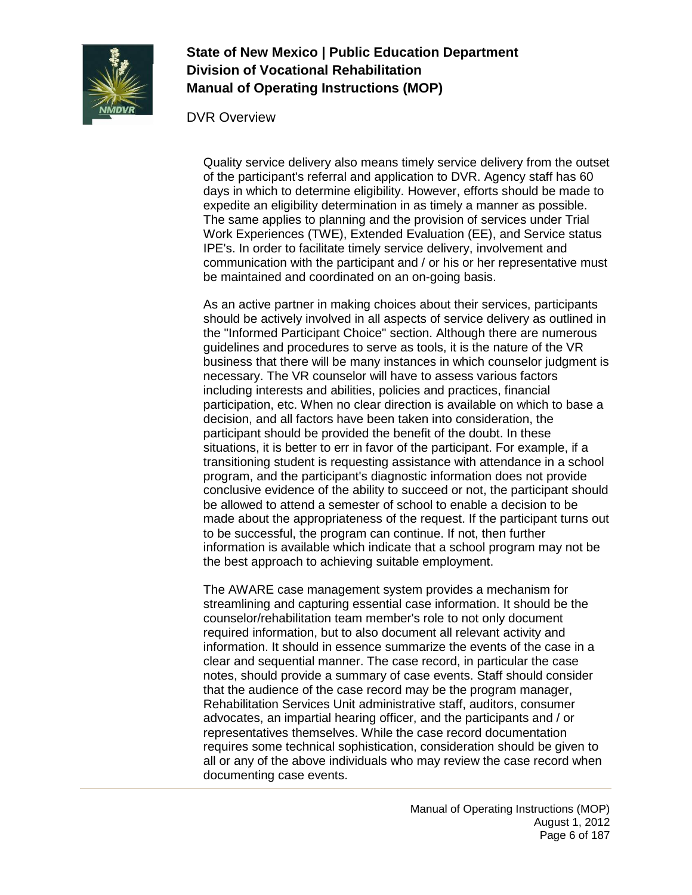

DVR Overview

Quality service delivery also means timely service delivery from the outset of the participant's referral and application to DVR. Agency staff has 60 days in which to determine eligibility. However, efforts should be made to expedite an eligibility determination in as timely a manner as possible. The same applies to planning and the provision of services under Trial Work Experiences (TWE), Extended Evaluation (EE), and Service status IPE's. In order to facilitate timely service delivery, involvement and communication with the participant and / or his or her representative must be maintained and coordinated on an on-going basis.

As an active partner in making choices about their services, participants should be actively involved in all aspects of service delivery as outlined in the "Informed Participant Choice" section. Although there are numerous guidelines and procedures to serve as tools, it is the nature of the VR business that there will be many instances in which counselor judgment is necessary. The VR counselor will have to assess various factors including interests and abilities, policies and practices, financial participation, etc. When no clear direction is available on which to base a decision, and all factors have been taken into consideration, the participant should be provided the benefit of the doubt. In these situations, it is better to err in favor of the participant. For example, if a transitioning student is requesting assistance with attendance in a school program, and the participant's diagnostic information does not provide conclusive evidence of the ability to succeed or not, the participant should be allowed to attend a semester of school to enable a decision to be made about the appropriateness of the request. If the participant turns out to be successful, the program can continue. If not, then further information is available which indicate that a school program may not be the best approach to achieving suitable employment.

The AWARE case management system provides a mechanism for streamlining and capturing essential case information. It should be the counselor/rehabilitation team member's role to not only document required information, but to also document all relevant activity and information. It should in essence summarize the events of the case in a clear and sequential manner. The case record, in particular the case notes, should provide a summary of case events. Staff should consider that the audience of the case record may be the program manager, Rehabilitation Services Unit administrative staff, auditors, consumer advocates, an impartial hearing officer, and the participants and / or representatives themselves. While the case record documentation requires some technical sophistication, consideration should be given to all or any of the above individuals who may review the case record when documenting case events.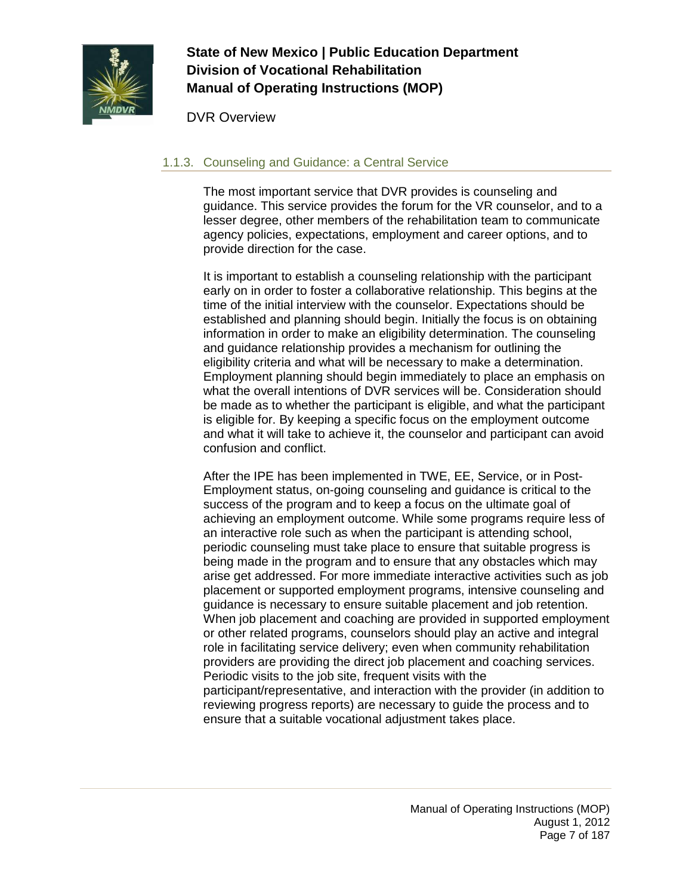

DVR Overview

## 1.1.3. Counseling and Guidance: a Central Service

The most important service that DVR provides is counseling and guidance. This service provides the forum for the VR counselor, and to a lesser degree, other members of the rehabilitation team to communicate agency policies, expectations, employment and career options, and to provide direction for the case.

It is important to establish a counseling relationship with the participant early on in order to foster a collaborative relationship. This begins at the time of the initial interview with the counselor. Expectations should be established and planning should begin. Initially the focus is on obtaining information in order to make an eligibility determination. The counseling and guidance relationship provides a mechanism for outlining the eligibility criteria and what will be necessary to make a determination. Employment planning should begin immediately to place an emphasis on what the overall intentions of DVR services will be. Consideration should be made as to whether the participant is eligible, and what the participant is eligible for. By keeping a specific focus on the employment outcome and what it will take to achieve it, the counselor and participant can avoid confusion and conflict.

After the IPE has been implemented in TWE, EE, Service, or in Post-Employment status, on-going counseling and guidance is critical to the success of the program and to keep a focus on the ultimate goal of achieving an employment outcome. While some programs require less of an interactive role such as when the participant is attending school, periodic counseling must take place to ensure that suitable progress is being made in the program and to ensure that any obstacles which may arise get addressed. For more immediate interactive activities such as job placement or supported employment programs, intensive counseling and guidance is necessary to ensure suitable placement and job retention. When job placement and coaching are provided in supported employment or other related programs, counselors should play an active and integral role in facilitating service delivery; even when community rehabilitation providers are providing the direct job placement and coaching services. Periodic visits to the job site, frequent visits with the participant/representative, and interaction with the provider (in addition to reviewing progress reports) are necessary to guide the process and to ensure that a suitable vocational adjustment takes place.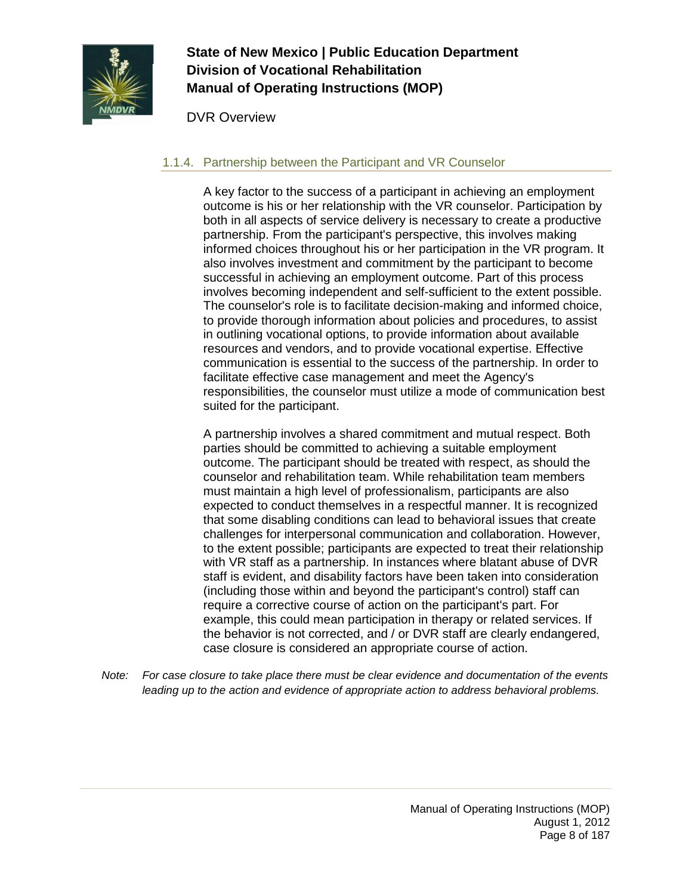

DVR Overview

## 1.1.4. Partnership between the Participant and VR Counselor

A key factor to the success of a participant in achieving an employment outcome is his or her relationship with the VR counselor. Participation by both in all aspects of service delivery is necessary to create a productive partnership. From the participant's perspective, this involves making informed choices throughout his or her participation in the VR program. It also involves investment and commitment by the participant to become successful in achieving an employment outcome. Part of this process involves becoming independent and self-sufficient to the extent possible. The counselor's role is to facilitate decision-making and informed choice, to provide thorough information about policies and procedures, to assist in outlining vocational options, to provide information about available resources and vendors, and to provide vocational expertise. Effective communication is essential to the success of the partnership. In order to facilitate effective case management and meet the Agency's responsibilities, the counselor must utilize a mode of communication best suited for the participant.

A partnership involves a shared commitment and mutual respect. Both parties should be committed to achieving a suitable employment outcome. The participant should be treated with respect, as should the counselor and rehabilitation team. While rehabilitation team members must maintain a high level of professionalism, participants are also expected to conduct themselves in a respectful manner. It is recognized that some disabling conditions can lead to behavioral issues that create challenges for interpersonal communication and collaboration. However, to the extent possible; participants are expected to treat their relationship with VR staff as a partnership. In instances where blatant abuse of DVR staff is evident, and disability factors have been taken into consideration (including those within and beyond the participant's control) staff can require a corrective course of action on the participant's part. For example, this could mean participation in therapy or related services. If the behavior is not corrected, and / or DVR staff are clearly endangered, case closure is considered an appropriate course of action.

*Note: For case closure to take place there must be clear evidence and documentation of the events leading up to the action and evidence of appropriate action to address behavioral problems.*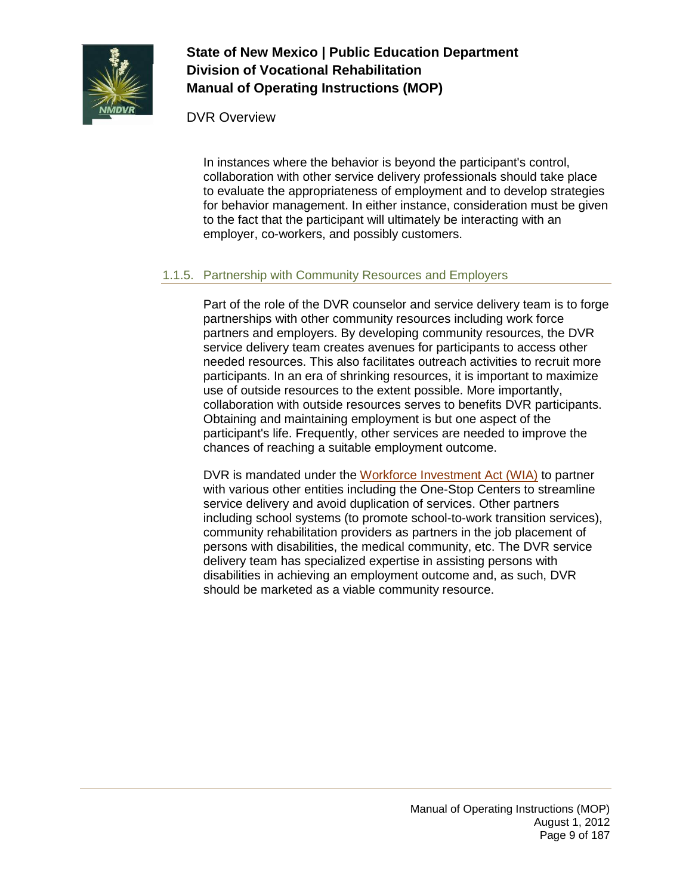

DVR Overview

In instances where the behavior is beyond the participant's control, collaboration with other service delivery professionals should take place to evaluate the appropriateness of employment and to develop strategies for behavior management. In either instance, consideration must be given to the fact that the participant will ultimately be interacting with an employer, co-workers, and possibly customers.

## 1.1.5. Partnership with Community Resources and Employers

Part of the role of the DVR counselor and service delivery team is to forge partnerships with other community resources including work force partners and employers. By developing community resources, the DVR service delivery team creates avenues for participants to access other needed resources. This also facilitates outreach activities to recruit more participants. In an era of shrinking resources, it is important to maximize use of outside resources to the extent possible. More importantly, collaboration with outside resources serves to benefits DVR participants. Obtaining and maintaining employment is but one aspect of the participant's life. Frequently, other services are needed to improve the chances of reaching a suitable employment outcome.

DVR is mandated under the [Workforce Investment Act \(WIA\)](http://www.wia.state.nm.us/) to partner with various other entities including the One-Stop Centers to streamline service delivery and avoid duplication of services. Other partners including school systems (to promote school-to-work transition services), community rehabilitation providers as partners in the job placement of persons with disabilities, the medical community, etc. The DVR service delivery team has specialized expertise in assisting persons with disabilities in achieving an employment outcome and, as such, DVR should be marketed as a viable community resource.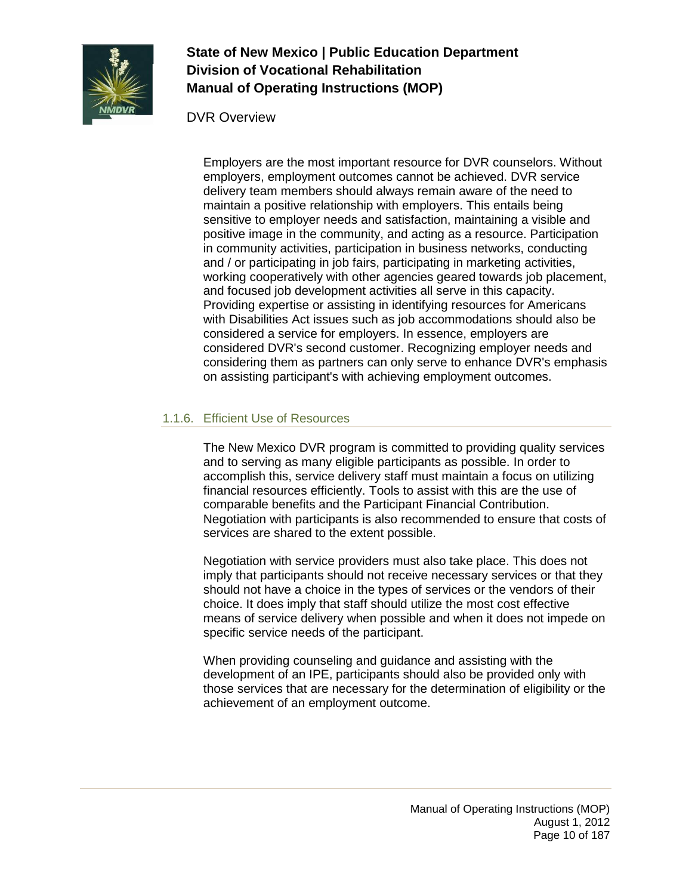

DVR Overview

Employers are the most important resource for DVR counselors. Without employers, employment outcomes cannot be achieved. DVR service delivery team members should always remain aware of the need to maintain a positive relationship with employers. This entails being sensitive to employer needs and satisfaction, maintaining a visible and positive image in the community, and acting as a resource. Participation in community activities, participation in business networks, conducting and / or participating in job fairs, participating in marketing activities, working cooperatively with other agencies geared towards job placement, and focused job development activities all serve in this capacity. Providing expertise or assisting in identifying resources for Americans with Disabilities Act issues such as job accommodations should also be considered a service for employers. In essence, employers are considered DVR's second customer. Recognizing employer needs and considering them as partners can only serve to enhance DVR's emphasis on assisting participant's with achieving employment outcomes.

## 1.1.6. Efficient Use of Resources

The New Mexico DVR program is committed to providing quality services and to serving as many eligible participants as possible. In order to accomplish this, service delivery staff must maintain a focus on utilizing financial resources efficiently. Tools to assist with this are the use of comparable benefits and the Participant Financial Contribution. Negotiation with participants is also recommended to ensure that costs of services are shared to the extent possible.

Negotiation with service providers must also take place. This does not imply that participants should not receive necessary services or that they should not have a choice in the types of services or the vendors of their choice. It does imply that staff should utilize the most cost effective means of service delivery when possible and when it does not impede on specific service needs of the participant.

When providing counseling and guidance and assisting with the development of an IPE, participants should also be provided only with those services that are necessary for the determination of eligibility or the achievement of an employment outcome.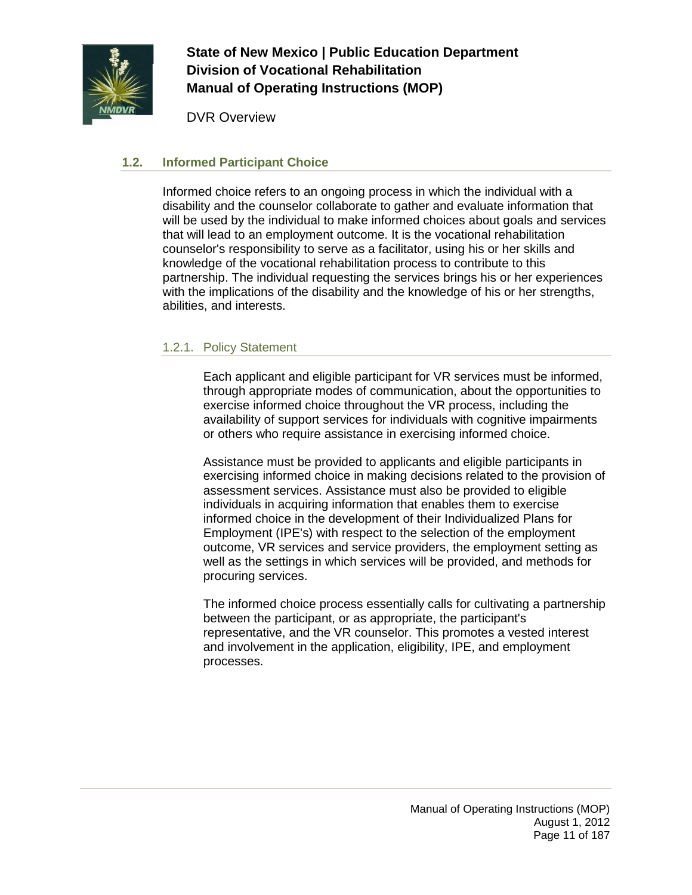

DVR Overview

### <span id="page-10-0"></span>**1.2. Informed Participant Choice**

Informed choice refers to an ongoing process in which the individual with a disability and the counselor collaborate to gather and evaluate information that will be used by the individual to make informed choices about goals and services that will lead to an employment outcome. It is the vocational rehabilitation counselor's responsibility to serve as a facilitator, using his or her skills and knowledge of the vocational rehabilitation process to contribute to this partnership. The individual requesting the services brings his or her experiences with the implications of the disability and the knowledge of his or her strengths, abilities, and interests.

#### 1.2.1. Policy Statement

Each applicant and eligible participant for VR services must be informed, through appropriate modes of communication, about the opportunities to exercise informed choice throughout the VR process, including the availability of support services for individuals with cognitive impairments or others who require assistance in exercising informed choice.

Assistance must be provided to applicants and eligible participants in exercising informed choice in making decisions related to the provision of assessment services. Assistance must also be provided to eligible individuals in acquiring information that enables them to exercise informed choice in the development of their Individualized Plans for Employment (IPE's) with respect to the selection of the employment outcome, VR services and service providers, the employment setting as well as the settings in which services will be provided, and methods for procuring services.

The informed choice process essentially calls for cultivating a partnership between the participant, or as appropriate, the participant's representative, and the VR counselor. This promotes a vested interest and involvement in the application, eligibility, IPE, and employment processes.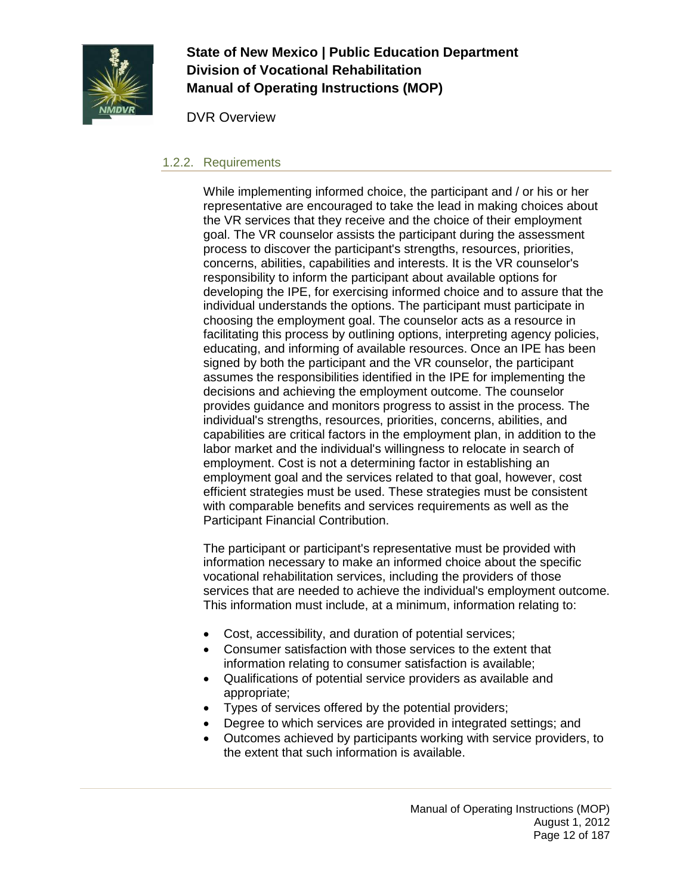

DVR Overview

#### 1.2.2. Requirements

While implementing informed choice, the participant and / or his or her representative are encouraged to take the lead in making choices about the VR services that they receive and the choice of their employment goal. The VR counselor assists the participant during the assessment process to discover the participant's strengths, resources, priorities, concerns, abilities, capabilities and interests. It is the VR counselor's responsibility to inform the participant about available options for developing the IPE, for exercising informed choice and to assure that the individual understands the options. The participant must participate in choosing the employment goal. The counselor acts as a resource in facilitating this process by outlining options, interpreting agency policies, educating, and informing of available resources. Once an IPE has been signed by both the participant and the VR counselor, the participant assumes the responsibilities identified in the IPE for implementing the decisions and achieving the employment outcome. The counselor provides guidance and monitors progress to assist in the process. The individual's strengths, resources, priorities, concerns, abilities, and capabilities are critical factors in the employment plan, in addition to the labor market and the individual's willingness to relocate in search of employment. Cost is not a determining factor in establishing an employment goal and the services related to that goal, however, cost efficient strategies must be used. These strategies must be consistent with comparable benefits and services requirements as well as the Participant Financial Contribution.

The participant or participant's representative must be provided with information necessary to make an informed choice about the specific vocational rehabilitation services, including the providers of those services that are needed to achieve the individual's employment outcome. This information must include, at a minimum, information relating to:

- Cost, accessibility, and duration of potential services;
- Consumer satisfaction with those services to the extent that information relating to consumer satisfaction is available;
- Qualifications of potential service providers as available and appropriate;
- Types of services offered by the potential providers;
- Degree to which services are provided in integrated settings; and
- Outcomes achieved by participants working with service providers, to the extent that such information is available.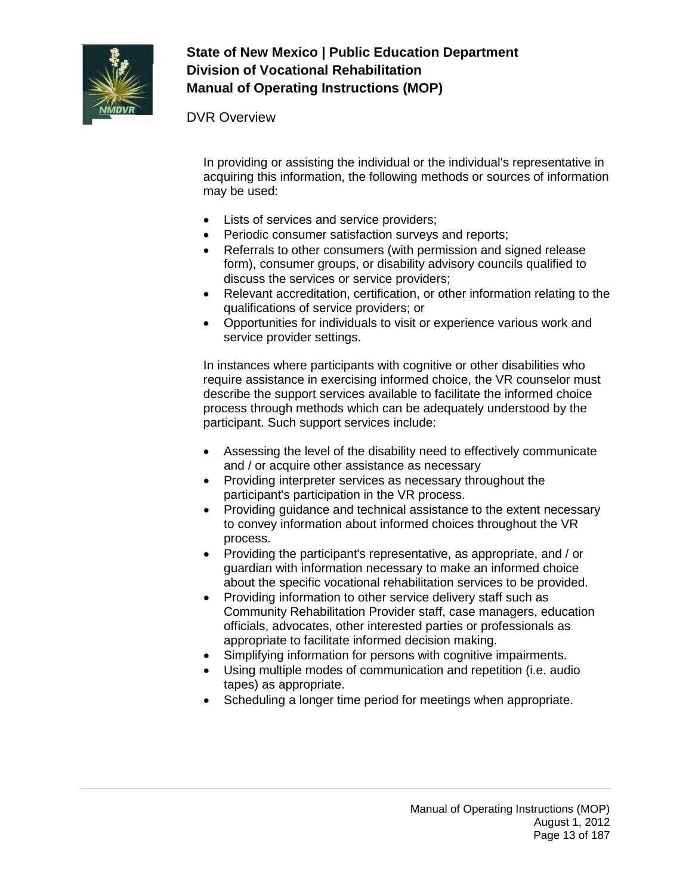

### DVR Overview

In providing or assisting the individual or the individual's representative in acquiring this information, the following methods or sources of information may be used:

- Lists of services and service providers;
- Periodic consumer satisfaction surveys and reports;
- Referrals to other consumers (with permission and signed release form), consumer groups, or disability advisory councils qualified to discuss the services or service providers;
- Relevant accreditation, certification, or other information relating to the qualifications of service providers; or
- Opportunities for individuals to visit or experience various work and service provider settings.

In instances where participants with cognitive or other disabilities who require assistance in exercising informed choice, the VR counselor must describe the support services available to facilitate the informed choice process through methods which can be adequately understood by the participant. Such support services include:

- Assessing the level of the disability need to effectively communicate and / or acquire other assistance as necessary
- Providing interpreter services as necessary throughout the participant's participation in the VR process.
- Providing guidance and technical assistance to the extent necessary to convey information about informed choices throughout the VR process.
- Providing the participant's representative, as appropriate, and / or guardian with information necessary to make an informed choice about the specific vocational rehabilitation services to be provided.
- Providing information to other service delivery staff such as Community Rehabilitation Provider staff, case managers, education officials, advocates, other interested parties or professionals as appropriate to facilitate informed decision making.
- Simplifying information for persons with cognitive impairments.
- Using multiple modes of communication and repetition (i.e. audio tapes) as appropriate.
- Scheduling a longer time period for meetings when appropriate.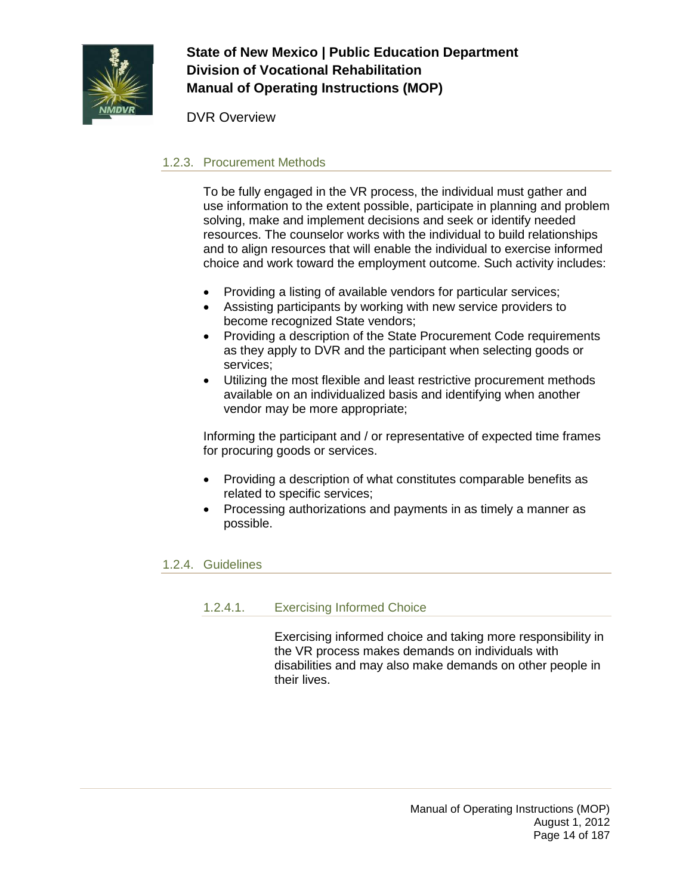

DVR Overview

## 1.2.3. Procurement Methods

To be fully engaged in the VR process, the individual must gather and use information to the extent possible, participate in planning and problem solving, make and implement decisions and seek or identify needed resources. The counselor works with the individual to build relationships and to align resources that will enable the individual to exercise informed choice and work toward the employment outcome. Such activity includes:

- Providing a listing of available vendors for particular services;
- Assisting participants by working with new service providers to become recognized State vendors;
- Providing a description of the State Procurement Code requirements as they apply to DVR and the participant when selecting goods or services;
- Utilizing the most flexible and least restrictive procurement methods available on an individualized basis and identifying when another vendor may be more appropriate;

Informing the participant and / or representative of expected time frames for procuring goods or services.

- Providing a description of what constitutes comparable benefits as related to specific services;
- Processing authorizations and payments in as timely a manner as possible.

### 1.2.4. Guidelines

#### 1.2.4.1. Exercising Informed Choice

Exercising informed choice and taking more responsibility in the VR process makes demands on individuals with disabilities and may also make demands on other people in their lives.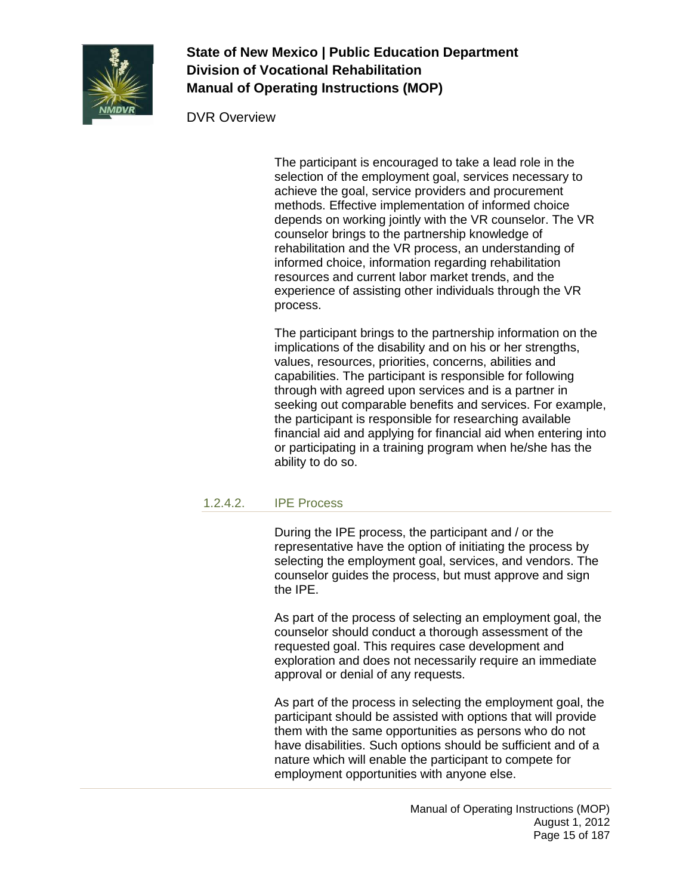

#### DVR Overview

The participant is encouraged to take a lead role in the selection of the employment goal, services necessary to achieve the goal, service providers and procurement methods. Effective implementation of informed choice depends on working jointly with the VR counselor. The VR counselor brings to the partnership knowledge of rehabilitation and the VR process, an understanding of informed choice, information regarding rehabilitation resources and current labor market trends, and the experience of assisting other individuals through the VR process.

The participant brings to the partnership information on the implications of the disability and on his or her strengths, values, resources, priorities, concerns, abilities and capabilities. The participant is responsible for following through with agreed upon services and is a partner in seeking out comparable benefits and services. For example, the participant is responsible for researching available financial aid and applying for financial aid when entering into or participating in a training program when he/she has the ability to do so.

#### 1.2.4.2. IPE Process

During the IPE process, the participant and / or the representative have the option of initiating the process by selecting the employment goal, services, and vendors. The counselor guides the process, but must approve and sign the IPE.

As part of the process of selecting an employment goal, the counselor should conduct a thorough assessment of the requested goal. This requires case development and exploration and does not necessarily require an immediate approval or denial of any requests.

As part of the process in selecting the employment goal, the participant should be assisted with options that will provide them with the same opportunities as persons who do not have disabilities. Such options should be sufficient and of a nature which will enable the participant to compete for employment opportunities with anyone else.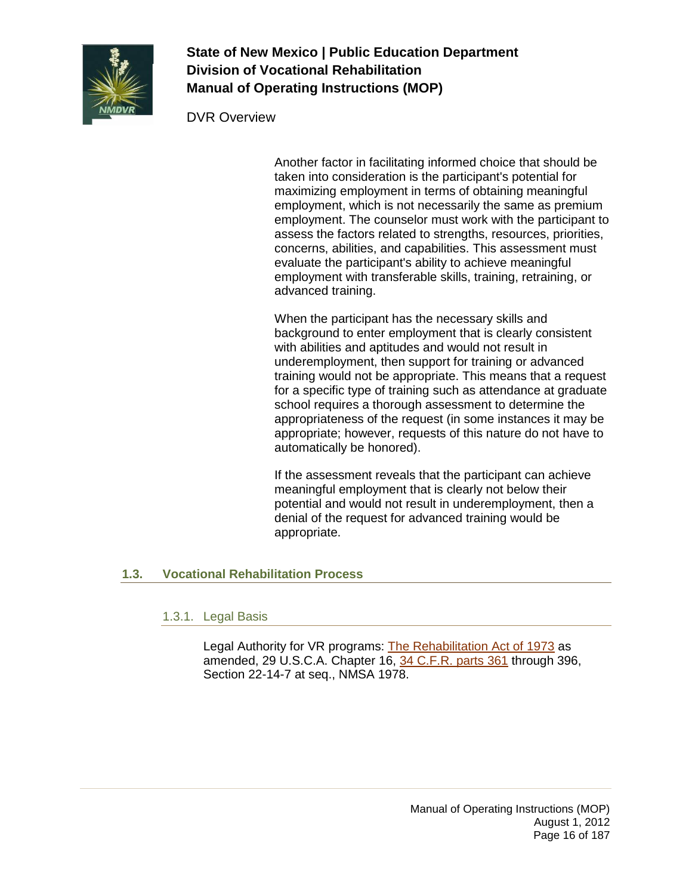

DVR Overview

Another factor in facilitating informed choice that should be taken into consideration is the participant's potential for maximizing employment in terms of obtaining meaningful employment, which is not necessarily the same as premium employment. The counselor must work with the participant to assess the factors related to strengths, resources, priorities, concerns, abilities, and capabilities. This assessment must evaluate the participant's ability to achieve meaningful employment with transferable skills, training, retraining, or advanced training.

When the participant has the necessary skills and background to enter employment that is clearly consistent with abilities and aptitudes and would not result in underemployment, then support for training or advanced training would not be appropriate. This means that a request for a specific type of training such as attendance at graduate school requires a thorough assessment to determine the appropriateness of the request (in some instances it may be appropriate; however, requests of this nature do not have to automatically be honored).

If the assessment reveals that the participant can achieve meaningful employment that is clearly not below their potential and would not result in underemployment, then a denial of the request for advanced training would be appropriate.

## <span id="page-15-0"></span>**1.3. Vocational Rehabilitation Process**

### 1.3.1. Legal Basis

Legal Authority for VR programs: [The Rehabilitation Act of 1973](http://www.nationalrehab.org/website/history/act.html) as amended, 29 U.S.C.A. Chapter 16, [34 C.F.R. parts 361](http://www.ed.gov/legislation/FedRegister/finrule/2001-1/011701a.html) through 396, Section 22-14-7 at seq., NMSA 1978.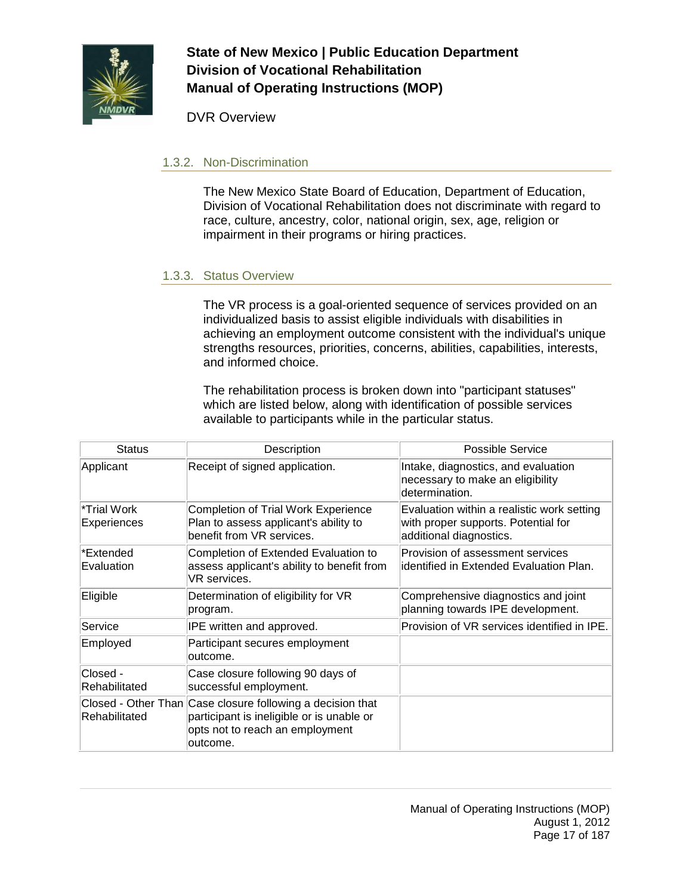

DVR Overview

#### 1.3.2. Non-Discrimination

The New Mexico State Board of Education, Department of Education, Division of Vocational Rehabilitation does not discriminate with regard to race, culture, ancestry, color, national origin, sex, age, religion or impairment in their programs or hiring practices.

### 1.3.3. Status Overview

The VR process is a goal-oriented sequence of services provided on an individualized basis to assist eligible individuals with disabilities in achieving an employment outcome consistent with the individual's unique strengths resources, priorities, concerns, abilities, capabilities, interests, and informed choice.

The rehabilitation process is broken down into "participant statuses" which are listed below, along with identification of possible services available to participants while in the particular status.

| <b>Status</b>              | Description                                                                                                                                            | Possible Service                                                                                             |
|----------------------------|--------------------------------------------------------------------------------------------------------------------------------------------------------|--------------------------------------------------------------------------------------------------------------|
| Applicant                  | Receipt of signed application.                                                                                                                         | Intake, diagnostics, and evaluation<br>necessary to make an eligibility<br>determination.                    |
| *Trial Work<br>Experiences | <b>Completion of Trial Work Experience</b><br>Plan to assess applicant's ability to<br>benefit from VR services.                                       | Evaluation within a realistic work setting<br>with proper supports. Potential for<br>additional diagnostics. |
| *Extended<br>Evaluation    | Completion of Extended Evaluation to<br>assess applicant's ability to benefit from<br>VR services.                                                     | Provision of assessment services<br>identified in Extended Evaluation Plan.                                  |
| Eligible                   | Determination of eligibility for VR<br>program.                                                                                                        | Comprehensive diagnostics and joint<br>planning towards IPE development.                                     |
| Service                    | IPE written and approved.                                                                                                                              | Provision of VR services identified in IPE.                                                                  |
| Employed                   | Participant secures employment<br>outcome.                                                                                                             |                                                                                                              |
| Closed -<br>Rehabilitated  | Case closure following 90 days of<br>successful employment.                                                                                            |                                                                                                              |
| Rehabilitated              | Closed - Other Than Case closure following a decision that<br>participant is ineligible or is unable or<br>opts not to reach an employment<br>outcome. |                                                                                                              |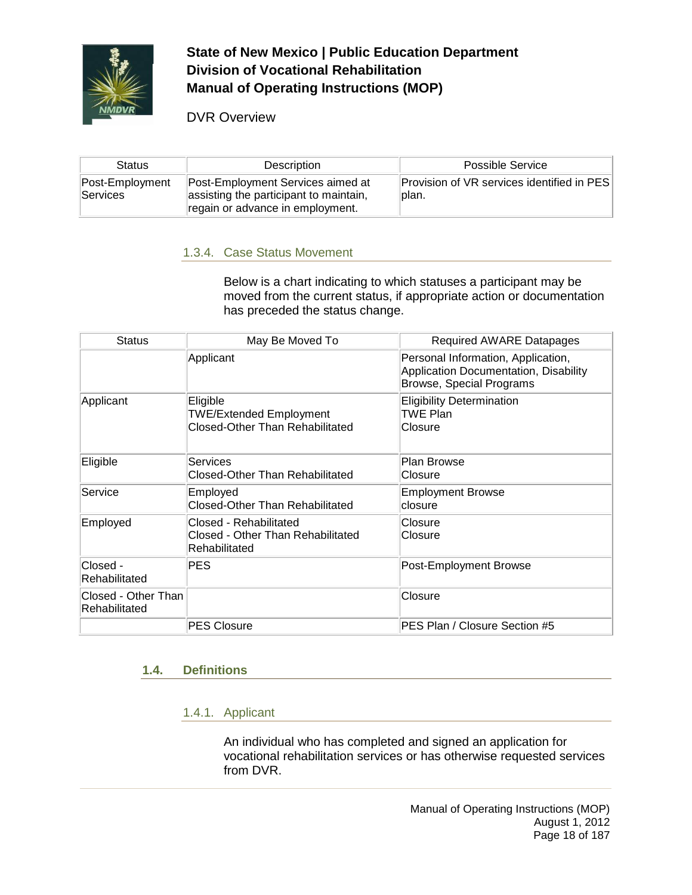

DVR Overview

| <b>Status</b>                      | Description                                                                                                     | <b>Possible Service</b>                              |
|------------------------------------|-----------------------------------------------------------------------------------------------------------------|------------------------------------------------------|
| Post-Employment<br><b>Services</b> | Post-Employment Services aimed at<br>assisting the participant to maintain,<br>regain or advance in employment. | Provision of VR services identified in PES<br>lplan. |

### 1.3.4. Case Status Movement

Below is a chart indicating to which statuses a participant may be moved from the current status, if appropriate action or documentation has preceded the status change.

| <b>Status</b>                        | May Be Moved To                                                                      | <b>Required AWARE Datapages</b>                                                                                |
|--------------------------------------|--------------------------------------------------------------------------------------|----------------------------------------------------------------------------------------------------------------|
|                                      | Applicant                                                                            | Personal Information, Application,<br>Application Documentation, Disability<br><b>Browse, Special Programs</b> |
| Applicant                            | Eligible<br><b>TWE/Extended Employment</b><br><b>Closed-Other Than Rehabilitated</b> | <b>Eligibility Determination</b><br>TWE Plan<br>Closure                                                        |
| Eligible                             | <b>Services</b><br>Closed-Other Than Rehabilitated                                   | <b>Plan Browse</b><br>Closure                                                                                  |
| Service                              | Employed<br><b>Closed-Other Than Rehabilitated</b>                                   | <b>Employment Browse</b><br>closure                                                                            |
| Employed                             | Closed - Rehabilitated<br>Closed - Other Than Rehabilitated<br>Rehabilitated         | Closure<br>Closure                                                                                             |
| Closed -<br>Rehabilitated            | PES.                                                                                 | Post-Employment Browse                                                                                         |
| Closed - Other Than<br>Rehabilitated |                                                                                      | Closure                                                                                                        |
|                                      | <b>PES Closure</b>                                                                   | PES Plan / Closure Section #5                                                                                  |

### <span id="page-17-0"></span>**1.4. Definitions**

### 1.4.1. Applicant

An individual who has completed and signed an application for vocational rehabilitation services or has otherwise requested services from DVR.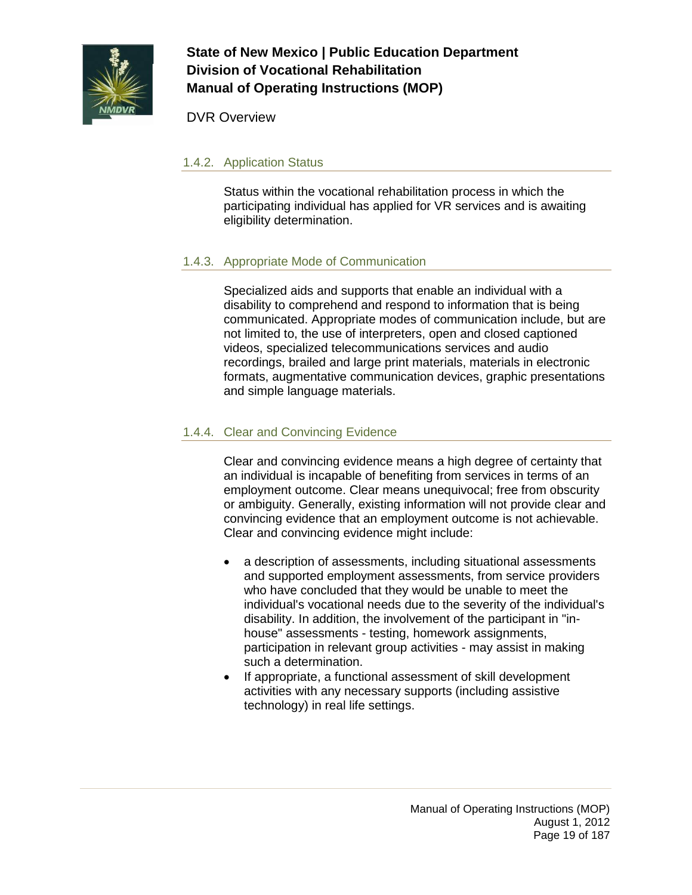

DVR Overview

### 1.4.2. Application Status

Status within the vocational rehabilitation process in which the participating individual has applied for VR services and is awaiting eligibility determination.

## 1.4.3. Appropriate Mode of Communication

Specialized aids and supports that enable an individual with a disability to comprehend and respond to information that is being communicated. Appropriate modes of communication include, but are not limited to, the use of interpreters, open and closed captioned videos, specialized telecommunications services and audio recordings, brailed and large print materials, materials in electronic formats, augmentative communication devices, graphic presentations and simple language materials.

## 1.4.4. Clear and Convincing Evidence

Clear and convincing evidence means a high degree of certainty that an individual is incapable of benefiting from services in terms of an employment outcome. Clear means unequivocal; free from obscurity or ambiguity. Generally, existing information will not provide clear and convincing evidence that an employment outcome is not achievable. Clear and convincing evidence might include:

- a description of assessments, including situational assessments and supported employment assessments, from service providers who have concluded that they would be unable to meet the individual's vocational needs due to the severity of the individual's disability. In addition, the involvement of the participant in "inhouse" assessments - testing, homework assignments, participation in relevant group activities - may assist in making such a determination.
- If appropriate, a functional assessment of skill development activities with any necessary supports (including assistive technology) in real life settings.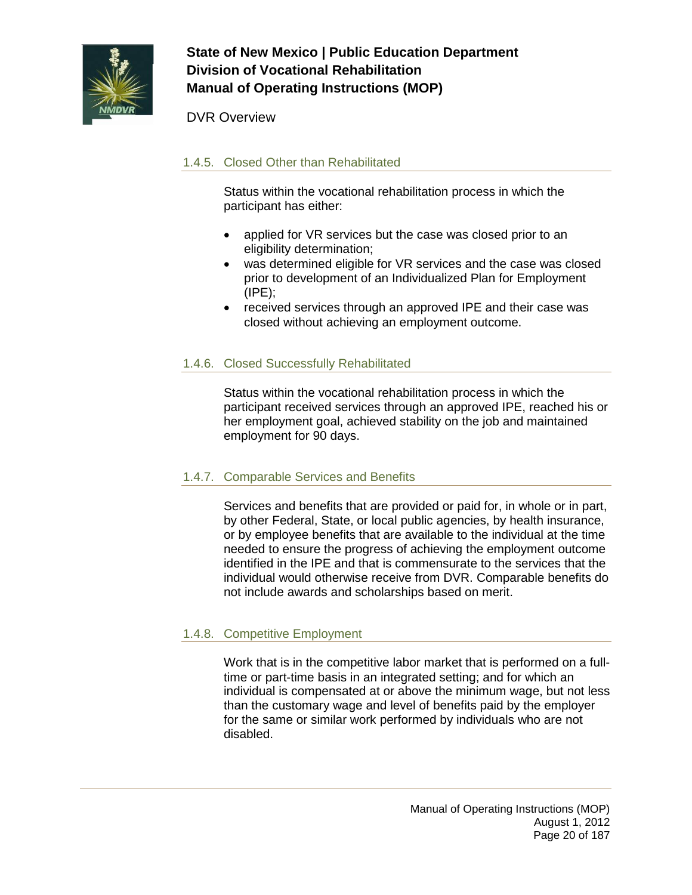

### DVR Overview

### 1.4.5. Closed Other than Rehabilitated

Status within the vocational rehabilitation process in which the participant has either:

- applied for VR services but the case was closed prior to an eligibility determination;
- was determined eligible for VR services and the case was closed prior to development of an Individualized Plan for Employment  $(IPE)$ ;
- received services through an approved IPE and their case was closed without achieving an employment outcome.

#### 1.4.6. Closed Successfully Rehabilitated

Status within the vocational rehabilitation process in which the participant received services through an approved IPE, reached his or her employment goal, achieved stability on the job and maintained employment for 90 days.

#### 1.4.7. Comparable Services and Benefits

Services and benefits that are provided or paid for, in whole or in part, by other Federal, State, or local public agencies, by health insurance, or by employee benefits that are available to the individual at the time needed to ensure the progress of achieving the employment outcome identified in the IPE and that is commensurate to the services that the individual would otherwise receive from DVR. Comparable benefits do not include awards and scholarships based on merit.

#### 1.4.8. Competitive Employment

Work that is in the competitive labor market that is performed on a fulltime or part-time basis in an integrated setting; and for which an individual is compensated at or above the minimum wage, but not less than the customary wage and level of benefits paid by the employer for the same or similar work performed by individuals who are not disabled.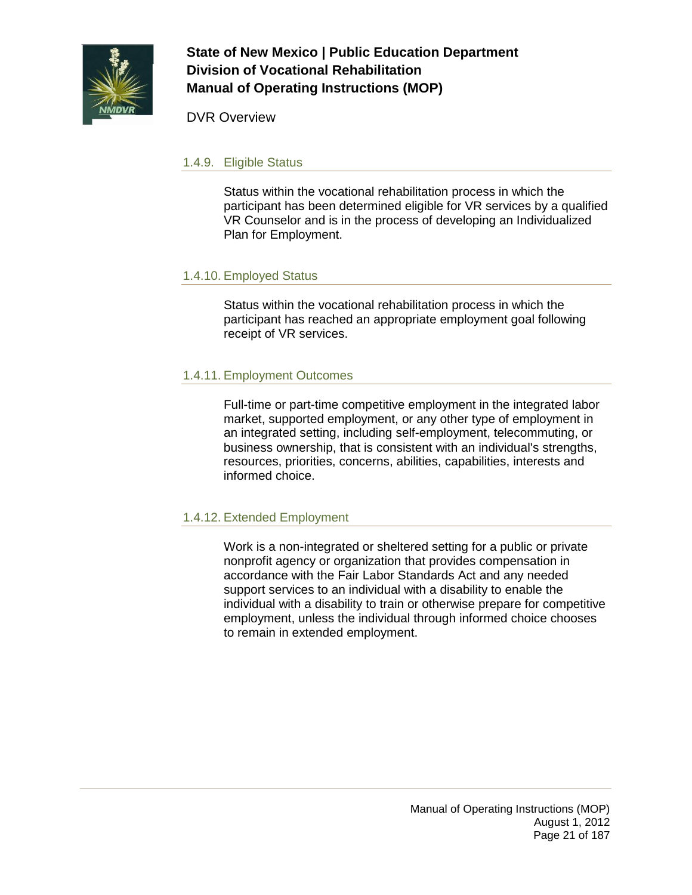

DVR Overview

#### 1.4.9. Eligible Status

Status within the vocational rehabilitation process in which the participant has been determined eligible for VR services by a qualified VR Counselor and is in the process of developing an Individualized Plan for Employment.

#### 1.4.10. Employed Status

Status within the vocational rehabilitation process in which the participant has reached an appropriate employment goal following receipt of VR services.

### 1.4.11. Employment Outcomes

Full-time or part-time competitive employment in the integrated labor market, supported employment, or any other type of employment in an integrated setting, including self-employment, telecommuting, or business ownership, that is consistent with an individual's strengths, resources, priorities, concerns, abilities, capabilities, interests and informed choice.

#### 1.4.12. Extended Employment

Work is a non-integrated or sheltered setting for a public or private nonprofit agency or organization that provides compensation in accordance with the Fair Labor Standards Act and any needed support services to an individual with a disability to enable the individual with a disability to train or otherwise prepare for competitive employment, unless the individual through informed choice chooses to remain in extended employment.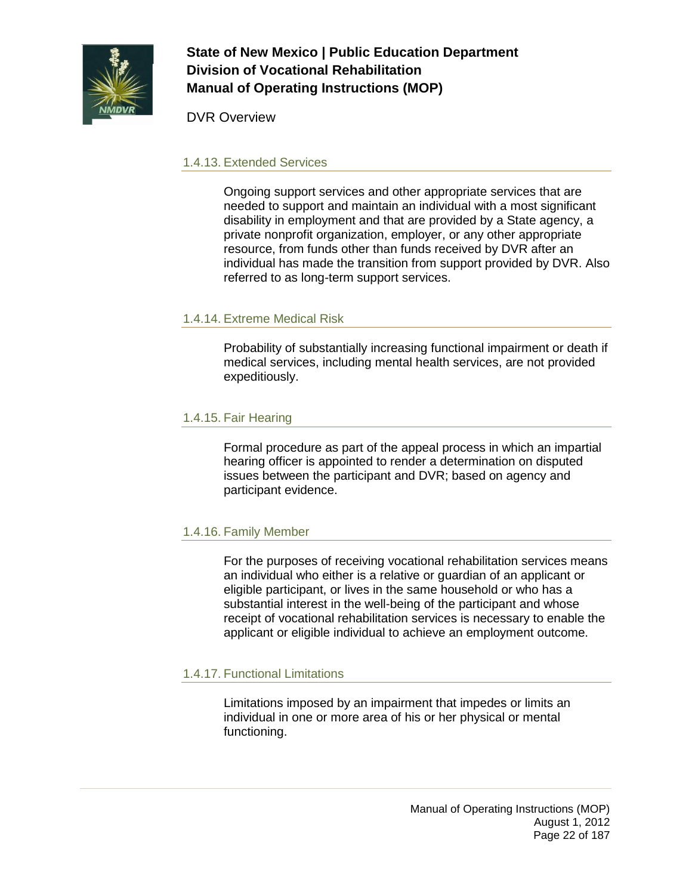

DVR Overview

#### 1.4.13. Extended Services

Ongoing support services and other appropriate services that are needed to support and maintain an individual with a most significant disability in employment and that are provided by a State agency, a private nonprofit organization, employer, or any other appropriate resource, from funds other than funds received by DVR after an individual has made the transition from support provided by DVR. Also referred to as long-term support services.

#### 1.4.14. Extreme Medical Risk

Probability of substantially increasing functional impairment or death if medical services, including mental health services, are not provided expeditiously.

#### 1.4.15. Fair Hearing

Formal procedure as part of the appeal process in which an impartial hearing officer is appointed to render a determination on disputed issues between the participant and DVR; based on agency and participant evidence.

### 1.4.16. Family Member

For the purposes of receiving vocational rehabilitation services means an individual who either is a relative or guardian of an applicant or eligible participant, or lives in the same household or who has a substantial interest in the well-being of the participant and whose receipt of vocational rehabilitation services is necessary to enable the applicant or eligible individual to achieve an employment outcome.

### 1.4.17. Functional Limitations

Limitations imposed by an impairment that impedes or limits an individual in one or more area of his or her physical or mental functioning.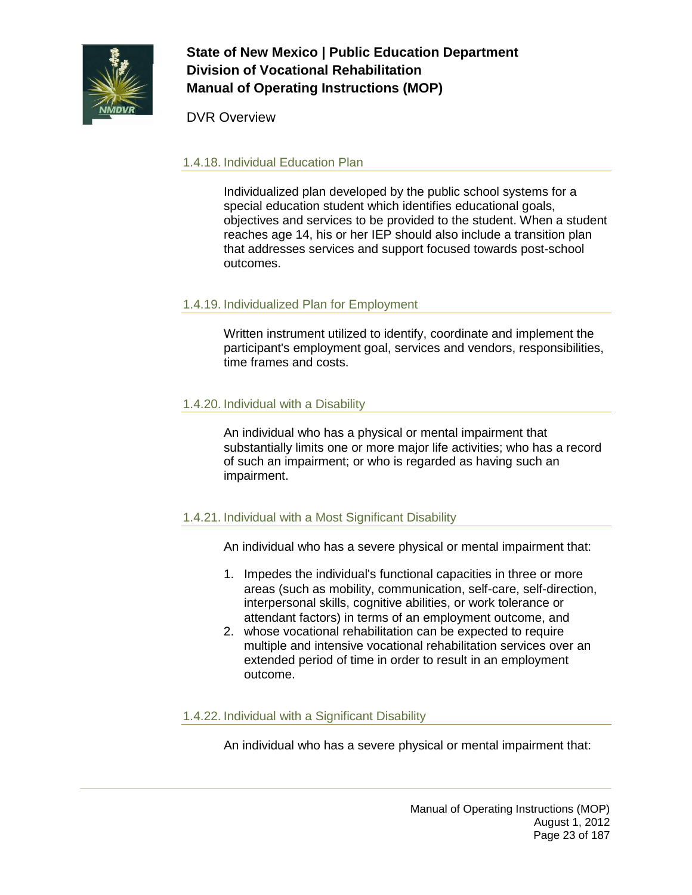

DVR Overview

### 1.4.18. Individual Education Plan

Individualized plan developed by the public school systems for a special education student which identifies educational goals, objectives and services to be provided to the student. When a student reaches age 14, his or her IEP should also include a transition plan that addresses services and support focused towards post-school outcomes.

## 1.4.19. Individualized Plan for Employment

Written instrument utilized to identify, coordinate and implement the participant's employment goal, services and vendors, responsibilities, time frames and costs.

## 1.4.20. Individual with a Disability

An individual who has a physical or mental impairment that substantially limits one or more major life activities; who has a record of such an impairment; or who is regarded as having such an impairment.

### 1.4.21. Individual with a Most Significant Disability

An individual who has a severe physical or mental impairment that:

- 1. Impedes the individual's functional capacities in three or more areas (such as mobility, communication, self-care, self-direction, interpersonal skills, cognitive abilities, or work tolerance or attendant factors) in terms of an employment outcome, and
- 2. whose vocational rehabilitation can be expected to require multiple and intensive vocational rehabilitation services over an extended period of time in order to result in an employment outcome.

#### 1.4.22. Individual with a Significant Disability

An individual who has a severe physical or mental impairment that: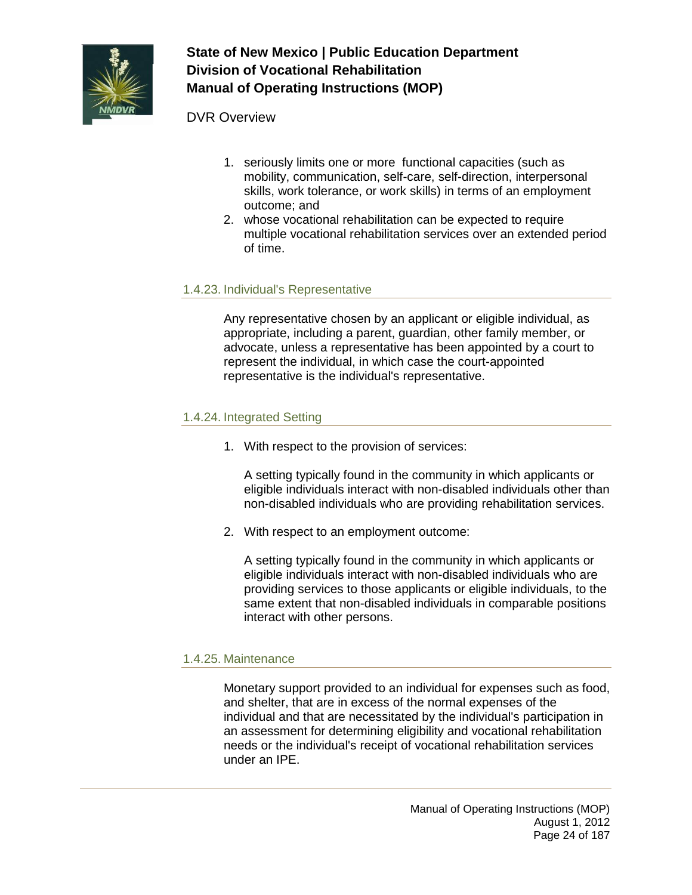

#### DVR Overview

- 1. seriously limits one or more functional capacities (such as mobility, communication, self-care, self-direction, interpersonal skills, work tolerance, or work skills) in terms of an employment outcome; and
- 2. whose vocational rehabilitation can be expected to require multiple vocational rehabilitation services over an extended period of time.

#### 1.4.23. Individual's Representative

Any representative chosen by an applicant or eligible individual, as appropriate, including a parent, guardian, other family member, or advocate, unless a representative has been appointed by a court to represent the individual, in which case the court-appointed representative is the individual's representative.

#### 1.4.24. Integrated Setting

1. With respect to the provision of services:

A setting typically found in the community in which applicants or eligible individuals interact with non-disabled individuals other than non-disabled individuals who are providing rehabilitation services.

2. With respect to an employment outcome:

A setting typically found in the community in which applicants or eligible individuals interact with non-disabled individuals who are providing services to those applicants or eligible individuals, to the same extent that non-disabled individuals in comparable positions interact with other persons.

#### 1.4.25. Maintenance

Monetary support provided to an individual for expenses such as food, and shelter, that are in excess of the normal expenses of the individual and that are necessitated by the individual's participation in an assessment for determining eligibility and vocational rehabilitation needs or the individual's receipt of vocational rehabilitation services under an IPE.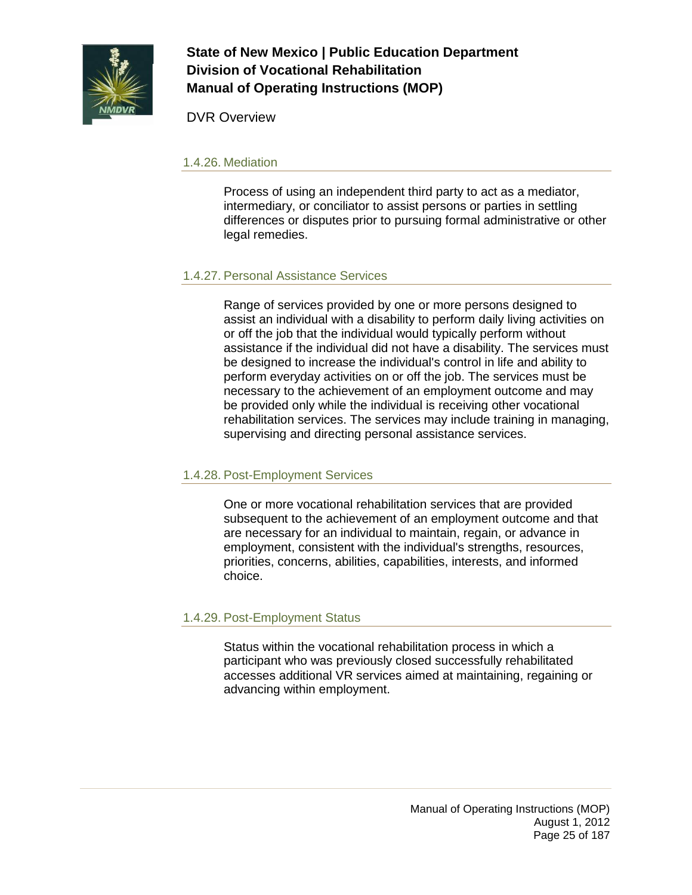

DVR Overview

#### 1.4.26. Mediation

Process of using an independent third party to act as a mediator, intermediary, or conciliator to assist persons or parties in settling differences or disputes prior to pursuing formal administrative or other legal remedies.

#### 1.4.27. Personal Assistance Services

Range of services provided by one or more persons designed to assist an individual with a disability to perform daily living activities on or off the job that the individual would typically perform without assistance if the individual did not have a disability. The services must be designed to increase the individual's control in life and ability to perform everyday activities on or off the job. The services must be necessary to the achievement of an employment outcome and may be provided only while the individual is receiving other vocational rehabilitation services. The services may include training in managing, supervising and directing personal assistance services.

#### 1.4.28. Post-Employment Services

One or more vocational rehabilitation services that are provided subsequent to the achievement of an employment outcome and that are necessary for an individual to maintain, regain, or advance in employment, consistent with the individual's strengths, resources, priorities, concerns, abilities, capabilities, interests, and informed choice.

### 1.4.29. Post-Employment Status

Status within the vocational rehabilitation process in which a participant who was previously closed successfully rehabilitated accesses additional VR services aimed at maintaining, regaining or advancing within employment.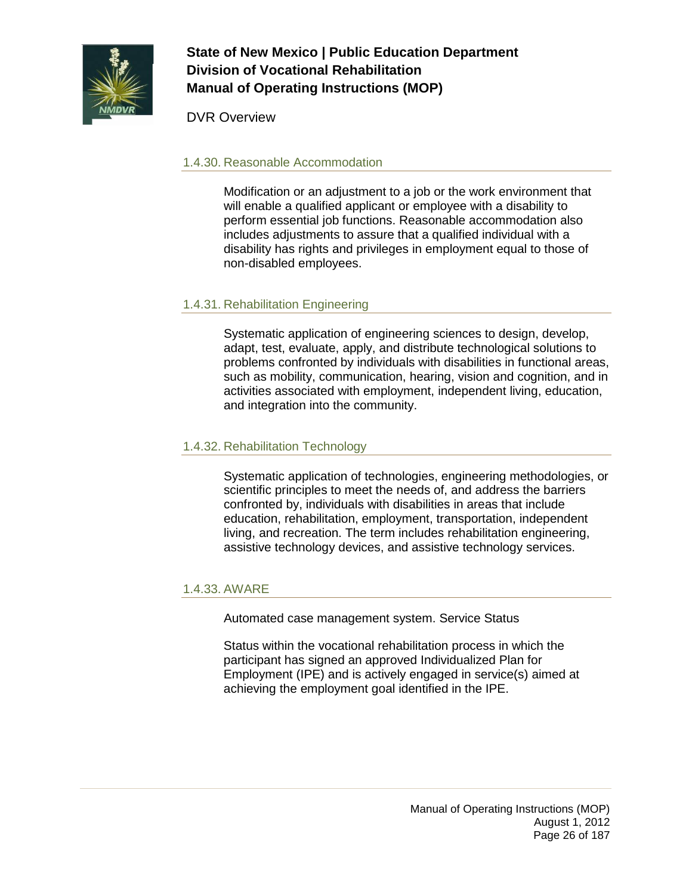

DVR Overview

### 1.4.30. Reasonable Accommodation

Modification or an adjustment to a job or the work environment that will enable a qualified applicant or employee with a disability to perform essential job functions. Reasonable accommodation also includes adjustments to assure that a qualified individual with a disability has rights and privileges in employment equal to those of non-disabled employees.

## 1.4.31. Rehabilitation Engineering

Systematic application of engineering sciences to design, develop, adapt, test, evaluate, apply, and distribute technological solutions to problems confronted by individuals with disabilities in functional areas, such as mobility, communication, hearing, vision and cognition, and in activities associated with employment, independent living, education, and integration into the community.

### 1.4.32. Rehabilitation Technology

Systematic application of technologies, engineering methodologies, or scientific principles to meet the needs of, and address the barriers confronted by, individuals with disabilities in areas that include education, rehabilitation, employment, transportation, independent living, and recreation. The term includes rehabilitation engineering, assistive technology devices, and assistive technology services.

### 1.4.33. AWARE

Automated case management system. Service Status

Status within the vocational rehabilitation process in which the participant has signed an approved Individualized Plan for Employment (IPE) and is actively engaged in service(s) aimed at achieving the employment goal identified in the IPE.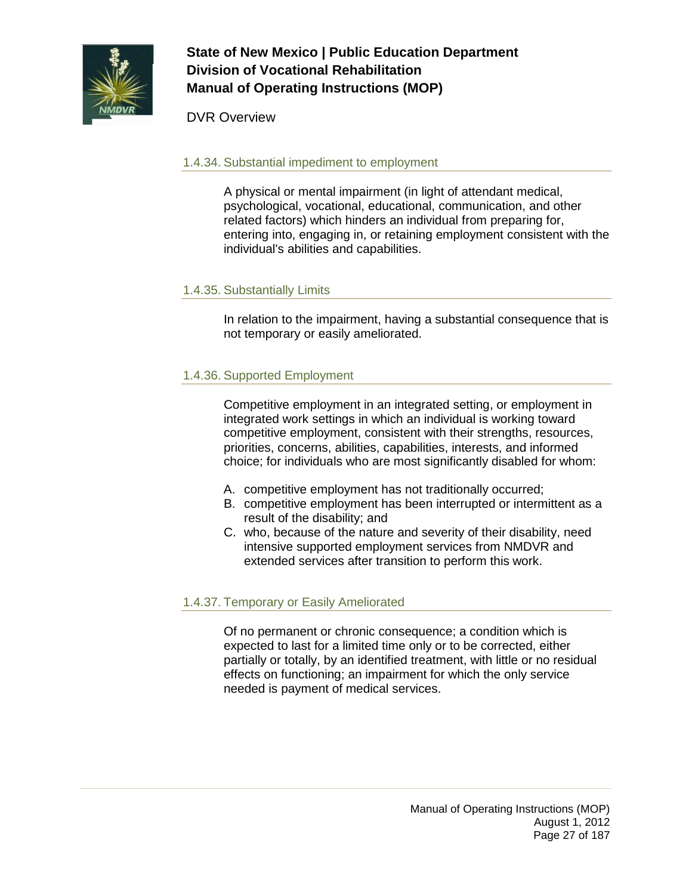

DVR Overview

#### 1.4.34. Substantial impediment to employment

A physical or mental impairment (in light of attendant medical, psychological, vocational, educational, communication, and other related factors) which hinders an individual from preparing for, entering into, engaging in, or retaining employment consistent with the individual's abilities and capabilities.

#### 1.4.35. Substantially Limits

In relation to the impairment, having a substantial consequence that is not temporary or easily ameliorated.

### 1.4.36. Supported Employment

Competitive employment in an integrated setting, or employment in integrated work settings in which an individual is working toward competitive employment, consistent with their strengths, resources, priorities, concerns, abilities, capabilities, interests, and informed choice; for individuals who are most significantly disabled for whom:

- A. competitive employment has not traditionally occurred;
- B. competitive employment has been interrupted or intermittent as a result of the disability; and
- C. who, because of the nature and severity of their disability, need intensive supported employment services from NMDVR and extended services after transition to perform this work.

### 1.4.37. Temporary or Easily Ameliorated

Of no permanent or chronic consequence; a condition which is expected to last for a limited time only or to be corrected, either partially or totally, by an identified treatment, with little or no residual effects on functioning; an impairment for which the only service needed is payment of medical services.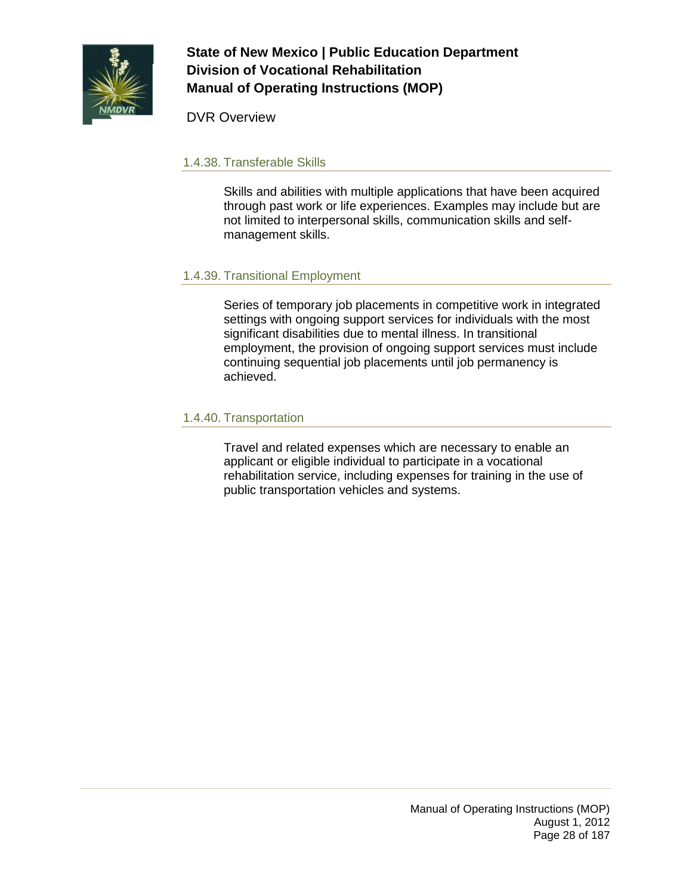

DVR Overview

#### 1.4.38. Transferable Skills

Skills and abilities with multiple applications that have been acquired through past work or life experiences. Examples may include but are not limited to interpersonal skills, communication skills and selfmanagement skills.

### 1.4.39. Transitional Employment

Series of temporary job placements in competitive work in integrated settings with ongoing support services for individuals with the most significant disabilities due to mental illness. In transitional employment, the provision of ongoing support services must include continuing sequential job placements until job permanency is achieved.

#### 1.4.40. Transportation

Travel and related expenses which are necessary to enable an applicant or eligible individual to participate in a vocational rehabilitation service, including expenses for training in the use of public transportation vehicles and systems.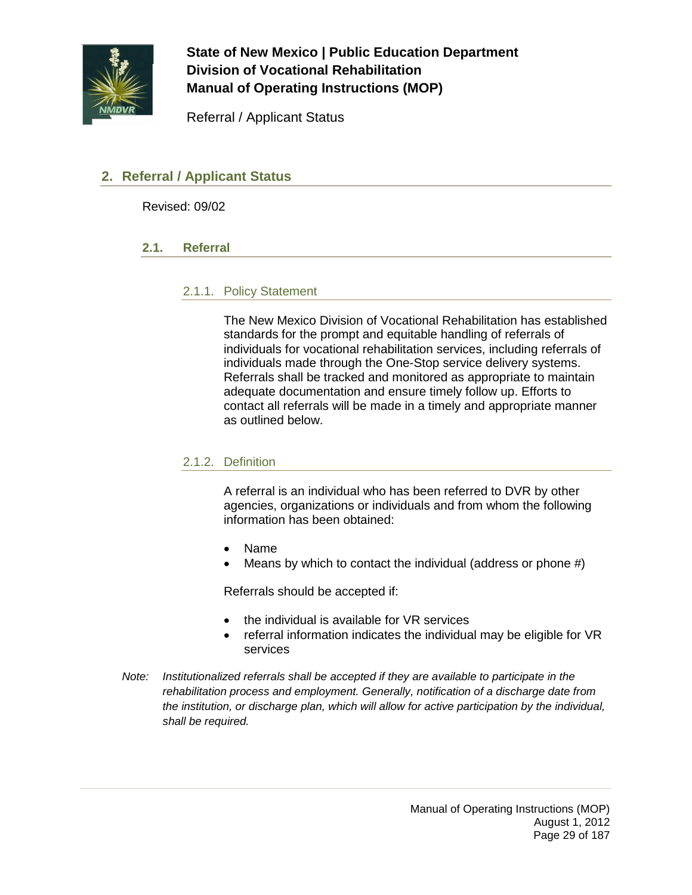

Referral / Applicant Status

## <span id="page-28-1"></span><span id="page-28-0"></span>**2. Referral / Applicant Status**

Revised: 09/02

#### **2.1. Referral**

#### 2.1.1. Policy Statement

The New Mexico Division of Vocational Rehabilitation has established standards for the prompt and equitable handling of referrals of individuals for vocational rehabilitation services, including referrals of individuals made through the One-Stop service delivery systems. Referrals shall be tracked and monitored as appropriate to maintain adequate documentation and ensure timely follow up. Efforts to contact all referrals will be made in a timely and appropriate manner as outlined below.

#### 2.1.2. Definition

A referral is an individual who has been referred to DVR by other agencies, organizations or individuals and from whom the following information has been obtained:

- Name
- Means by which to contact the individual (address or phone  $#$ )

Referrals should be accepted if:

- the individual is available for VR services
- referral information indicates the individual may be eligible for VR services
- *Note: Institutionalized referrals shall be accepted if they are available to participate in the rehabilitation process and employment. Generally, notification of a discharge date from the institution, or discharge plan, which will allow for active participation by the individual, shall be required.*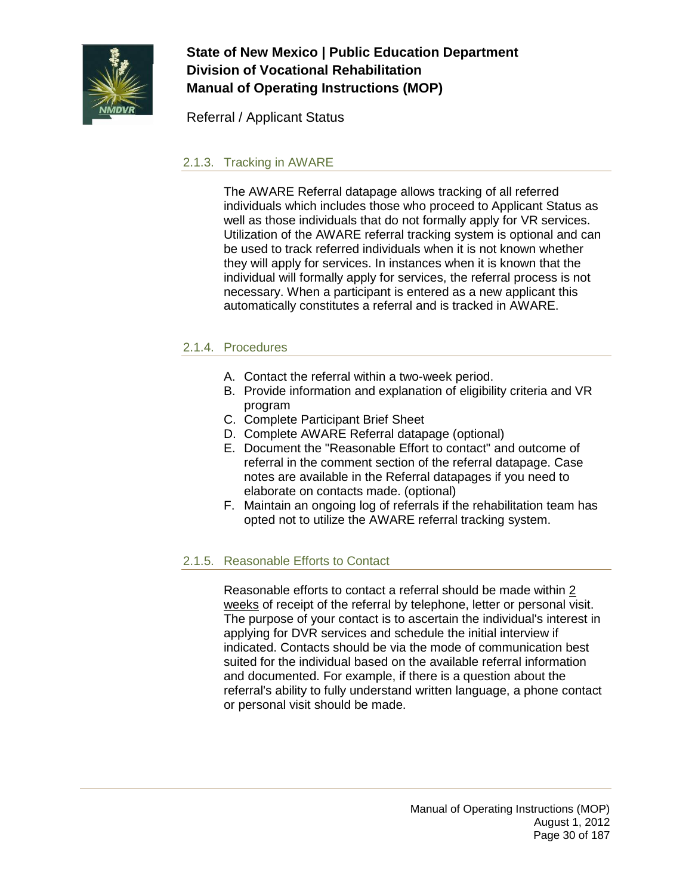

Referral / Applicant Status

### 2.1.3. Tracking in AWARE

The AWARE Referral datapage allows tracking of all referred individuals which includes those who proceed to Applicant Status as well as those individuals that do not formally apply for VR services. Utilization of the AWARE referral tracking system is optional and can be used to track referred individuals when it is not known whether they will apply for services. In instances when it is known that the individual will formally apply for services, the referral process is not necessary. When a participant is entered as a new applicant this automatically constitutes a referral and is tracked in AWARE.

#### 2.1.4. Procedures

- A. Contact the referral within a two-week period.
- B. Provide information and explanation of eligibility criteria and VR program
- C. Complete Participant Brief Sheet
- D. Complete AWARE Referral datapage (optional)
- E. Document the "Reasonable Effort to contact" and outcome of referral in the comment section of the referral datapage. Case notes are available in the Referral datapages if you need to elaborate on contacts made. (optional)
- F. Maintain an ongoing log of referrals if the rehabilitation team has opted not to utilize the AWARE referral tracking system.

### 2.1.5. Reasonable Efforts to Contact

Reasonable efforts to contact a referral should be made within 2 weeks of receipt of the referral by telephone, letter or personal visit. The purpose of your contact is to ascertain the individual's interest in applying for DVR services and schedule the initial interview if indicated. Contacts should be via the mode of communication best suited for the individual based on the available referral information and documented. For example, if there is a question about the referral's ability to fully understand written language, a phone contact or personal visit should be made.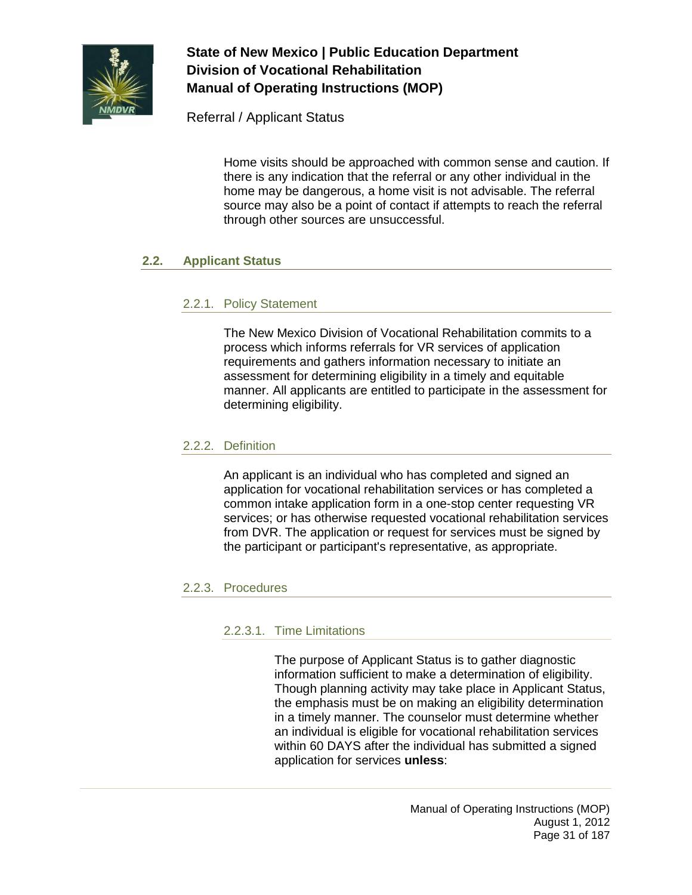

Referral / Applicant Status

Home visits should be approached with common sense and caution. If there is any indication that the referral or any other individual in the home may be dangerous, a home visit is not advisable. The referral source may also be a point of contact if attempts to reach the referral through other sources are unsuccessful.

### <span id="page-30-0"></span>**2.2. Applicant Status**

### 2.2.1. Policy Statement

The New Mexico Division of Vocational Rehabilitation commits to a process which informs referrals for VR services of application requirements and gathers information necessary to initiate an assessment for determining eligibility in a timely and equitable manner. All applicants are entitled to participate in the assessment for determining eligibility.

#### 2.2.2. Definition

An applicant is an individual who has completed and signed an application for vocational rehabilitation services or has completed a common intake application form in a one-stop center requesting VR services; or has otherwise requested vocational rehabilitation services from DVR. The application or request for services must be signed by the participant or participant's representative, as appropriate.

### 2.2.3. Procedures

### 2.2.3.1. Time Limitations

The purpose of Applicant Status is to gather diagnostic information sufficient to make a determination of eligibility. Though planning activity may take place in Applicant Status, the emphasis must be on making an eligibility determination in a timely manner. The counselor must determine whether an individual is eligible for vocational rehabilitation services within 60 DAYS after the individual has submitted a signed application for services **unless**: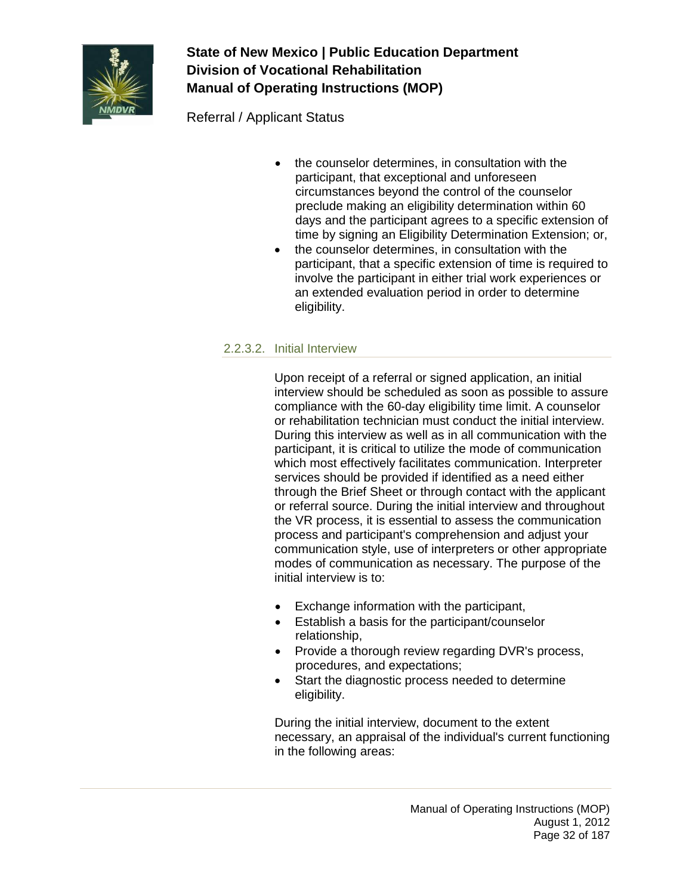

Referral / Applicant Status

- the counselor determines, in consultation with the participant, that exceptional and unforeseen circumstances beyond the control of the counselor preclude making an eligibility determination within 60 days and the participant agrees to a specific extension of time by signing an Eligibility Determination Extension; or,
- the counselor determines, in consultation with the participant, that a specific extension of time is required to involve the participant in either trial work experiences or an extended evaluation period in order to determine eligibility.

### 2.2.3.2. Initial Interview

Upon receipt of a referral or signed application, an initial interview should be scheduled as soon as possible to assure compliance with the 60-day eligibility time limit. A counselor or rehabilitation technician must conduct the initial interview. During this interview as well as in all communication with the participant, it is critical to utilize the mode of communication which most effectively facilitates communication. Interpreter services should be provided if identified as a need either through the Brief Sheet or through contact with the applicant or referral source. During the initial interview and throughout the VR process, it is essential to assess the communication process and participant's comprehension and adjust your communication style, use of interpreters or other appropriate modes of communication as necessary. The purpose of the initial interview is to:

- Exchange information with the participant,
- Establish a basis for the participant/counselor relationship,
- Provide a thorough review regarding DVR's process, procedures, and expectations;
- Start the diagnostic process needed to determine eligibility.

During the initial interview, document to the extent necessary, an appraisal of the individual's current functioning in the following areas: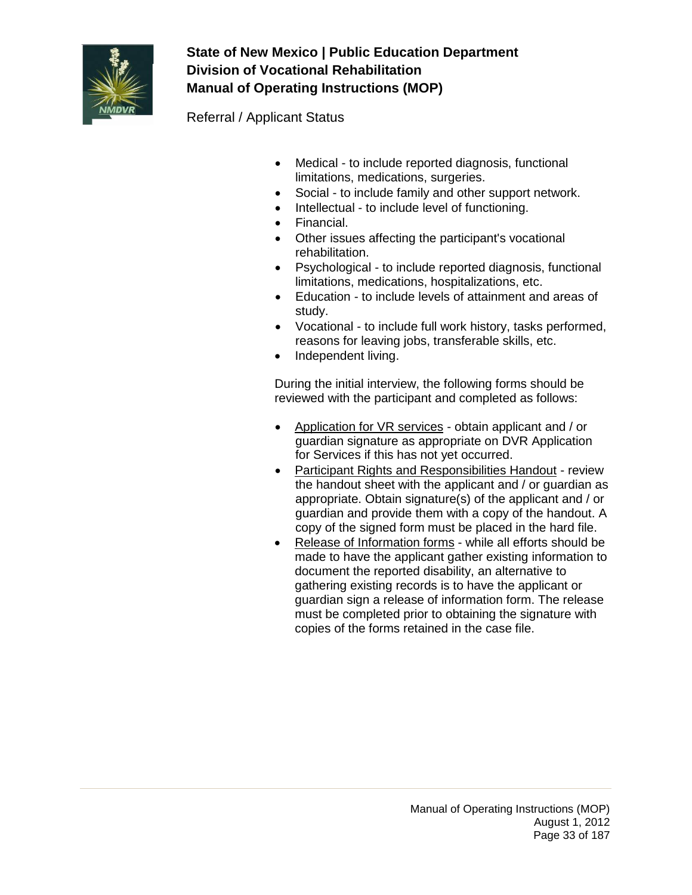

Referral / Applicant Status

- Medical to include reported diagnosis, functional limitations, medications, surgeries.
- Social to include family and other support network.
- Intellectual to include level of functioning.
- Financial.
- Other issues affecting the participant's vocational rehabilitation.
- Psychological to include reported diagnosis, functional limitations, medications, hospitalizations, etc.
- Education to include levels of attainment and areas of study.
- Vocational to include full work history, tasks performed, reasons for leaving jobs, transferable skills, etc.
- Independent living.

During the initial interview, the following forms should be reviewed with the participant and completed as follows:

- Application for VR services obtain applicant and / or guardian signature as appropriate on DVR Application for Services if this has not yet occurred.
- Participant Rights and Responsibilities Handout review the handout sheet with the applicant and / or guardian as appropriate. Obtain signature(s) of the applicant and / or guardian and provide them with a copy of the handout. A copy of the signed form must be placed in the hard file.
- Release of Information forms while all efforts should be made to have the applicant gather existing information to document the reported disability, an alternative to gathering existing records is to have the applicant or guardian sign a release of information form. The release must be completed prior to obtaining the signature with copies of the forms retained in the case file.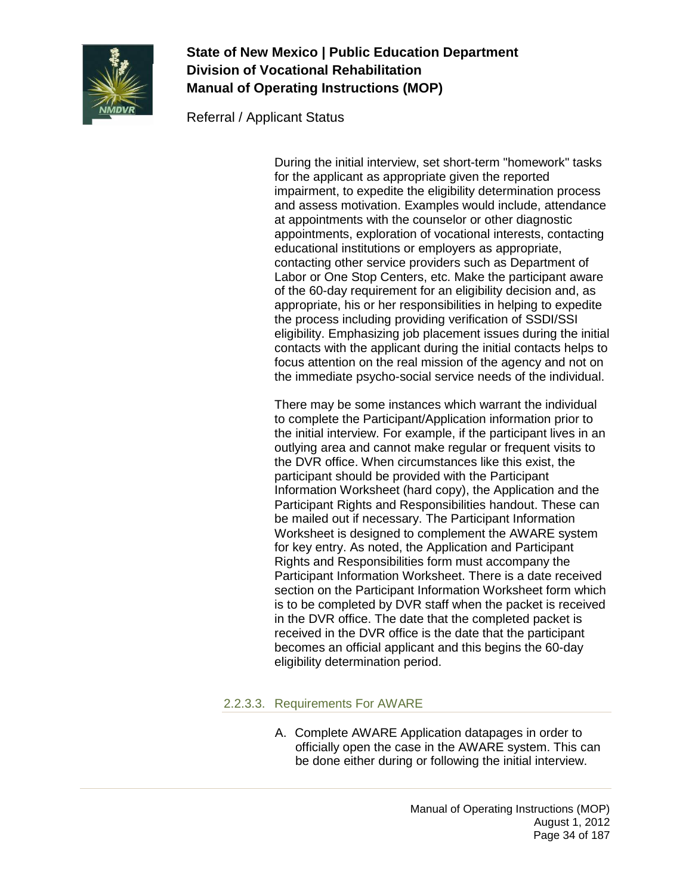

Referral / Applicant Status

During the initial interview, set short-term "homework" tasks for the applicant as appropriate given the reported impairment, to expedite the eligibility determination process and assess motivation. Examples would include, attendance at appointments with the counselor or other diagnostic appointments, exploration of vocational interests, contacting educational institutions or employers as appropriate, contacting other service providers such as Department of Labor or One Stop Centers, etc. Make the participant aware of the 60-day requirement for an eligibility decision and, as appropriate, his or her responsibilities in helping to expedite the process including providing verification of SSDI/SSI eligibility. Emphasizing job placement issues during the initial contacts with the applicant during the initial contacts helps to focus attention on the real mission of the agency and not on the immediate psycho-social service needs of the individual.

There may be some instances which warrant the individual to complete the Participant/Application information prior to the initial interview. For example, if the participant lives in an outlying area and cannot make regular or frequent visits to the DVR office. When circumstances like this exist, the participant should be provided with the Participant Information Worksheet (hard copy), the Application and the Participant Rights and Responsibilities handout. These can be mailed out if necessary. The Participant Information Worksheet is designed to complement the AWARE system for key entry. As noted, the Application and Participant Rights and Responsibilities form must accompany the Participant Information Worksheet. There is a date received section on the Participant Information Worksheet form which is to be completed by DVR staff when the packet is received in the DVR office. The date that the completed packet is received in the DVR office is the date that the participant becomes an official applicant and this begins the 60-day eligibility determination period.

## 2.2.3.3. Requirements For AWARE

A. Complete AWARE Application datapages in order to officially open the case in the AWARE system. This can be done either during or following the initial interview.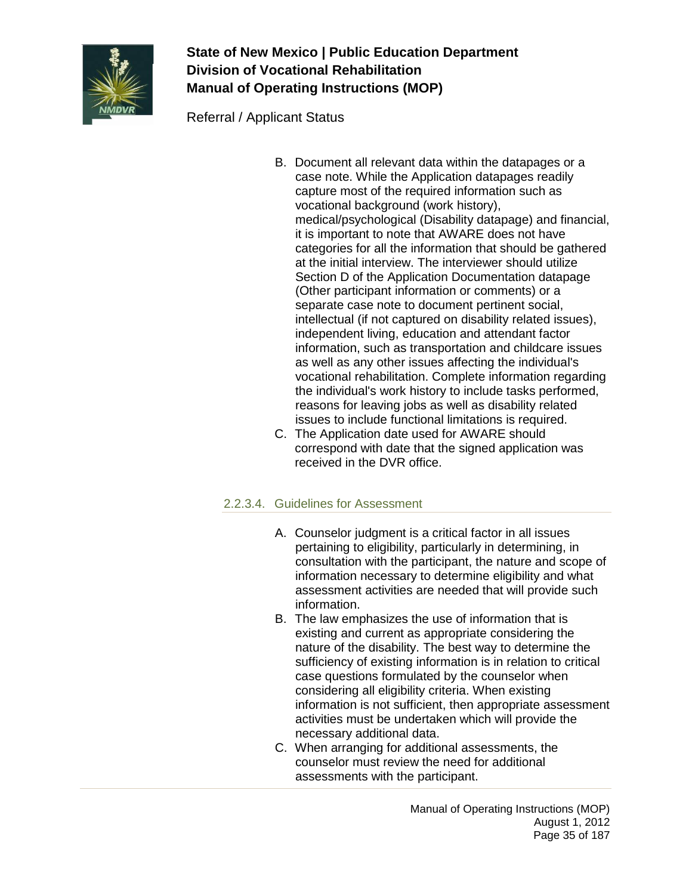

Referral / Applicant Status

- B. Document all relevant data within the datapages or a case note. While the Application datapages readily capture most of the required information such as vocational background (work history), medical/psychological (Disability datapage) and financial, it is important to note that AWARE does not have categories for all the information that should be gathered at the initial interview. The interviewer should utilize Section D of the Application Documentation datapage (Other participant information or comments) or a separate case note to document pertinent social, intellectual (if not captured on disability related issues), independent living, education and attendant factor information, such as transportation and childcare issues as well as any other issues affecting the individual's vocational rehabilitation. Complete information regarding the individual's work history to include tasks performed, reasons for leaving jobs as well as disability related issues to include functional limitations is required.
- C. The Application date used for AWARE should correspond with date that the signed application was received in the DVR office.

### 2.2.3.4. Guidelines for Assessment

- A. Counselor judgment is a critical factor in all issues pertaining to eligibility, particularly in determining, in consultation with the participant, the nature and scope of information necessary to determine eligibility and what assessment activities are needed that will provide such information.
- B. The law emphasizes the use of information that is existing and current as appropriate considering the nature of the disability. The best way to determine the sufficiency of existing information is in relation to critical case questions formulated by the counselor when considering all eligibility criteria. When existing information is not sufficient, then appropriate assessment activities must be undertaken which will provide the necessary additional data.
- C. When arranging for additional assessments, the counselor must review the need for additional assessments with the participant.

Manual of Operating Instructions (MOP) August 1, 2012 Page 35 of 187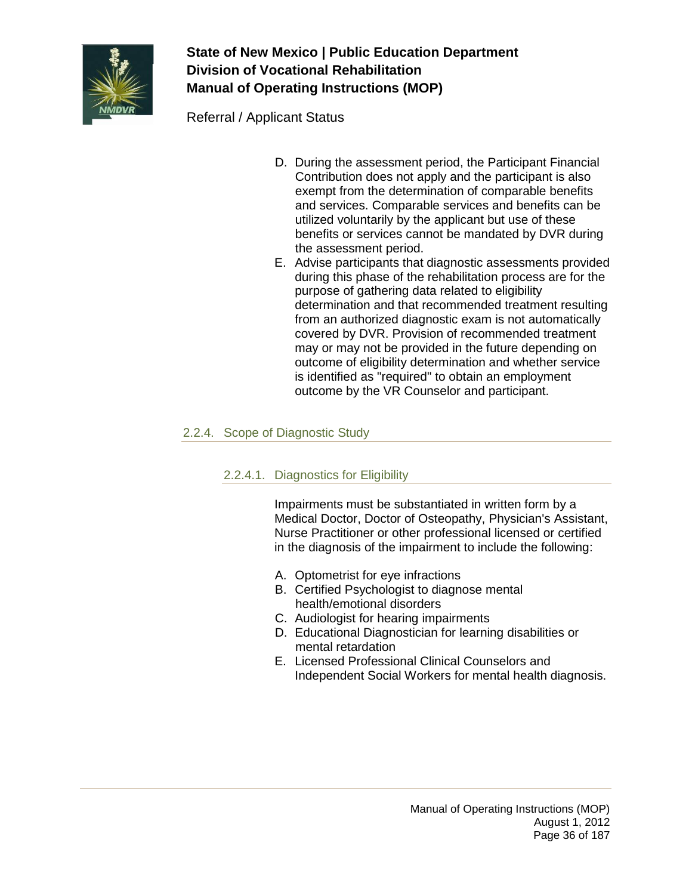

Referral / Applicant Status

- D. During the assessment period, the Participant Financial Contribution does not apply and the participant is also exempt from the determination of comparable benefits and services. Comparable services and benefits can be utilized voluntarily by the applicant but use of these benefits or services cannot be mandated by DVR during the assessment period.
- E. Advise participants that diagnostic assessments provided during this phase of the rehabilitation process are for the purpose of gathering data related to eligibility determination and that recommended treatment resulting from an authorized diagnostic exam is not automatically covered by DVR. Provision of recommended treatment may or may not be provided in the future depending on outcome of eligibility determination and whether service is identified as "required" to obtain an employment outcome by the VR Counselor and participant.

### 2.2.4. Scope of Diagnostic Study

### 2.2.4.1. Diagnostics for Eligibility

Impairments must be substantiated in written form by a Medical Doctor, Doctor of Osteopathy, Physician's Assistant, Nurse Practitioner or other professional licensed or certified in the diagnosis of the impairment to include the following:

- A. Optometrist for eye infractions
- B. Certified Psychologist to diagnose mental health/emotional disorders
- C. Audiologist for hearing impairments
- D. Educational Diagnostician for learning disabilities or mental retardation
- E. Licensed Professional Clinical Counselors and Independent Social Workers for mental health diagnosis.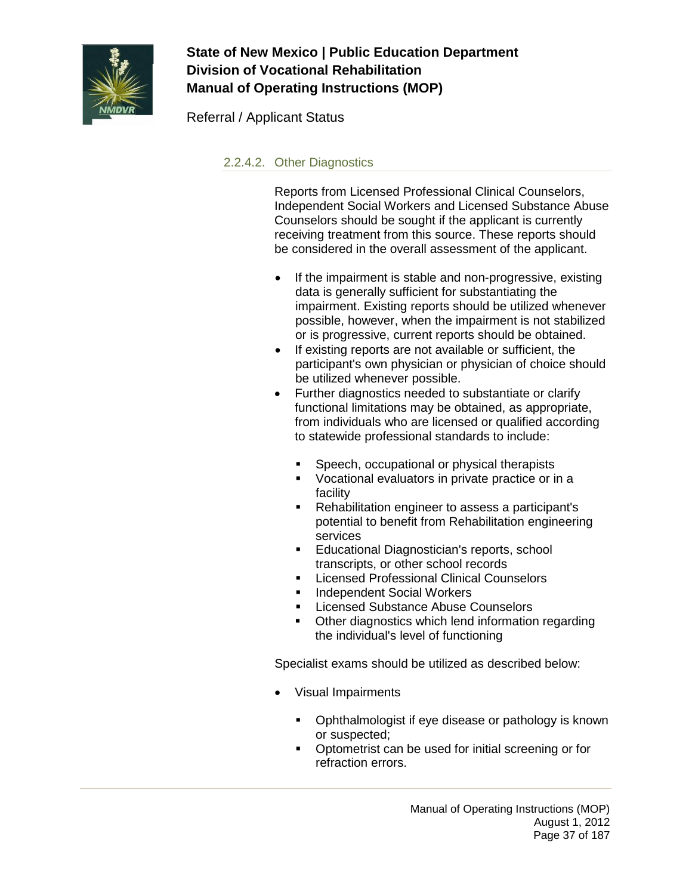

Referral / Applicant Status

### 2.2.4.2. Other Diagnostics

Reports from Licensed Professional Clinical Counselors, Independent Social Workers and Licensed Substance Abuse Counselors should be sought if the applicant is currently receiving treatment from this source. These reports should be considered in the overall assessment of the applicant.

- If the impairment is stable and non-progressive, existing data is generally sufficient for substantiating the impairment. Existing reports should be utilized whenever possible, however, when the impairment is not stabilized or is progressive, current reports should be obtained.
- If existing reports are not available or sufficient, the participant's own physician or physician of choice should be utilized whenever possible.
- Further diagnostics needed to substantiate or clarify functional limitations may be obtained, as appropriate, from individuals who are licensed or qualified according to statewide professional standards to include:
	- **Speech, occupational or physical therapists**
	- **Vocational evaluators in private practice or in a** facility
	- Rehabilitation engineer to assess a participant's potential to benefit from Rehabilitation engineering services
	- **Educational Diagnostician's reports, school** transcripts, or other school records
	- **Licensed Professional Clinical Counselors**
	- **Independent Social Workers**
	- **EXECO SUBSTANCE Abuse Counselors**
	- Other diagnostics which lend information regarding the individual's level of functioning

Specialist exams should be utilized as described below:

- Visual Impairments
	- **•** Ophthalmologist if eye disease or pathology is known or suspected;
	- Optometrist can be used for initial screening or for refraction errors.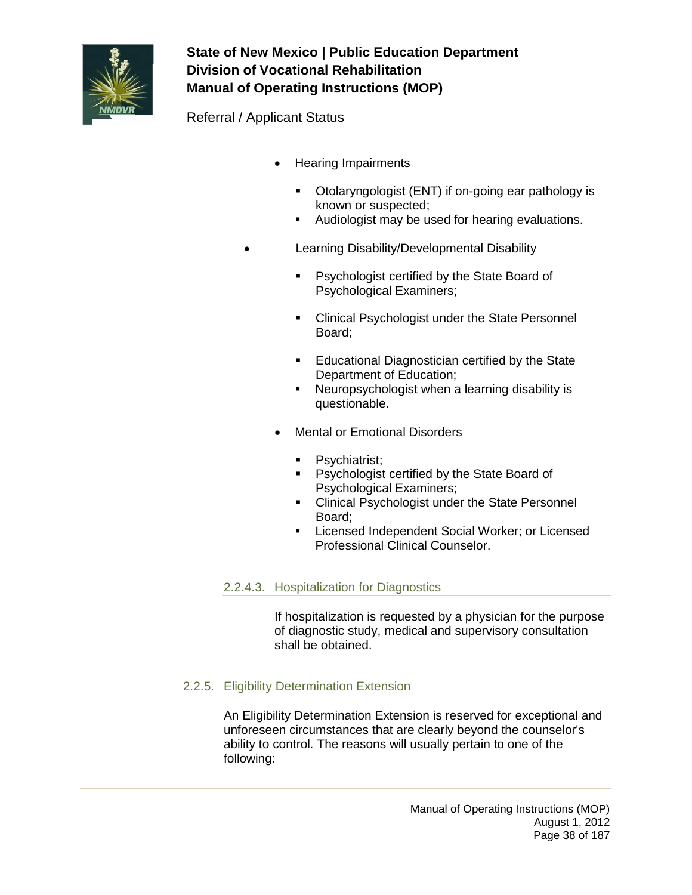

Referral / Applicant Status

- Hearing Impairments
	- Otolaryngologist (ENT) if on-going ear pathology is known or suspected;
	- Audiologist may be used for hearing evaluations.
- Learning Disability/Developmental Disability
	- **Psychologist certified by the State Board of** Psychological Examiners;
	- **EXEC** Clinical Psychologist under the State Personnel Board;
	- **Educational Diagnostician certified by the State** Department of Education;
	- **Neuropsychologist when a learning disability is** questionable.
	- **Mental or Emotional Disorders** 
		- **Psychiatrist;**
		- **Psychologist certified by the State Board of** Psychological Examiners;
		- Clinical Psychologist under the State Personnel Board;
		- **EXECTED EXECTED EXECTED** Licensed Independent Social Worker; or Licensed Professional Clinical Counselor.

#### 2.2.4.3. Hospitalization for Diagnostics

If hospitalization is requested by a physician for the purpose of diagnostic study, medical and supervisory consultation shall be obtained.

#### 2.2.5. Eligibility Determination Extension

An Eligibility Determination Extension is reserved for exceptional and unforeseen circumstances that are clearly beyond the counselor's ability to control. The reasons will usually pertain to one of the following: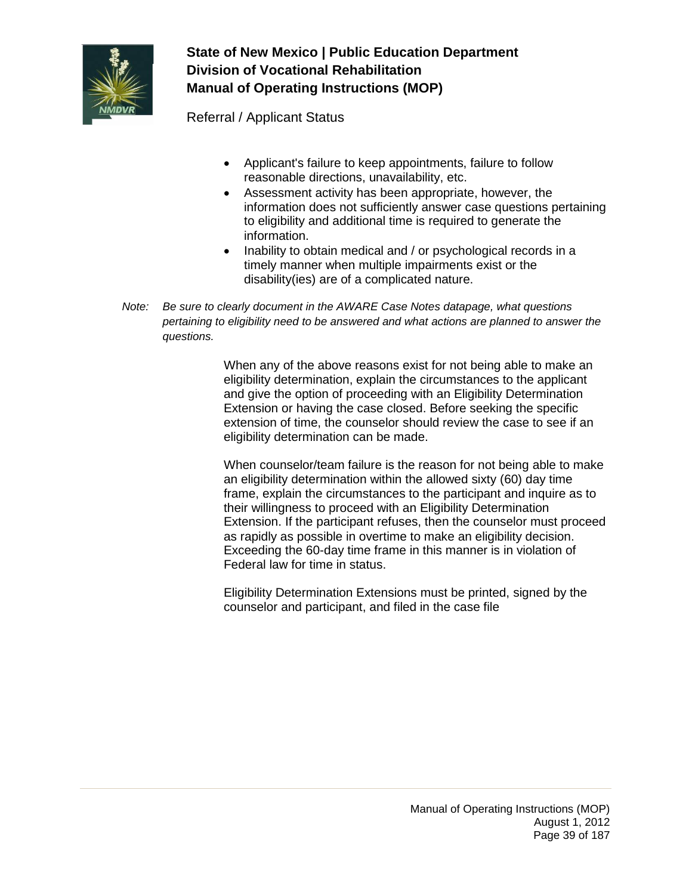

Referral / Applicant Status

- Applicant's failure to keep appointments, failure to follow reasonable directions, unavailability, etc.
- Assessment activity has been appropriate, however, the information does not sufficiently answer case questions pertaining to eligibility and additional time is required to generate the information.
- Inability to obtain medical and / or psychological records in a timely manner when multiple impairments exist or the disability(ies) are of a complicated nature.
- *Note: Be sure to clearly document in the AWARE Case Notes datapage, what questions pertaining to eligibility need to be answered and what actions are planned to answer the questions.*

When any of the above reasons exist for not being able to make an eligibility determination, explain the circumstances to the applicant and give the option of proceeding with an Eligibility Determination Extension or having the case closed. Before seeking the specific extension of time, the counselor should review the case to see if an eligibility determination can be made.

When counselor/team failure is the reason for not being able to make an eligibility determination within the allowed sixty (60) day time frame, explain the circumstances to the participant and inquire as to their willingness to proceed with an Eligibility Determination Extension. If the participant refuses, then the counselor must proceed as rapidly as possible in overtime to make an eligibility decision. Exceeding the 60-day time frame in this manner is in violation of Federal law for time in status.

Eligibility Determination Extensions must be printed, signed by the counselor and participant, and filed in the case file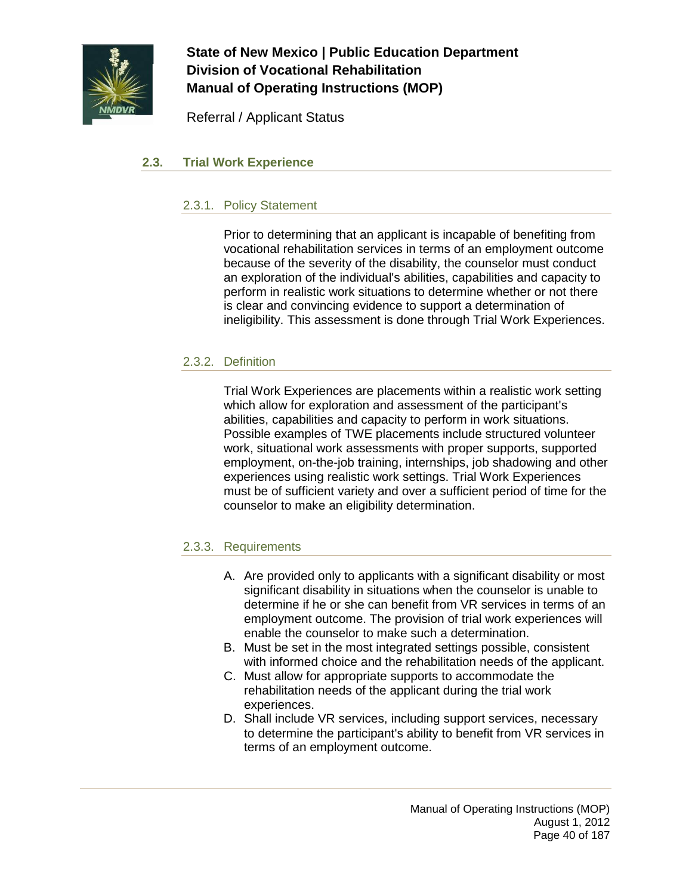

Referral / Applicant Status

### **2.3. Trial Work Experience**

### 2.3.1. Policy Statement

Prior to determining that an applicant is incapable of benefiting from vocational rehabilitation services in terms of an employment outcome because of the severity of the disability, the counselor must conduct an exploration of the individual's abilities, capabilities and capacity to perform in realistic work situations to determine whether or not there is clear and convincing evidence to support a determination of ineligibility. This assessment is done through Trial Work Experiences.

### 2.3.2. Definition

Trial Work Experiences are placements within a realistic work setting which allow for exploration and assessment of the participant's abilities, capabilities and capacity to perform in work situations. Possible examples of TWE placements include structured volunteer work, situational work assessments with proper supports, supported employment, on-the-job training, internships, job shadowing and other experiences using realistic work settings. Trial Work Experiences must be of sufficient variety and over a sufficient period of time for the counselor to make an eligibility determination.

### 2.3.3. Requirements

- A. Are provided only to applicants with a significant disability or most significant disability in situations when the counselor is unable to determine if he or she can benefit from VR services in terms of an employment outcome. The provision of trial work experiences will enable the counselor to make such a determination.
- B. Must be set in the most integrated settings possible, consistent with informed choice and the rehabilitation needs of the applicant.
- C. Must allow for appropriate supports to accommodate the rehabilitation needs of the applicant during the trial work experiences.
- D. Shall include VR services, including support services, necessary to determine the participant's ability to benefit from VR services in terms of an employment outcome.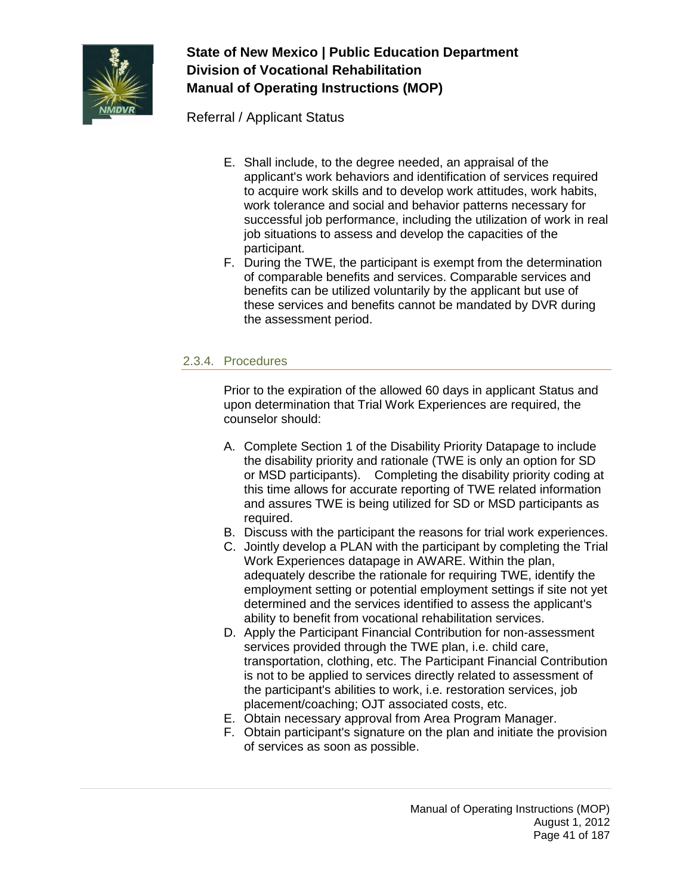

Referral / Applicant Status

- E. Shall include, to the degree needed, an appraisal of the applicant's work behaviors and identification of services required to acquire work skills and to develop work attitudes, work habits, work tolerance and social and behavior patterns necessary for successful job performance, including the utilization of work in real job situations to assess and develop the capacities of the participant.
- F. During the TWE, the participant is exempt from the determination of comparable benefits and services. Comparable services and benefits can be utilized voluntarily by the applicant but use of these services and benefits cannot be mandated by DVR during the assessment period.

### 2.3.4. Procedures

Prior to the expiration of the allowed 60 days in applicant Status and upon determination that Trial Work Experiences are required, the counselor should:

- A. Complete Section 1 of the Disability Priority Datapage to include the disability priority and rationale (TWE is only an option for SD or MSD participants). Completing the disability priority coding at this time allows for accurate reporting of TWE related information and assures TWE is being utilized for SD or MSD participants as required.
- B. Discuss with the participant the reasons for trial work experiences.
- C. Jointly develop a PLAN with the participant by completing the Trial Work Experiences datapage in AWARE. Within the plan, adequately describe the rationale for requiring TWE, identify the employment setting or potential employment settings if site not yet determined and the services identified to assess the applicant's ability to benefit from vocational rehabilitation services.
- D. Apply the Participant Financial Contribution for non-assessment services provided through the TWE plan, i.e. child care, transportation, clothing, etc. The Participant Financial Contribution is not to be applied to services directly related to assessment of the participant's abilities to work, i.e. restoration services, job placement/coaching; OJT associated costs, etc.
- E. Obtain necessary approval from Area Program Manager.
- F. Obtain participant's signature on the plan and initiate the provision of services as soon as possible.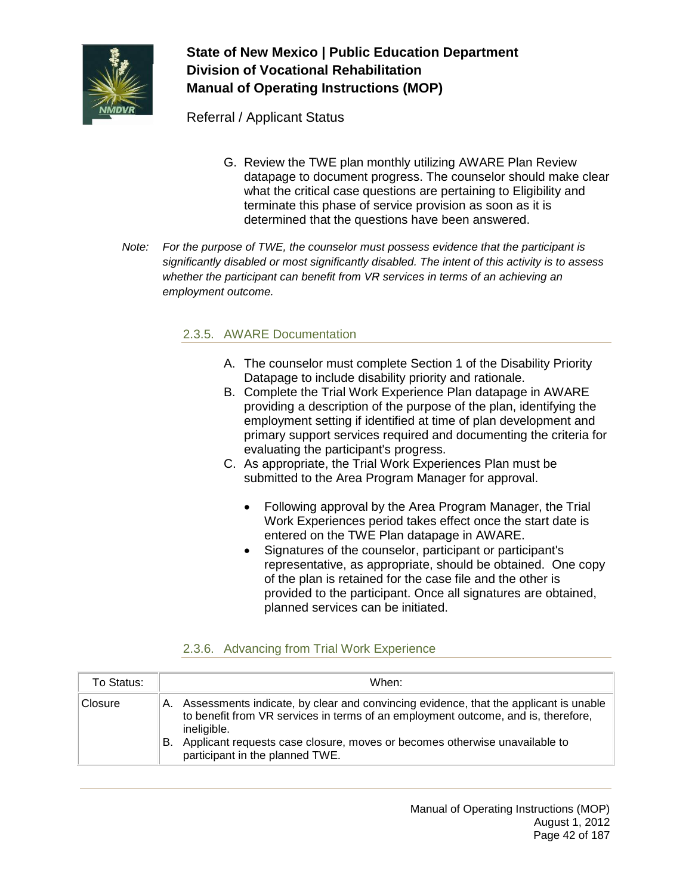

Referral / Applicant Status

- G. Review the TWE plan monthly utilizing AWARE Plan Review datapage to document progress. The counselor should make clear what the critical case questions are pertaining to Eligibility and terminate this phase of service provision as soon as it is determined that the questions have been answered.
- *Note: For the purpose of TWE, the counselor must possess evidence that the participant is significantly disabled or most significantly disabled. The intent of this activity is to assess whether the participant can benefit from VR services in terms of an achieving an employment outcome.*

### 2.3.5. AWARE Documentation

- A. The counselor must complete Section 1 of the Disability Priority Datapage to include disability priority and rationale.
- B. Complete the Trial Work Experience Plan datapage in AWARE providing a description of the purpose of the plan, identifying the employment setting if identified at time of plan development and primary support services required and documenting the criteria for evaluating the participant's progress.
- C. As appropriate, the Trial Work Experiences Plan must be submitted to the Area Program Manager for approval.
	- Following approval by the Area Program Manager, the Trial Work Experiences period takes effect once the start date is entered on the TWE Plan datapage in AWARE.
	- Signatures of the counselor, participant or participant's representative, as appropriate, should be obtained. One copy of the plan is retained for the case file and the other is provided to the participant. Once all signatures are obtained, planned services can be initiated.

### 2.3.6. Advancing from Trial Work Experience

| To Status: | When:                                                                                                                                                                                                                                                                                                                 |
|------------|-----------------------------------------------------------------------------------------------------------------------------------------------------------------------------------------------------------------------------------------------------------------------------------------------------------------------|
| Closure    | Assessments indicate, by clear and convincing evidence, that the applicant is unable<br>A.<br>to benefit from VR services in terms of an employment outcome, and is, therefore,<br>ineligible.<br>Applicant requests case closure, moves or becomes otherwise unavailable to<br>В.<br>participant in the planned TWE. |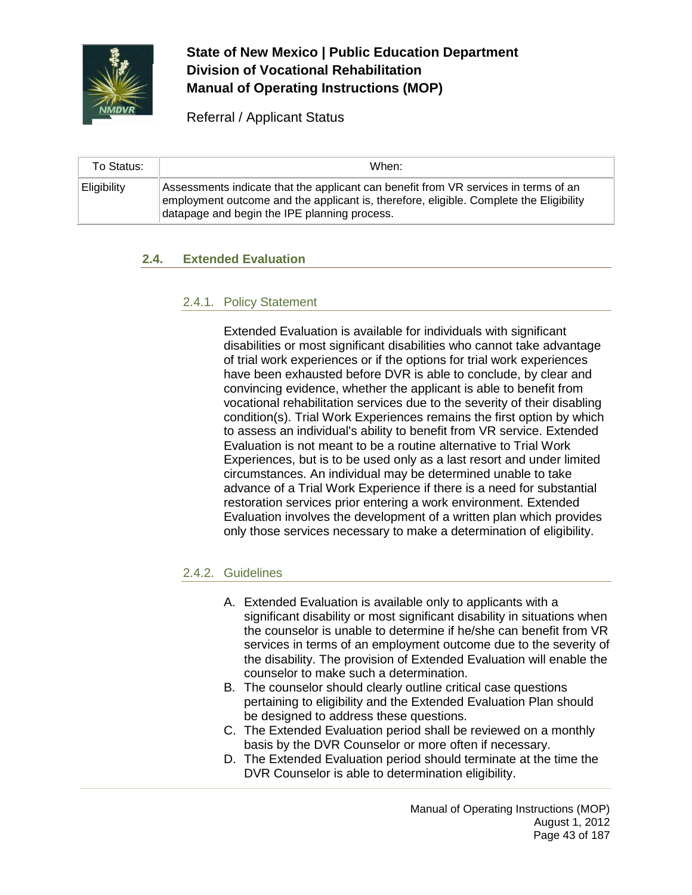

Referral / Applicant Status

| To Status:  | When:                                                                                                                                                                                                                         |
|-------------|-------------------------------------------------------------------------------------------------------------------------------------------------------------------------------------------------------------------------------|
| Eligibility | Assessments indicate that the applicant can benefit from VR services in terms of an<br>employment outcome and the applicant is, therefore, eligible. Complete the Eligibility<br>datapage and begin the IPE planning process. |

### **2.4. Extended Evaluation**

### 2.4.1. Policy Statement

Extended Evaluation is available for individuals with significant disabilities or most significant disabilities who cannot take advantage of trial work experiences or if the options for trial work experiences have been exhausted before DVR is able to conclude, by clear and convincing evidence, whether the applicant is able to benefit from vocational rehabilitation services due to the severity of their disabling condition(s). Trial Work Experiences remains the first option by which to assess an individual's ability to benefit from VR service. Extended Evaluation is not meant to be a routine alternative to Trial Work Experiences, but is to be used only as a last resort and under limited circumstances. An individual may be determined unable to take advance of a Trial Work Experience if there is a need for substantial restoration services prior entering a work environment. Extended Evaluation involves the development of a written plan which provides only those services necessary to make a determination of eligibility.

### 2.4.2. Guidelines

- A. Extended Evaluation is available only to applicants with a significant disability or most significant disability in situations when the counselor is unable to determine if he/she can benefit from VR services in terms of an employment outcome due to the severity of the disability. The provision of Extended Evaluation will enable the counselor to make such a determination.
- B. The counselor should clearly outline critical case questions pertaining to eligibility and the Extended Evaluation Plan should be designed to address these questions.
- C. The Extended Evaluation period shall be reviewed on a monthly basis by the DVR Counselor or more often if necessary.
- D. The Extended Evaluation period should terminate at the time the DVR Counselor is able to determination eligibility.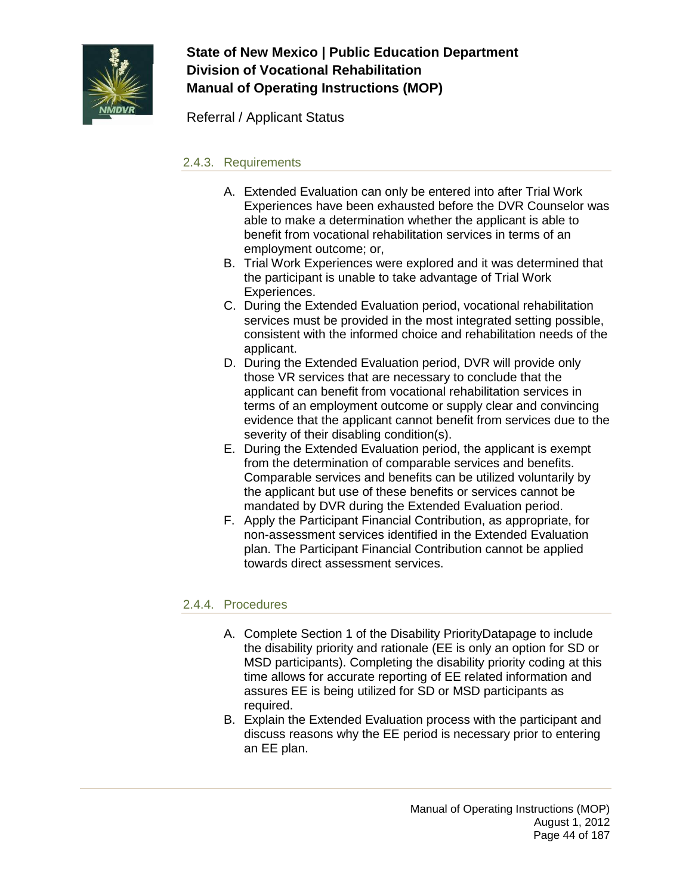

Referral / Applicant Status

### 2.4.3. Requirements

- A. Extended Evaluation can only be entered into after Trial Work Experiences have been exhausted before the DVR Counselor was able to make a determination whether the applicant is able to benefit from vocational rehabilitation services in terms of an employment outcome; or,
- B. Trial Work Experiences were explored and it was determined that the participant is unable to take advantage of Trial Work Experiences.
- C. During the Extended Evaluation period, vocational rehabilitation services must be provided in the most integrated setting possible, consistent with the informed choice and rehabilitation needs of the applicant.
- D. During the Extended Evaluation period, DVR will provide only those VR services that are necessary to conclude that the applicant can benefit from vocational rehabilitation services in terms of an employment outcome or supply clear and convincing evidence that the applicant cannot benefit from services due to the severity of their disabling condition(s).
- E. During the Extended Evaluation period, the applicant is exempt from the determination of comparable services and benefits. Comparable services and benefits can be utilized voluntarily by the applicant but use of these benefits or services cannot be mandated by DVR during the Extended Evaluation period.
- F. Apply the Participant Financial Contribution, as appropriate, for non-assessment services identified in the Extended Evaluation plan. The Participant Financial Contribution cannot be applied towards direct assessment services.

### 2.4.4. Procedures

- A. Complete Section 1 of the Disability PriorityDatapage to include the disability priority and rationale (EE is only an option for SD or MSD participants). Completing the disability priority coding at this time allows for accurate reporting of EE related information and assures EE is being utilized for SD or MSD participants as required.
- B. Explain the Extended Evaluation process with the participant and discuss reasons why the EE period is necessary prior to entering an EE plan.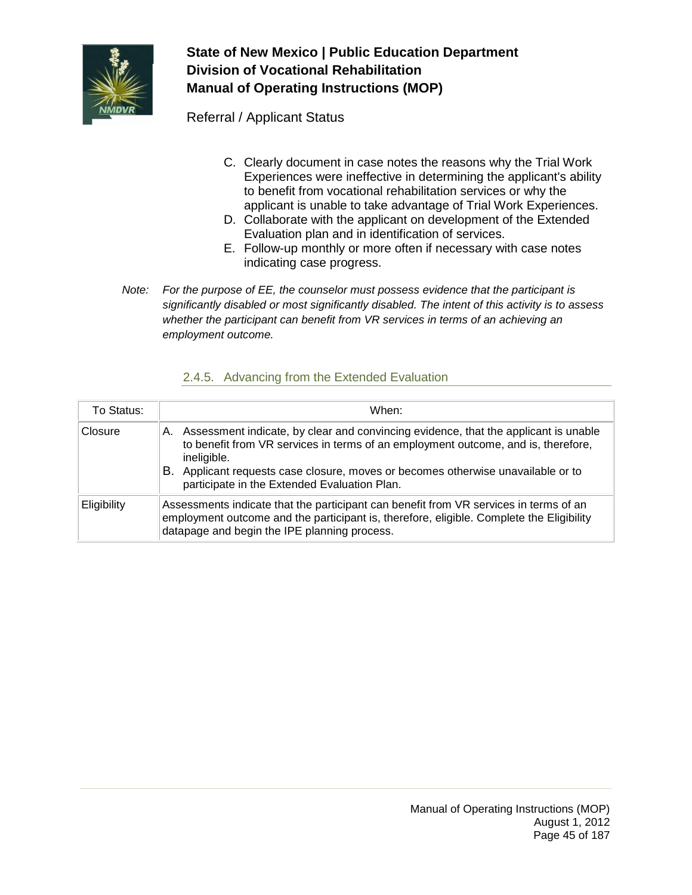

Referral / Applicant Status

- C. Clearly document in case notes the reasons why the Trial Work Experiences were ineffective in determining the applicant's ability to benefit from vocational rehabilitation services or why the applicant is unable to take advantage of Trial Work Experiences.
- D. Collaborate with the applicant on development of the Extended Evaluation plan and in identification of services.
- E. Follow-up monthly or more often if necessary with case notes indicating case progress.
- *Note: For the purpose of EE, the counselor must possess evidence that the participant is significantly disabled or most significantly disabled. The intent of this activity is to assess whether the participant can benefit from VR services in terms of an achieving an employment outcome.*

### 2.4.5. Advancing from the Extended Evaluation

| To Status:  | When:                                                                                                                                                                                                                                                                                                                                |
|-------------|--------------------------------------------------------------------------------------------------------------------------------------------------------------------------------------------------------------------------------------------------------------------------------------------------------------------------------------|
| Closure     | Assessment indicate, by clear and convincing evidence, that the applicant is unable<br>А.<br>to benefit from VR services in terms of an employment outcome, and is, therefore,<br>ineligible.<br>Applicant requests case closure, moves or becomes otherwise unavailable or to<br>В.<br>participate in the Extended Evaluation Plan. |
| Eligibility | Assessments indicate that the participant can benefit from VR services in terms of an<br>employment outcome and the participant is, therefore, eligible. Complete the Eligibility<br>datapage and begin the IPE planning process.                                                                                                    |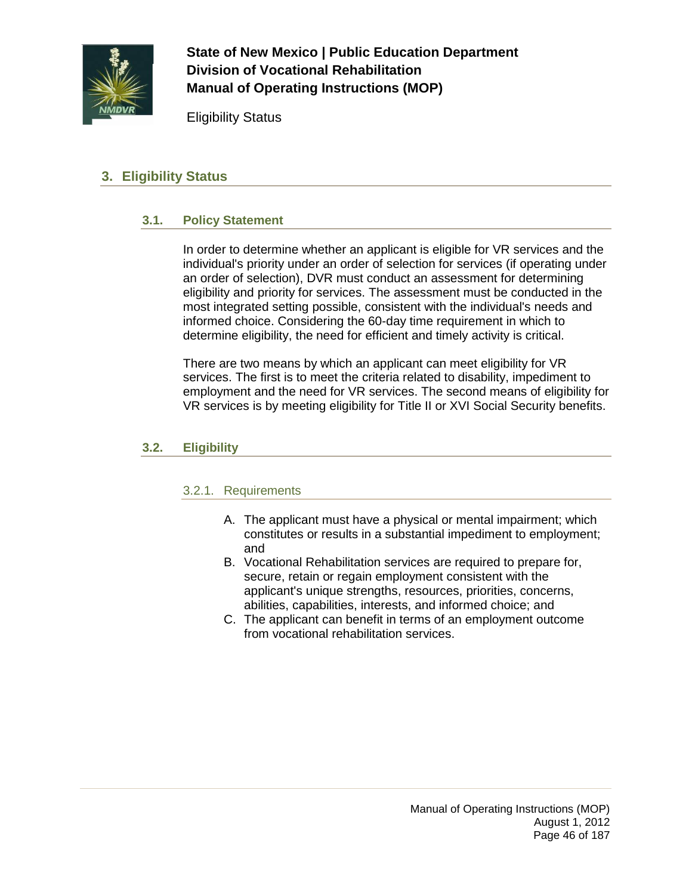

Eligibility Status

## **3. Eligibility Status**

### **3.1. Policy Statement**

In order to determine whether an applicant is eligible for VR services and the individual's priority under an order of selection for services (if operating under an order of selection), DVR must conduct an assessment for determining eligibility and priority for services. The assessment must be conducted in the most integrated setting possible, consistent with the individual's needs and informed choice. Considering the 60-day time requirement in which to determine eligibility, the need for efficient and timely activity is critical.

There are two means by which an applicant can meet eligibility for VR services. The first is to meet the criteria related to disability, impediment to employment and the need for VR services. The second means of eligibility for VR services is by meeting eligibility for Title II or XVI Social Security benefits.

#### **3.2. Eligibility**

#### 3.2.1. Requirements

- A. The applicant must have a physical or mental impairment; which constitutes or results in a substantial impediment to employment; and
- B. Vocational Rehabilitation services are required to prepare for, secure, retain or regain employment consistent with the applicant's unique strengths, resources, priorities, concerns, abilities, capabilities, interests, and informed choice; and
- C. The applicant can benefit in terms of an employment outcome from vocational rehabilitation services.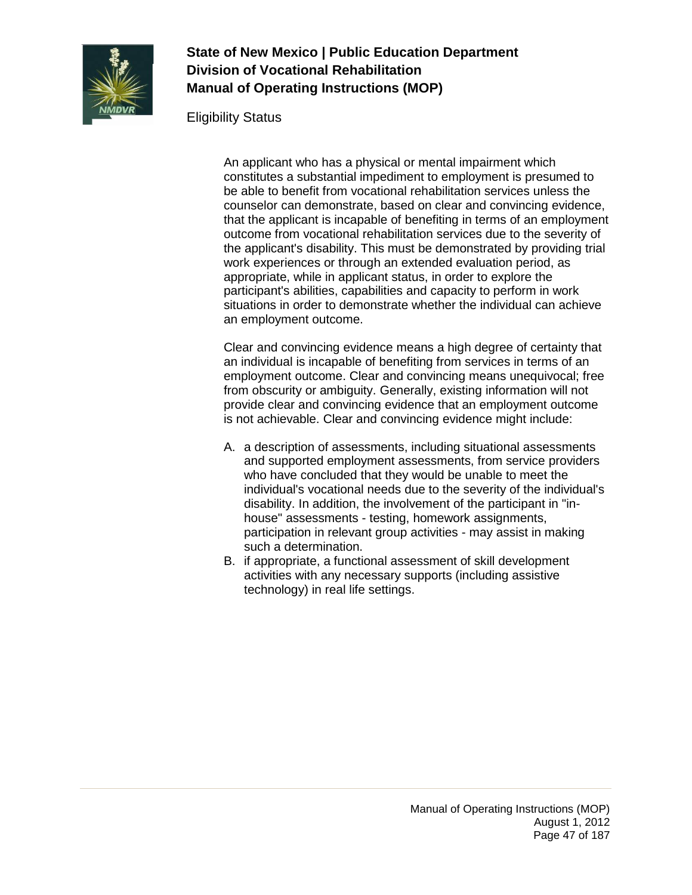

Eligibility Status

An applicant who has a physical or mental impairment which constitutes a substantial impediment to employment is presumed to be able to benefit from vocational rehabilitation services unless the counselor can demonstrate, based on clear and convincing evidence, that the applicant is incapable of benefiting in terms of an employment outcome from vocational rehabilitation services due to the severity of the applicant's disability. This must be demonstrated by providing trial work experiences or through an extended evaluation period, as appropriate, while in applicant status, in order to explore the participant's abilities, capabilities and capacity to perform in work situations in order to demonstrate whether the individual can achieve an employment outcome.

Clear and convincing evidence means a high degree of certainty that an individual is incapable of benefiting from services in terms of an employment outcome. Clear and convincing means unequivocal; free from obscurity or ambiguity. Generally, existing information will not provide clear and convincing evidence that an employment outcome is not achievable. Clear and convincing evidence might include:

- A. a description of assessments, including situational assessments and supported employment assessments, from service providers who have concluded that they would be unable to meet the individual's vocational needs due to the severity of the individual's disability. In addition, the involvement of the participant in "inhouse" assessments - testing, homework assignments, participation in relevant group activities - may assist in making such a determination.
- B. if appropriate, a functional assessment of skill development activities with any necessary supports (including assistive technology) in real life settings.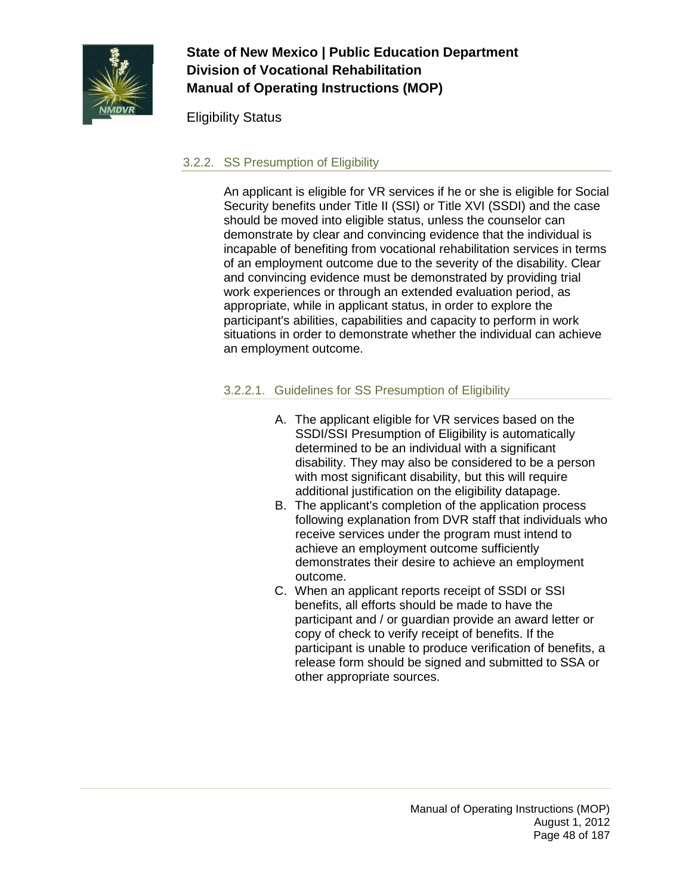

Eligibility Status

### 3.2.2. SS Presumption of Eligibility

An applicant is eligible for VR services if he or she is eligible for Social Security benefits under Title II (SSI) or Title XVI (SSDI) and the case should be moved into eligible status, unless the counselor can demonstrate by clear and convincing evidence that the individual is incapable of benefiting from vocational rehabilitation services in terms of an employment outcome due to the severity of the disability. Clear and convincing evidence must be demonstrated by providing trial work experiences or through an extended evaluation period, as appropriate, while in applicant status, in order to explore the participant's abilities, capabilities and capacity to perform in work situations in order to demonstrate whether the individual can achieve an employment outcome.

### 3.2.2.1. Guidelines for SS Presumption of Eligibility

- A. The applicant eligible for VR services based on the SSDI/SSI Presumption of Eligibility is automatically determined to be an individual with a significant disability. They may also be considered to be a person with most significant disability, but this will require additional justification on the eligibility datapage.
- B. The applicant's completion of the application process following explanation from DVR staff that individuals who receive services under the program must intend to achieve an employment outcome sufficiently demonstrates their desire to achieve an employment outcome.
- C. When an applicant reports receipt of SSDI or SSI benefits, all efforts should be made to have the participant and / or guardian provide an award letter or copy of check to verify receipt of benefits. If the participant is unable to produce verification of benefits, a release form should be signed and submitted to SSA or other appropriate sources.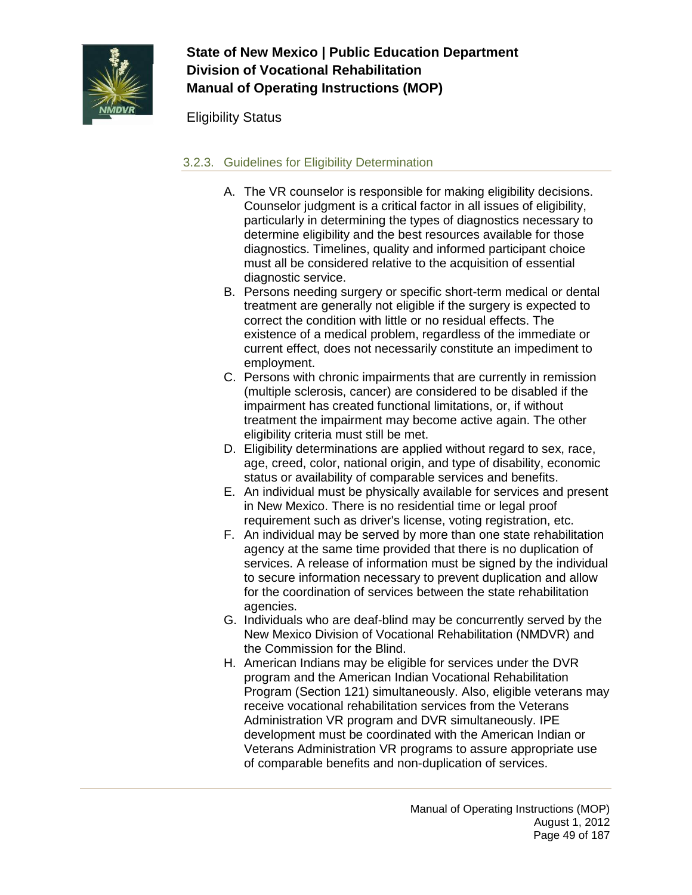

Eligibility Status

### 3.2.3. Guidelines for Eligibility Determination

- A. The VR counselor is responsible for making eligibility decisions. Counselor judgment is a critical factor in all issues of eligibility, particularly in determining the types of diagnostics necessary to determine eligibility and the best resources available for those diagnostics. Timelines, quality and informed participant choice must all be considered relative to the acquisition of essential diagnostic service.
- B. Persons needing surgery or specific short-term medical or dental treatment are generally not eligible if the surgery is expected to correct the condition with little or no residual effects. The existence of a medical problem, regardless of the immediate or current effect, does not necessarily constitute an impediment to employment.
- C. Persons with chronic impairments that are currently in remission (multiple sclerosis, cancer) are considered to be disabled if the impairment has created functional limitations, or, if without treatment the impairment may become active again. The other eligibility criteria must still be met.
- D. Eligibility determinations are applied without regard to sex, race, age, creed, color, national origin, and type of disability, economic status or availability of comparable services and benefits.
- E. An individual must be physically available for services and present in New Mexico. There is no residential time or legal proof requirement such as driver's license, voting registration, etc.
- F. An individual may be served by more than one state rehabilitation agency at the same time provided that there is no duplication of services. A release of information must be signed by the individual to secure information necessary to prevent duplication and allow for the coordination of services between the state rehabilitation agencies.
- G. Individuals who are deaf-blind may be concurrently served by the New Mexico Division of Vocational Rehabilitation (NMDVR) and the Commission for the Blind.
- H. American Indians may be eligible for services under the DVR program and the American Indian Vocational Rehabilitation Program (Section 121) simultaneously. Also, eligible veterans may receive vocational rehabilitation services from the Veterans Administration VR program and DVR simultaneously. IPE development must be coordinated with the American Indian or Veterans Administration VR programs to assure appropriate use of comparable benefits and non-duplication of services.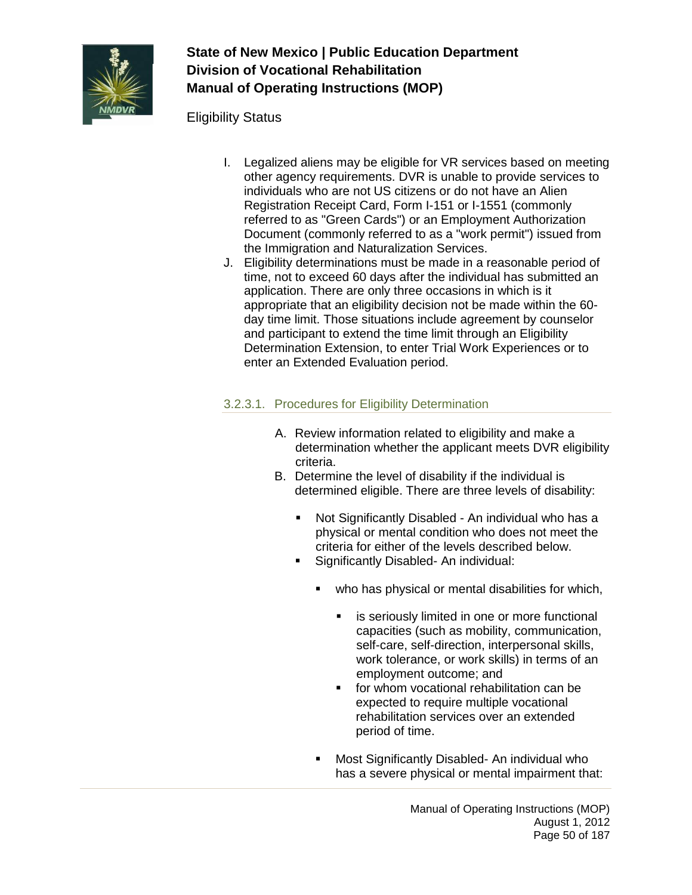

### Eligibility Status

- I. Legalized aliens may be eligible for VR services based on meeting other agency requirements. DVR is unable to provide services to individuals who are not US citizens or do not have an Alien Registration Receipt Card, Form I-151 or I-1551 (commonly referred to as "Green Cards") or an Employment Authorization Document (commonly referred to as a "work permit") issued from the Immigration and Naturalization Services.
- J. Eligibility determinations must be made in a reasonable period of time, not to exceed 60 days after the individual has submitted an application. There are only three occasions in which is it appropriate that an eligibility decision not be made within the 60 day time limit. Those situations include agreement by counselor and participant to extend the time limit through an Eligibility Determination Extension, to enter Trial Work Experiences or to enter an Extended Evaluation period.

## 3.2.3.1. Procedures for Eligibility Determination

- A. Review information related to eligibility and make a determination whether the applicant meets DVR eligibility criteria.
- B. Determine the level of disability if the individual is determined eligible. There are three levels of disability:
	- Not Significantly Disabled An individual who has a physical or mental condition who does not meet the criteria for either of the levels described below.
	- **Significantly Disabled- An individual:** 
		- **•** who has physical or mental disabilities for which,
			- **EXEC** is seriously limited in one or more functional capacities (such as mobility, communication, self-care, self-direction, interpersonal skills, work tolerance, or work skills) in terms of an employment outcome; and
			- **for whom vocational rehabilitation can be** expected to require multiple vocational rehabilitation services over an extended period of time.
		- **Most Significantly Disabled- An individual who** has a severe physical or mental impairment that: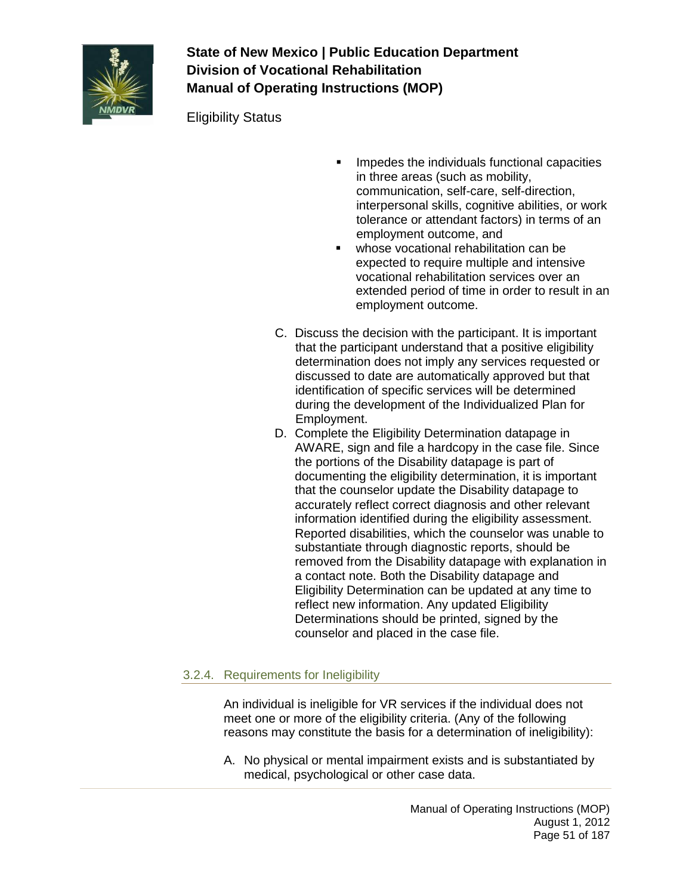

Eligibility Status

- Impedes the individuals functional capacities in three areas (such as mobility, communication, self-care, self-direction, interpersonal skills, cognitive abilities, or work tolerance or attendant factors) in terms of an employment outcome, and
- whose vocational rehabilitation can be expected to require multiple and intensive vocational rehabilitation services over an extended period of time in order to result in an employment outcome.
- C. Discuss the decision with the participant. It is important that the participant understand that a positive eligibility determination does not imply any services requested or discussed to date are automatically approved but that identification of specific services will be determined during the development of the Individualized Plan for Employment.
- D. Complete the Eligibility Determination datapage in AWARE, sign and file a hardcopy in the case file. Since the portions of the Disability datapage is part of documenting the eligibility determination, it is important that the counselor update the Disability datapage to accurately reflect correct diagnosis and other relevant information identified during the eligibility assessment. Reported disabilities, which the counselor was unable to substantiate through diagnostic reports, should be removed from the Disability datapage with explanation in a contact note. Both the Disability datapage and Eligibility Determination can be updated at any time to reflect new information. Any updated Eligibility Determinations should be printed, signed by the counselor and placed in the case file.

## 3.2.4. Requirements for Ineligibility

An individual is ineligible for VR services if the individual does not meet one or more of the eligibility criteria. (Any of the following reasons may constitute the basis for a determination of ineligibility):

A. No physical or mental impairment exists and is substantiated by medical, psychological or other case data.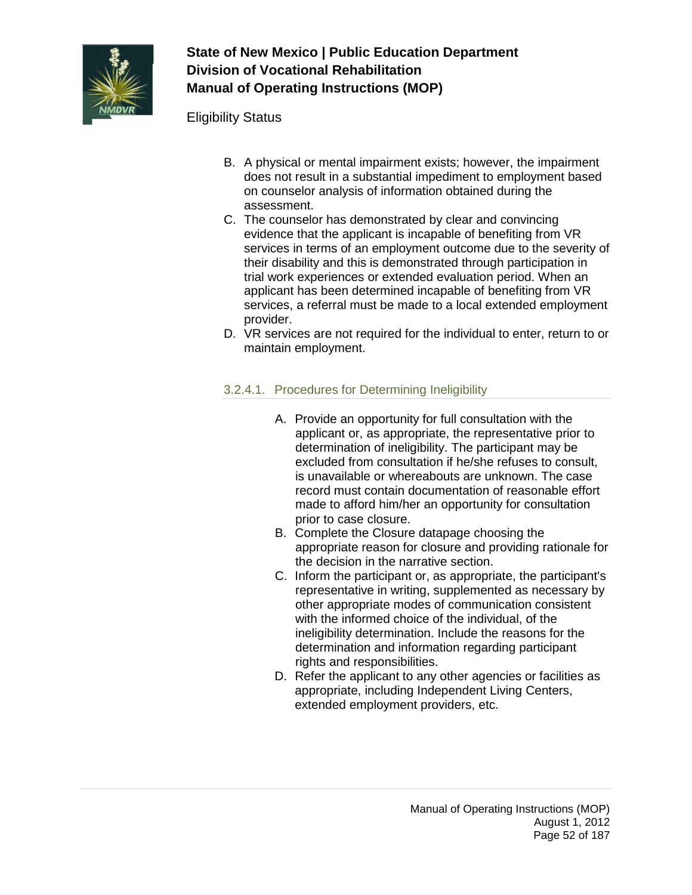

Eligibility Status

- B. A physical or mental impairment exists; however, the impairment does not result in a substantial impediment to employment based on counselor analysis of information obtained during the assessment.
- C. The counselor has demonstrated by clear and convincing evidence that the applicant is incapable of benefiting from VR services in terms of an employment outcome due to the severity of their disability and this is demonstrated through participation in trial work experiences or extended evaluation period. When an applicant has been determined incapable of benefiting from VR services, a referral must be made to a local extended employment provider.
- D. VR services are not required for the individual to enter, return to or maintain employment.

### 3.2.4.1. Procedures for Determining Ineligibility

- A. Provide an opportunity for full consultation with the applicant or, as appropriate, the representative prior to determination of ineligibility. The participant may be excluded from consultation if he/she refuses to consult, is unavailable or whereabouts are unknown. The case record must contain documentation of reasonable effort made to afford him/her an opportunity for consultation prior to case closure.
- B. Complete the Closure datapage choosing the appropriate reason for closure and providing rationale for the decision in the narrative section.
- C. Inform the participant or, as appropriate, the participant's representative in writing, supplemented as necessary by other appropriate modes of communication consistent with the informed choice of the individual, of the ineligibility determination. Include the reasons for the determination and information regarding participant rights and responsibilities.
- D. Refer the applicant to any other agencies or facilities as appropriate, including Independent Living Centers, extended employment providers, etc.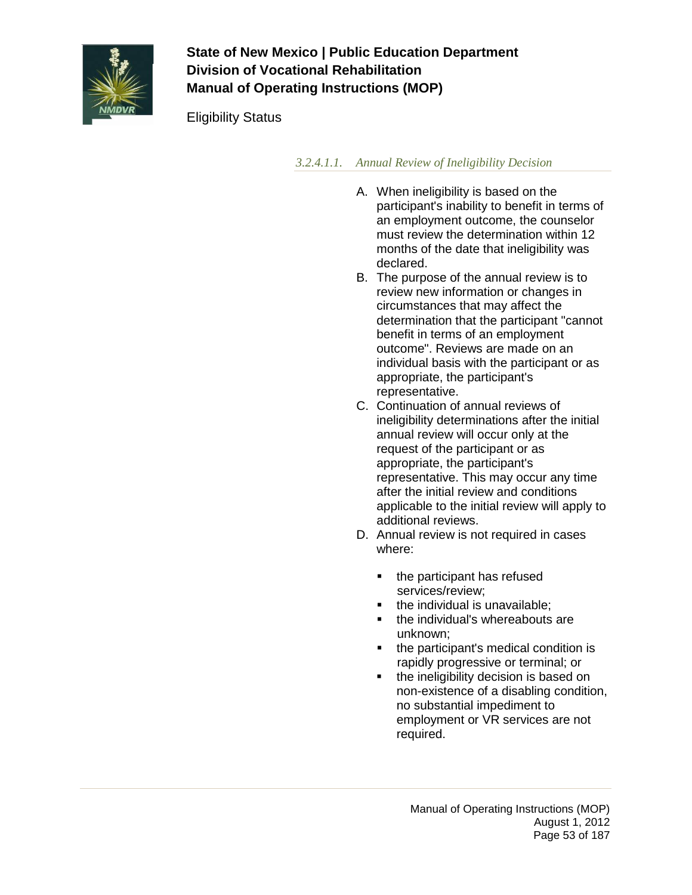

Eligibility Status

*3.2.4.1.1. Annual Review of Ineligibility Decision*

- A. When ineligibility is based on the participant's inability to benefit in terms of an employment outcome, the counselor must review the determination within 12 months of the date that ineligibility was declared.
- B. The purpose of the annual review is to review new information or changes in circumstances that may affect the determination that the participant "cannot benefit in terms of an employment outcome". Reviews are made on an individual basis with the participant or as appropriate, the participant's representative.
- C. Continuation of annual reviews of ineligibility determinations after the initial annual review will occur only at the request of the participant or as appropriate, the participant's representative. This may occur any time after the initial review and conditions applicable to the initial review will apply to additional reviews.
- D. Annual review is not required in cases where:
	- the participant has refused services/review;
	- the individual is unavailable:
	- the individual's whereabouts are unknown;
	- the participant's medical condition is rapidly progressive or terminal; or
	- the ineligibility decision is based on non-existence of a disabling condition, no substantial impediment to employment or VR services are not required.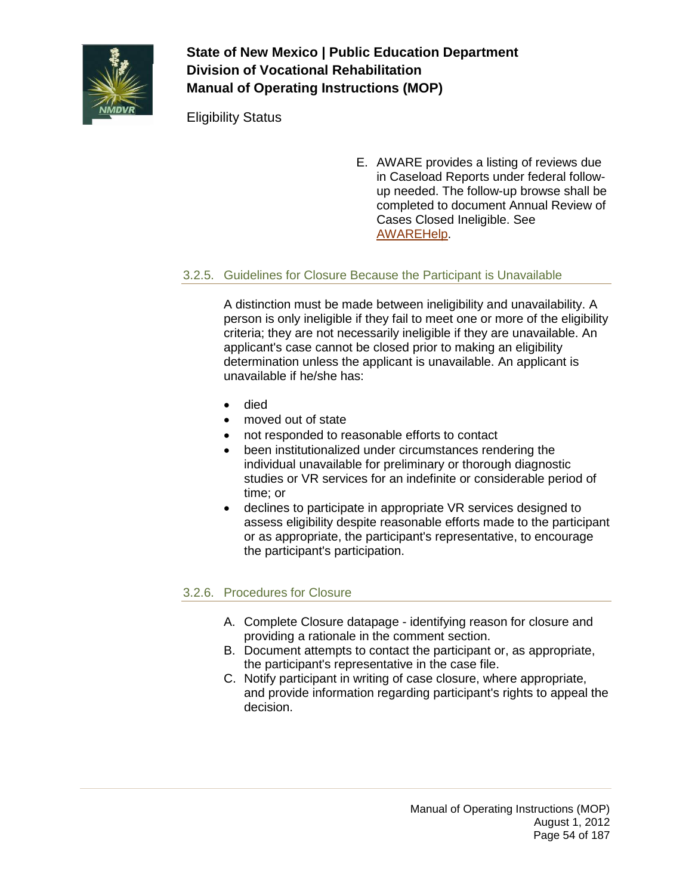

Eligibility Status

E. AWARE provides a listing of reviews due in Caseload Reports under federal followup needed. The follow-up browse shall be completed to document Annual Review of Cases Closed Ineligible. See [AWAREHelp.](http://sowap1:8080/OnlineDoc/02Participant%20Module/Follow-Up.htm)

### 3.2.5. Guidelines for Closure Because the Participant is Unavailable

A distinction must be made between ineligibility and unavailability. A person is only ineligible if they fail to meet one or more of the eligibility criteria; they are not necessarily ineligible if they are unavailable. An applicant's case cannot be closed prior to making an eligibility determination unless the applicant is unavailable. An applicant is unavailable if he/she has:

- died
- moved out of state
- not responded to reasonable efforts to contact
- been institutionalized under circumstances rendering the individual unavailable for preliminary or thorough diagnostic studies or VR services for an indefinite or considerable period of time; or
- declines to participate in appropriate VR services designed to assess eligibility despite reasonable efforts made to the participant or as appropriate, the participant's representative, to encourage the participant's participation.

### 3.2.6. Procedures for Closure

- A. Complete Closure datapage identifying reason for closure and providing a rationale in the comment section.
- B. Document attempts to contact the participant or, as appropriate, the participant's representative in the case file.
- C. Notify participant in writing of case closure, where appropriate, and provide information regarding participant's rights to appeal the decision.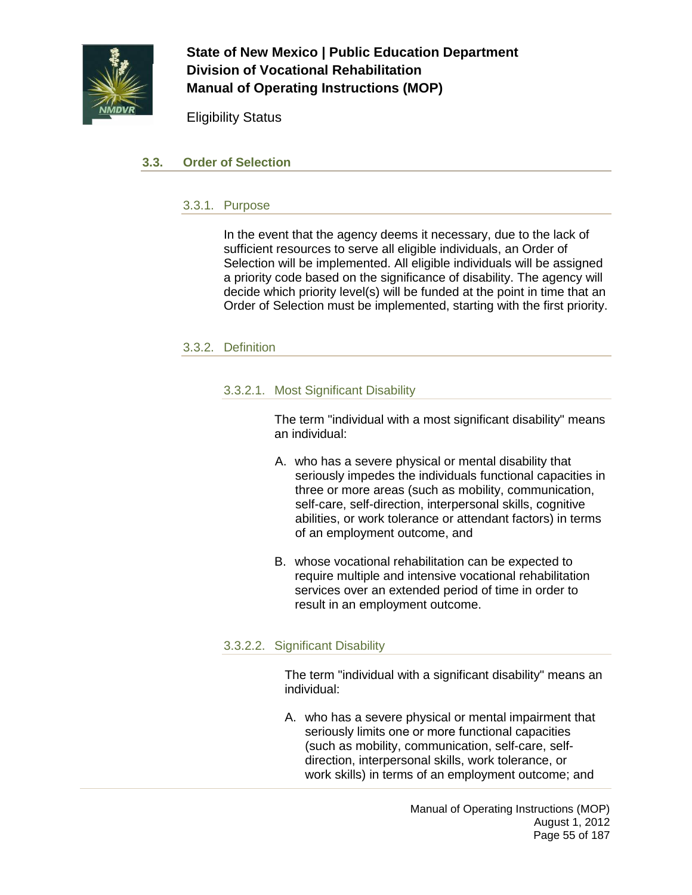

Eligibility Status

### **3.3. Order of Selection**

#### 3.3.1. Purpose

In the event that the agency deems it necessary, due to the lack of sufficient resources to serve all eligible individuals, an Order of Selection will be implemented. All eligible individuals will be assigned a priority code based on the significance of disability. The agency will decide which priority level(s) will be funded at the point in time that an Order of Selection must be implemented, starting with the first priority.

### 3.3.2. Definition

#### 3.3.2.1. Most Significant Disability

The term "individual with a most significant disability" means an individual:

- A. who has a severe physical or mental disability that seriously impedes the individuals functional capacities in three or more areas (such as mobility, communication, self-care, self-direction, interpersonal skills, cognitive abilities, or work tolerance or attendant factors) in terms of an employment outcome, and
- B. whose vocational rehabilitation can be expected to require multiple and intensive vocational rehabilitation services over an extended period of time in order to result in an employment outcome.

### 3.3.2.2. Significant Disability

The term "individual with a significant disability" means an individual:

A. who has a severe physical or mental impairment that seriously limits one or more functional capacities (such as mobility, communication, self-care, selfdirection, interpersonal skills, work tolerance, or work skills) in terms of an employment outcome; and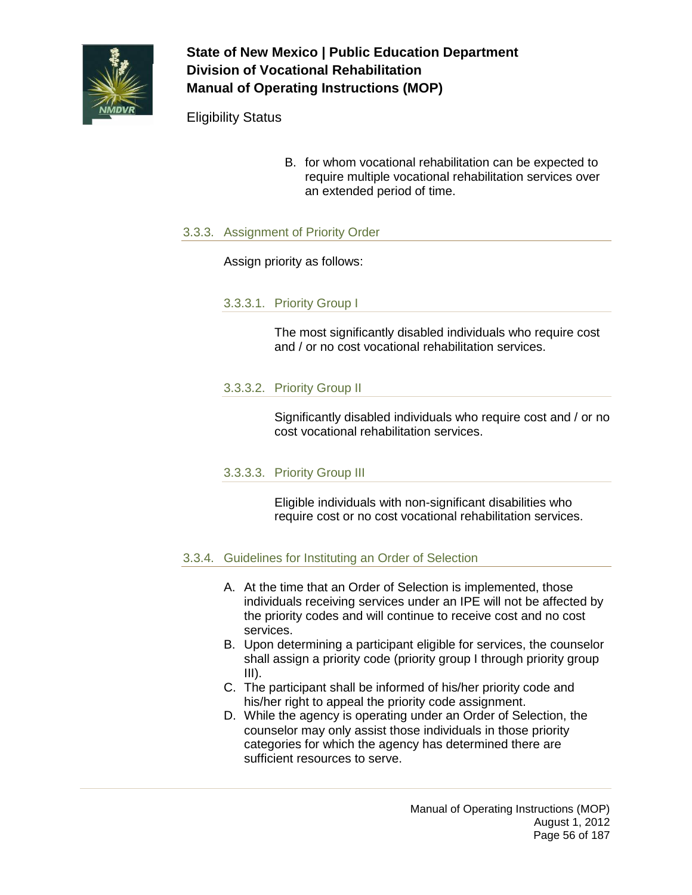

Eligibility Status

B. for whom vocational rehabilitation can be expected to require multiple vocational rehabilitation services over an extended period of time.

### 3.3.3. Assignment of Priority Order

Assign priority as follows:

#### 3.3.3.1. Priority Group I

The most significantly disabled individuals who require cost and / or no cost vocational rehabilitation services.

### 3.3.3.2. Priority Group II

Significantly disabled individuals who require cost and / or no cost vocational rehabilitation services.

### 3.3.3.3. Priority Group III

Eligible individuals with non-significant disabilities who require cost or no cost vocational rehabilitation services.

#### 3.3.4. Guidelines for Instituting an Order of Selection

- A. At the time that an Order of Selection is implemented, those individuals receiving services under an IPE will not be affected by the priority codes and will continue to receive cost and no cost services.
- B. Upon determining a participant eligible for services, the counselor shall assign a priority code (priority group I through priority group  $III$ ).
- C. The participant shall be informed of his/her priority code and his/her right to appeal the priority code assignment.
- D. While the agency is operating under an Order of Selection, the counselor may only assist those individuals in those priority categories for which the agency has determined there are sufficient resources to serve.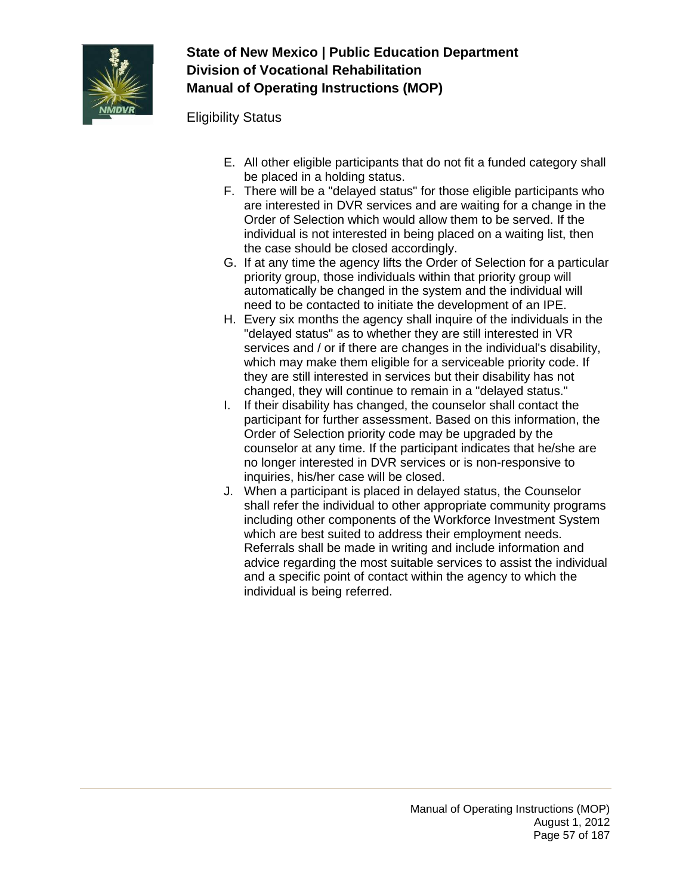

Eligibility Status

- E. All other eligible participants that do not fit a funded category shall be placed in a holding status.
- F. There will be a "delayed status" for those eligible participants who are interested in DVR services and are waiting for a change in the Order of Selection which would allow them to be served. If the individual is not interested in being placed on a waiting list, then the case should be closed accordingly.
- G. If at any time the agency lifts the Order of Selection for a particular priority group, those individuals within that priority group will automatically be changed in the system and the individual will need to be contacted to initiate the development of an IPE.
- H. Every six months the agency shall inquire of the individuals in the "delayed status" as to whether they are still interested in VR services and / or if there are changes in the individual's disability, which may make them eligible for a serviceable priority code. If they are still interested in services but their disability has not changed, they will continue to remain in a "delayed status."
- I. If their disability has changed, the counselor shall contact the participant for further assessment. Based on this information, the Order of Selection priority code may be upgraded by the counselor at any time. If the participant indicates that he/she are no longer interested in DVR services or is non-responsive to inquiries, his/her case will be closed.
- J. When a participant is placed in delayed status, the Counselor shall refer the individual to other appropriate community programs including other components of the Workforce Investment System which are best suited to address their employment needs. Referrals shall be made in writing and include information and advice regarding the most suitable services to assist the individual and a specific point of contact within the agency to which the individual is being referred.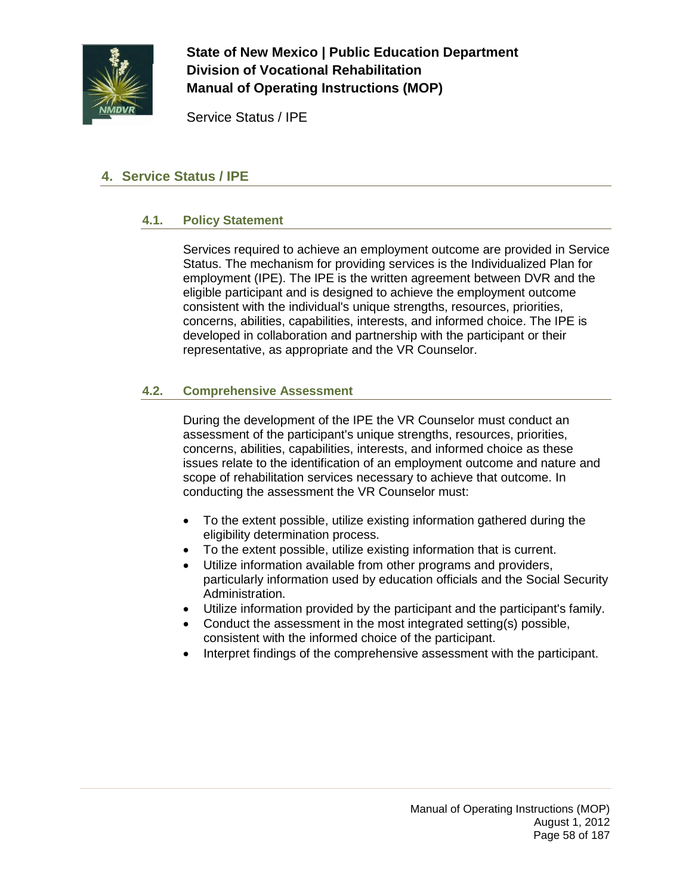

Service Status / IPE

## **4. Service Status / IPE**

### **4.1. Policy Statement**

Services required to achieve an employment outcome are provided in Service Status. The mechanism for providing services is the Individualized Plan for employment (IPE). The IPE is the written agreement between DVR and the eligible participant and is designed to achieve the employment outcome consistent with the individual's unique strengths, resources, priorities, concerns, abilities, capabilities, interests, and informed choice. The IPE is developed in collaboration and partnership with the participant or their representative, as appropriate and the VR Counselor.

### **4.2. Comprehensive Assessment**

During the development of the IPE the VR Counselor must conduct an assessment of the participant's unique strengths, resources, priorities, concerns, abilities, capabilities, interests, and informed choice as these issues relate to the identification of an employment outcome and nature and scope of rehabilitation services necessary to achieve that outcome. In conducting the assessment the VR Counselor must:

- To the extent possible, utilize existing information gathered during the eligibility determination process.
- To the extent possible, utilize existing information that is current.
- Utilize information available from other programs and providers, particularly information used by education officials and the Social Security Administration.
- Utilize information provided by the participant and the participant's family.
- Conduct the assessment in the most integrated setting(s) possible, consistent with the informed choice of the participant.
- Interpret findings of the comprehensive assessment with the participant.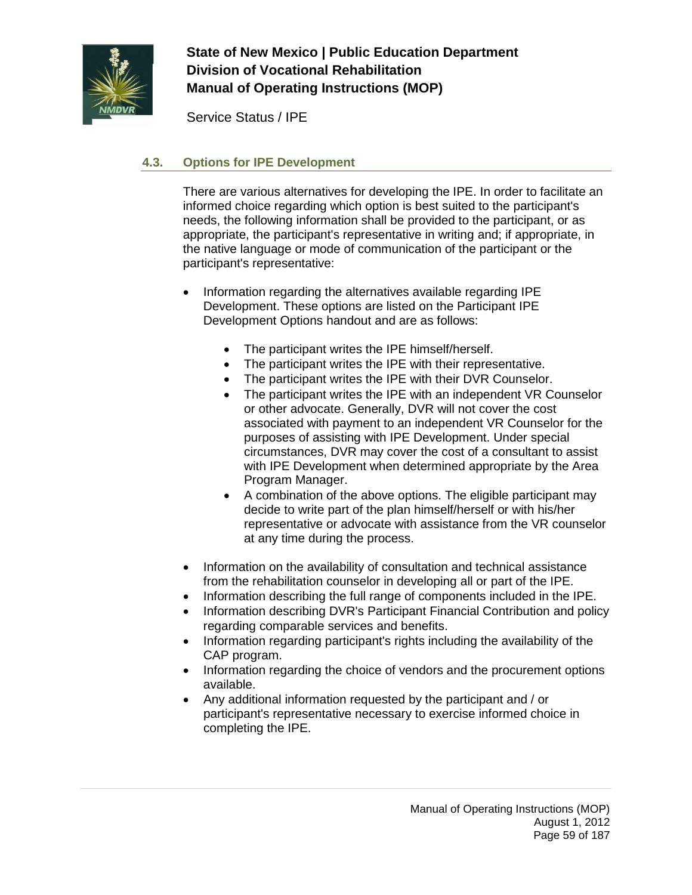

Service Status / IPE

## **4.3. Options for IPE Development**

There are various alternatives for developing the IPE. In order to facilitate an informed choice regarding which option is best suited to the participant's needs, the following information shall be provided to the participant, or as appropriate, the participant's representative in writing and; if appropriate, in the native language or mode of communication of the participant or the participant's representative:

- Information regarding the alternatives available regarding IPE Development. These options are listed on the Participant IPE Development Options handout and are as follows:
	- The participant writes the IPE himself/herself.
	- The participant writes the IPE with their representative.
	- The participant writes the IPE with their DVR Counselor.
	- The participant writes the IPE with an independent VR Counselor or other advocate. Generally, DVR will not cover the cost associated with payment to an independent VR Counselor for the purposes of assisting with IPE Development. Under special circumstances, DVR may cover the cost of a consultant to assist with IPE Development when determined appropriate by the Area Program Manager.
	- A combination of the above options. The eligible participant may decide to write part of the plan himself/herself or with his/her representative or advocate with assistance from the VR counselor at any time during the process.
- Information on the availability of consultation and technical assistance from the rehabilitation counselor in developing all or part of the IPE.
- Information describing the full range of components included in the IPE.
- Information describing DVR's Participant Financial Contribution and policy regarding comparable services and benefits.
- Information regarding participant's rights including the availability of the CAP program.
- Information regarding the choice of vendors and the procurement options available.
- Any additional information requested by the participant and / or participant's representative necessary to exercise informed choice in completing the IPE.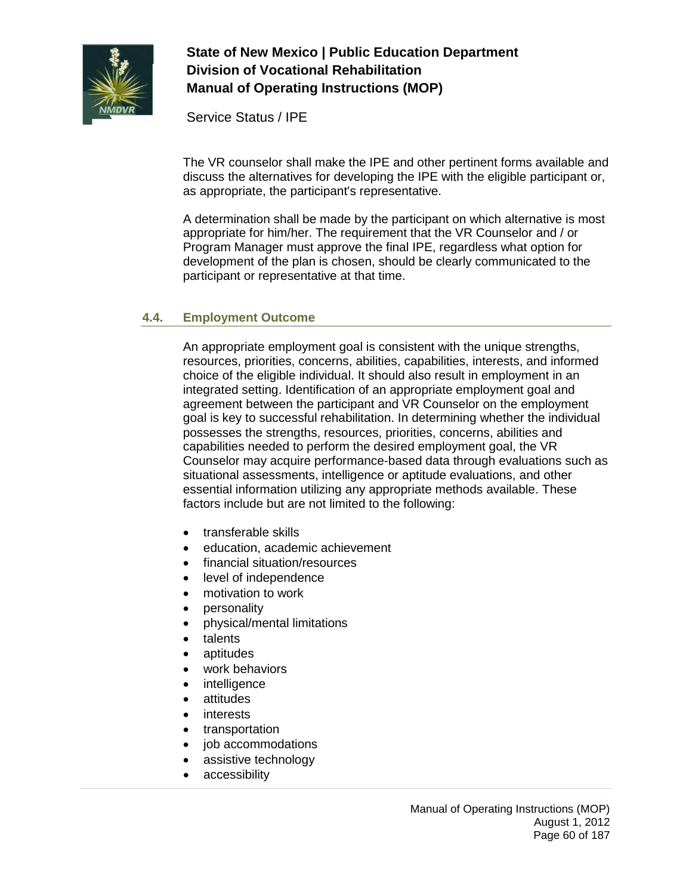

Service Status / IPE

The VR counselor shall make the IPE and other pertinent forms available and discuss the alternatives for developing the IPE with the eligible participant or, as appropriate, the participant's representative.

A determination shall be made by the participant on which alternative is most appropriate for him/her. The requirement that the VR Counselor and / or Program Manager must approve the final IPE, regardless what option for development of the plan is chosen, should be clearly communicated to the participant or representative at that time.

### **4.4. Employment Outcome**

An appropriate employment goal is consistent with the unique strengths, resources, priorities, concerns, abilities, capabilities, interests, and informed choice of the eligible individual. It should also result in employment in an integrated setting. Identification of an appropriate employment goal and agreement between the participant and VR Counselor on the employment goal is key to successful rehabilitation. In determining whether the individual possesses the strengths, resources, priorities, concerns, abilities and capabilities needed to perform the desired employment goal, the VR Counselor may acquire performance-based data through evaluations such as situational assessments, intelligence or aptitude evaluations, and other essential information utilizing any appropriate methods available. These factors include but are not limited to the following:

- transferable skills
- education, academic achievement
- financial situation/resources
- level of independence
- motivation to work
- personality
- physical/mental limitations
- talents
- aptitudes
- work behaviors
- intelligence
- attitudes
- interests
- transportation
- job accommodations
- assistive technology
- accessibility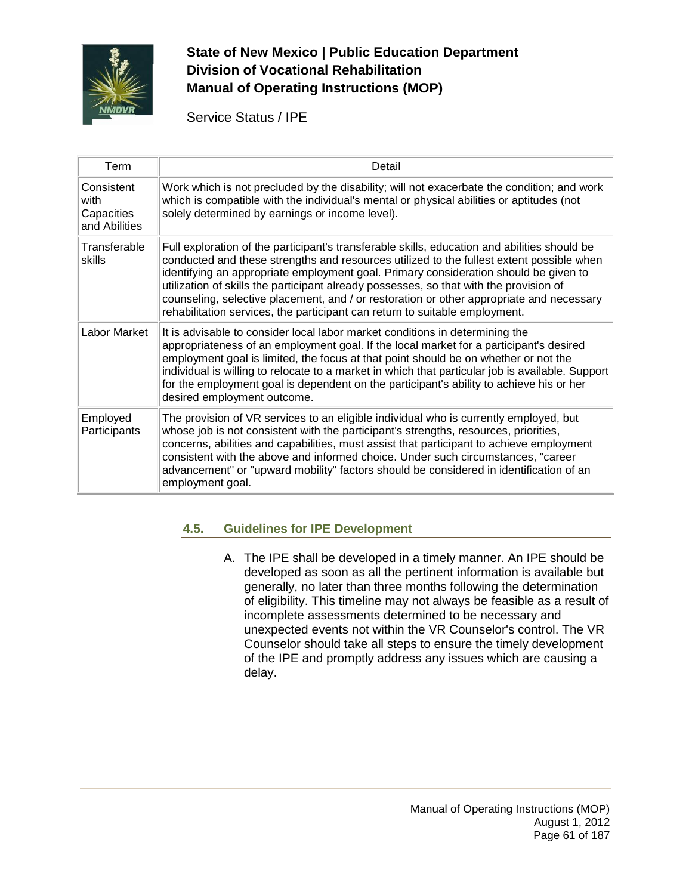

Service Status / IPE

| Term                                              | Detail                                                                                                                                                                                                                                                                                                                                                                                                                                                                                                                                                |
|---------------------------------------------------|-------------------------------------------------------------------------------------------------------------------------------------------------------------------------------------------------------------------------------------------------------------------------------------------------------------------------------------------------------------------------------------------------------------------------------------------------------------------------------------------------------------------------------------------------------|
| Consistent<br>with<br>Capacities<br>and Abilities | Work which is not precluded by the disability; will not exacerbate the condition; and work<br>which is compatible with the individual's mental or physical abilities or aptitudes (not<br>solely determined by earnings or income level).                                                                                                                                                                                                                                                                                                             |
| Transferable<br>skills                            | Full exploration of the participant's transferable skills, education and abilities should be<br>conducted and these strengths and resources utilized to the fullest extent possible when<br>identifying an appropriate employment goal. Primary consideration should be given to<br>utilization of skills the participant already possesses, so that with the provision of<br>counseling, selective placement, and / or restoration or other appropriate and necessary<br>rehabilitation services, the participant can return to suitable employment. |
| Labor Market                                      | It is advisable to consider local labor market conditions in determining the<br>appropriateness of an employment goal. If the local market for a participant's desired<br>employment goal is limited, the focus at that point should be on whether or not the<br>individual is willing to relocate to a market in which that particular job is available. Support<br>for the employment goal is dependent on the participant's ability to achieve his or her<br>desired employment outcome.                                                           |
| Employed<br>Participants                          | The provision of VR services to an eligible individual who is currently employed, but<br>whose job is not consistent with the participant's strengths, resources, priorities,<br>concerns, abilities and capabilities, must assist that participant to achieve employment<br>consistent with the above and informed choice. Under such circumstances, "career<br>advancement" or "upward mobility" factors should be considered in identification of an<br>employment goal.                                                                           |

### **4.5. Guidelines for IPE Development**

A. The IPE shall be developed in a timely manner. An IPE should be developed as soon as all the pertinent information is available but generally, no later than three months following the determination of eligibility. This timeline may not always be feasible as a result of incomplete assessments determined to be necessary and unexpected events not within the VR Counselor's control. The VR Counselor should take all steps to ensure the timely development of the IPE and promptly address any issues which are causing a delay.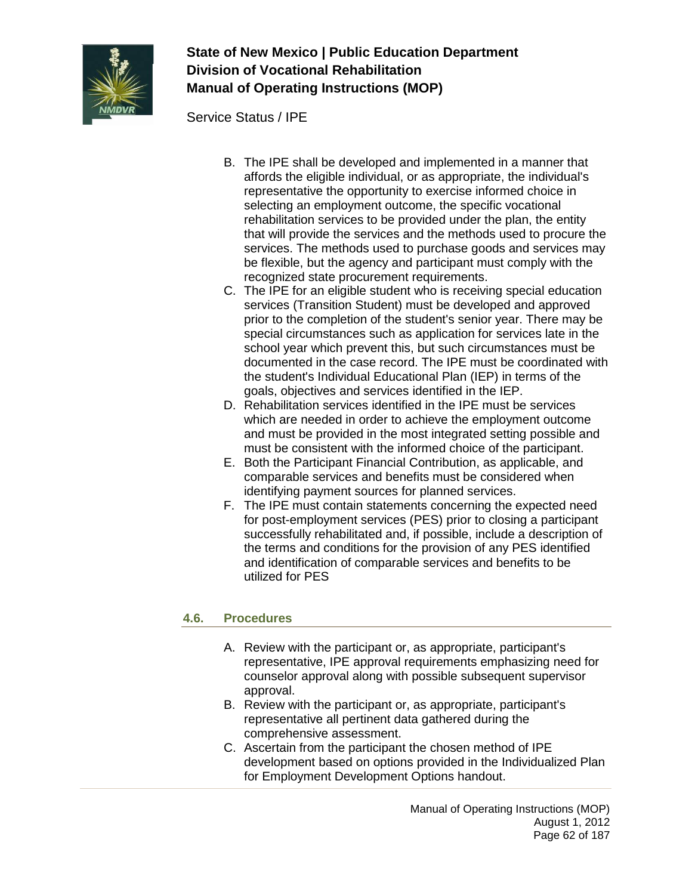

Service Status / IPE

- B. The IPE shall be developed and implemented in a manner that affords the eligible individual, or as appropriate, the individual's representative the opportunity to exercise informed choice in selecting an employment outcome, the specific vocational rehabilitation services to be provided under the plan, the entity that will provide the services and the methods used to procure the services. The methods used to purchase goods and services may be flexible, but the agency and participant must comply with the recognized state procurement requirements.
- C. The IPE for an eligible student who is receiving special education services (Transition Student) must be developed and approved prior to the completion of the student's senior year. There may be special circumstances such as application for services late in the school year which prevent this, but such circumstances must be documented in the case record. The IPE must be coordinated with the student's Individual Educational Plan (IEP) in terms of the goals, objectives and services identified in the IEP.
- D. Rehabilitation services identified in the IPE must be services which are needed in order to achieve the employment outcome and must be provided in the most integrated setting possible and must be consistent with the informed choice of the participant.
- E. Both the Participant Financial Contribution, as applicable, and comparable services and benefits must be considered when identifying payment sources for planned services.
- F. The IPE must contain statements concerning the expected need for post-employment services (PES) prior to closing a participant successfully rehabilitated and, if possible, include a description of the terms and conditions for the provision of any PES identified and identification of comparable services and benefits to be utilized for PES

### **4.6. Procedures**

- A. Review with the participant or, as appropriate, participant's representative, IPE approval requirements emphasizing need for counselor approval along with possible subsequent supervisor approval.
- B. Review with the participant or, as appropriate, participant's representative all pertinent data gathered during the comprehensive assessment.
- C. Ascertain from the participant the chosen method of IPE development based on options provided in the Individualized Plan for Employment Development Options handout.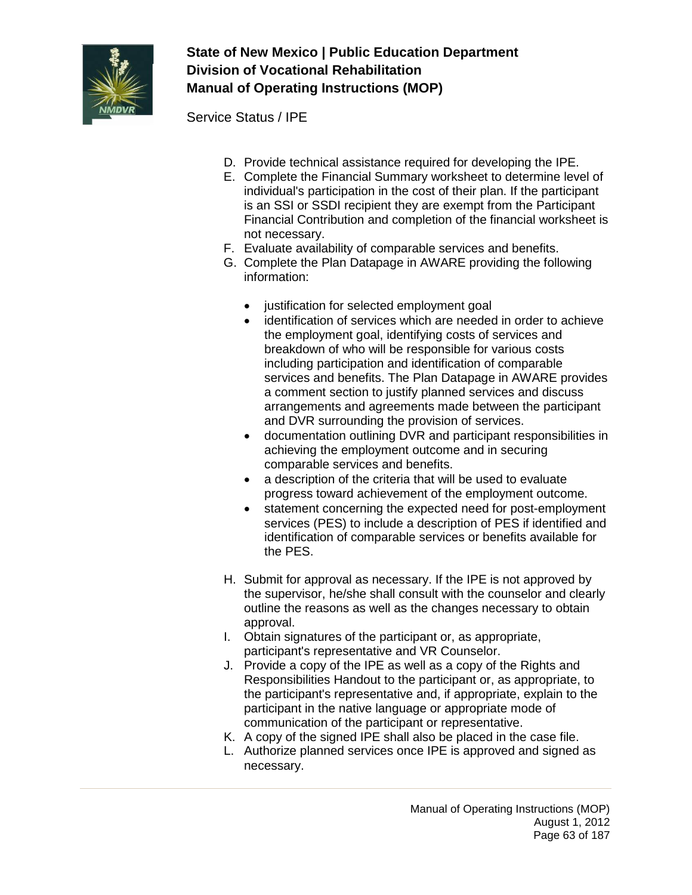

Service Status / IPE

- D. Provide technical assistance required for developing the IPE.
- E. Complete the Financial Summary worksheet to determine level of individual's participation in the cost of their plan. If the participant is an SSI or SSDI recipient they are exempt from the Participant Financial Contribution and completion of the financial worksheet is not necessary.
- F. Evaluate availability of comparable services and benefits.
- G. Complete the Plan Datapage in AWARE providing the following information:
	- justification for selected employment goal
	- identification of services which are needed in order to achieve the employment goal, identifying costs of services and breakdown of who will be responsible for various costs including participation and identification of comparable services and benefits. The Plan Datapage in AWARE provides a comment section to justify planned services and discuss arrangements and agreements made between the participant and DVR surrounding the provision of services.
	- documentation outlining DVR and participant responsibilities in achieving the employment outcome and in securing comparable services and benefits.
	- a description of the criteria that will be used to evaluate progress toward achievement of the employment outcome.
	- statement concerning the expected need for post-employment services (PES) to include a description of PES if identified and identification of comparable services or benefits available for the PES.
- H. Submit for approval as necessary. If the IPE is not approved by the supervisor, he/she shall consult with the counselor and clearly outline the reasons as well as the changes necessary to obtain approval.
- I. Obtain signatures of the participant or, as appropriate, participant's representative and VR Counselor.
- J. Provide a copy of the IPE as well as a copy of the Rights and Responsibilities Handout to the participant or, as appropriate, to the participant's representative and, if appropriate, explain to the participant in the native language or appropriate mode of communication of the participant or representative.
- K. A copy of the signed IPE shall also be placed in the case file.
- L. Authorize planned services once IPE is approved and signed as necessary.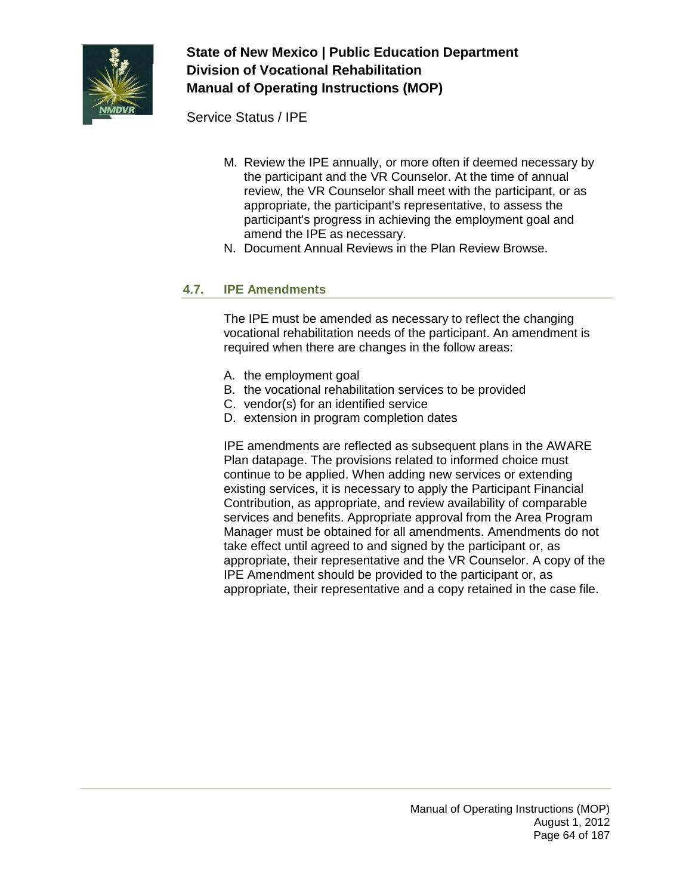

Service Status / IPE

- M. Review the IPE annually, or more often if deemed necessary by the participant and the VR Counselor. At the time of annual review, the VR Counselor shall meet with the participant, or as appropriate, the participant's representative, to assess the participant's progress in achieving the employment goal and amend the IPE as necessary.
- N. Document Annual Reviews in the Plan Review Browse.

### **4.7. IPE Amendments**

The IPE must be amended as necessary to reflect the changing vocational rehabilitation needs of the participant. An amendment is required when there are changes in the follow areas:

- A. the employment goal
- B. the vocational rehabilitation services to be provided
- C. vendor(s) for an identified service
- D. extension in program completion dates

IPE amendments are reflected as subsequent plans in the AWARE Plan datapage. The provisions related to informed choice must continue to be applied. When adding new services or extending existing services, it is necessary to apply the Participant Financial Contribution, as appropriate, and review availability of comparable services and benefits. Appropriate approval from the Area Program Manager must be obtained for all amendments. Amendments do not take effect until agreed to and signed by the participant or, as appropriate, their representative and the VR Counselor. A copy of the IPE Amendment should be provided to the participant or, as appropriate, their representative and a copy retained in the case file.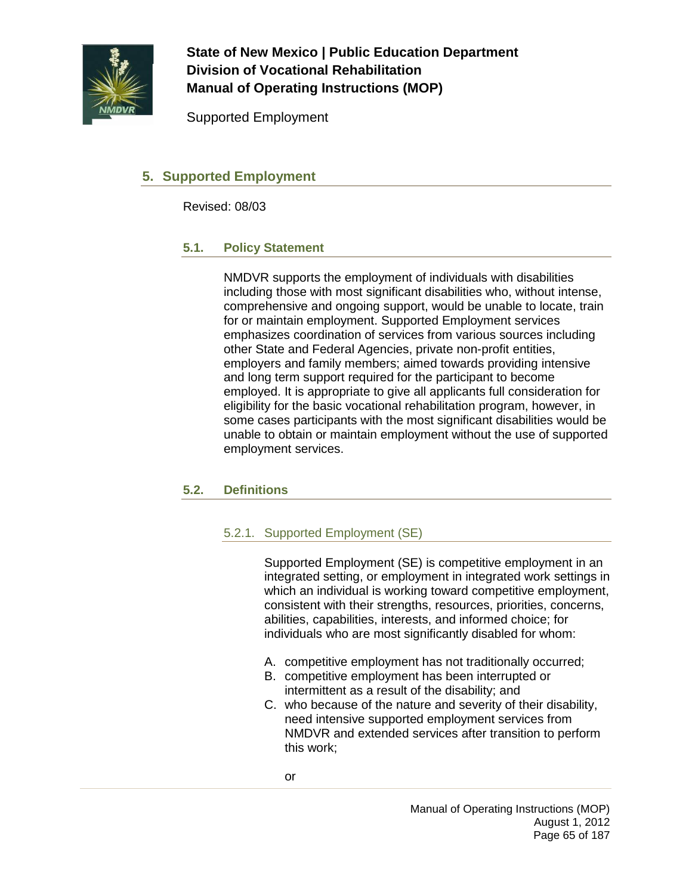

Supported Employment

## **5. Supported Employment**

Revised: 08/03

### **5.1. Policy Statement**

NMDVR supports the employment of individuals with disabilities including those with most significant disabilities who, without intense, comprehensive and ongoing support, would be unable to locate, train for or maintain employment. Supported Employment services emphasizes coordination of services from various sources including other State and Federal Agencies, private non-profit entities, employers and family members; aimed towards providing intensive and long term support required for the participant to become employed. It is appropriate to give all applicants full consideration for eligibility for the basic vocational rehabilitation program, however, in some cases participants with the most significant disabilities would be unable to obtain or maintain employment without the use of supported employment services.

### **5.2. Definitions**

### 5.2.1. Supported Employment (SE)

Supported Employment (SE) is competitive employment in an integrated setting, or employment in integrated work settings in which an individual is working toward competitive employment, consistent with their strengths, resources, priorities, concerns, abilities, capabilities, interests, and informed choice; for individuals who are most significantly disabled for whom:

- A. competitive employment has not traditionally occurred;
- B. competitive employment has been interrupted or intermittent as a result of the disability; and
- C. who because of the nature and severity of their disability, need intensive supported employment services from NMDVR and extended services after transition to perform this work;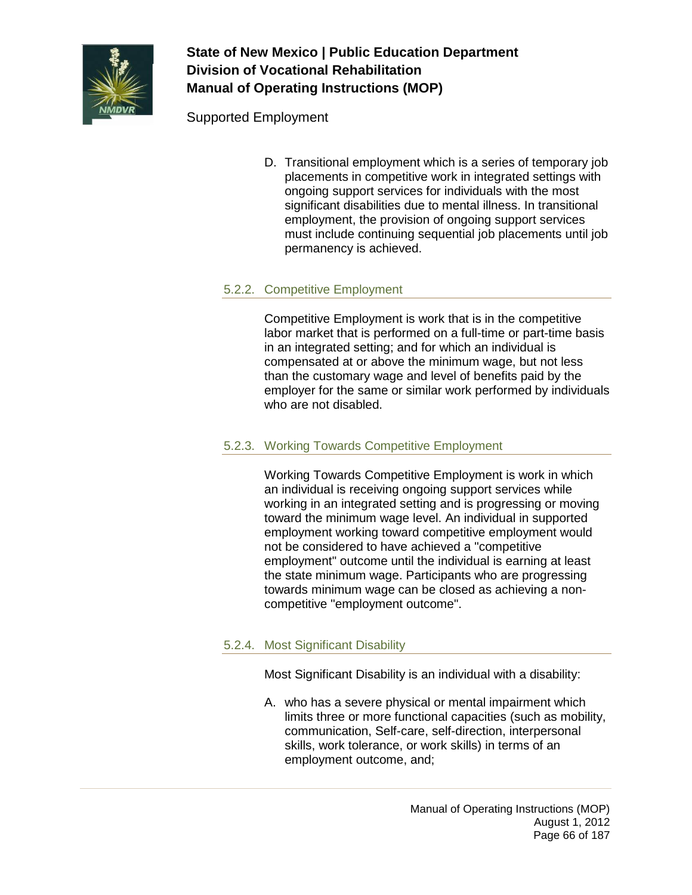

Supported Employment

D. Transitional employment which is a series of temporary job placements in competitive work in integrated settings with ongoing support services for individuals with the most significant disabilities due to mental illness. In transitional employment, the provision of ongoing support services must include continuing sequential job placements until job permanency is achieved.

### 5.2.2. Competitive Employment

Competitive Employment is work that is in the competitive labor market that is performed on a full-time or part-time basis in an integrated setting; and for which an individual is compensated at or above the minimum wage, but not less than the customary wage and level of benefits paid by the employer for the same or similar work performed by individuals who are not disabled.

#### 5.2.3. Working Towards Competitive Employment

Working Towards Competitive Employment is work in which an individual is receiving ongoing support services while working in an integrated setting and is progressing or moving toward the minimum wage level. An individual in supported employment working toward competitive employment would not be considered to have achieved a "competitive employment" outcome until the individual is earning at least the state minimum wage. Participants who are progressing towards minimum wage can be closed as achieving a noncompetitive "employment outcome".

### 5.2.4. Most Significant Disability

Most Significant Disability is an individual with a disability:

A. who has a severe physical or mental impairment which limits three or more functional capacities (such as mobility, communication, Self-care, self-direction, interpersonal skills, work tolerance, or work skills) in terms of an employment outcome, and;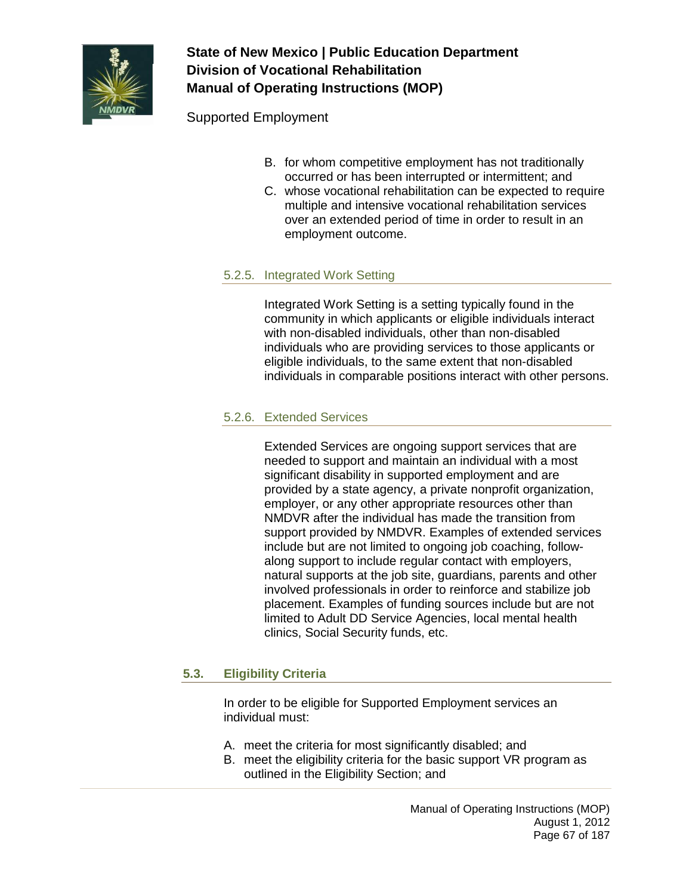

Supported Employment

- B. for whom competitive employment has not traditionally occurred or has been interrupted or intermittent; and
- C. whose vocational rehabilitation can be expected to require multiple and intensive vocational rehabilitation services over an extended period of time in order to result in an employment outcome.

### 5.2.5. Integrated Work Setting

Integrated Work Setting is a setting typically found in the community in which applicants or eligible individuals interact with non-disabled individuals, other than non-disabled individuals who are providing services to those applicants or eligible individuals, to the same extent that non-disabled individuals in comparable positions interact with other persons.

### 5.2.6. Extended Services

Extended Services are ongoing support services that are needed to support and maintain an individual with a most significant disability in supported employment and are provided by a state agency, a private nonprofit organization, employer, or any other appropriate resources other than NMDVR after the individual has made the transition from support provided by NMDVR. Examples of extended services include but are not limited to ongoing job coaching, followalong support to include regular contact with employers, natural supports at the job site, guardians, parents and other involved professionals in order to reinforce and stabilize job placement. Examples of funding sources include but are not limited to Adult DD Service Agencies, local mental health clinics, Social Security funds, etc.

### **5.3. Eligibility Criteria**

In order to be eligible for Supported Employment services an individual must:

- A. meet the criteria for most significantly disabled; and
- B. meet the eligibility criteria for the basic support VR program as outlined in the Eligibility Section; and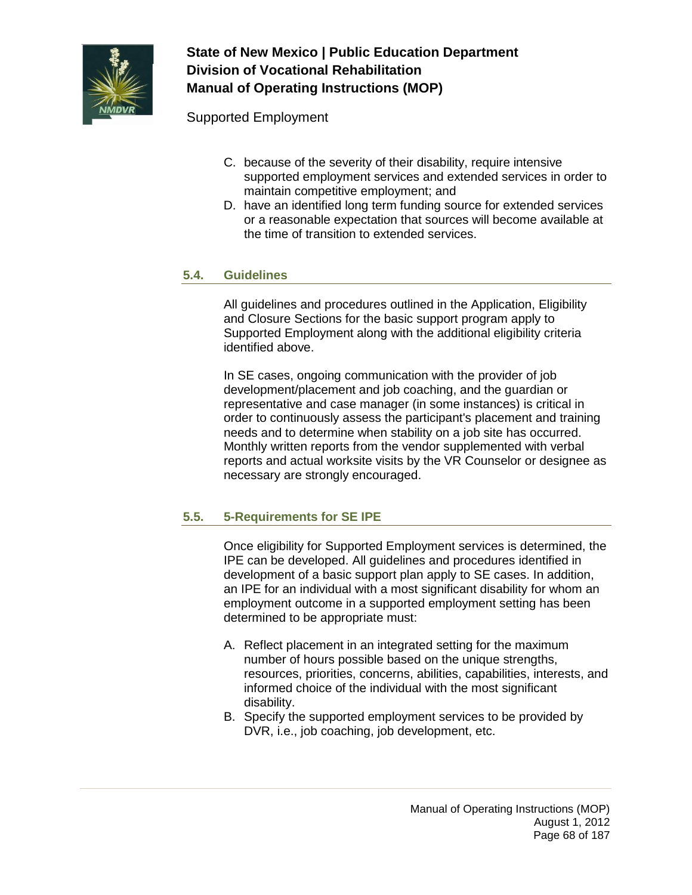

Supported Employment

- C. because of the severity of their disability, require intensive supported employment services and extended services in order to maintain competitive employment; and
- D. have an identified long term funding source for extended services or a reasonable expectation that sources will become available at the time of transition to extended services.

### **5.4. Guidelines**

All guidelines and procedures outlined in the Application, Eligibility and Closure Sections for the basic support program apply to Supported Employment along with the additional eligibility criteria identified above.

In SE cases, ongoing communication with the provider of job development/placement and job coaching, and the guardian or representative and case manager (in some instances) is critical in order to continuously assess the participant's placement and training needs and to determine when stability on a job site has occurred. Monthly written reports from the vendor supplemented with verbal reports and actual worksite visits by the VR Counselor or designee as necessary are strongly encouraged.

### **5.5. 5-Requirements for SE IPE**

Once eligibility for Supported Employment services is determined, the IPE can be developed. All guidelines and procedures identified in development of a basic support plan apply to SE cases. In addition, an IPE for an individual with a most significant disability for whom an employment outcome in a supported employment setting has been determined to be appropriate must:

- A. Reflect placement in an integrated setting for the maximum number of hours possible based on the unique strengths, resources, priorities, concerns, abilities, capabilities, interests, and informed choice of the individual with the most significant disability.
- B. Specify the supported employment services to be provided by DVR, i.e., job coaching, job development, etc.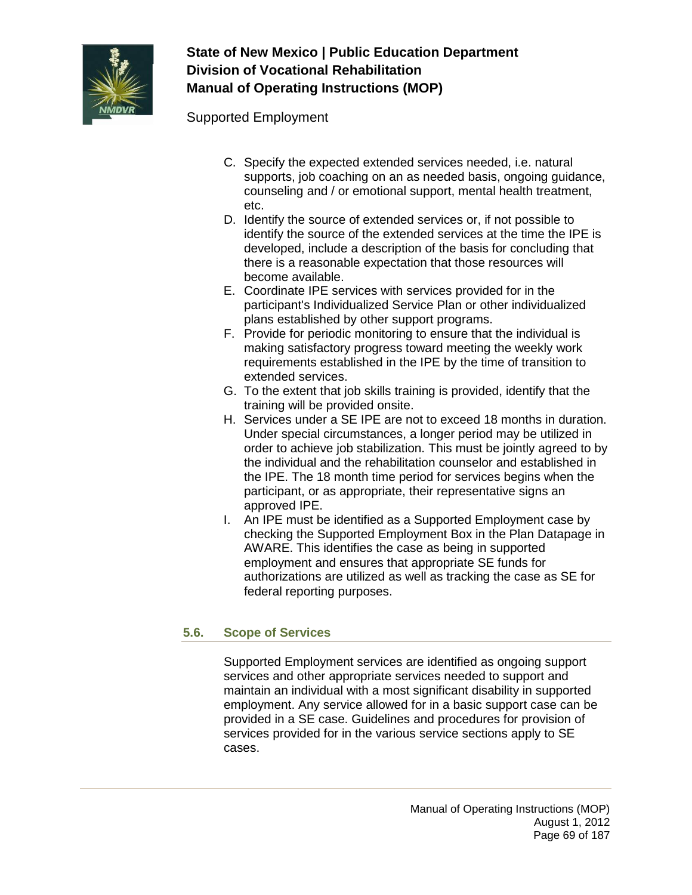

Supported Employment

- C. Specify the expected extended services needed, i.e. natural supports, job coaching on an as needed basis, ongoing guidance, counseling and / or emotional support, mental health treatment, etc.
- D. Identify the source of extended services or, if not possible to identify the source of the extended services at the time the IPE is developed, include a description of the basis for concluding that there is a reasonable expectation that those resources will become available.
- E. Coordinate IPE services with services provided for in the participant's Individualized Service Plan or other individualized plans established by other support programs.
- F. Provide for periodic monitoring to ensure that the individual is making satisfactory progress toward meeting the weekly work requirements established in the IPE by the time of transition to extended services.
- G. To the extent that job skills training is provided, identify that the training will be provided onsite.
- H. Services under a SE IPE are not to exceed 18 months in duration. Under special circumstances, a longer period may be utilized in order to achieve job stabilization. This must be jointly agreed to by the individual and the rehabilitation counselor and established in the IPE. The 18 month time period for services begins when the participant, or as appropriate, their representative signs an approved IPE.
- I. An IPE must be identified as a Supported Employment case by checking the Supported Employment Box in the Plan Datapage in AWARE. This identifies the case as being in supported employment and ensures that appropriate SE funds for authorizations are utilized as well as tracking the case as SE for federal reporting purposes.

### **5.6. Scope of Services**

Supported Employment services are identified as ongoing support services and other appropriate services needed to support and maintain an individual with a most significant disability in supported employment. Any service allowed for in a basic support case can be provided in a SE case. Guidelines and procedures for provision of services provided for in the various service sections apply to SE cases.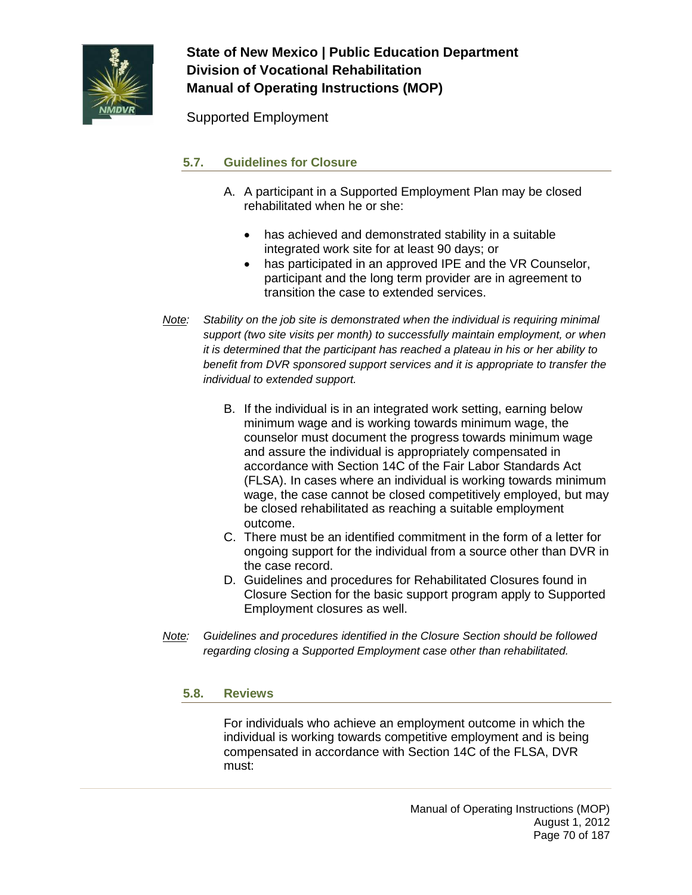

Supported Employment

### **5.7. Guidelines for Closure**

- A. A participant in a Supported Employment Plan may be closed rehabilitated when he or she:
	- has achieved and demonstrated stability in a suitable integrated work site for at least 90 days; or
	- has participated in an approved IPE and the VR Counselor, participant and the long term provider are in agreement to transition the case to extended services.
- *Note: Stability on the job site is demonstrated when the individual is requiring minimal support (two site visits per month) to successfully maintain employment, or when it is determined that the participant has reached a plateau in his or her ability to benefit from DVR sponsored support services and it is appropriate to transfer the individual to extended support.*
	- B. If the individual is in an integrated work setting, earning below minimum wage and is working towards minimum wage, the counselor must document the progress towards minimum wage and assure the individual is appropriately compensated in accordance with Section 14C of the Fair Labor Standards Act (FLSA). In cases where an individual is working towards minimum wage, the case cannot be closed competitively employed, but may be closed rehabilitated as reaching a suitable employment outcome.
	- C. There must be an identified commitment in the form of a letter for ongoing support for the individual from a source other than DVR in the case record.
	- D. Guidelines and procedures for Rehabilitated Closures found in Closure Section for the basic support program apply to Supported Employment closures as well.
- *Note: Guidelines and procedures identified in the Closure Section should be followed regarding closing a Supported Employment case other than rehabilitated.*

### **5.8. Reviews**

For individuals who achieve an employment outcome in which the individual is working towards competitive employment and is being compensated in accordance with Section 14C of the FLSA, DVR must: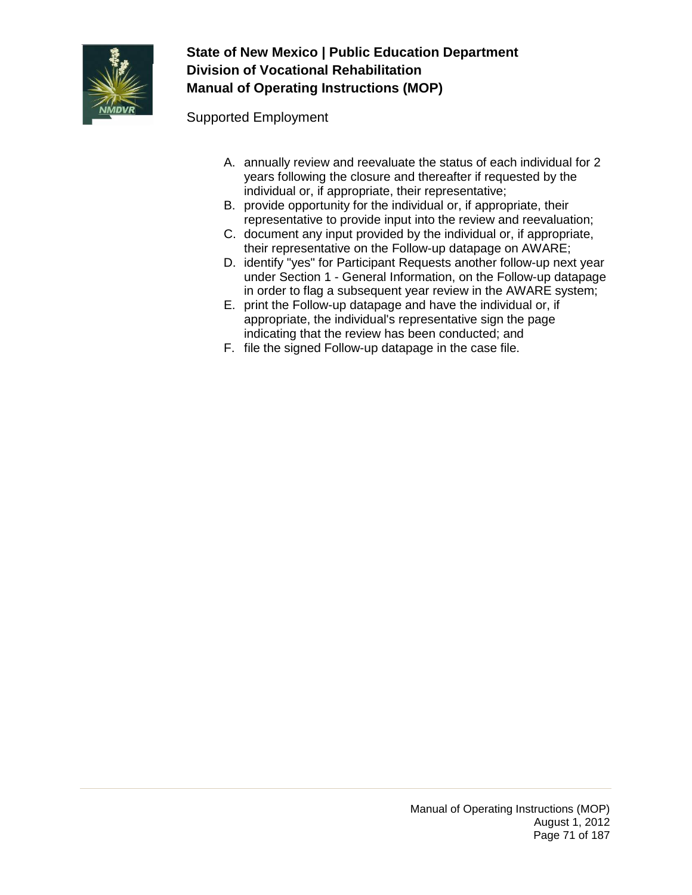

Supported Employment

- A. annually review and reevaluate the status of each individual for 2 years following the closure and thereafter if requested by the individual or, if appropriate, their representative;
- B. provide opportunity for the individual or, if appropriate, their representative to provide input into the review and reevaluation;
- C. document any input provided by the individual or, if appropriate, their representative on the Follow-up datapage on AWARE;
- D. identify "yes" for Participant Requests another follow-up next year under Section 1 - General Information, on the Follow-up datapage in order to flag a subsequent year review in the AWARE system;
- E. print the Follow-up datapage and have the individual or, if appropriate, the individual's representative sign the page indicating that the review has been conducted; and
- F. file the signed Follow-up datapage in the case file.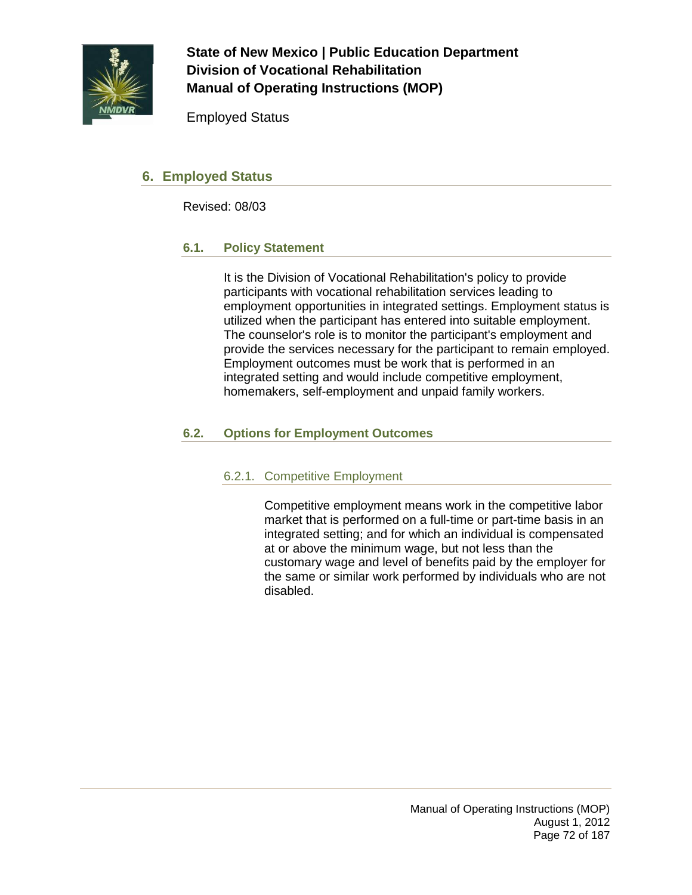

Employed Status

## **6. Employed Status**

Revised: 08/03

### **6.1. Policy Statement**

It is the Division of Vocational Rehabilitation's policy to provide participants with vocational rehabilitation services leading to employment opportunities in integrated settings. Employment status is utilized when the participant has entered into suitable employment. The counselor's role is to monitor the participant's employment and provide the services necessary for the participant to remain employed. Employment outcomes must be work that is performed in an integrated setting and would include competitive employment, homemakers, self-employment and unpaid family workers.

### **6.2. Options for Employment Outcomes**

### 6.2.1. Competitive Employment

Competitive employment means work in the competitive labor market that is performed on a full-time or part-time basis in an integrated setting; and for which an individual is compensated at or above the minimum wage, but not less than the customary wage and level of benefits paid by the employer for the same or similar work performed by individuals who are not disabled.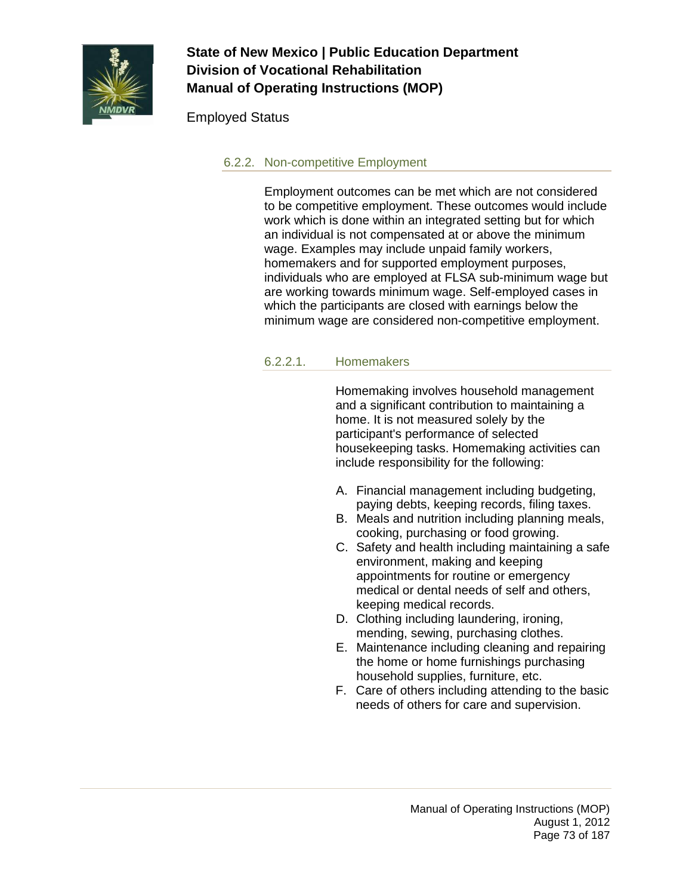

### Employed Status

### 6.2.2. Non-competitive Employment

Employment outcomes can be met which are not considered to be competitive employment. These outcomes would include work which is done within an integrated setting but for which an individual is not compensated at or above the minimum wage. Examples may include unpaid family workers, homemakers and for supported employment purposes, individuals who are employed at FLSA sub-minimum wage but are working towards minimum wage. Self-employed cases in which the participants are closed with earnings below the minimum wage are considered non-competitive employment.

#### 6.2.2.1. Homemakers

Homemaking involves household management and a significant contribution to maintaining a home. It is not measured solely by the participant's performance of selected housekeeping tasks. Homemaking activities can include responsibility for the following:

- A. Financial management including budgeting, paying debts, keeping records, filing taxes.
- B. Meals and nutrition including planning meals, cooking, purchasing or food growing.
- C. Safety and health including maintaining a safe environment, making and keeping appointments for routine or emergency medical or dental needs of self and others, keeping medical records.
- D. Clothing including laundering, ironing, mending, sewing, purchasing clothes.
- E. Maintenance including cleaning and repairing the home or home furnishings purchasing household supplies, furniture, etc.
- F. Care of others including attending to the basic needs of others for care and supervision.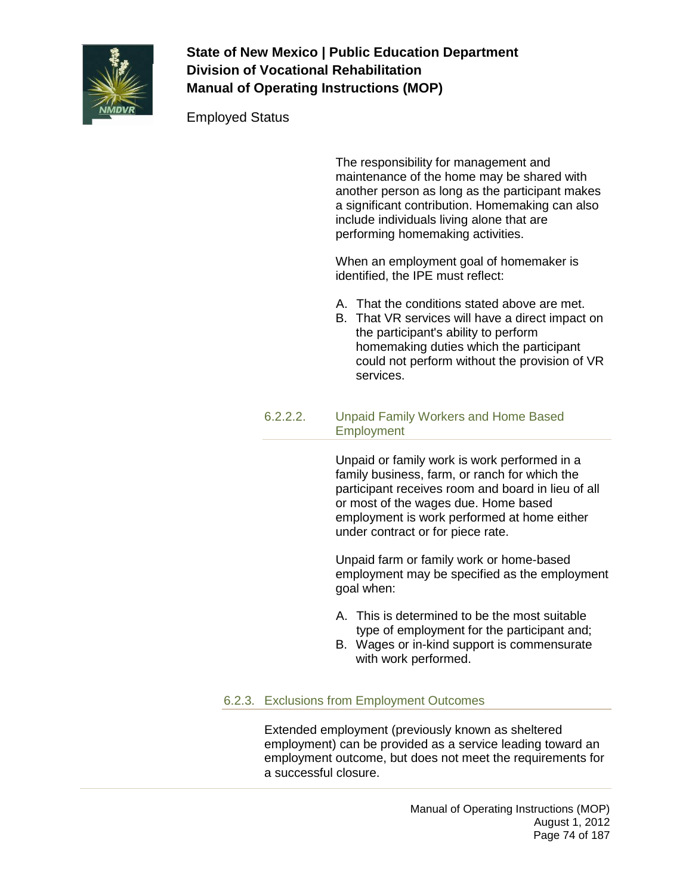

Employed Status

The responsibility for management and maintenance of the home may be shared with another person as long as the participant makes a significant contribution. Homemaking can also include individuals living alone that are performing homemaking activities.

When an employment goal of homemaker is identified, the IPE must reflect:

- A. That the conditions stated above are met.
- B. That VR services will have a direct impact on the participant's ability to perform homemaking duties which the participant could not perform without the provision of VR services.

#### 6.2.2.2. Unpaid Family Workers and Home Based **Employment**

Unpaid or family work is work performed in a family business, farm, or ranch for which the participant receives room and board in lieu of all or most of the wages due. Home based employment is work performed at home either under contract or for piece rate.

Unpaid farm or family work or home-based employment may be specified as the employment goal when:

- A. This is determined to be the most suitable type of employment for the participant and;
- B. Wages or in-kind support is commensurate with work performed.

### 6.2.3. Exclusions from Employment Outcomes

Extended employment (previously known as sheltered employment) can be provided as a service leading toward an employment outcome, but does not meet the requirements for a successful closure.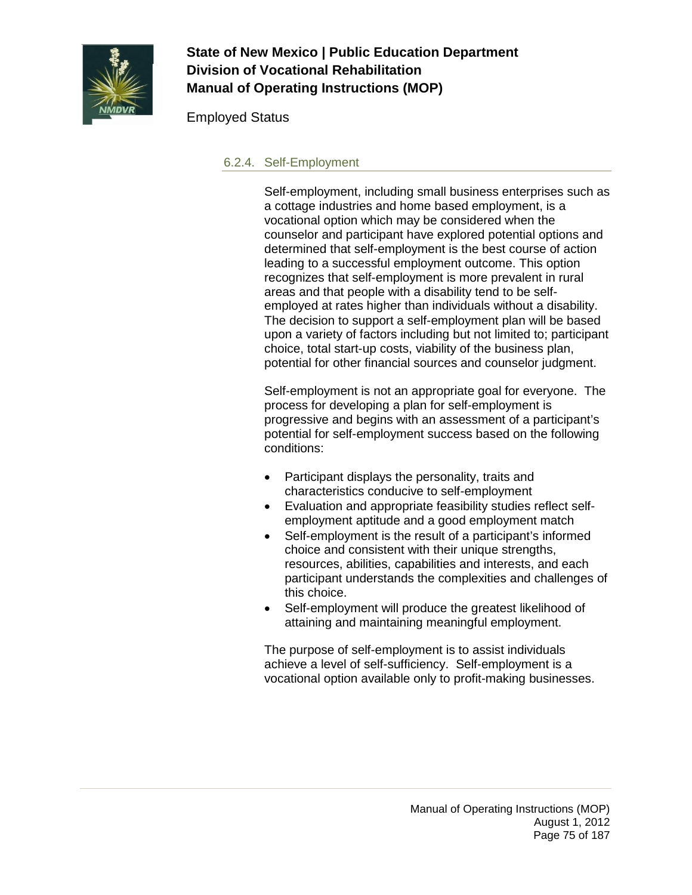

### Employed Status

#### 6.2.4. Self-Employment

Self-employment, including small business enterprises such as a cottage industries and home based employment, is a vocational option which may be considered when the counselor and participant have explored potential options and determined that self-employment is the best course of action leading to a successful employment outcome. This option recognizes that self-employment is more prevalent in rural areas and that people with a disability tend to be selfemployed at rates higher than individuals without a disability. The decision to support a self-employment plan will be based upon a variety of factors including but not limited to; participant choice, total start-up costs, viability of the business plan, potential for other financial sources and counselor judgment.

Self-employment is not an appropriate goal for everyone. The process for developing a plan for self-employment is progressive and begins with an assessment of a participant's potential for self-employment success based on the following conditions:

- Participant displays the personality, traits and characteristics conducive to self-employment
- Evaluation and appropriate feasibility studies reflect selfemployment aptitude and a good employment match
- Self-employment is the result of a participant's informed choice and consistent with their unique strengths, resources, abilities, capabilities and interests, and each participant understands the complexities and challenges of this choice.
- Self-employment will produce the greatest likelihood of attaining and maintaining meaningful employment.

The purpose of self-employment is to assist individuals achieve a level of self-sufficiency. Self-employment is a vocational option available only to profit-making businesses.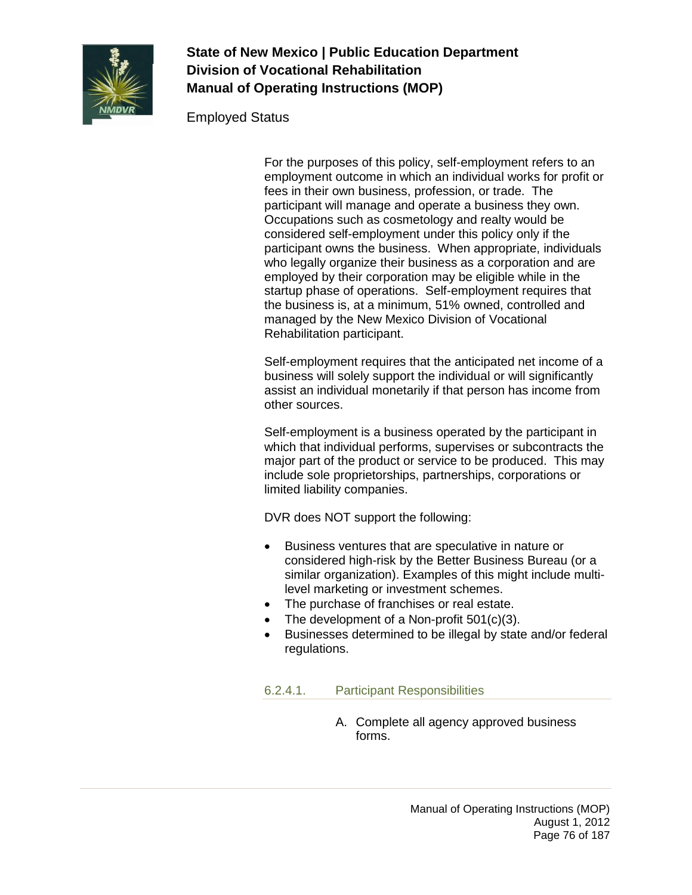

#### Employed Status

For the purposes of this policy, self-employment refers to an employment outcome in which an individual works for profit or fees in their own business, profession, or trade. The participant will manage and operate a business they own. Occupations such as cosmetology and realty would be considered self-employment under this policy only if the participant owns the business. When appropriate, individuals who legally organize their business as a corporation and are employed by their corporation may be eligible while in the startup phase of operations. Self-employment requires that the business is, at a minimum, 51% owned, controlled and managed by the New Mexico Division of Vocational Rehabilitation participant.

Self-employment requires that the anticipated net income of a business will solely support the individual or will significantly assist an individual monetarily if that person has income from other sources.

Self-employment is a business operated by the participant in which that individual performs, supervises or subcontracts the major part of the product or service to be produced. This may include sole proprietorships, partnerships, corporations or limited liability companies.

DVR does NOT support the following:

- Business ventures that are speculative in nature or considered high-risk by the Better Business Bureau (or a similar organization). Examples of this might include multilevel marketing or investment schemes.
- The purchase of franchises or real estate.
- The development of a Non-profit 501(c)(3).
- Businesses determined to be illegal by state and/or federal regulations.

6.2.4.1. Participant Responsibilities

A. Complete all agency approved business forms.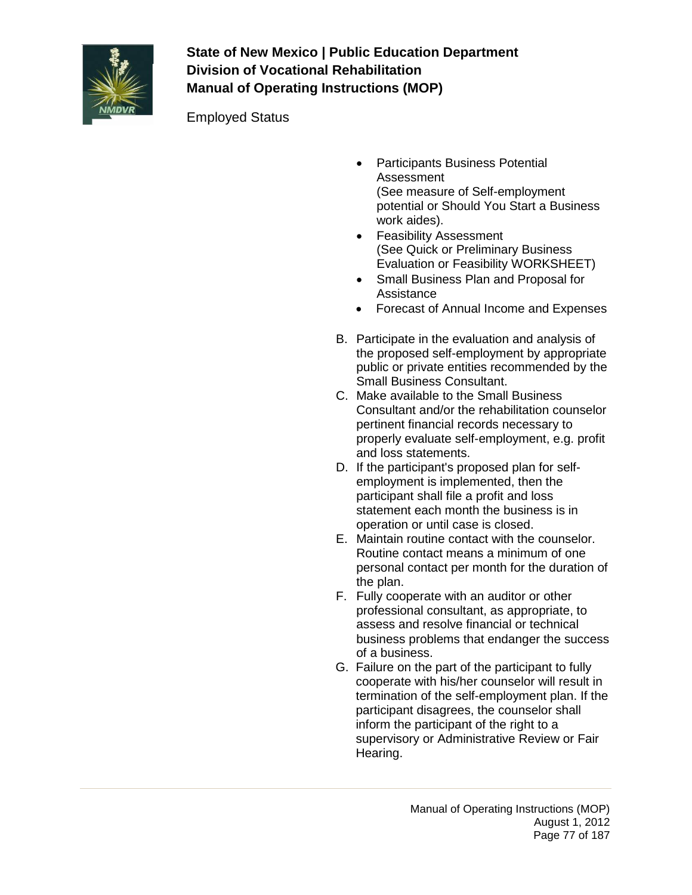

Employed Status

- Participants Business Potential Assessment (See measure of Self-employment potential or Should You Start a Business work aides).
- Feasibility Assessment (See Quick or Preliminary Business Evaluation or Feasibility WORKSHEET)
- Small Business Plan and Proposal for Assistance
- Forecast of Annual Income and Expenses
- B. Participate in the evaluation and analysis of the proposed self-employment by appropriate public or private entities recommended by the Small Business Consultant.
- C. Make available to the Small Business Consultant and/or the rehabilitation counselor pertinent financial records necessary to properly evaluate self-employment, e.g. profit and loss statements.
- D. If the participant's proposed plan for selfemployment is implemented, then the participant shall file a profit and loss statement each month the business is in operation or until case is closed.
- E. Maintain routine contact with the counselor. Routine contact means a minimum of one personal contact per month for the duration of the plan.
- F. Fully cooperate with an auditor or other professional consultant, as appropriate, to assess and resolve financial or technical business problems that endanger the success of a business.
- G. Failure on the part of the participant to fully cooperate with his/her counselor will result in termination of the self-employment plan. If the participant disagrees, the counselor shall inform the participant of the right to a supervisory or Administrative Review or Fair Hearing.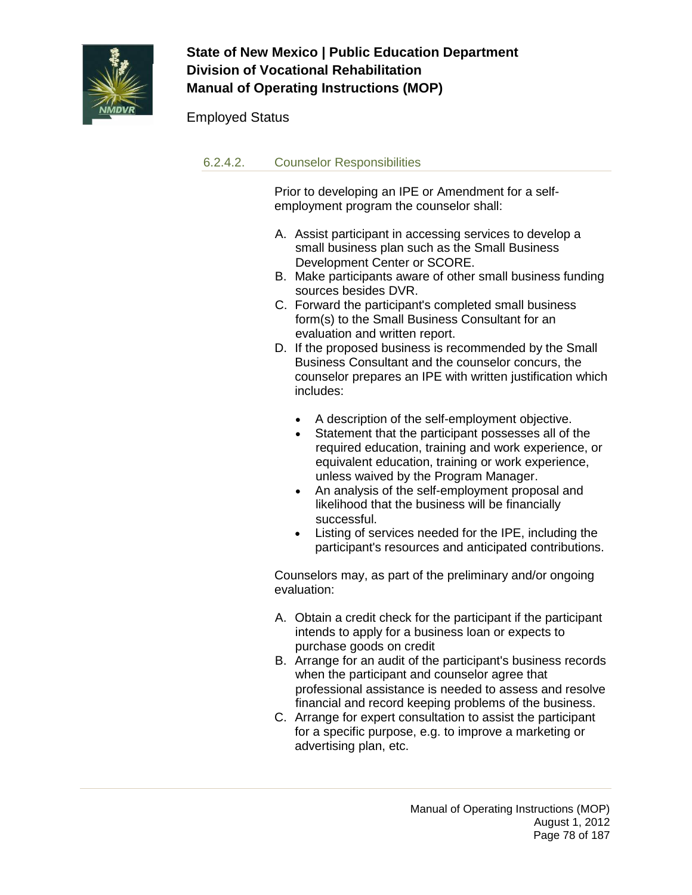

### Employed Status

#### 6.2.4.2. Counselor Responsibilities

Prior to developing an IPE or Amendment for a selfemployment program the counselor shall:

- A. Assist participant in accessing services to develop a small business plan such as the Small Business Development Center or SCORE.
- B. Make participants aware of other small business funding sources besides DVR.
- C. Forward the participant's completed small business form(s) to the Small Business Consultant for an evaluation and written report.
- D. If the proposed business is recommended by the Small Business Consultant and the counselor concurs, the counselor prepares an IPE with written justification which includes:
	- A description of the self-employment objective.
	- Statement that the participant possesses all of the required education, training and work experience, or equivalent education, training or work experience, unless waived by the Program Manager.
	- An analysis of the self-employment proposal and likelihood that the business will be financially successful.
	- Listing of services needed for the IPE, including the participant's resources and anticipated contributions.

Counselors may, as part of the preliminary and/or ongoing evaluation:

- A. Obtain a credit check for the participant if the participant intends to apply for a business loan or expects to purchase goods on credit
- B. Arrange for an audit of the participant's business records when the participant and counselor agree that professional assistance is needed to assess and resolve financial and record keeping problems of the business.
- C. Arrange for expert consultation to assist the participant for a specific purpose, e.g. to improve a marketing or advertising plan, etc.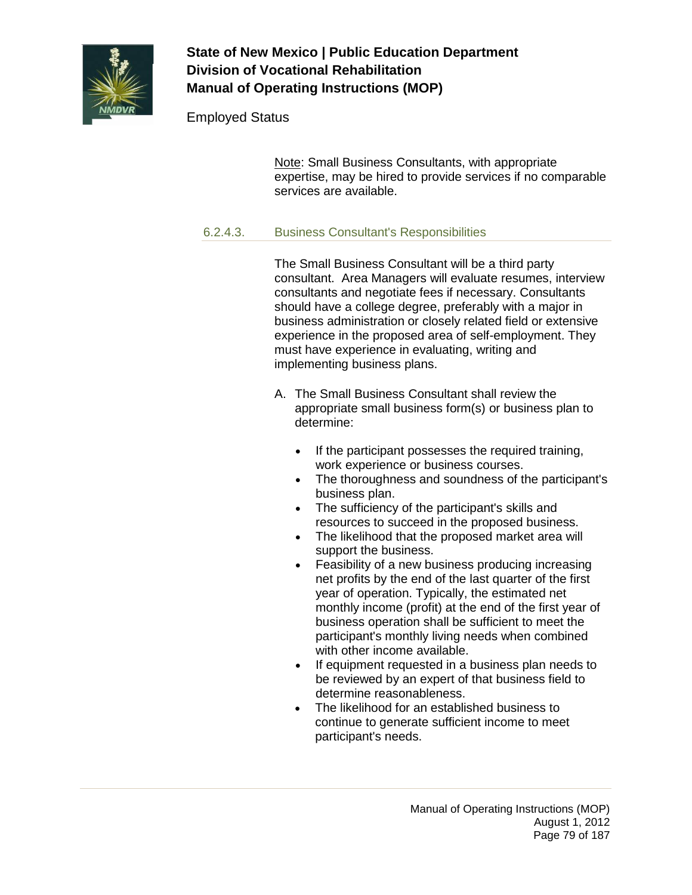

### Employed Status

Note: Small Business Consultants, with appropriate expertise, may be hired to provide services if no comparable services are available.

### 6.2.4.3. Business Consultant's Responsibilities

The Small Business Consultant will be a third party consultant. Area Managers will evaluate resumes, interview consultants and negotiate fees if necessary. Consultants should have a college degree, preferably with a major in business administration or closely related field or extensive experience in the proposed area of self-employment. They must have experience in evaluating, writing and implementing business plans.

- A. The Small Business Consultant shall review the appropriate small business form(s) or business plan to determine:
	- If the participant possesses the required training, work experience or business courses.
	- The thoroughness and soundness of the participant's business plan.
	- The sufficiency of the participant's skills and resources to succeed in the proposed business.
	- The likelihood that the proposed market area will support the business.
	- Feasibility of a new business producing increasing net profits by the end of the last quarter of the first year of operation. Typically, the estimated net monthly income (profit) at the end of the first year of business operation shall be sufficient to meet the participant's monthly living needs when combined with other income available.
	- If equipment requested in a business plan needs to be reviewed by an expert of that business field to determine reasonableness.
	- The likelihood for an established business to continue to generate sufficient income to meet participant's needs.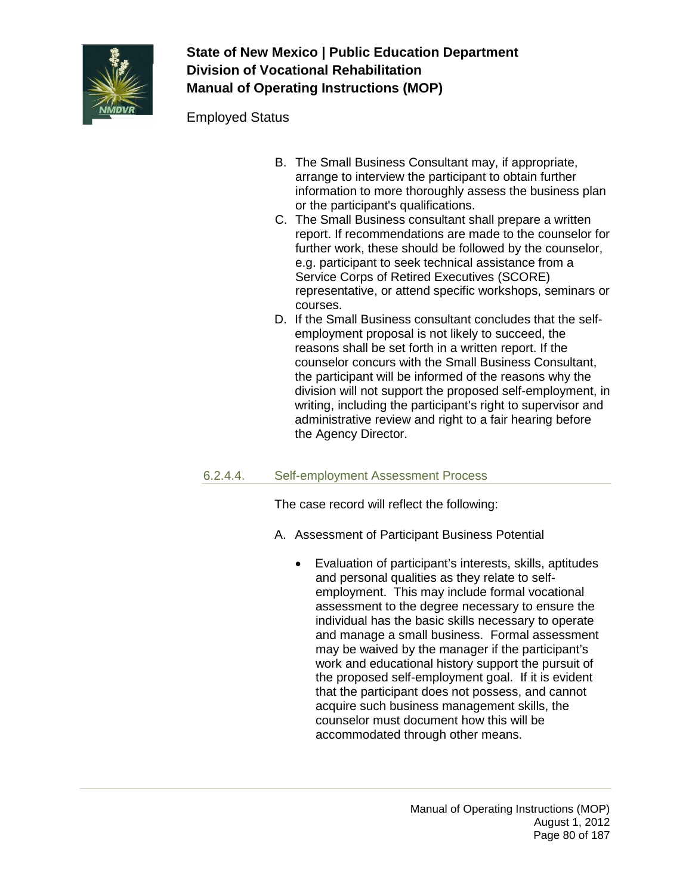

Employed Status

- B. The Small Business Consultant may, if appropriate, arrange to interview the participant to obtain further information to more thoroughly assess the business plan or the participant's qualifications.
- C. The Small Business consultant shall prepare a written report. If recommendations are made to the counselor for further work, these should be followed by the counselor, e.g. participant to seek technical assistance from a Service Corps of Retired Executives (SCORE) representative, or attend specific workshops, seminars or courses.
- D. If the Small Business consultant concludes that the selfemployment proposal is not likely to succeed, the reasons shall be set forth in a written report. If the counselor concurs with the Small Business Consultant, the participant will be informed of the reasons why the division will not support the proposed self-employment, in writing, including the participant's right to supervisor and administrative review and right to a fair hearing before the Agency Director.

### 6.2.4.4. Self-employment Assessment Process

The case record will reflect the following:

- A. Assessment of Participant Business Potential
	- Evaluation of participant's interests, skills, aptitudes and personal qualities as they relate to selfemployment. This may include formal vocational assessment to the degree necessary to ensure the individual has the basic skills necessary to operate and manage a small business. Formal assessment may be waived by the manager if the participant's work and educational history support the pursuit of the proposed self-employment goal. If it is evident that the participant does not possess, and cannot acquire such business management skills, the counselor must document how this will be accommodated through other means.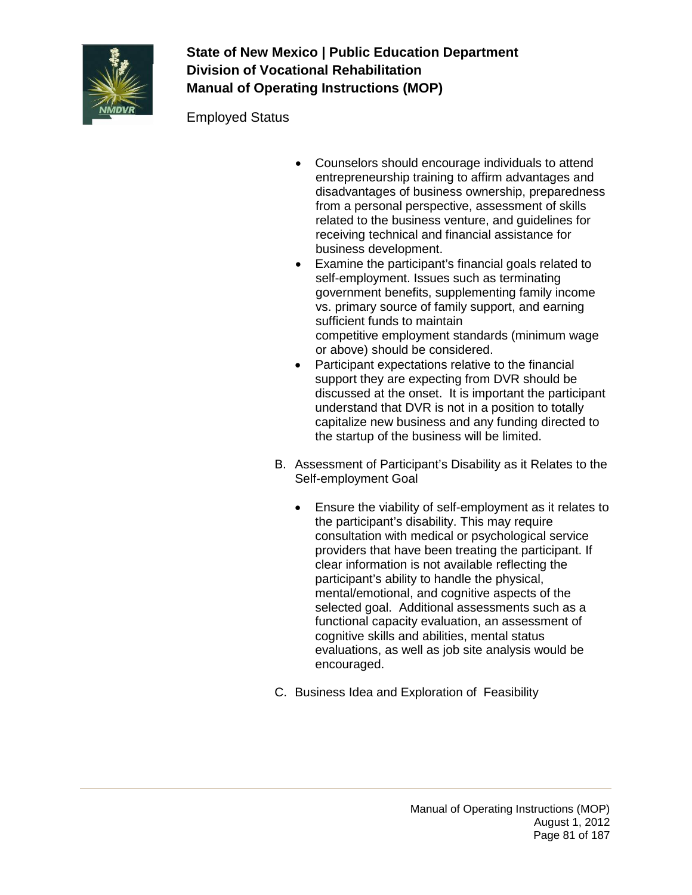

Employed Status

- Counselors should encourage individuals to attend entrepreneurship training to affirm advantages and disadvantages of business ownership, preparedness from a personal perspective, assessment of skills related to the business venture, and guidelines for receiving technical and financial assistance for business development.
- Examine the participant's financial goals related to self-employment. Issues such as terminating government benefits, supplementing family income vs. primary source of family support, and earning sufficient funds to maintain competitive employment standards (minimum wage or above) should be considered.
- Participant expectations relative to the financial support they are expecting from DVR should be discussed at the onset. It is important the participant understand that DVR is not in a position to totally capitalize new business and any funding directed to the startup of the business will be limited.
- B. Assessment of Participant's Disability as it Relates to the Self-employment Goal
	- Ensure the viability of self-employment as it relates to the participant's disability. This may require consultation with medical or psychological service providers that have been treating the participant. If clear information is not available reflecting the participant's ability to handle the physical, mental/emotional, and cognitive aspects of the selected goal. Additional assessments such as a functional capacity evaluation, an assessment of cognitive skills and abilities, mental status evaluations, as well as job site analysis would be encouraged.
- C. Business Idea and Exploration of Feasibility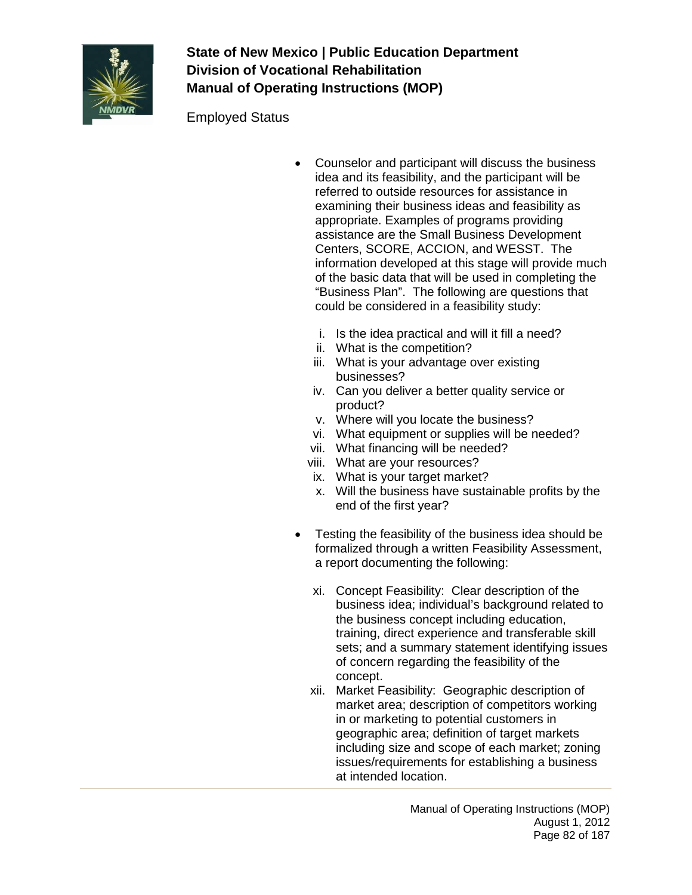

Employed Status

- Counselor and participant will discuss the business idea and its feasibility, and the participant will be referred to outside resources for assistance in examining their business ideas and feasibility as appropriate. Examples of programs providing assistance are the Small Business Development Centers, SCORE, ACCION, and WESST. The information developed at this stage will provide much of the basic data that will be used in completing the "Business Plan". The following are questions that could be considered in a feasibility study:
	- i. Is the idea practical and will it fill a need?
	- ii. What is the competition?
	- iii. What is your advantage over existing businesses?
	- iv. Can you deliver a better quality service or product?
	- v. Where will you locate the business?
	- vi. What equipment or supplies will be needed?
	- vii. What financing will be needed?
	- viii. What are your resources?
	- ix. What is your target market?
	- x. Will the business have sustainable profits by the end of the first year?
- Testing the feasibility of the business idea should be formalized through a written Feasibility Assessment. a report documenting the following:
	- xi. Concept Feasibility: Clear description of the business idea; individual's background related to the business concept including education, training, direct experience and transferable skill sets; and a summary statement identifying issues of concern regarding the feasibility of the concept.
	- xii. Market Feasibility: Geographic description of market area; description of competitors working in or marketing to potential customers in geographic area; definition of target markets including size and scope of each market; zoning issues/requirements for establishing a business at intended location.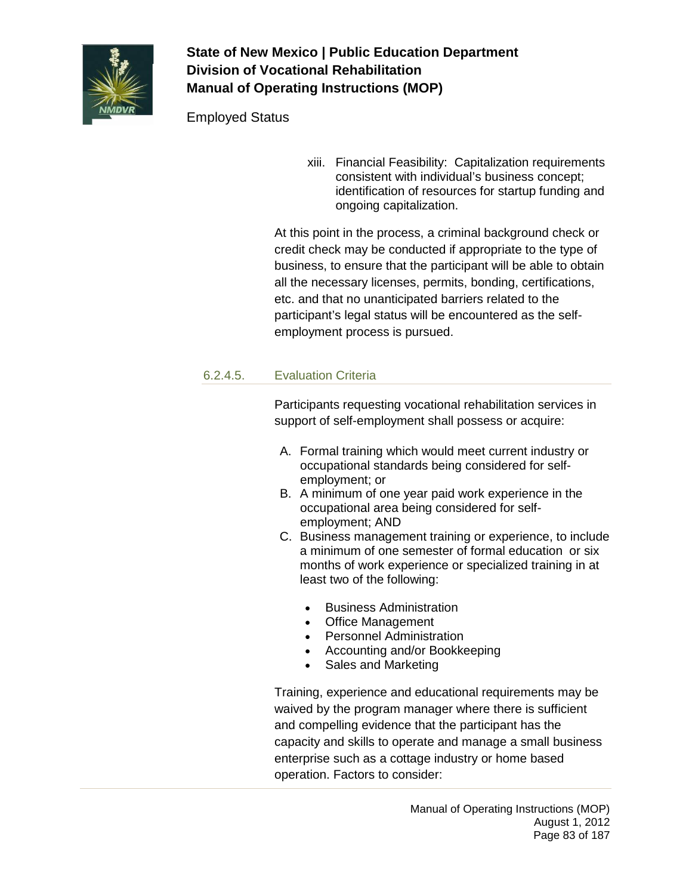

Employed Status

xiii. Financial Feasibility: Capitalization requirements consistent with individual's business concept; identification of resources for startup funding and ongoing capitalization.

At this point in the process, a criminal background check or credit check may be conducted if appropriate to the type of business, to ensure that the participant will be able to obtain all the necessary licenses, permits, bonding, certifications, etc. and that no unanticipated barriers related to the participant's legal status will be encountered as the selfemployment process is pursued.

### 6.2.4.5. Evaluation Criteria

Participants requesting vocational rehabilitation services in support of self-employment shall possess or acquire:

- A. Formal training which would meet current industry or occupational standards being considered for selfemployment; or
- B. A minimum of one year paid work experience in the occupational area being considered for selfemployment; AND
- C. Business management training or experience, to include a minimum of one semester of formal education or six months of work experience or specialized training in at least two of the following:
	- Business Administration
	- Office Management
	- Personnel Administration
	- Accounting and/or Bookkeeping
	- Sales and Marketing

Training, experience and educational requirements may be waived by the program manager where there is sufficient and compelling evidence that the participant has the capacity and skills to operate and manage a small business enterprise such as a cottage industry or home based operation. Factors to consider: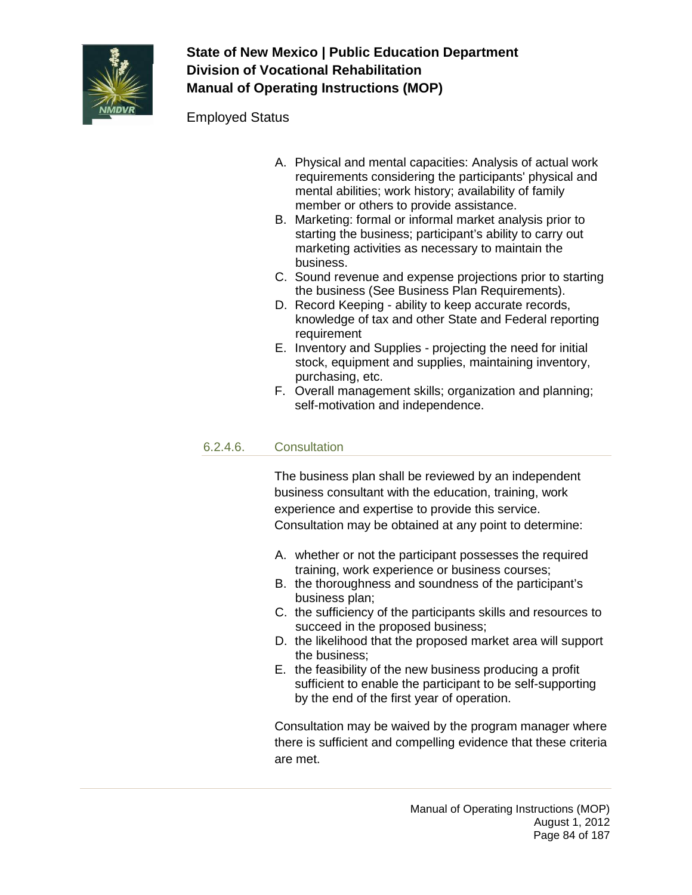

### Employed Status

- A. Physical and mental capacities: Analysis of actual work requirements considering the participants' physical and mental abilities; work history; availability of family member or others to provide assistance.
- B. Marketing: formal or informal market analysis prior to starting the business; participant's ability to carry out marketing activities as necessary to maintain the business.
- C. Sound revenue and expense projections prior to starting the business (See Business Plan Requirements).
- D. Record Keeping ability to keep accurate records, knowledge of tax and other State and Federal reporting requirement
- E. Inventory and Supplies projecting the need for initial stock, equipment and supplies, maintaining inventory, purchasing, etc.
- F. Overall management skills; organization and planning; self-motivation and independence.

#### 6.2.4.6. Consultation

The business plan shall be reviewed by an independent business consultant with the education, training, work experience and expertise to provide this service. Consultation may be obtained at any point to determine:

- A. whether or not the participant possesses the required training, work experience or business courses;
- B. the thoroughness and soundness of the participant's business plan;
- C. the sufficiency of the participants skills and resources to succeed in the proposed business;
- D. the likelihood that the proposed market area will support the business;
- E. the feasibility of the new business producing a profit sufficient to enable the participant to be self-supporting by the end of the first year of operation.

Consultation may be waived by the program manager where there is sufficient and compelling evidence that these criteria are met.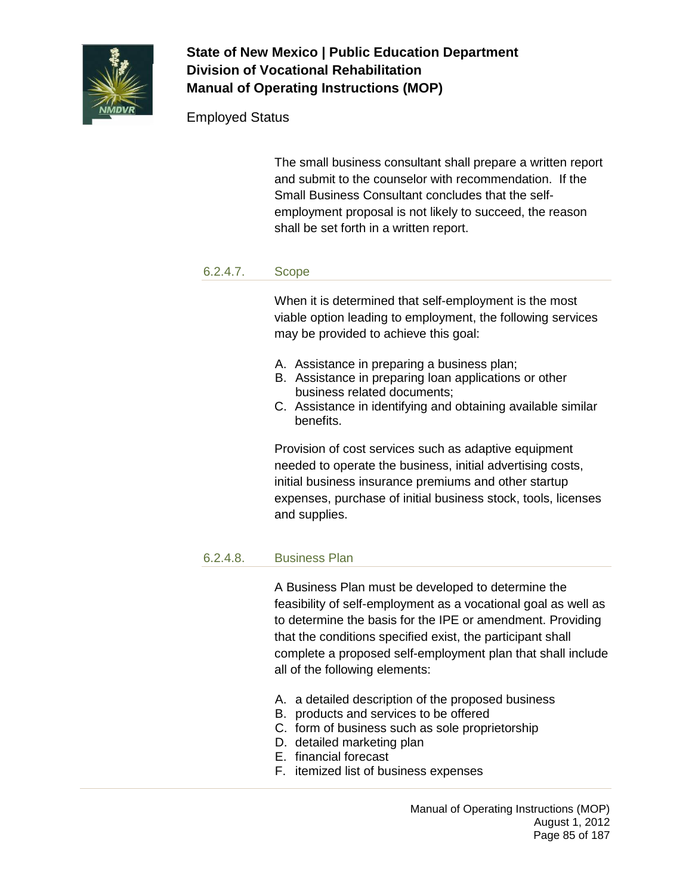

## Employed Status

The small business consultant shall prepare a written report and submit to the counselor with recommendation. If the Small Business Consultant concludes that the selfemployment proposal is not likely to succeed, the reason shall be set forth in a written report.

#### 6.2.4.7. Scope

When it is determined that self-employment is the most viable option leading to employment, the following services may be provided to achieve this goal:

- A. Assistance in preparing a business plan;
- B. Assistance in preparing loan applications or other business related documents;
- C. Assistance in identifying and obtaining available similar benefits.

Provision of cost services such as adaptive equipment needed to operate the business, initial advertising costs, initial business insurance premiums and other startup expenses, purchase of initial business stock, tools, licenses and supplies.

### 6.2.4.8. Business Plan

A Business Plan must be developed to determine the feasibility of self-employment as a vocational goal as well as to determine the basis for the IPE or amendment. Providing that the conditions specified exist, the participant shall complete a proposed self-employment plan that shall include all of the following elements:

- A. a detailed description of the proposed business
- B. products and services to be offered
- C. form of business such as sole proprietorship
- D. detailed marketing plan
- E. financial forecast
- F. itemized list of business expenses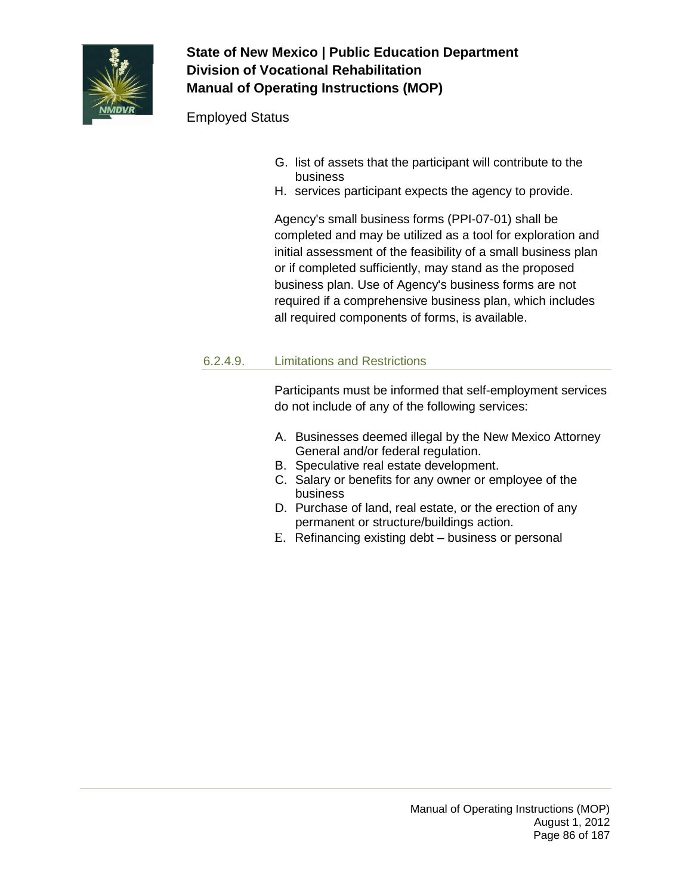

## Employed Status

- G. list of assets that the participant will contribute to the business
- H. services participant expects the agency to provide.

Agency's small business forms (PPI-07-01) shall be completed and may be utilized as a tool for exploration and initial assessment of the feasibility of a small business plan or if completed sufficiently, may stand as the proposed business plan. Use of Agency's business forms are not required if a comprehensive business plan, which includes all required components of forms, is available.

### 6.2.4.9. Limitations and Restrictions

Participants must be informed that self-employment services do not include of any of the following services:

- A. Businesses deemed illegal by the New Mexico Attorney General and/or federal regulation.
- B. Speculative real estate development.
- C. Salary or benefits for any owner or employee of the business
- D. Purchase of land, real estate, or the erection of any permanent or structure/buildings action.
- E. Refinancing existing debt business or personal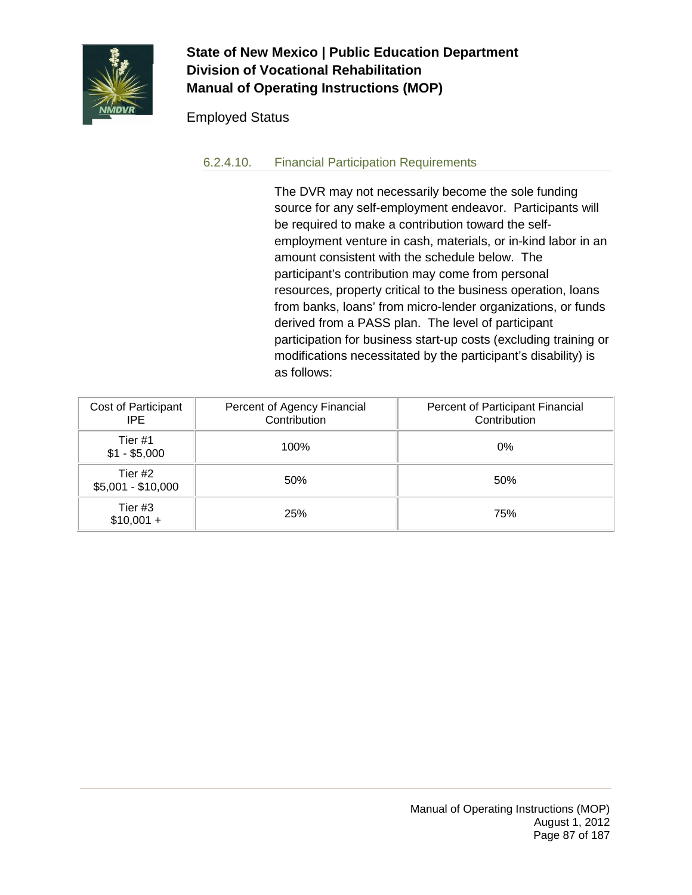

### Employed Status

### 6.2.4.10. Financial Participation Requirements

The DVR may not necessarily become the sole funding source for any self-employment endeavor. Participants will be required to make a contribution toward the selfemployment venture in cash, materials, or in-kind labor in an amount consistent with the schedule below. The participant's contribution may come from personal resources, property critical to the business operation, loans from banks, loans' from micro-lender organizations, or funds derived from a PASS plan. The level of participant participation for business start-up costs (excluding training or modifications necessitated by the participant's disability) is as follows:

| Cost of Participant<br>IPE.   | Percent of Agency Financial<br>Contribution | Percent of Participant Financial<br>Contribution |
|-------------------------------|---------------------------------------------|--------------------------------------------------|
| Tier #1<br>$$1 - $5,000$      | 100%                                        | $0\%$                                            |
| Tier #2<br>$$5,001 - $10,000$ | 50%                                         | 50%                                              |
| Tier #3<br>$$10,001 +$        | <b>25%</b>                                  | 75%                                              |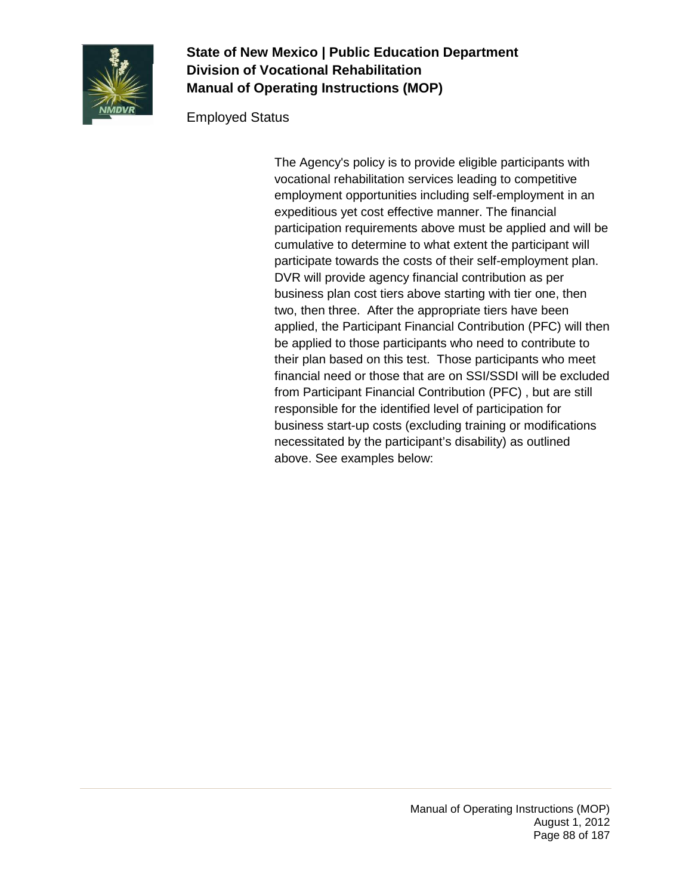

### Employed Status

The Agency's policy is to provide eligible participants with vocational rehabilitation services leading to competitive employment opportunities including self-employment in an expeditious yet cost effective manner. The financial participation requirements above must be applied and will be cumulative to determine to what extent the participant will participate towards the costs of their self-employment plan. DVR will provide agency financial contribution as per business plan cost tiers above starting with tier one, then two, then three. After the appropriate tiers have been applied, the Participant Financial Contribution (PFC) will then be applied to those participants who need to contribute to their plan based on this test. Those participants who meet financial need or those that are on SSI/SSDI will be excluded from Participant Financial Contribution (PFC) , but are still responsible for the identified level of participation for business start-up costs (excluding training or modifications necessitated by the participant's disability) as outlined above. See examples below: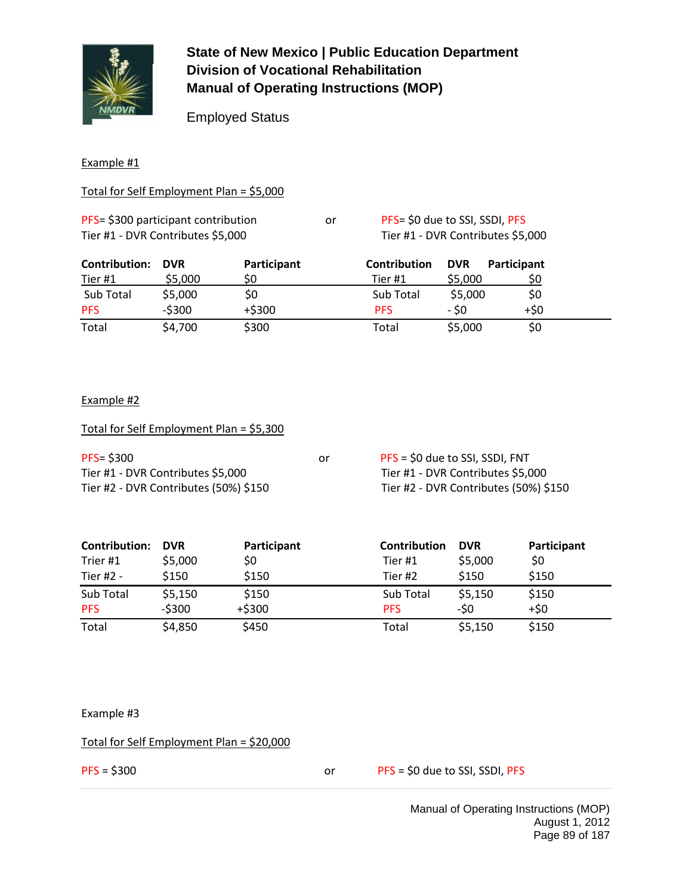

Employed Status

#### Example #1

#### Total for Self Employment Plan = \$5,000

| PFS= \$300 participant contribution | or | PFS= \$0 due to SSI, SSDI, PFS |
|-------------------------------------|----|--------------------------------|
| Tier #1 - DVR Contributes \$5,000   |    | Tier #1 - DVR Contributes \$5, |

| <b>Contribution:</b> | <b>DVR</b> | Participant | Contribution | <b>DVR</b> | <b>Participant</b> |
|----------------------|------------|-------------|--------------|------------|--------------------|
| <b>Tier #1</b>       | \$5,000    | S0          | Tier #1      | \$5,000    | S0                 |
| Sub Total            | \$5,000    | \$0         | Sub Total    | \$5,000    | \$0                |
| <b>PFS</b>           | $-5300$    | $+ $300$    | <b>PFS</b>   | - \$0      | $+50$              |
| Total                | \$4,700    | \$300       | Total        | \$5,000    | \$0                |

#### Example #2

| Total for Self Employment Plan = \$5,300 |    |                                       |
|------------------------------------------|----|---------------------------------------|
| $PFS = $300$                             | or | PFS = \$0 due to SSI, SSDI, FNT       |
| Tier #1 - DVR Contributes \$5,000        |    | Tier #1 - DVR Contributes \$5,000     |
| Tier #2 - DVR Contributes (50%) \$150    |    | Tier #2 - DVR Contributes (50%) \$150 |

| <b>Contribution:</b> | <b>DVR</b> | Participant | <b>Contribution</b> | <b>DVR</b> | Participant |
|----------------------|------------|-------------|---------------------|------------|-------------|
| Trier #1             | \$5,000    | \$0         | Tier #1             | \$5,000    | \$0         |
| Tier #2 -            | \$150      | \$150       | Tier #2             | \$150      | \$150       |
| Sub Total            | \$5,150    | \$150       | Sub Total           | \$5,150    | \$150       |
| <b>PFS</b>           | $-5300$    | $+ $300$    | <b>PFS</b>          | -\$0       | $+50$       |
| Total                | \$4,850    | \$450       | Total               | \$5,150    | \$150       |

Example #3

Total for Self Employment Plan = \$20,000

PFS = \$300 or PFS = \$0 due to SSI, SSDI, PFS

Contributes \$5,000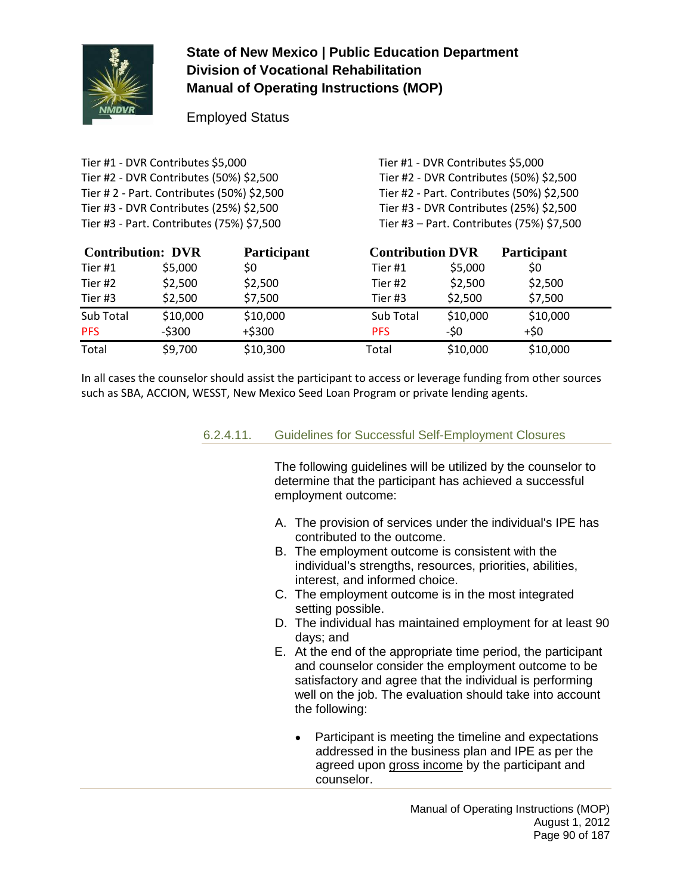

Employed Status

Tier #1 - DVR Contributes \$5,000 Tier #1 - DVR Contributes \$5,000 Tier #2 - DVR Contributes (50%) \$2,500 Tier #2 - DVR Contributes (50%) \$2,500 Tier # 2 - Part. Contributes (50%) \$2,500 Tier #2 - Part. Contributes (50%) \$2,500 Tier #3 - DVR Contributes (25%) \$2,500 Tier #3 - DVR Contributes (25%) \$2,500 Tier #3 - Part. Contributes (75%) \$7,500 Tier #3 – Part. Contributes (75%) \$7,500

| <b>Contribution: DVR</b> |          | <b>Participant</b> | <b>Contribution DVR</b> |          | <b>Participant</b> |  |
|--------------------------|----------|--------------------|-------------------------|----------|--------------------|--|
| Tier #1                  | \$5,000  | \$0                | Tier #1                 | \$5,000  | \$0                |  |
| Tier #2                  | \$2,500  | \$2,500            | Tier#2                  | \$2,500  | \$2,500            |  |
| Tier #3                  | \$2,500  | \$7,500            | Tier #3                 | \$2,500  | \$7,500            |  |
| Sub Total                | \$10,000 | \$10,000           | Sub Total               | \$10,000 | \$10,000           |  |
| <b>PFS</b>               | $-5300$  | $+ $300$           | <b>PFS</b>              | -\$0     | $+50$              |  |
| Total                    | \$9,700  | \$10,300           | Total                   | \$10,000 | \$10,000           |  |

In all cases the counselor should assist the participant to access or leverage funding from other sources such as SBA, ACCION, WESST, New Mexico Seed Loan Program or private lending agents.

#### 6.2.4.11. Guidelines for Successful Self-Employment Closures

The following guidelines will be utilized by the counselor to determine that the participant has achieved a successful employment outcome:

- A. The provision of services under the individual's IPE has contributed to the outcome.
- B. The employment outcome is consistent with the individual's strengths, resources, priorities, abilities, interest, and informed choice.
- C. The employment outcome is in the most integrated setting possible.
- D. The individual has maintained employment for at least 90 days; and
- E. At the end of the appropriate time period, the participant and counselor consider the employment outcome to be satisfactory and agree that the individual is performing well on the job. The evaluation should take into account the following:
	- Participant is meeting the timeline and expectations addressed in the business plan and IPE as per the agreed upon gross income by the participant and counselor.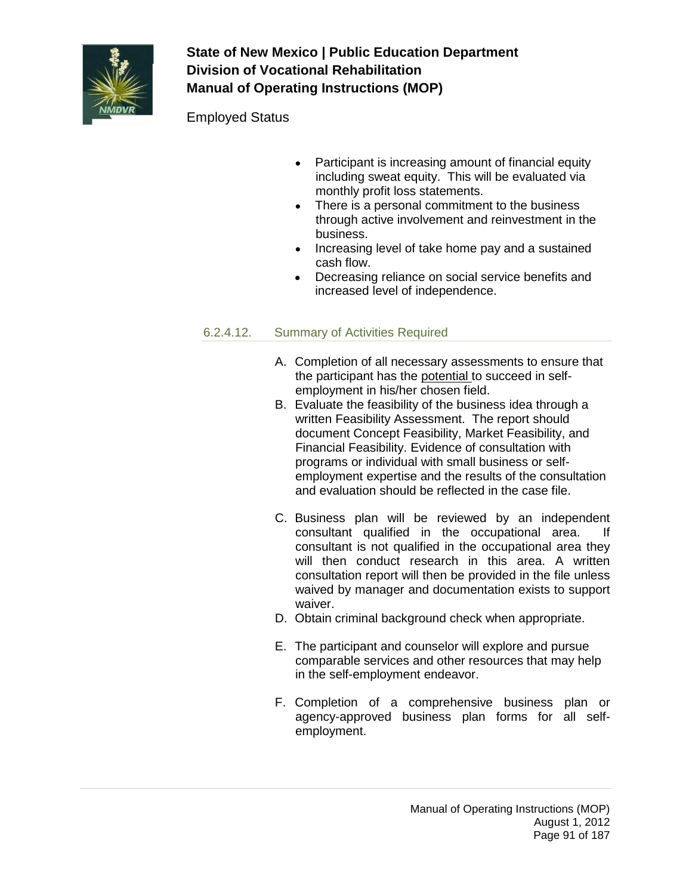

Employed Status

- Participant is increasing amount of financial equity including sweat equity. This will be evaluated via monthly profit loss statements.
- There is a personal commitment to the business through active involvement and reinvestment in the business.
- Increasing level of take home pay and a sustained cash flow.
- Decreasing reliance on social service benefits and increased level of independence.

## 6.2.4.12. Summary of Activities Required

- A. Completion of all necessary assessments to ensure that the participant has the potential to succeed in selfemployment in his/her chosen field.
- B. Evaluate the feasibility of the business idea through a written Feasibility Assessment. The report should document Concept Feasibility, Market Feasibility, and Financial Feasibility. Evidence of consultation with programs or individual with small business or selfemployment expertise and the results of the consultation and evaluation should be reflected in the case file.
- C. Business plan will be reviewed by an independent consultant qualified in the occupational area. If consultant is not qualified in the occupational area they will then conduct research in this area. A written consultation report will then be provided in the file unless waived by manager and documentation exists to support waiver.
- D. Obtain criminal background check when appropriate.
- E. The participant and counselor will explore and pursue comparable services and other resources that may help in the self-employment endeavor.
- F. Completion of a comprehensive business plan or agency-approved business plan forms for all selfemployment.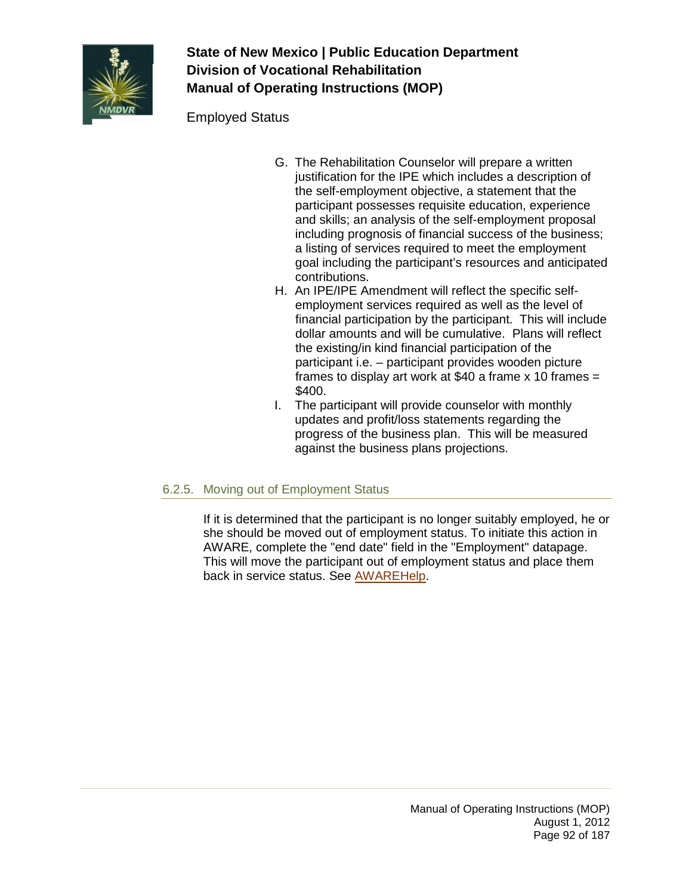

Employed Status

- G. The Rehabilitation Counselor will prepare a written justification for the IPE which includes a description of the self-employment objective, a statement that the participant possesses requisite education, experience and skills; an analysis of the self-employment proposal including prognosis of financial success of the business; a listing of services required to meet the employment goal including the participant's resources and anticipated contributions.
- H. An IPE/IPE Amendment will reflect the specific selfemployment services required as well as the level of financial participation by the participant. This will include dollar amounts and will be cumulative. Plans will reflect the existing/in kind financial participation of the participant i.e. – participant provides wooden picture frames to display art work at \$40 a frame  $x$  10 frames = \$400.
- I. The participant will provide counselor with monthly updates and profit/loss statements regarding the progress of the business plan. This will be measured against the business plans projections.

### 6.2.5. Moving out of Employment Status

If it is determined that the participant is no longer suitably employed, he or she should be moved out of employment status. To initiate this action in AWARE, complete the "end date" field in the "Employment" datapage. This will move the participant out of employment status and place them back in service status. See [AWAREHelp.](http://aware/XTEND/OnlineDoc/02Participant%20Module/Employment%20Addendum%20C.htm)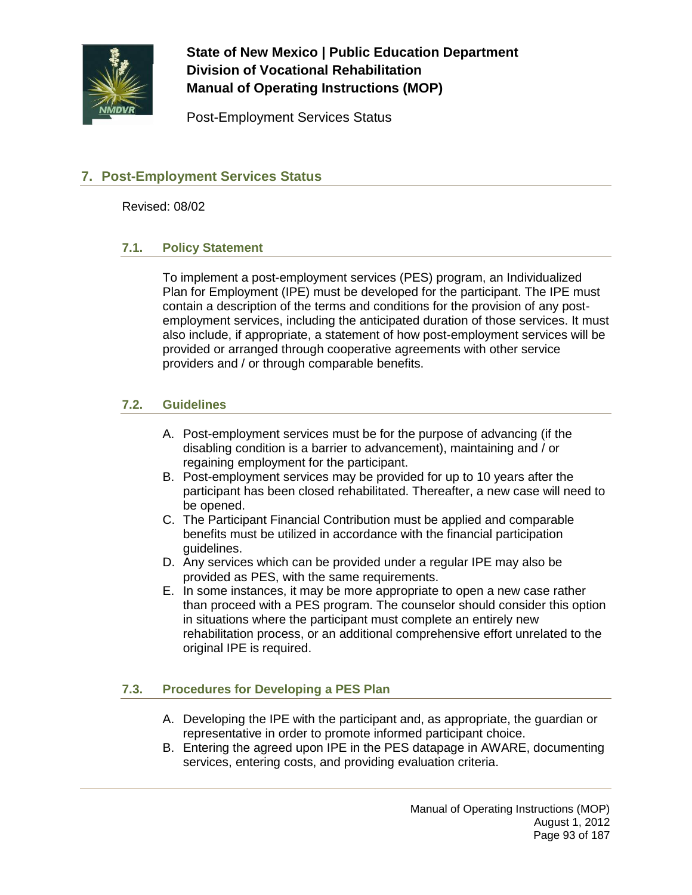

Post-Employment Services Status

### **7. Post-Employment Services Status**

Revised: 08/02

#### **7.1. Policy Statement**

To implement a post-employment services (PES) program, an Individualized Plan for Employment (IPE) must be developed for the participant. The IPE must contain a description of the terms and conditions for the provision of any postemployment services, including the anticipated duration of those services. It must also include, if appropriate, a statement of how post-employment services will be provided or arranged through cooperative agreements with other service providers and / or through comparable benefits.

### **7.2. Guidelines**

- A. Post-employment services must be for the purpose of advancing (if the disabling condition is a barrier to advancement), maintaining and / or regaining employment for the participant.
- B. Post-employment services may be provided for up to 10 years after the participant has been closed rehabilitated. Thereafter, a new case will need to be opened.
- C. The Participant Financial Contribution must be applied and comparable benefits must be utilized in accordance with the financial participation guidelines.
- D. Any services which can be provided under a regular IPE may also be provided as PES, with the same requirements.
- E. In some instances, it may be more appropriate to open a new case rather than proceed with a PES program. The counselor should consider this option in situations where the participant must complete an entirely new rehabilitation process, or an additional comprehensive effort unrelated to the original IPE is required.

### **7.3. Procedures for Developing a PES Plan**

- A. Developing the IPE with the participant and, as appropriate, the guardian or representative in order to promote informed participant choice.
- B. Entering the agreed upon IPE in the PES datapage in AWARE, documenting services, entering costs, and providing evaluation criteria.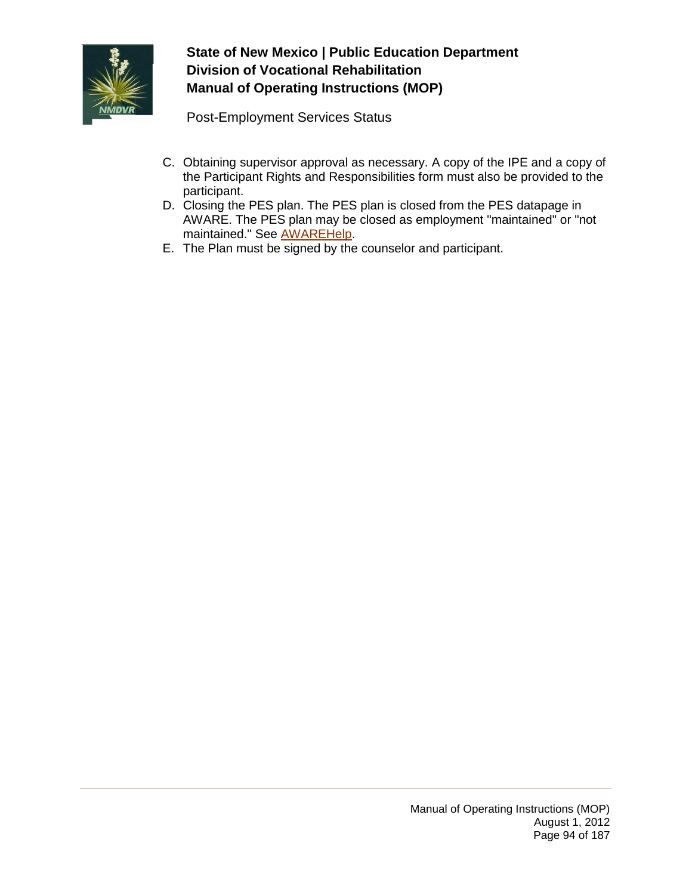

Post-Employment Services Status

- C. Obtaining supervisor approval as necessary. A copy of the IPE and a copy of the Participant Rights and Responsibilities form must also be provided to the participant.
- D. Closing the PES plan. The PES plan is closed from the PES datapage in AWARE. The PES plan may be closed as employment "maintained" or "not maintained." See [AWAREHelp.](http://aware/XTEND/OnlineDoc/02Participant%20Module/PES%20Plan%20Addendum%20A.htm)
- E. The Plan must be signed by the counselor and participant.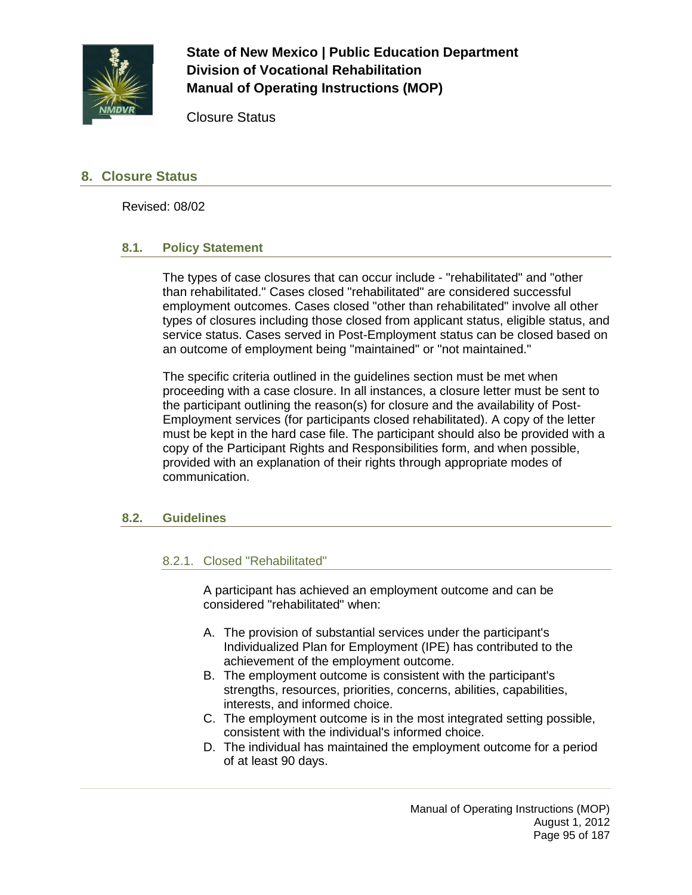

Closure Status

### **8. Closure Status**

Revised: 08/02

#### **8.1. Policy Statement**

The types of case closures that can occur include - "rehabilitated" and "other than rehabilitated." Cases closed "rehabilitated" are considered successful employment outcomes. Cases closed "other than rehabilitated" involve all other types of closures including those closed from applicant status, eligible status, and service status. Cases served in Post-Employment status can be closed based on an outcome of employment being "maintained" or "not maintained."

The specific criteria outlined in the guidelines section must be met when proceeding with a case closure. In all instances, a closure letter must be sent to the participant outlining the reason(s) for closure and the availability of Post-Employment services (for participants closed rehabilitated). A copy of the letter must be kept in the hard case file. The participant should also be provided with a copy of the Participant Rights and Responsibilities form, and when possible, provided with an explanation of their rights through appropriate modes of communication.

#### **8.2. Guidelines**

#### 8.2.1. Closed "Rehabilitated"

A participant has achieved an employment outcome and can be considered "rehabilitated" when:

- A. The provision of substantial services under the participant's Individualized Plan for Employment (IPE) has contributed to the achievement of the employment outcome.
- B. The employment outcome is consistent with the participant's strengths, resources, priorities, concerns, abilities, capabilities, interests, and informed choice.
- C. The employment outcome is in the most integrated setting possible, consistent with the individual's informed choice.
- D. The individual has maintained the employment outcome for a period of at least 90 days.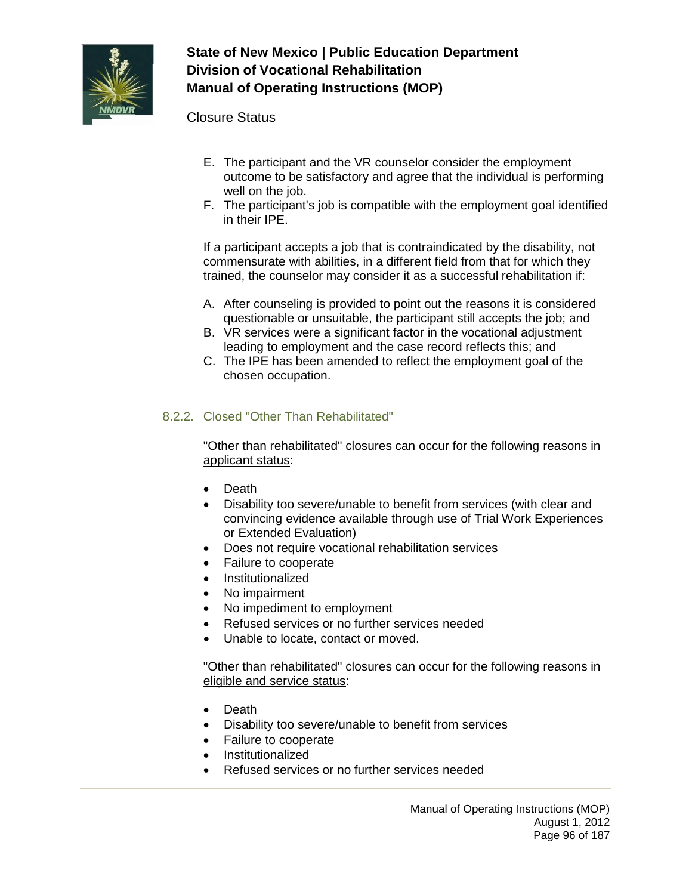

Closure Status

- E. The participant and the VR counselor consider the employment outcome to be satisfactory and agree that the individual is performing well on the job.
- F. The participant's job is compatible with the employment goal identified in their IPE.

If a participant accepts a job that is contraindicated by the disability, not commensurate with abilities, in a different field from that for which they trained, the counselor may consider it as a successful rehabilitation if:

- A. After counseling is provided to point out the reasons it is considered questionable or unsuitable, the participant still accepts the job; and
- B. VR services were a significant factor in the vocational adjustment leading to employment and the case record reflects this; and
- C. The IPE has been amended to reflect the employment goal of the chosen occupation.

### 8.2.2. Closed "Other Than Rehabilitated"

"Other than rehabilitated" closures can occur for the following reasons in applicant status:

- Death
- Disability too severe/unable to benefit from services (with clear and convincing evidence available through use of Trial Work Experiences or Extended Evaluation)
- Does not require vocational rehabilitation services
- Failure to cooperate
- Institutionalized
- No impairment
- No impediment to employment
- Refused services or no further services needed
- Unable to locate, contact or moved.

"Other than rehabilitated" closures can occur for the following reasons in eligible and service status:

- Death
- Disability too severe/unable to benefit from services
- Failure to cooperate
- Institutionalized
- Refused services or no further services needed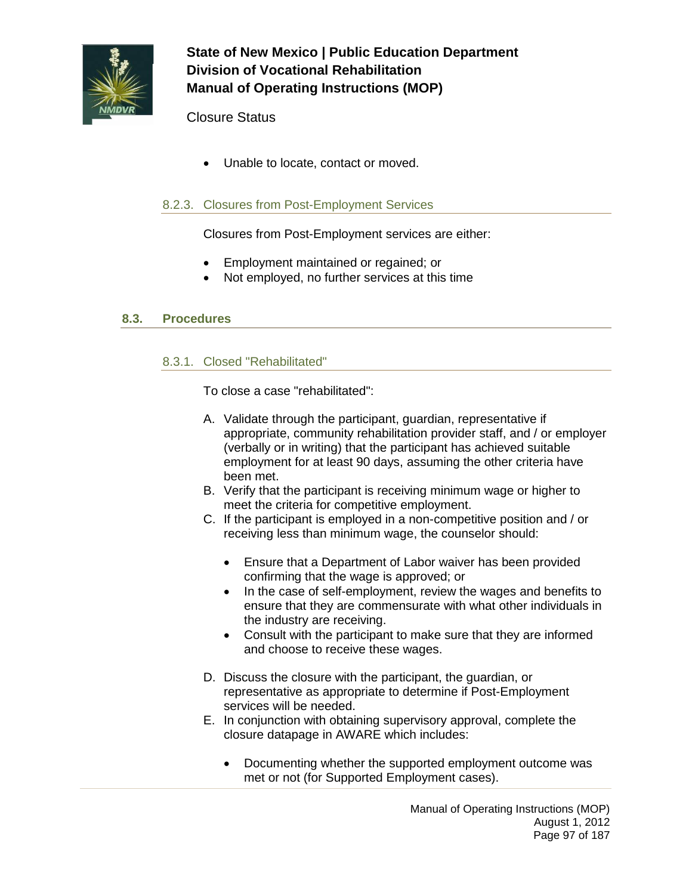

### Closure Status

• Unable to locate, contact or moved.

### 8.2.3. Closures from Post-Employment Services

Closures from Post-Employment services are either:

- Employment maintained or regained; or
- Not employed, no further services at this time

### **8.3. Procedures**

#### 8.3.1. Closed "Rehabilitated"

To close a case "rehabilitated":

- A. Validate through the participant, guardian, representative if appropriate, community rehabilitation provider staff, and / or employer (verbally or in writing) that the participant has achieved suitable employment for at least 90 days, assuming the other criteria have been met.
- B. Verify that the participant is receiving minimum wage or higher to meet the criteria for competitive employment.
- C. If the participant is employed in a non-competitive position and / or receiving less than minimum wage, the counselor should:
	- Ensure that a Department of Labor waiver has been provided confirming that the wage is approved; or
	- In the case of self-employment, review the wages and benefits to ensure that they are commensurate with what other individuals in the industry are receiving.
	- Consult with the participant to make sure that they are informed and choose to receive these wages.
- D. Discuss the closure with the participant, the guardian, or representative as appropriate to determine if Post-Employment services will be needed.
- E. In conjunction with obtaining supervisory approval, complete the closure datapage in AWARE which includes:
	- Documenting whether the supported employment outcome was met or not (for Supported Employment cases).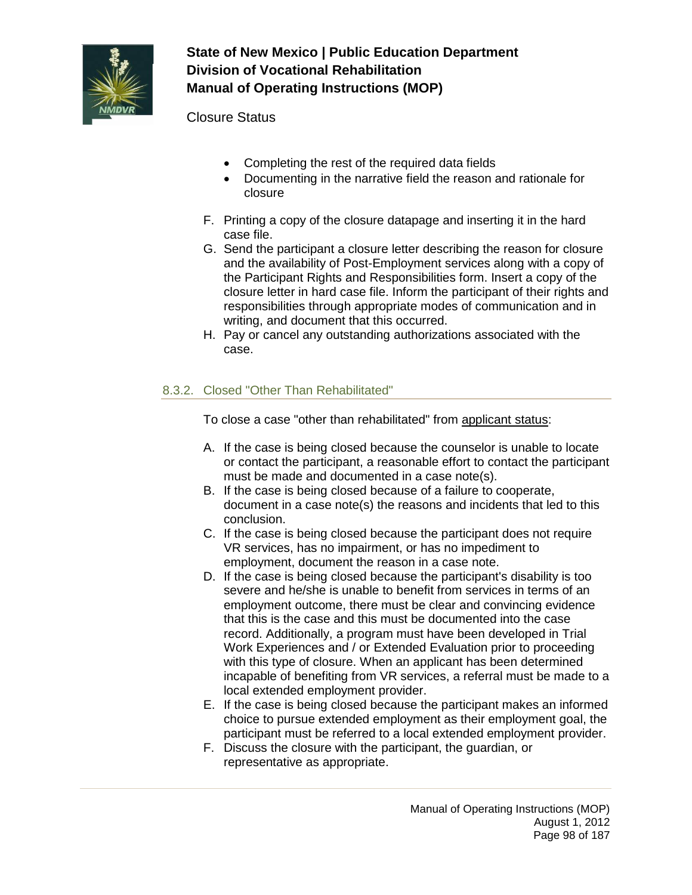

Closure Status

- Completing the rest of the required data fields
- Documenting in the narrative field the reason and rationale for closure
- F. Printing a copy of the closure datapage and inserting it in the hard case file.
- G. Send the participant a closure letter describing the reason for closure and the availability of Post-Employment services along with a copy of the Participant Rights and Responsibilities form. Insert a copy of the closure letter in hard case file. Inform the participant of their rights and responsibilities through appropriate modes of communication and in writing, and document that this occurred.
- H. Pay or cancel any outstanding authorizations associated with the case.

## 8.3.2. Closed "Other Than Rehabilitated"

To close a case "other than rehabilitated" from applicant status:

- A. If the case is being closed because the counselor is unable to locate or contact the participant, a reasonable effort to contact the participant must be made and documented in a case note(s).
- B. If the case is being closed because of a failure to cooperate, document in a case note(s) the reasons and incidents that led to this conclusion.
- C. If the case is being closed because the participant does not require VR services, has no impairment, or has no impediment to employment, document the reason in a case note.
- D. If the case is being closed because the participant's disability is too severe and he/she is unable to benefit from services in terms of an employment outcome, there must be clear and convincing evidence that this is the case and this must be documented into the case record. Additionally, a program must have been developed in Trial Work Experiences and / or Extended Evaluation prior to proceeding with this type of closure. When an applicant has been determined incapable of benefiting from VR services, a referral must be made to a local extended employment provider.
- E. If the case is being closed because the participant makes an informed choice to pursue extended employment as their employment goal, the participant must be referred to a local extended employment provider.
- F. Discuss the closure with the participant, the guardian, or representative as appropriate.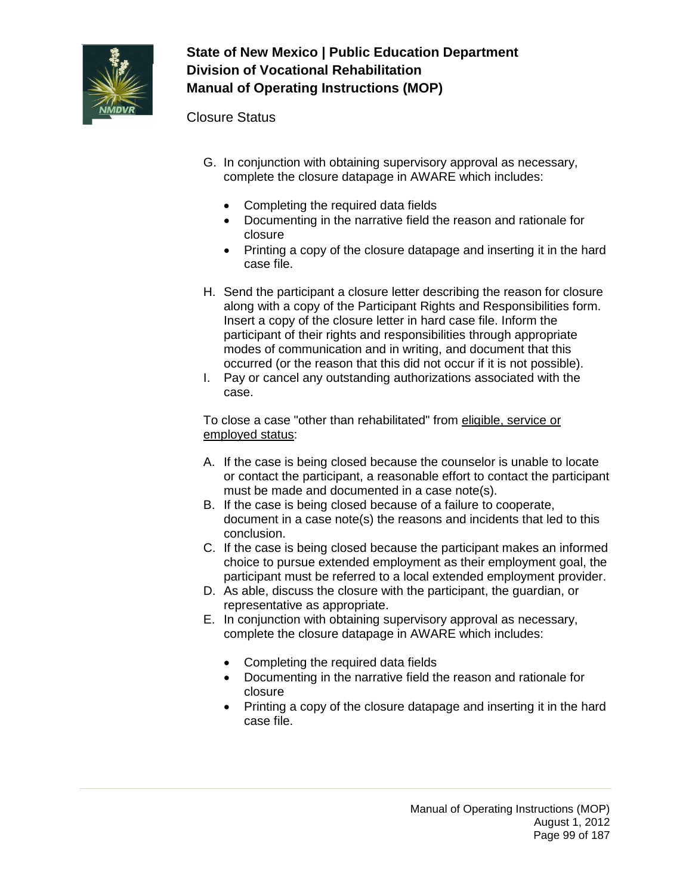

Closure Status

- G. In conjunction with obtaining supervisory approval as necessary, complete the closure datapage in AWARE which includes:
	- Completing the required data fields
	- Documenting in the narrative field the reason and rationale for closure
	- Printing a copy of the closure datapage and inserting it in the hard case file.
- H. Send the participant a closure letter describing the reason for closure along with a copy of the Participant Rights and Responsibilities form. Insert a copy of the closure letter in hard case file. Inform the participant of their rights and responsibilities through appropriate modes of communication and in writing, and document that this occurred (or the reason that this did not occur if it is not possible).
- I. Pay or cancel any outstanding authorizations associated with the case.

To close a case "other than rehabilitated" from eligible, service or employed status:

- A. If the case is being closed because the counselor is unable to locate or contact the participant, a reasonable effort to contact the participant must be made and documented in a case note(s).
- B. If the case is being closed because of a failure to cooperate, document in a case note(s) the reasons and incidents that led to this conclusion.
- C. If the case is being closed because the participant makes an informed choice to pursue extended employment as their employment goal, the participant must be referred to a local extended employment provider.
- D. As able, discuss the closure with the participant, the guardian, or representative as appropriate.
- E. In conjunction with obtaining supervisory approval as necessary, complete the closure datapage in AWARE which includes:
	- Completing the required data fields
	- Documenting in the narrative field the reason and rationale for closure
	- Printing a copy of the closure datapage and inserting it in the hard case file.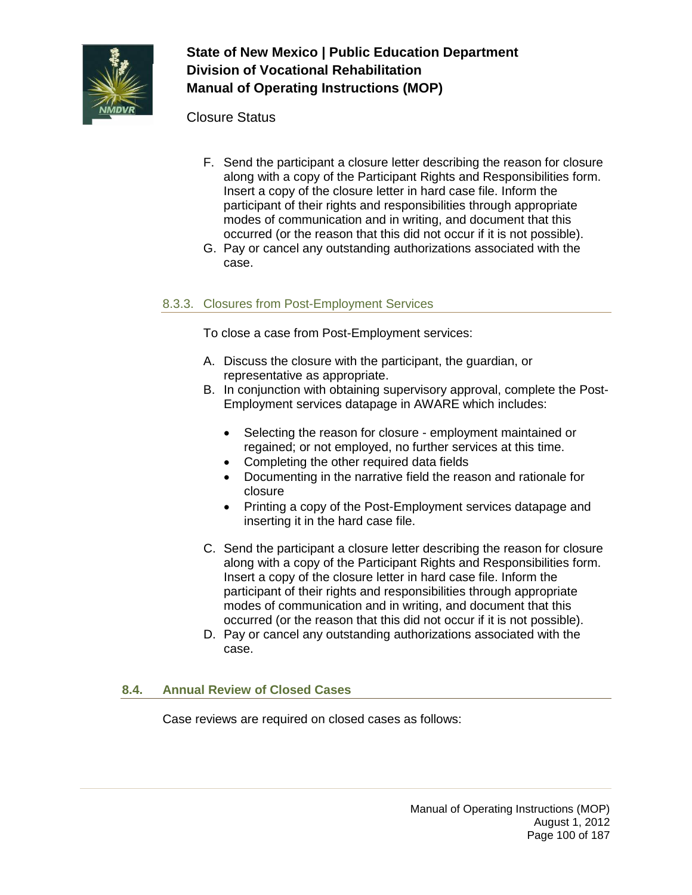

Closure Status

- F. Send the participant a closure letter describing the reason for closure along with a copy of the Participant Rights and Responsibilities form. Insert a copy of the closure letter in hard case file. Inform the participant of their rights and responsibilities through appropriate modes of communication and in writing, and document that this occurred (or the reason that this did not occur if it is not possible).
- G. Pay or cancel any outstanding authorizations associated with the case.

### 8.3.3. Closures from Post-Employment Services

To close a case from Post-Employment services:

- A. Discuss the closure with the participant, the guardian, or representative as appropriate.
- B. In conjunction with obtaining supervisory approval, complete the Post-Employment services datapage in AWARE which includes:
	- Selecting the reason for closure employment maintained or regained; or not employed, no further services at this time.
	- Completing the other required data fields
	- Documenting in the narrative field the reason and rationale for closure
	- Printing a copy of the Post-Employment services datapage and inserting it in the hard case file.
- C. Send the participant a closure letter describing the reason for closure along with a copy of the Participant Rights and Responsibilities form. Insert a copy of the closure letter in hard case file. Inform the participant of their rights and responsibilities through appropriate modes of communication and in writing, and document that this occurred (or the reason that this did not occur if it is not possible).
- D. Pay or cancel any outstanding authorizations associated with the case.

### **8.4. Annual Review of Closed Cases**

Case reviews are required on closed cases as follows: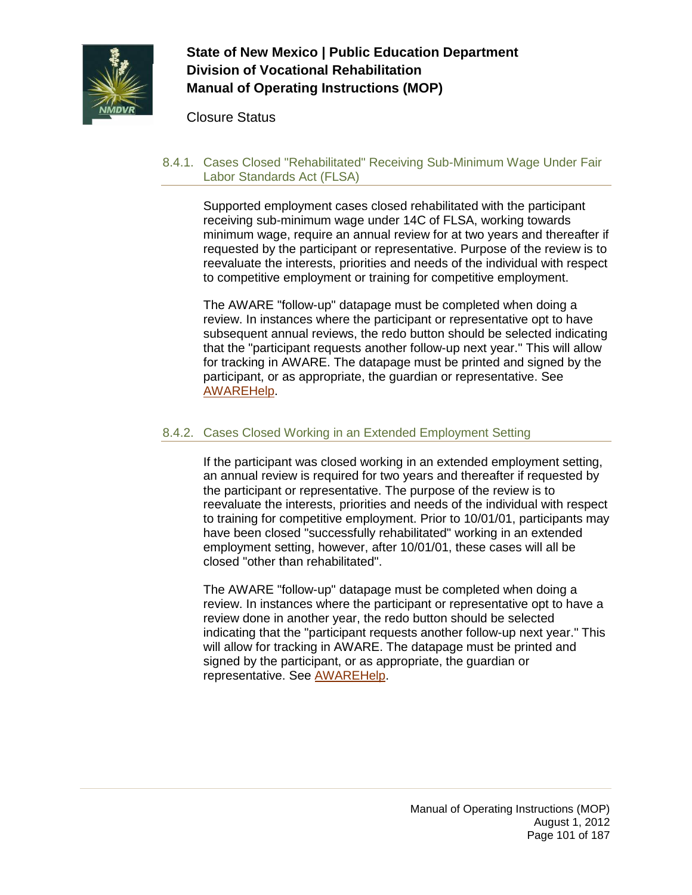

Closure Status

8.4.1. Cases Closed "Rehabilitated" Receiving Sub-Minimum Wage Under Fair Labor Standards Act (FLSA)

Supported employment cases closed rehabilitated with the participant receiving sub-minimum wage under 14C of FLSA, working towards minimum wage, require an annual review for at two years and thereafter if requested by the participant or representative. Purpose of the review is to reevaluate the interests, priorities and needs of the individual with respect to competitive employment or training for competitive employment.

The AWARE "follow-up" datapage must be completed when doing a review. In instances where the participant or representative opt to have subsequent annual reviews, the redo button should be selected indicating that the "participant requests another follow-up next year." This will allow for tracking in AWARE. The datapage must be printed and signed by the participant, or as appropriate, the guardian or representative. See [AWAREHelp.](http://aware/XTEND/OnlineDoc/02Participant%20Module/Follow-Up.htm)

### 8.4.2. Cases Closed Working in an Extended Employment Setting

If the participant was closed working in an extended employment setting, an annual review is required for two years and thereafter if requested by the participant or representative. The purpose of the review is to reevaluate the interests, priorities and needs of the individual with respect to training for competitive employment. Prior to 10/01/01, participants may have been closed "successfully rehabilitated" working in an extended employment setting, however, after 10/01/01, these cases will all be closed "other than rehabilitated".

The AWARE "follow-up" datapage must be completed when doing a review. In instances where the participant or representative opt to have a review done in another year, the redo button should be selected indicating that the "participant requests another follow-up next year." This will allow for tracking in AWARE. The datapage must be printed and signed by the participant, or as appropriate, the guardian or representative. See [AWAREHelp.](http://aware/XTEND/OnlineDoc/02Participant%20Module/Follow-Up.htm)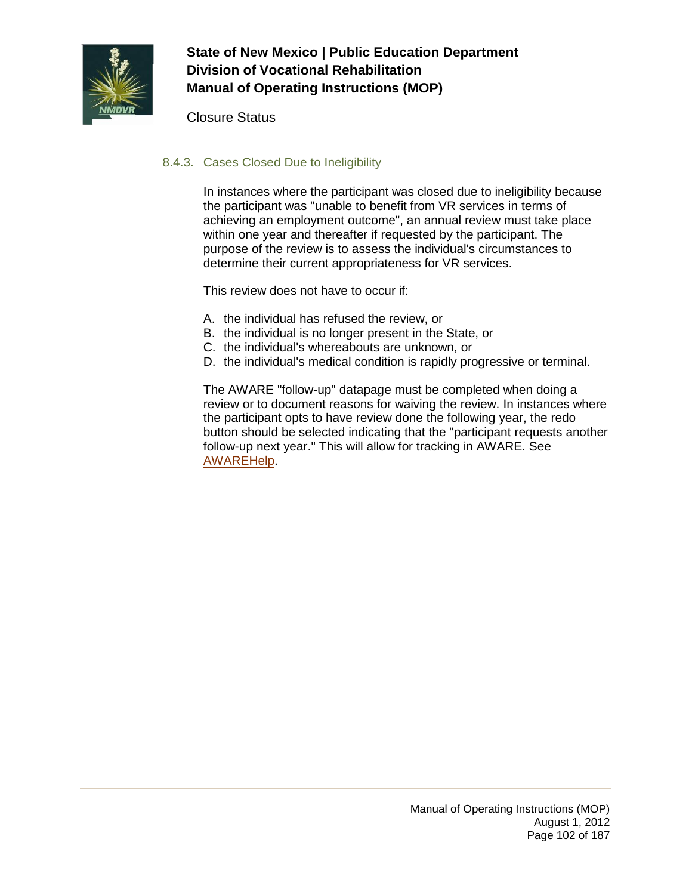

Closure Status

### 8.4.3. Cases Closed Due to Ineligibility

In instances where the participant was closed due to ineligibility because the participant was "unable to benefit from VR services in terms of achieving an employment outcome", an annual review must take place within one year and thereafter if requested by the participant. The purpose of the review is to assess the individual's circumstances to determine their current appropriateness for VR services.

This review does not have to occur if:

- A. the individual has refused the review, or
- B. the individual is no longer present in the State, or
- C. the individual's whereabouts are unknown, or
- D. the individual's medical condition is rapidly progressive or terminal.

The AWARE "follow-up" datapage must be completed when doing a review or to document reasons for waiving the review. In instances where the participant opts to have review done the following year, the redo button should be selected indicating that the "participant requests another follow-up next year." This will allow for tracking in AWARE. See [AWAREHelp.](http://aware/XTEND/OnlineDoc/02Participant%20Module/Follow-Up.htm)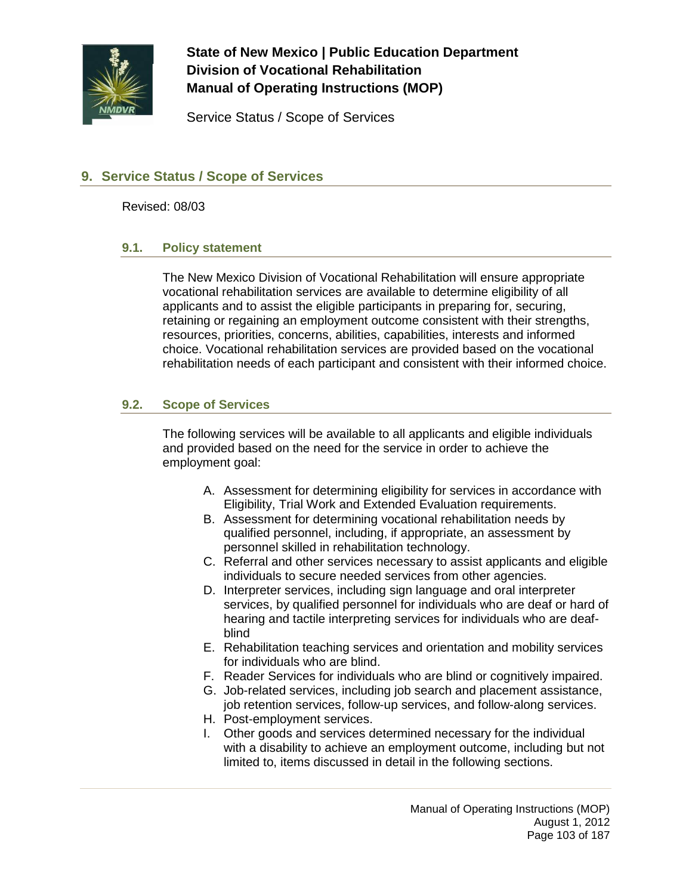

Service Status / Scope of Services

### **9. Service Status / Scope of Services**

Revised: 08/03

#### **9.1. Policy statement**

The New Mexico Division of Vocational Rehabilitation will ensure appropriate vocational rehabilitation services are available to determine eligibility of all applicants and to assist the eligible participants in preparing for, securing, retaining or regaining an employment outcome consistent with their strengths, resources, priorities, concerns, abilities, capabilities, interests and informed choice. Vocational rehabilitation services are provided based on the vocational rehabilitation needs of each participant and consistent with their informed choice.

### **9.2. Scope of Services**

The following services will be available to all applicants and eligible individuals and provided based on the need for the service in order to achieve the employment goal:

- A. Assessment for determining eligibility for services in accordance with Eligibility, Trial Work and Extended Evaluation requirements.
- B. Assessment for determining vocational rehabilitation needs by qualified personnel, including, if appropriate, an assessment by personnel skilled in rehabilitation technology.
- C. Referral and other services necessary to assist applicants and eligible individuals to secure needed services from other agencies.
- D. Interpreter services, including sign language and oral interpreter services, by qualified personnel for individuals who are deaf or hard of hearing and tactile interpreting services for individuals who are deafblind
- E. Rehabilitation teaching services and orientation and mobility services for individuals who are blind.
- F. Reader Services for individuals who are blind or cognitively impaired.
- G. Job-related services, including job search and placement assistance, job retention services, follow-up services, and follow-along services.
- H. Post-employment services.
- I. Other goods and services determined necessary for the individual with a disability to achieve an employment outcome, including but not limited to, items discussed in detail in the following sections.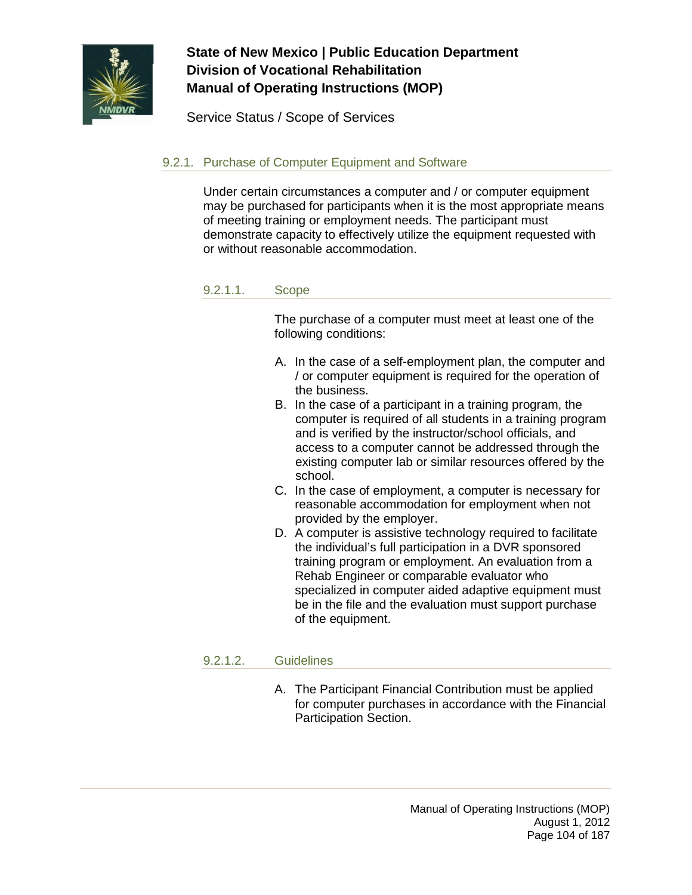

Service Status / Scope of Services

### 9.2.1. Purchase of Computer Equipment and Software

Under certain circumstances a computer and / or computer equipment may be purchased for participants when it is the most appropriate means of meeting training or employment needs. The participant must demonstrate capacity to effectively utilize the equipment requested with or without reasonable accommodation.

#### 9.2.1.1. Scope

The purchase of a computer must meet at least one of the following conditions:

- A. In the case of a self-employment plan, the computer and / or computer equipment is required for the operation of the business.
- B. In the case of a participant in a training program, the computer is required of all students in a training program and is verified by the instructor/school officials, and access to a computer cannot be addressed through the existing computer lab or similar resources offered by the school.
- C. In the case of employment, a computer is necessary for reasonable accommodation for employment when not provided by the employer.
- D. A computer is assistive technology required to facilitate the individual's full participation in a DVR sponsored training program or employment. An evaluation from a Rehab Engineer or comparable evaluator who specialized in computer aided adaptive equipment must be in the file and the evaluation must support purchase of the equipment.

#### 9.2.1.2. Guidelines

A. The Participant Financial Contribution must be applied for computer purchases in accordance with the Financial Participation Section.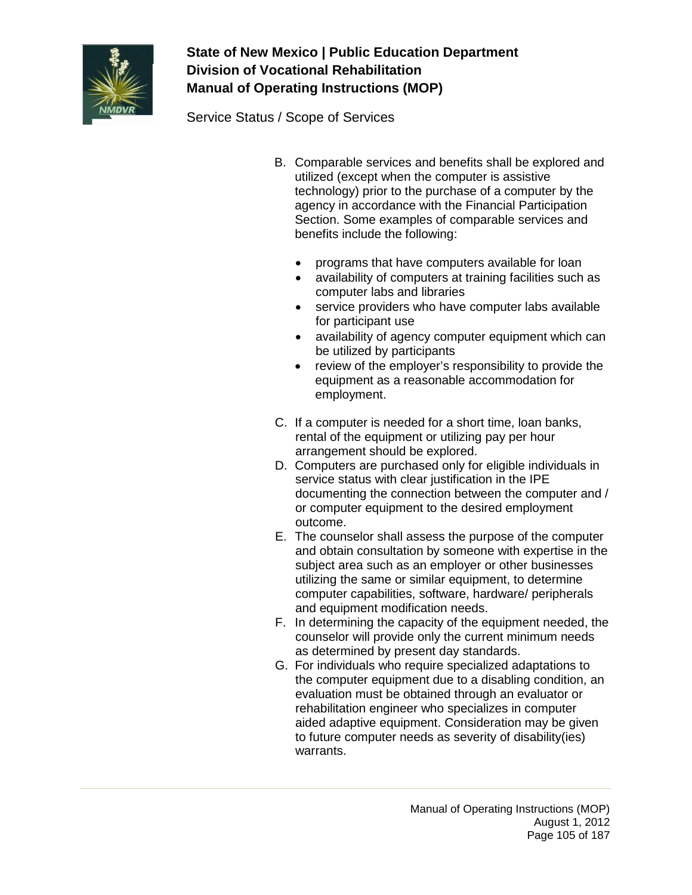

Service Status / Scope of Services

- B. Comparable services and benefits shall be explored and utilized (except when the computer is assistive technology) prior to the purchase of a computer by the agency in accordance with the Financial Participation Section. Some examples of comparable services and benefits include the following:
	- programs that have computers available for loan
	- availability of computers at training facilities such as computer labs and libraries
	- service providers who have computer labs available for participant use
	- availability of agency computer equipment which can be utilized by participants
	- review of the employer's responsibility to provide the equipment as a reasonable accommodation for employment.
- C. If a computer is needed for a short time, loan banks, rental of the equipment or utilizing pay per hour arrangement should be explored.
- D. Computers are purchased only for eligible individuals in service status with clear justification in the IPE documenting the connection between the computer and / or computer equipment to the desired employment outcome.
- E. The counselor shall assess the purpose of the computer and obtain consultation by someone with expertise in the subject area such as an employer or other businesses utilizing the same or similar equipment, to determine computer capabilities, software, hardware/ peripherals and equipment modification needs.
- F. In determining the capacity of the equipment needed, the counselor will provide only the current minimum needs as determined by present day standards.
- G. For individuals who require specialized adaptations to the computer equipment due to a disabling condition, an evaluation must be obtained through an evaluator or rehabilitation engineer who specializes in computer aided adaptive equipment. Consideration may be given to future computer needs as severity of disability(ies) warrants.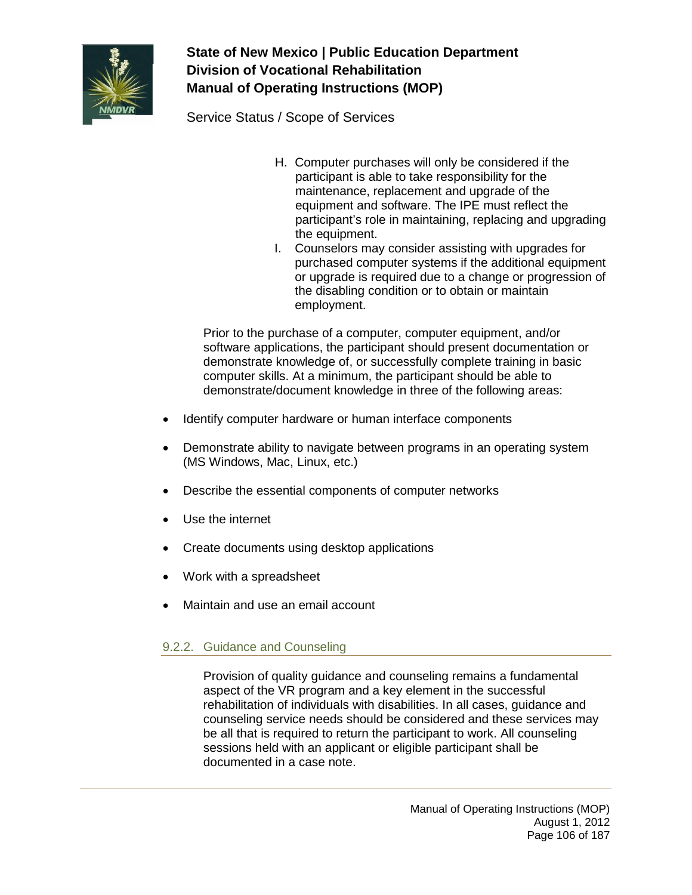

Service Status / Scope of Services

- H. Computer purchases will only be considered if the participant is able to take responsibility for the maintenance, replacement and upgrade of the equipment and software. The IPE must reflect the participant's role in maintaining, replacing and upgrading the equipment.
- I. Counselors may consider assisting with upgrades for purchased computer systems if the additional equipment or upgrade is required due to a change or progression of the disabling condition or to obtain or maintain employment.

Prior to the purchase of a computer, computer equipment, and/or software applications, the participant should present documentation or demonstrate knowledge of, or successfully complete training in basic computer skills. At a minimum, the participant should be able to demonstrate/document knowledge in three of the following areas:

- Identify computer hardware or human interface components
- Demonstrate ability to navigate between programs in an operating system (MS Windows, Mac, Linux, etc.)
- Describe the essential components of computer networks
- Use the internet
- Create documents using desktop applications
- Work with a spreadsheet
- Maintain and use an email account

### 9.2.2. Guidance and Counseling

Provision of quality guidance and counseling remains a fundamental aspect of the VR program and a key element in the successful rehabilitation of individuals with disabilities. In all cases, guidance and counseling service needs should be considered and these services may be all that is required to return the participant to work. All counseling sessions held with an applicant or eligible participant shall be documented in a case note.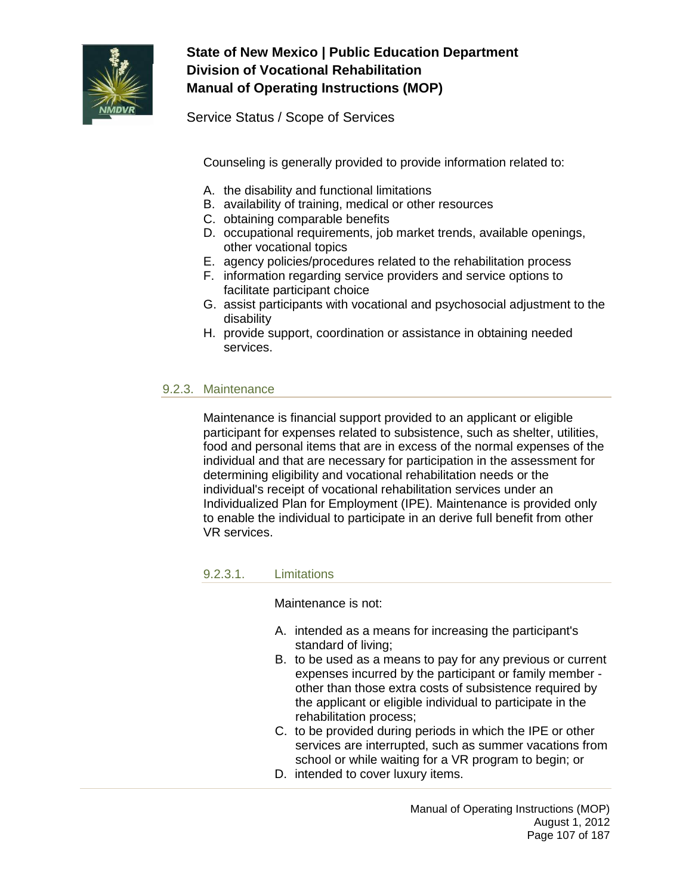

Service Status / Scope of Services

Counseling is generally provided to provide information related to:

- A. the disability and functional limitations
- B. availability of training, medical or other resources
- C. obtaining comparable benefits
- D. occupational requirements, job market trends, available openings, other vocational topics
- E. agency policies/procedures related to the rehabilitation process
- F. information regarding service providers and service options to facilitate participant choice
- G. assist participants with vocational and psychosocial adjustment to the disability
- H. provide support, coordination or assistance in obtaining needed services.

### 9.2.3. Maintenance

Maintenance is financial support provided to an applicant or eligible participant for expenses related to subsistence, such as shelter, utilities, food and personal items that are in excess of the normal expenses of the individual and that are necessary for participation in the assessment for determining eligibility and vocational rehabilitation needs or the individual's receipt of vocational rehabilitation services under an Individualized Plan for Employment (IPE). Maintenance is provided only to enable the individual to participate in an derive full benefit from other VR services.

9.2.3.1. Limitations

Maintenance is not:

- A. intended as a means for increasing the participant's standard of living;
- B. to be used as a means to pay for any previous or current expenses incurred by the participant or family member other than those extra costs of subsistence required by the applicant or eligible individual to participate in the rehabilitation process;
- C. to be provided during periods in which the IPE or other services are interrupted, such as summer vacations from school or while waiting for a VR program to begin; or
- D. intended to cover luxury items.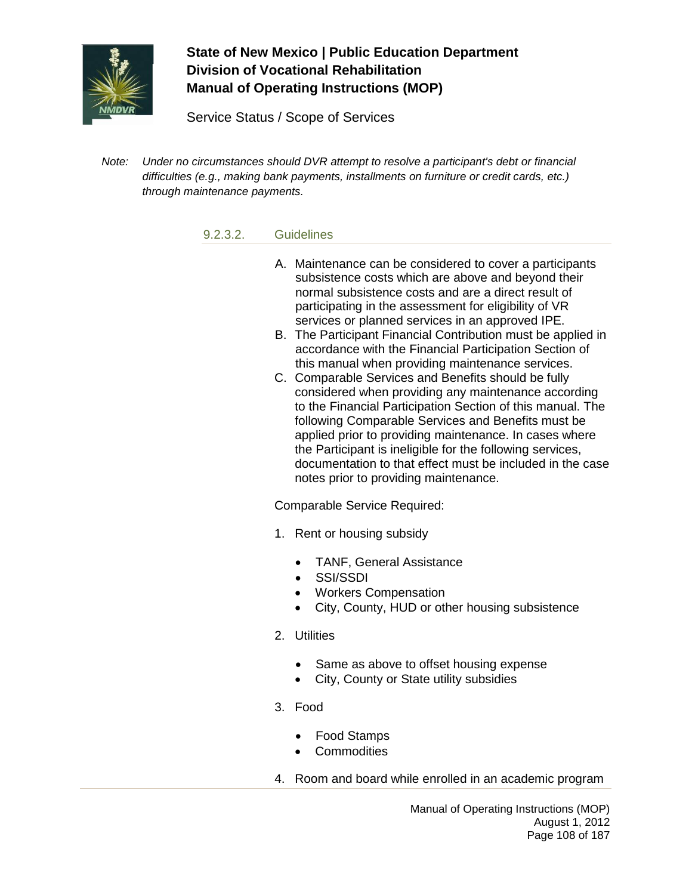

Service Status / Scope of Services

*Note: Under no circumstances should DVR attempt to resolve a participant's debt or financial difficulties (e.g., making bank payments, installments on furniture or credit cards, etc.) through maintenance payments.*

#### 9.2.3.2. Guidelines

- A. Maintenance can be considered to cover a participants subsistence costs which are above and beyond their normal subsistence costs and are a direct result of participating in the assessment for eligibility of VR services or planned services in an approved IPE.
- B. The Participant Financial Contribution must be applied in accordance with the Financial Participation Section of this manual when providing maintenance services.
- C. Comparable Services and Benefits should be fully considered when providing any maintenance according to the Financial Participation Section of this manual. The following Comparable Services and Benefits must be applied prior to providing maintenance. In cases where the Participant is ineligible for the following services, documentation to that effect must be included in the case notes prior to providing maintenance.

Comparable Service Required:

- 1. Rent or housing subsidy
	- TANF, General Assistance
	- SSI/SSDI
	- Workers Compensation
	- City, County, HUD or other housing subsistence
- 2. Utilities
	- Same as above to offset housing expense
	- City, County or State utility subsidies
- 3. Food
	- Food Stamps
	- Commodities
- 4. Room and board while enrolled in an academic program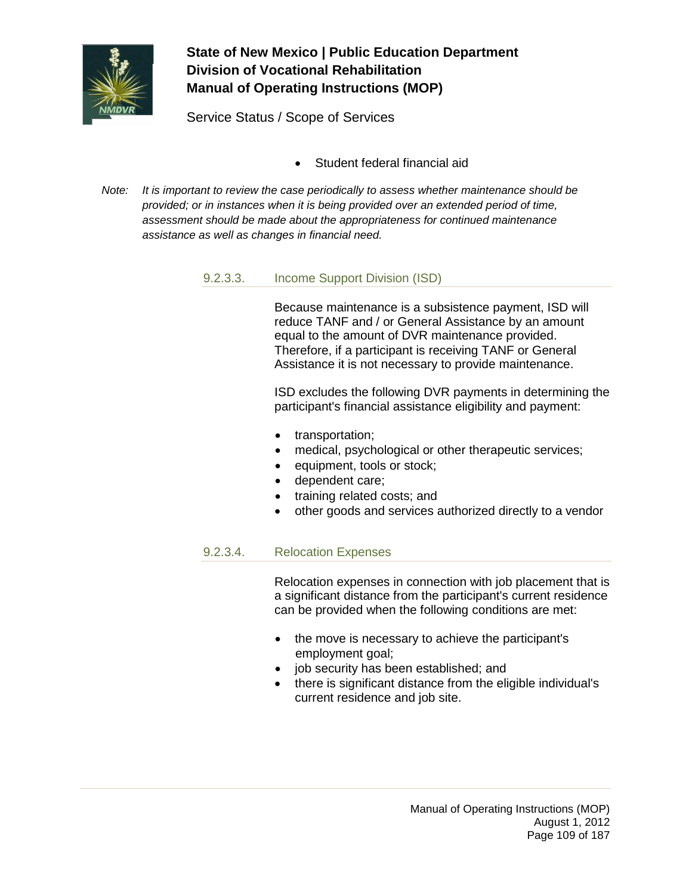

Service Status / Scope of Services

- Student federal financial aid
- *Note: It is important to review the case periodically to assess whether maintenance should be provided; or in instances when it is being provided over an extended period of time, assessment should be made about the appropriateness for continued maintenance assistance as well as changes in financial need.*

#### 9.2.3.3. Income Support Division (ISD)

Because maintenance is a subsistence payment, ISD will reduce TANF and / or General Assistance by an amount equal to the amount of DVR maintenance provided. Therefore, if a participant is receiving TANF or General Assistance it is not necessary to provide maintenance.

ISD excludes the following DVR payments in determining the participant's financial assistance eligibility and payment:

- transportation;
- medical, psychological or other therapeutic services;
- equipment, tools or stock;
- dependent care;
- training related costs; and
- other goods and services authorized directly to a vendor

### 9.2.3.4. Relocation Expenses

Relocation expenses in connection with job placement that is a significant distance from the participant's current residence can be provided when the following conditions are met:

- the move is necessary to achieve the participant's employment goal;
- job security has been established; and
- there is significant distance from the eligible individual's current residence and job site.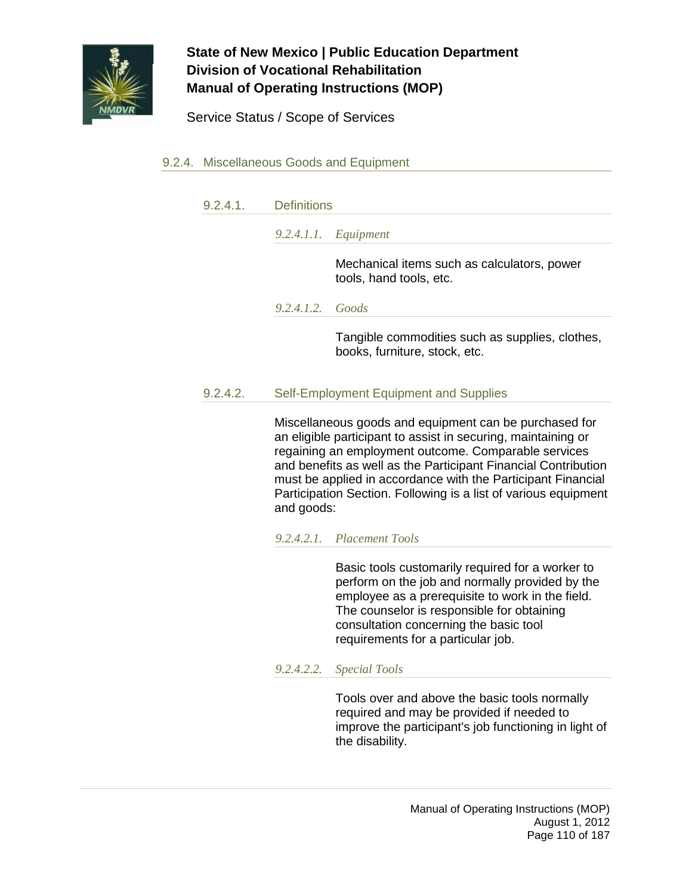

Service Status / Scope of Services

### 9.2.4. Miscellaneous Goods and Equipment

9.2.4.1. Definitions

*9.2.4.1.1. Equipment*

Mechanical items such as calculators, power tools, hand tools, etc.

*9.2.4.1.2. Goods*

Tangible commodities such as supplies, clothes, books, furniture, stock, etc.

#### 9.2.4.2. Self-Employment Equipment and Supplies

Miscellaneous goods and equipment can be purchased for an eligible participant to assist in securing, maintaining or regaining an employment outcome. Comparable services and benefits as well as the Participant Financial Contribution must be applied in accordance with the Participant Financial Participation Section. Following is a list of various equipment and goods:

#### *9.2.4.2.1. Placement Tools*

Basic tools customarily required for a worker to perform on the job and normally provided by the employee as a prerequisite to work in the field. The counselor is responsible for obtaining consultation concerning the basic tool requirements for a particular job.

#### *9.2.4.2.2. Special Tools*

Tools over and above the basic tools normally required and may be provided if needed to improve the participant's job functioning in light of the disability.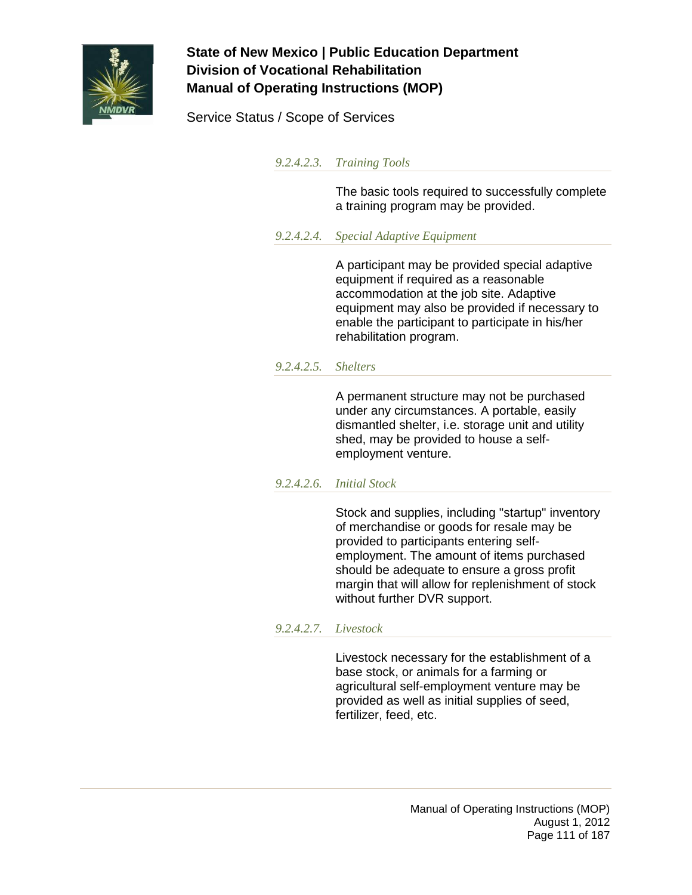

Service Status / Scope of Services

*9.2.4.2.3. Training Tools*

The basic tools required to successfully complete a training program may be provided.

*9.2.4.2.4. Special Adaptive Equipment*

A participant may be provided special adaptive equipment if required as a reasonable accommodation at the job site. Adaptive equipment may also be provided if necessary to enable the participant to participate in his/her rehabilitation program.

#### *9.2.4.2.5. Shelters*

A permanent structure may not be purchased under any circumstances. A portable, easily dismantled shelter, i.e. storage unit and utility shed, may be provided to house a selfemployment venture.

#### *9.2.4.2.6. Initial Stock*

Stock and supplies, including "startup" inventory of merchandise or goods for resale may be provided to participants entering selfemployment. The amount of items purchased should be adequate to ensure a gross profit margin that will allow for replenishment of stock without further DVR support.

#### *9.2.4.2.7. Livestock*

Livestock necessary for the establishment of a base stock, or animals for a farming or agricultural self-employment venture may be provided as well as initial supplies of seed, fertilizer, feed, etc.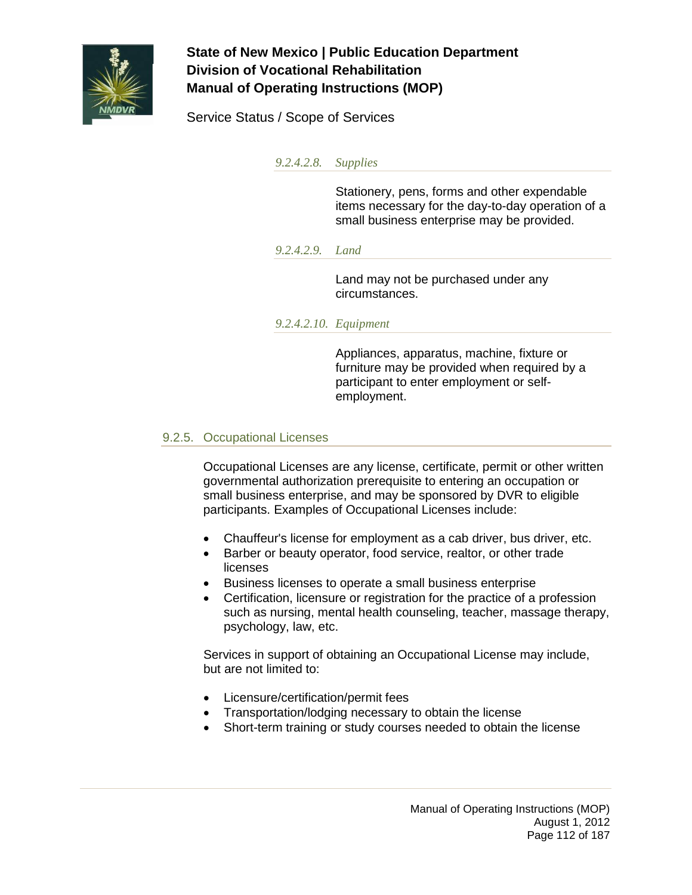

Service Status / Scope of Services

*9.2.4.2.8. Supplies*

Stationery, pens, forms and other expendable items necessary for the day-to-day operation of a small business enterprise may be provided.

#### *9.2.4.2.9. Land*

Land may not be purchased under any circumstances.

### *9.2.4.2.10. Equipment*

Appliances, apparatus, machine, fixture or furniture may be provided when required by a participant to enter employment or selfemployment.

### 9.2.5. Occupational Licenses

Occupational Licenses are any license, certificate, permit or other written governmental authorization prerequisite to entering an occupation or small business enterprise, and may be sponsored by DVR to eligible participants. Examples of Occupational Licenses include:

- Chauffeur's license for employment as a cab driver, bus driver, etc.
- Barber or beauty operator, food service, realtor, or other trade licenses
- Business licenses to operate a small business enterprise
- Certification, licensure or registration for the practice of a profession such as nursing, mental health counseling, teacher, massage therapy, psychology, law, etc.

Services in support of obtaining an Occupational License may include, but are not limited to:

- Licensure/certification/permit fees
- Transportation/lodging necessary to obtain the license
- Short-term training or study courses needed to obtain the license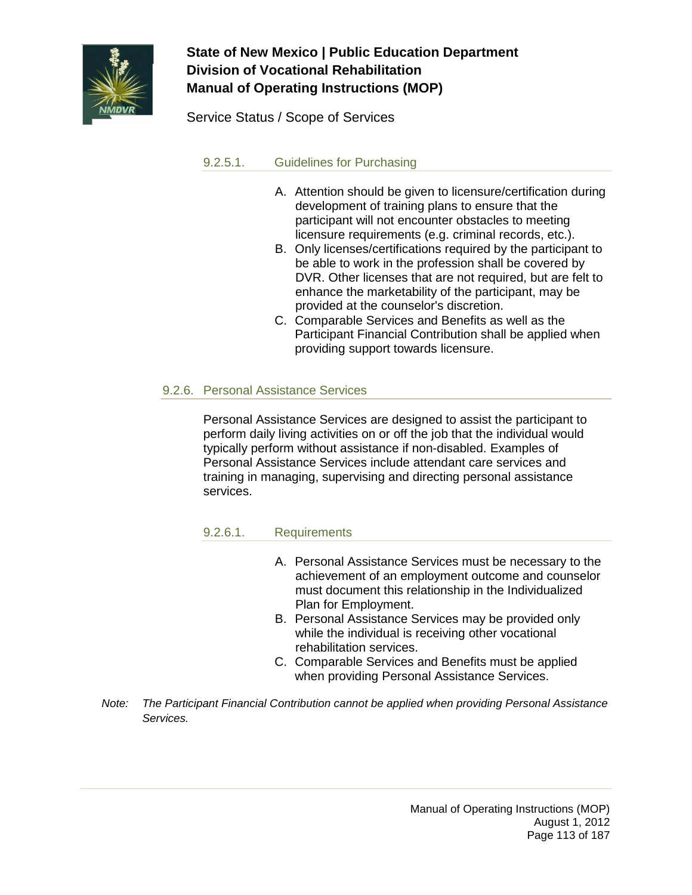

Service Status / Scope of Services

### 9.2.5.1. Guidelines for Purchasing

- A. Attention should be given to licensure/certification during development of training plans to ensure that the participant will not encounter obstacles to meeting licensure requirements (e.g. criminal records, etc.).
- B. Only licenses/certifications required by the participant to be able to work in the profession shall be covered by DVR. Other licenses that are not required, but are felt to enhance the marketability of the participant, may be provided at the counselor's discretion.
- C. Comparable Services and Benefits as well as the Participant Financial Contribution shall be applied when providing support towards licensure.

### 9.2.6. Personal Assistance Services

Personal Assistance Services are designed to assist the participant to perform daily living activities on or off the job that the individual would typically perform without assistance if non-disabled. Examples of Personal Assistance Services include attendant care services and training in managing, supervising and directing personal assistance services.

### 9.2.6.1. Requirements

- A. Personal Assistance Services must be necessary to the achievement of an employment outcome and counselor must document this relationship in the Individualized Plan for Employment.
- B. Personal Assistance Services may be provided only while the individual is receiving other vocational rehabilitation services.
- C. Comparable Services and Benefits must be applied when providing Personal Assistance Services.
- *Note: The Participant Financial Contribution cannot be applied when providing Personal Assistance Services.*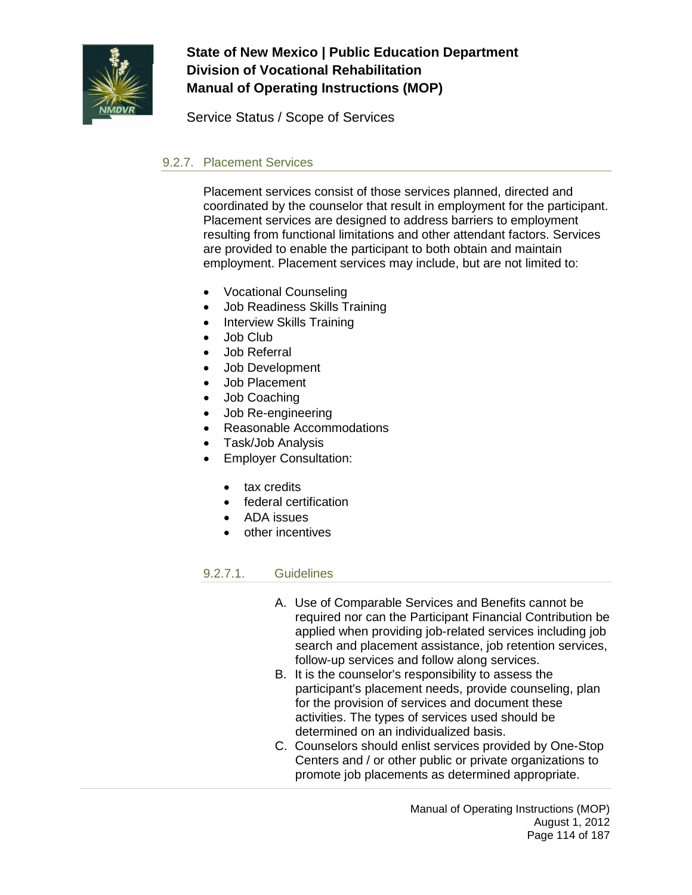

Service Status / Scope of Services

### 9.2.7. Placement Services

Placement services consist of those services planned, directed and coordinated by the counselor that result in employment for the participant. Placement services are designed to address barriers to employment resulting from functional limitations and other attendant factors. Services are provided to enable the participant to both obtain and maintain employment. Placement services may include, but are not limited to:

- Vocational Counseling
- Job Readiness Skills Training
- Interview Skills Training
- Job Club
- Job Referral
- Job Development
- Job Placement
- Job Coaching
- Job Re-engineering
- Reasonable Accommodations
- Task/Job Analysis
- **Employer Consultation:** 
	- tax credits
	- federal certification
	- ADA issues
	- other incentives

#### 9.2.7.1. Guidelines

- A. Use of Comparable Services and Benefits cannot be required nor can the Participant Financial Contribution be applied when providing job-related services including job search and placement assistance, job retention services, follow-up services and follow along services.
- B. It is the counselor's responsibility to assess the participant's placement needs, provide counseling, plan for the provision of services and document these activities. The types of services used should be determined on an individualized basis.
- C. Counselors should enlist services provided by One-Stop Centers and / or other public or private organizations to promote job placements as determined appropriate.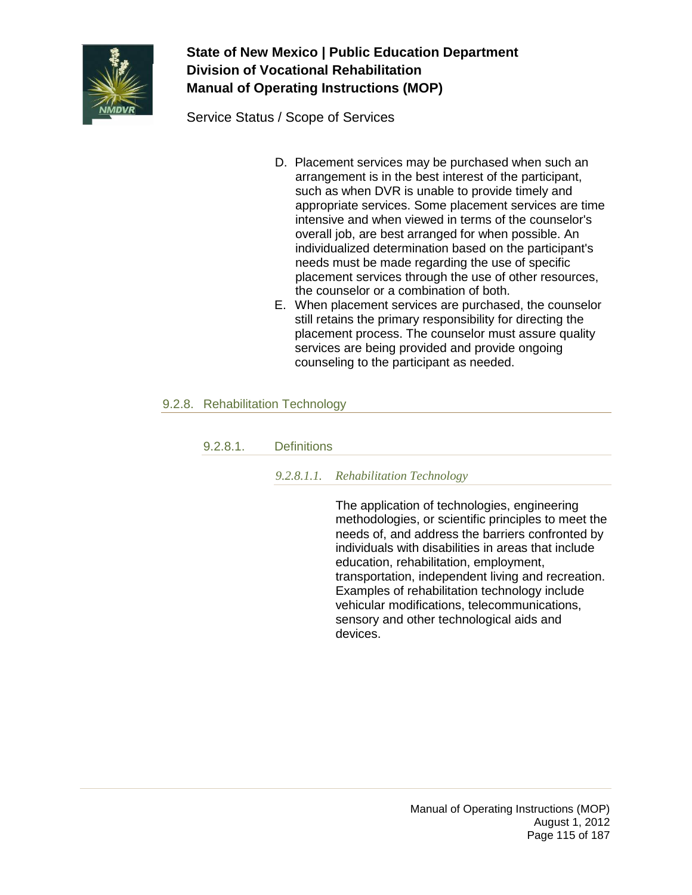

Service Status / Scope of Services

- D. Placement services may be purchased when such an arrangement is in the best interest of the participant, such as when DVR is unable to provide timely and appropriate services. Some placement services are time intensive and when viewed in terms of the counselor's overall job, are best arranged for when possible. An individualized determination based on the participant's needs must be made regarding the use of specific placement services through the use of other resources, the counselor or a combination of both.
- E. When placement services are purchased, the counselor still retains the primary responsibility for directing the placement process. The counselor must assure quality services are being provided and provide ongoing counseling to the participant as needed.

### 9.2.8. Rehabilitation Technology

### 9.2.8.1. Definitions

### *9.2.8.1.1. Rehabilitation Technology*

The application of technologies, engineering methodologies, or scientific principles to meet the needs of, and address the barriers confronted by individuals with disabilities in areas that include education, rehabilitation, employment, transportation, independent living and recreation. Examples of rehabilitation technology include vehicular modifications, telecommunications, sensory and other technological aids and devices.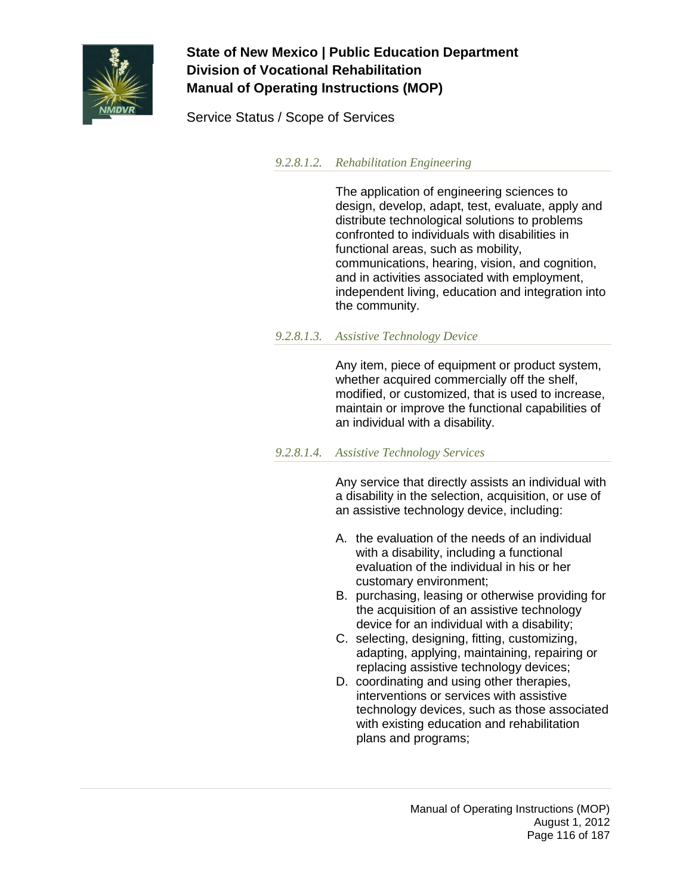

Service Status / Scope of Services

*9.2.8.1.2. Rehabilitation Engineering*

The application of engineering sciences to design, develop, adapt, test, evaluate, apply and distribute technological solutions to problems confronted to individuals with disabilities in functional areas, such as mobility, communications, hearing, vision, and cognition, and in activities associated with employment, independent living, education and integration into the community.

#### *9.2.8.1.3. Assistive Technology Device*

Any item, piece of equipment or product system, whether acquired commercially off the shelf, modified, or customized, that is used to increase, maintain or improve the functional capabilities of an individual with a disability.

#### *9.2.8.1.4. Assistive Technology Services*

Any service that directly assists an individual with a disability in the selection, acquisition, or use of an assistive technology device, including:

- A. the evaluation of the needs of an individual with a disability, including a functional evaluation of the individual in his or her customary environment;
- B. purchasing, leasing or otherwise providing for the acquisition of an assistive technology device for an individual with a disability;
- C. selecting, designing, fitting, customizing, adapting, applying, maintaining, repairing or replacing assistive technology devices;
- D. coordinating and using other therapies, interventions or services with assistive technology devices, such as those associated with existing education and rehabilitation plans and programs;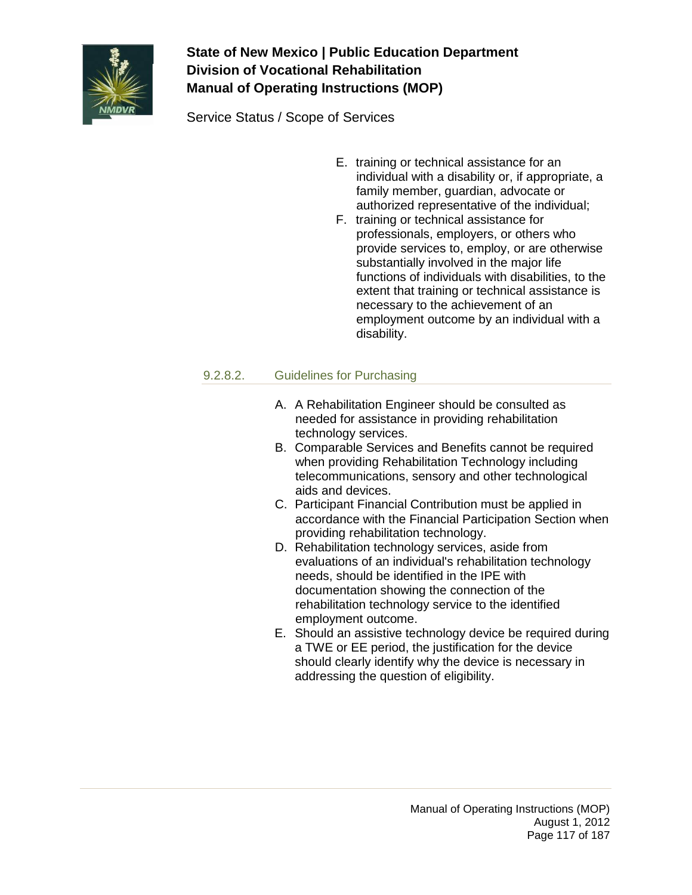

Service Status / Scope of Services

- E. training or technical assistance for an individual with a disability or, if appropriate, a family member, guardian, advocate or authorized representative of the individual;
- F. training or technical assistance for professionals, employers, or others who provide services to, employ, or are otherwise substantially involved in the major life functions of individuals with disabilities, to the extent that training or technical assistance is necessary to the achievement of an employment outcome by an individual with a disability.

### 9.2.8.2. Guidelines for Purchasing

- A. A Rehabilitation Engineer should be consulted as needed for assistance in providing rehabilitation technology services.
- B. Comparable Services and Benefits cannot be required when providing Rehabilitation Technology including telecommunications, sensory and other technological aids and devices.
- C. Participant Financial Contribution must be applied in accordance with the Financial Participation Section when providing rehabilitation technology.
- D. Rehabilitation technology services, aside from evaluations of an individual's rehabilitation technology needs, should be identified in the IPE with documentation showing the connection of the rehabilitation technology service to the identified employment outcome.
- E. Should an assistive technology device be required during a TWE or EE period, the justification for the device should clearly identify why the device is necessary in addressing the question of eligibility.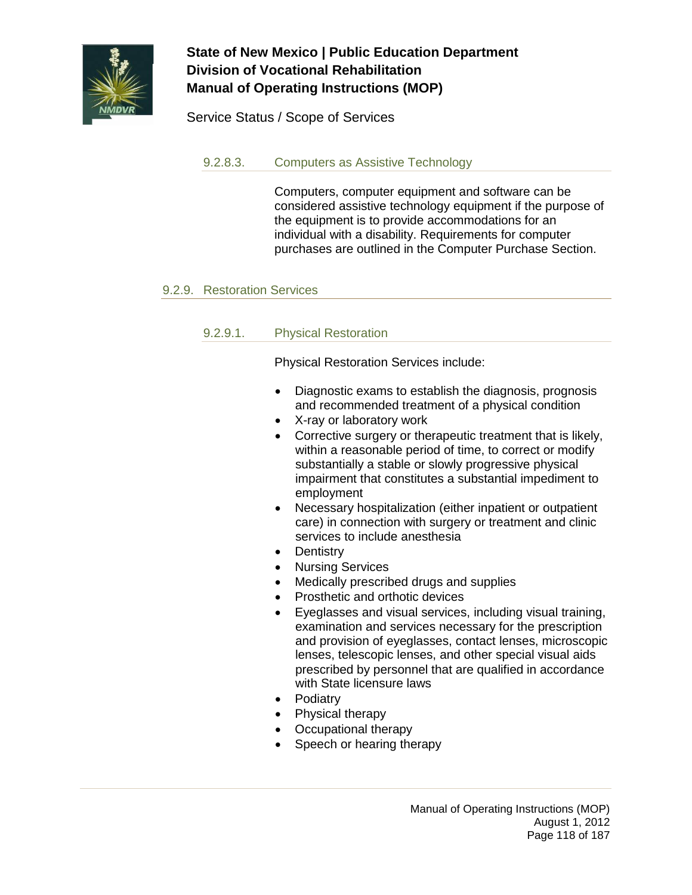

Service Status / Scope of Services

### 9.2.8.3. Computers as Assistive Technology

Computers, computer equipment and software can be considered assistive technology equipment if the purpose of the equipment is to provide accommodations for an individual with a disability. Requirements for computer purchases are outlined in the Computer Purchase Section.

#### 9.2.9. Restoration Services

### 9.2.9.1. Physical Restoration

Physical Restoration Services include:

- Diagnostic exams to establish the diagnosis, prognosis and recommended treatment of a physical condition
- X-ray or laboratory work
- Corrective surgery or therapeutic treatment that is likely, within a reasonable period of time, to correct or modify substantially a stable or slowly progressive physical impairment that constitutes a substantial impediment to employment
- Necessary hospitalization (either inpatient or outpatient care) in connection with surgery or treatment and clinic services to include anesthesia
- **Dentistry**
- Nursing Services
- Medically prescribed drugs and supplies
- Prosthetic and orthotic devices
- Eyeglasses and visual services, including visual training, examination and services necessary for the prescription and provision of eyeglasses, contact lenses, microscopic lenses, telescopic lenses, and other special visual aids prescribed by personnel that are qualified in accordance with State licensure laws
- Podiatry
- Physical therapy
- Occupational therapy
- Speech or hearing therapy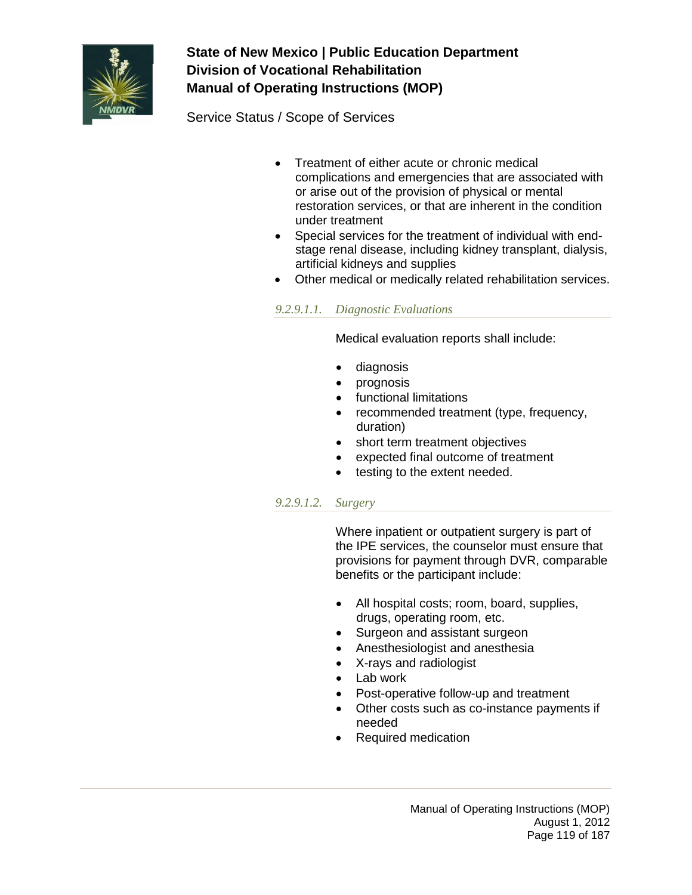

Service Status / Scope of Services

- Treatment of either acute or chronic medical complications and emergencies that are associated with or arise out of the provision of physical or mental restoration services, or that are inherent in the condition under treatment
- Special services for the treatment of individual with endstage renal disease, including kidney transplant, dialysis, artificial kidneys and supplies
- Other medical or medically related rehabilitation services.

*9.2.9.1.1. Diagnostic Evaluations*

Medical evaluation reports shall include:

- diagnosis
- prognosis
- functional limitations
- recommended treatment (type, frequency, duration)
- short term treatment objectives
- expected final outcome of treatment
- testing to the extent needed.

#### *9.2.9.1.2. Surgery*

Where inpatient or outpatient surgery is part of the IPE services, the counselor must ensure that provisions for payment through DVR, comparable benefits or the participant include:

- All hospital costs; room, board, supplies, drugs, operating room, etc.
- Surgeon and assistant surgeon
- Anesthesiologist and anesthesia
- X-rays and radiologist
- Lab work
- Post-operative follow-up and treatment
- Other costs such as co-instance payments if needed
- Required medication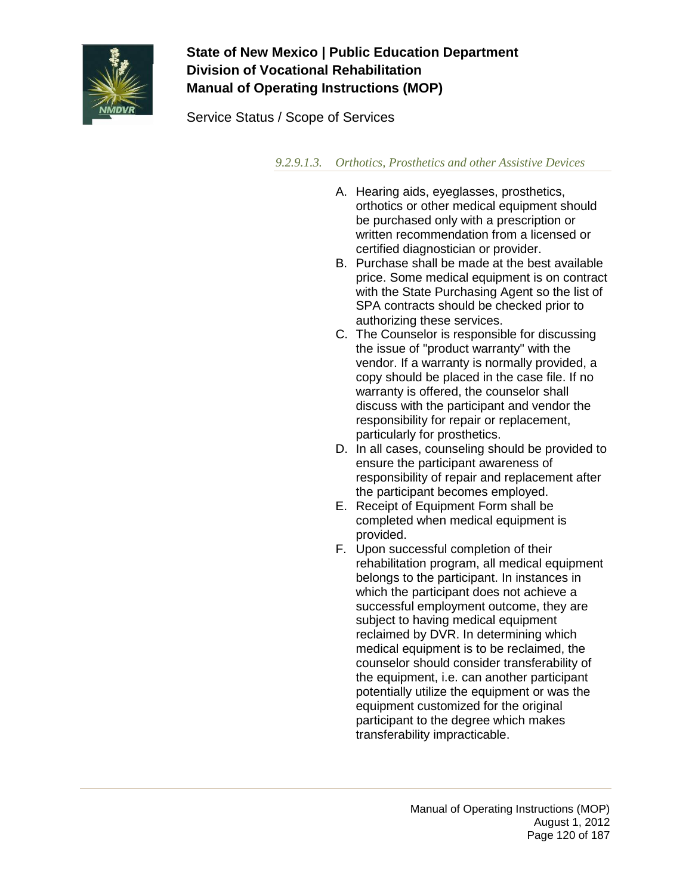

Service Status / Scope of Services

*9.2.9.1.3. Orthotics, Prosthetics and other Assistive Devices*

- A. Hearing aids, eyeglasses, prosthetics, orthotics or other medical equipment should be purchased only with a prescription or written recommendation from a licensed or certified diagnostician or provider.
- B. Purchase shall be made at the best available price. Some medical equipment is on contract with the State Purchasing Agent so the list of SPA contracts should be checked prior to authorizing these services.
- C. The Counselor is responsible for discussing the issue of "product warranty" with the vendor. If a warranty is normally provided, a copy should be placed in the case file. If no warranty is offered, the counselor shall discuss with the participant and vendor the responsibility for repair or replacement, particularly for prosthetics.
- D. In all cases, counseling should be provided to ensure the participant awareness of responsibility of repair and replacement after the participant becomes employed.
- E. Receipt of Equipment Form shall be completed when medical equipment is provided.
- F. Upon successful completion of their rehabilitation program, all medical equipment belongs to the participant. In instances in which the participant does not achieve a successful employment outcome, they are subject to having medical equipment reclaimed by DVR. In determining which medical equipment is to be reclaimed, the counselor should consider transferability of the equipment, i.e. can another participant potentially utilize the equipment or was the equipment customized for the original participant to the degree which makes transferability impracticable.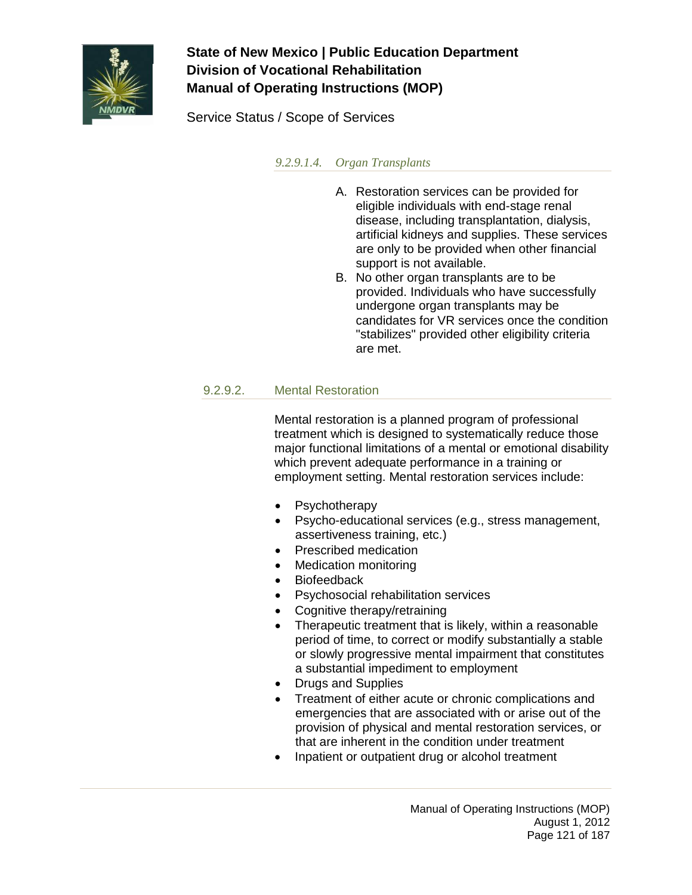

Service Status / Scope of Services

*9.2.9.1.4. Organ Transplants*

- A. Restoration services can be provided for eligible individuals with end-stage renal disease, including transplantation, dialysis, artificial kidneys and supplies. These services are only to be provided when other financial support is not available.
- B. No other organ transplants are to be provided. Individuals who have successfully undergone organ transplants may be candidates for VR services once the condition "stabilizes" provided other eligibility criteria are met.

### 9.2.9.2. Mental Restoration

Mental restoration is a planned program of professional treatment which is designed to systematically reduce those major functional limitations of a mental or emotional disability which prevent adequate performance in a training or employment setting. Mental restoration services include:

- **Psychotherapy**
- Psycho-educational services (e.g., stress management, assertiveness training, etc.)
- Prescribed medication
- Medication monitoring
- Biofeedback
- Psychosocial rehabilitation services
- Cognitive therapy/retraining
- Therapeutic treatment that is likely, within a reasonable period of time, to correct or modify substantially a stable or slowly progressive mental impairment that constitutes a substantial impediment to employment
- Drugs and Supplies
- Treatment of either acute or chronic complications and emergencies that are associated with or arise out of the provision of physical and mental restoration services, or that are inherent in the condition under treatment
- Inpatient or outpatient drug or alcohol treatment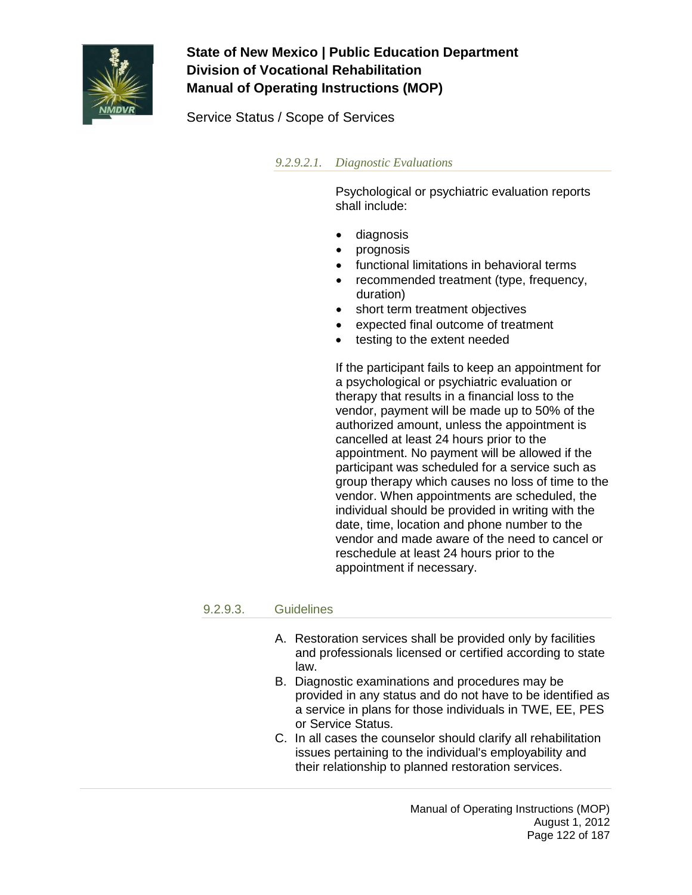

Service Status / Scope of Services

### *9.2.9.2.1. Diagnostic Evaluations*

Psychological or psychiatric evaluation reports shall include:

- diagnosis
- prognosis
- functional limitations in behavioral terms
- recommended treatment (type, frequency, duration)
- short term treatment objectives
- expected final outcome of treatment
- testing to the extent needed

If the participant fails to keep an appointment for a psychological or psychiatric evaluation or therapy that results in a financial loss to the vendor, payment will be made up to 50% of the authorized amount, unless the appointment is cancelled at least 24 hours prior to the appointment. No payment will be allowed if the participant was scheduled for a service such as group therapy which causes no loss of time to the vendor. When appointments are scheduled, the individual should be provided in writing with the date, time, location and phone number to the vendor and made aware of the need to cancel or reschedule at least 24 hours prior to the appointment if necessary.

#### 9.2.9.3. Guidelines

- A. Restoration services shall be provided only by facilities and professionals licensed or certified according to state law.
- B. Diagnostic examinations and procedures may be provided in any status and do not have to be identified as a service in plans for those individuals in TWE, EE, PES or Service Status.
- C. In all cases the counselor should clarify all rehabilitation issues pertaining to the individual's employability and their relationship to planned restoration services.

Manual of Operating Instructions (MOP) August 1, 2012 Page 122 of 187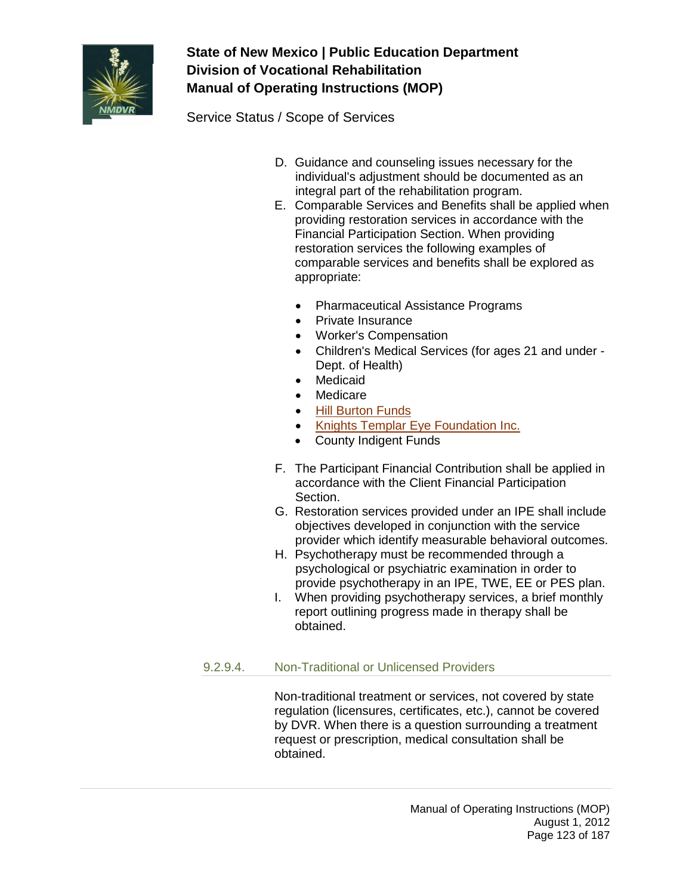

Service Status / Scope of Services

- D. Guidance and counseling issues necessary for the individual's adjustment should be documented as an integral part of the rehabilitation program.
- E. Comparable Services and Benefits shall be applied when providing restoration services in accordance with the Financial Participation Section. When providing restoration services the following examples of comparable services and benefits shall be explored as appropriate:
	- Pharmaceutical Assistance Programs
	- Private Insurance
	- Worker's Compensation
	- Children's Medical Services (for ages 21 and under Dept. of Health)
	- Medicaid
	- Medicare
	- [Hill Burton Funds](http://www.os.dhhs.gov/ocr/hburton.html)
	- [Knights Templar Eye Foundation Inc.](http://www.knightstemplar.org/ktef/)
	- County Indigent Funds
- F. The Participant Financial Contribution shall be applied in accordance with the Client Financial Participation Section.
- G. Restoration services provided under an IPE shall include objectives developed in conjunction with the service provider which identify measurable behavioral outcomes.
- H. Psychotherapy must be recommended through a psychological or psychiatric examination in order to provide psychotherapy in an IPE, TWE, EE or PES plan.
- I. When providing psychotherapy services, a brief monthly report outlining progress made in therapy shall be obtained.

### 9.2.9.4. Non-Traditional or Unlicensed Providers

Non-traditional treatment or services, not covered by state regulation (licensures, certificates, etc.), cannot be covered by DVR. When there is a question surrounding a treatment request or prescription, medical consultation shall be obtained.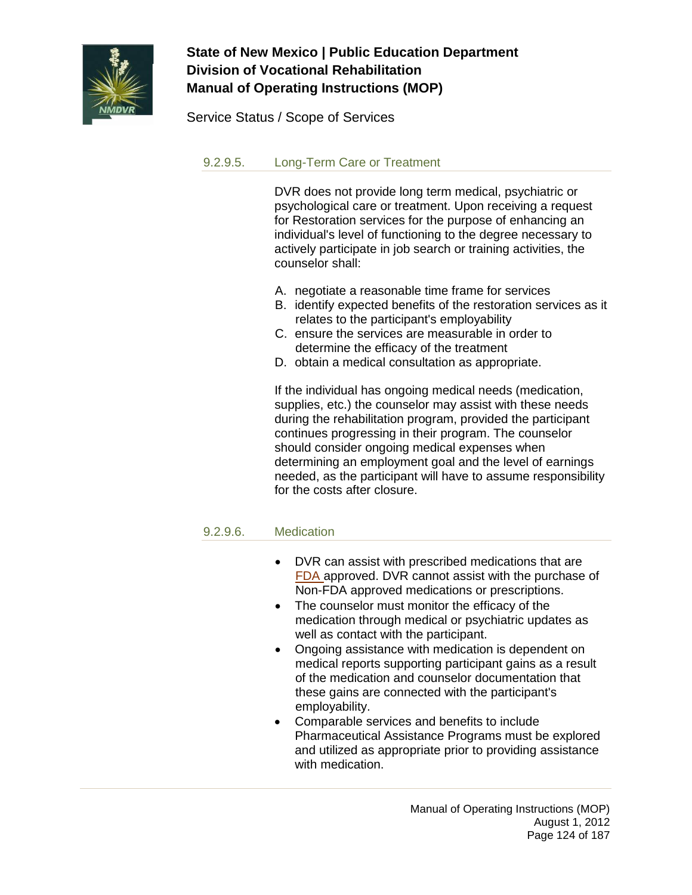

Service Status / Scope of Services

### 9.2.9.5. Long-Term Care or Treatment

DVR does not provide long term medical, psychiatric or psychological care or treatment. Upon receiving a request for Restoration services for the purpose of enhancing an individual's level of functioning to the degree necessary to actively participate in job search or training activities, the counselor shall:

- A. negotiate a reasonable time frame for services
- B. identify expected benefits of the restoration services as it relates to the participant's employability
- C. ensure the services are measurable in order to determine the efficacy of the treatment
- D. obtain a medical consultation as appropriate.

If the individual has ongoing medical needs (medication, supplies, etc.) the counselor may assist with these needs during the rehabilitation program, provided the participant continues progressing in their program. The counselor should consider ongoing medical expenses when determining an employment goal and the level of earnings needed, as the participant will have to assume responsibility for the costs after closure.

### 9.2.9.6. Medication

- DVR can assist with prescribed medications that are [FDA](http://www.fda.gov/cder/approval/index.htm) approved. DVR cannot assist with the purchase of Non-FDA approved medications or prescriptions.
- The counselor must monitor the efficacy of the medication through medical or psychiatric updates as well as contact with the participant.
- Ongoing assistance with medication is dependent on medical reports supporting participant gains as a result of the medication and counselor documentation that these gains are connected with the participant's employability.
- Comparable services and benefits to include Pharmaceutical Assistance Programs must be explored and utilized as appropriate prior to providing assistance with medication.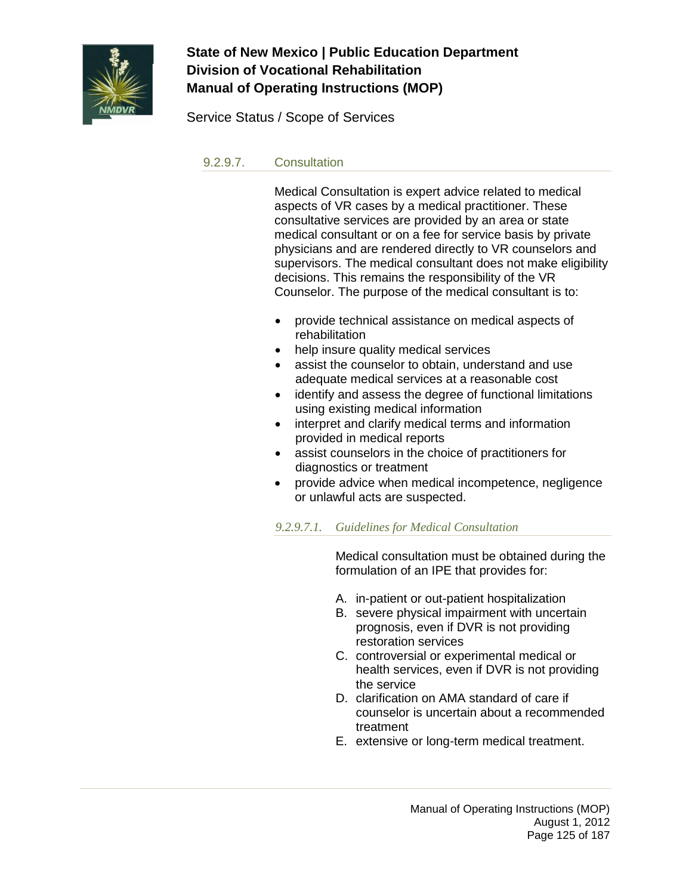

Service Status / Scope of Services

#### 9.2.9.7. Consultation

Medical Consultation is expert advice related to medical aspects of VR cases by a medical practitioner. These consultative services are provided by an area or state medical consultant or on a fee for service basis by private physicians and are rendered directly to VR counselors and supervisors. The medical consultant does not make eligibility decisions. This remains the responsibility of the VR Counselor. The purpose of the medical consultant is to:

- provide technical assistance on medical aspects of rehabilitation
- help insure quality medical services
- assist the counselor to obtain, understand and use adequate medical services at a reasonable cost
- identify and assess the degree of functional limitations using existing medical information
- interpret and clarify medical terms and information provided in medical reports
- assist counselors in the choice of practitioners for diagnostics or treatment
- provide advice when medical incompetence, negligence or unlawful acts are suspected.

#### *9.2.9.7.1. Guidelines for Medical Consultation*

Medical consultation must be obtained during the formulation of an IPE that provides for:

- A. in-patient or out-patient hospitalization
- B. severe physical impairment with uncertain prognosis, even if DVR is not providing restoration services
- C. controversial or experimental medical or health services, even if DVR is not providing the service
- D. clarification on AMA standard of care if counselor is uncertain about a recommended treatment
- E. extensive or long-term medical treatment.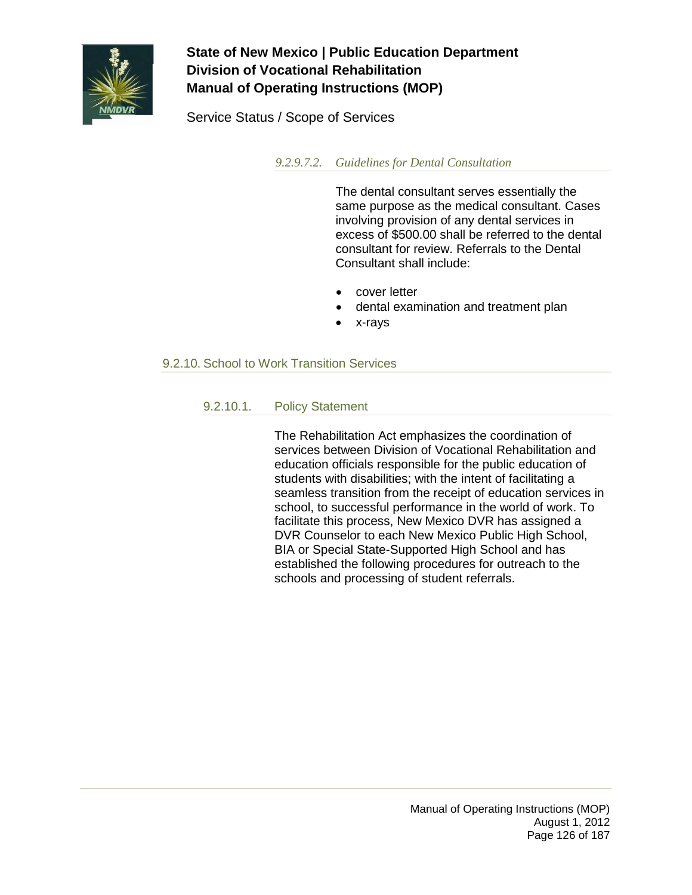

Service Status / Scope of Services

*9.2.9.7.2. Guidelines for Dental Consultation*

The dental consultant serves essentially the same purpose as the medical consultant. Cases involving provision of any dental services in excess of \$500.00 shall be referred to the dental consultant for review. Referrals to the Dental Consultant shall include:

- cover letter
- dental examination and treatment plan
- x-rays

### 9.2.10. School to Work Transition Services

#### 9.2.10.1. Policy Statement

The Rehabilitation Act emphasizes the coordination of services between Division of Vocational Rehabilitation and education officials responsible for the public education of students with disabilities; with the intent of facilitating a seamless transition from the receipt of education services in school, to successful performance in the world of work. To facilitate this process, New Mexico DVR has assigned a DVR Counselor to each New Mexico Public High School, BIA or Special State-Supported High School and has established the following procedures for outreach to the schools and processing of student referrals.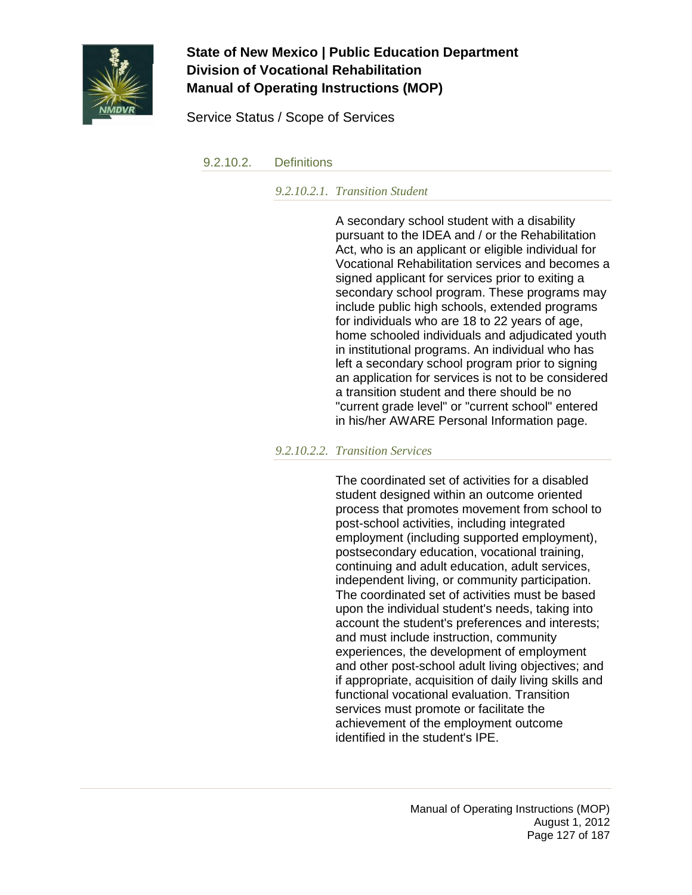

Service Status / Scope of Services

9.2.10.2. Definitions

*9.2.10.2.1. Transition Student*

A secondary school student with a disability pursuant to the IDEA and / or the Rehabilitation Act, who is an applicant or eligible individual for Vocational Rehabilitation services and becomes a signed applicant for services prior to exiting a secondary school program. These programs may include public high schools, extended programs for individuals who are 18 to 22 years of age, home schooled individuals and adjudicated youth in institutional programs. An individual who has left a secondary school program prior to signing an application for services is not to be considered a transition student and there should be no "current grade level" or "current school" entered in his/her AWARE Personal Information page.

*9.2.10.2.2. Transition Services*

The coordinated set of activities for a disabled student designed within an outcome oriented process that promotes movement from school to post-school activities, including integrated employment (including supported employment), postsecondary education, vocational training, continuing and adult education, adult services, independent living, or community participation. The coordinated set of activities must be based upon the individual student's needs, taking into account the student's preferences and interests; and must include instruction, community experiences, the development of employment and other post-school adult living objectives; and if appropriate, acquisition of daily living skills and functional vocational evaluation. Transition services must promote or facilitate the achievement of the employment outcome identified in the student's IPE.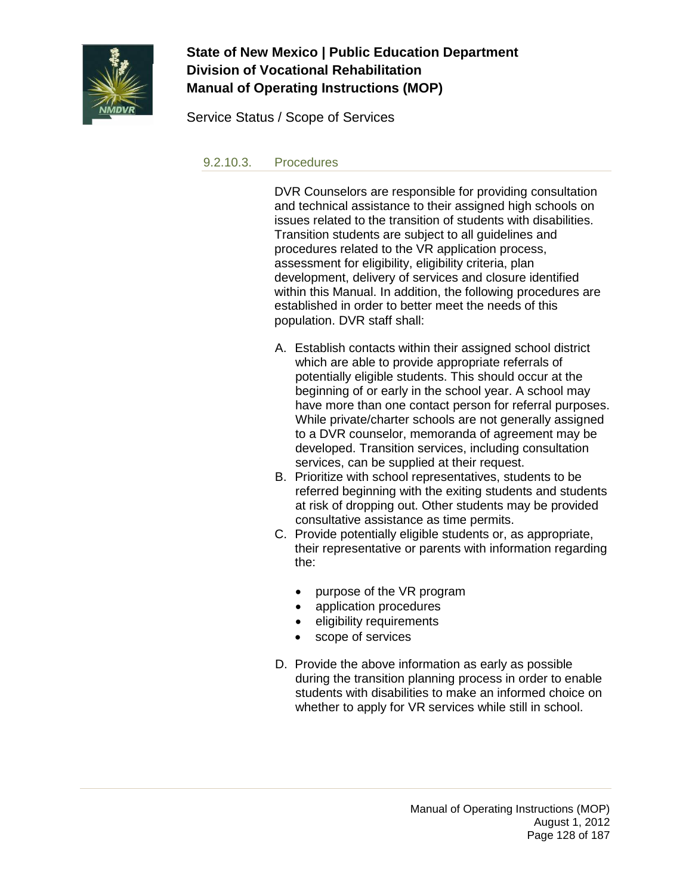

Service Status / Scope of Services

#### 9.2.10.3. Procedures

DVR Counselors are responsible for providing consultation and technical assistance to their assigned high schools on issues related to the transition of students with disabilities. Transition students are subject to all guidelines and procedures related to the VR application process, assessment for eligibility, eligibility criteria, plan development, delivery of services and closure identified within this Manual. In addition, the following procedures are established in order to better meet the needs of this population. DVR staff shall:

- A. Establish contacts within their assigned school district which are able to provide appropriate referrals of potentially eligible students. This should occur at the beginning of or early in the school year. A school may have more than one contact person for referral purposes. While private/charter schools are not generally assigned to a DVR counselor, memoranda of agreement may be developed. Transition services, including consultation services, can be supplied at their request.
- B. Prioritize with school representatives, students to be referred beginning with the exiting students and students at risk of dropping out. Other students may be provided consultative assistance as time permits.
- C. Provide potentially eligible students or, as appropriate, their representative or parents with information regarding the:
	- purpose of the VR program
	- application procedures
	- eligibility requirements
	- scope of services
- D. Provide the above information as early as possible during the transition planning process in order to enable students with disabilities to make an informed choice on whether to apply for VR services while still in school.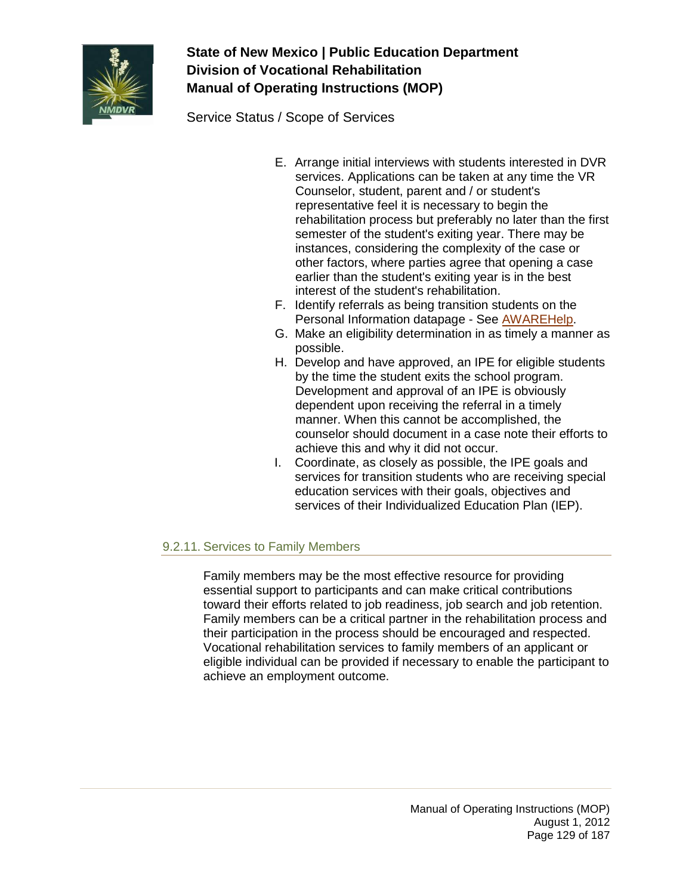

Service Status / Scope of Services

- E. Arrange initial interviews with students interested in DVR services. Applications can be taken at any time the VR Counselor, student, parent and / or student's representative feel it is necessary to begin the rehabilitation process but preferably no later than the first semester of the student's exiting year. There may be instances, considering the complexity of the case or other factors, where parties agree that opening a case earlier than the student's exiting year is in the best interest of the student's rehabilitation.
- F. Identify referrals as being transition students on the Personal Information datapage - See [AWAREHelp.](http://aware/XTEND/OnlineDoc/02Participant%20Module/Personal%20Information.htm)
- G. Make an eligibility determination in as timely a manner as possible.
- H. Develop and have approved, an IPE for eligible students by the time the student exits the school program. Development and approval of an IPE is obviously dependent upon receiving the referral in a timely manner. When this cannot be accomplished, the counselor should document in a case note their efforts to achieve this and why it did not occur.
- I. Coordinate, as closely as possible, the IPE goals and services for transition students who are receiving special education services with their goals, objectives and services of their Individualized Education Plan (IEP).

### 9.2.11. Services to Family Members

Family members may be the most effective resource for providing essential support to participants and can make critical contributions toward their efforts related to job readiness, job search and job retention. Family members can be a critical partner in the rehabilitation process and their participation in the process should be encouraged and respected. Vocational rehabilitation services to family members of an applicant or eligible individual can be provided if necessary to enable the participant to achieve an employment outcome.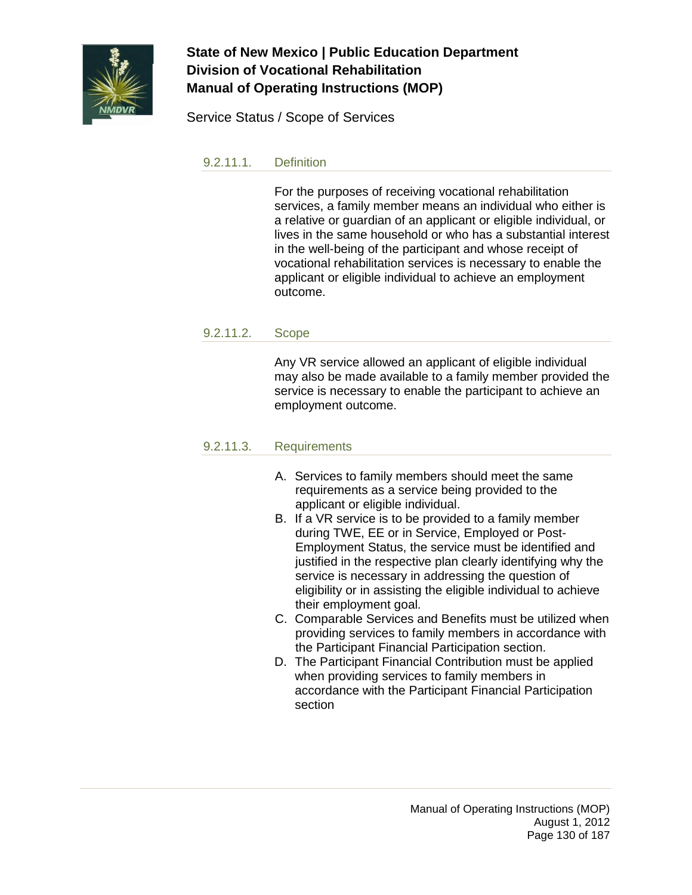

Service Status / Scope of Services

#### 9.2.11.1. Definition

For the purposes of receiving vocational rehabilitation services, a family member means an individual who either is a relative or guardian of an applicant or eligible individual, or lives in the same household or who has a substantial interest in the well-being of the participant and whose receipt of vocational rehabilitation services is necessary to enable the applicant or eligible individual to achieve an employment outcome.

#### 9.2.11.2. Scope

Any VR service allowed an applicant of eligible individual may also be made available to a family member provided the service is necessary to enable the participant to achieve an employment outcome.

#### 9.2.11.3. Requirements

- A. Services to family members should meet the same requirements as a service being provided to the applicant or eligible individual.
- B. If a VR service is to be provided to a family member during TWE, EE or in Service, Employed or Post-Employment Status, the service must be identified and justified in the respective plan clearly identifying why the service is necessary in addressing the question of eligibility or in assisting the eligible individual to achieve their employment goal.
- C. Comparable Services and Benefits must be utilized when providing services to family members in accordance with the Participant Financial Participation section.
- D. The Participant Financial Contribution must be applied when providing services to family members in accordance with the Participant Financial Participation section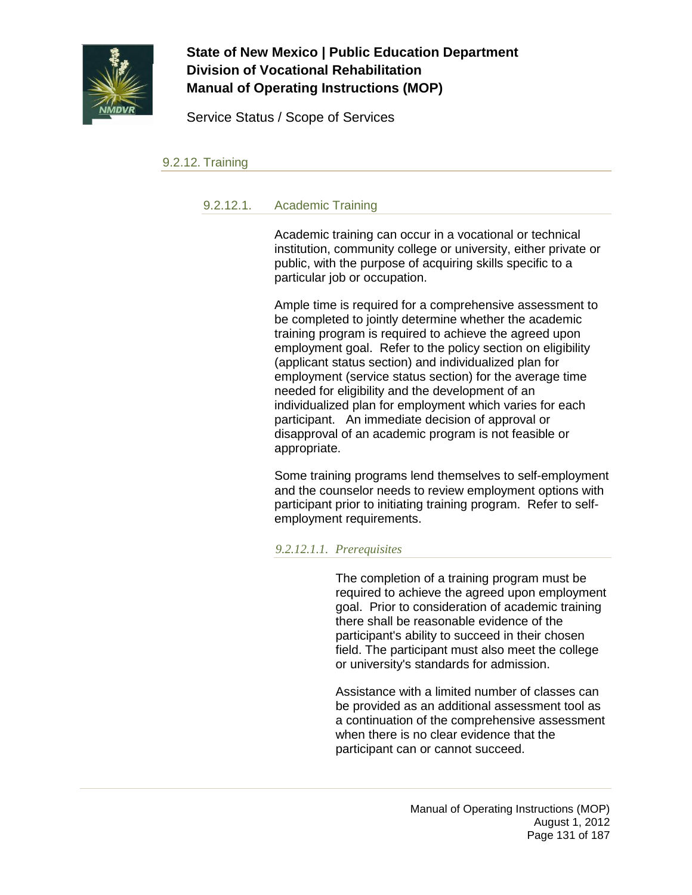

Service Status / Scope of Services

#### 9.2.12. Training

#### 9.2.12.1. Academic Training

Academic training can occur in a vocational or technical institution, community college or university, either private or public, with the purpose of acquiring skills specific to a particular job or occupation.

Ample time is required for a comprehensive assessment to be completed to jointly determine whether the academic training program is required to achieve the agreed upon employment goal. Refer to the policy section on eligibility (applicant status section) and individualized plan for employment (service status section) for the average time needed for eligibility and the development of an individualized plan for employment which varies for each participant. An immediate decision of approval or disapproval of an academic program is not feasible or appropriate.

Some training programs lend themselves to self-employment and the counselor needs to review employment options with participant prior to initiating training program. Refer to selfemployment requirements.

#### *9.2.12.1.1. Prerequisites*

The completion of a training program must be required to achieve the agreed upon employment goal. Prior to consideration of academic training there shall be reasonable evidence of the participant's ability to succeed in their chosen field. The participant must also meet the college or university's standards for admission.

Assistance with a limited number of classes can be provided as an additional assessment tool as a continuation of the comprehensive assessment when there is no clear evidence that the participant can or cannot succeed.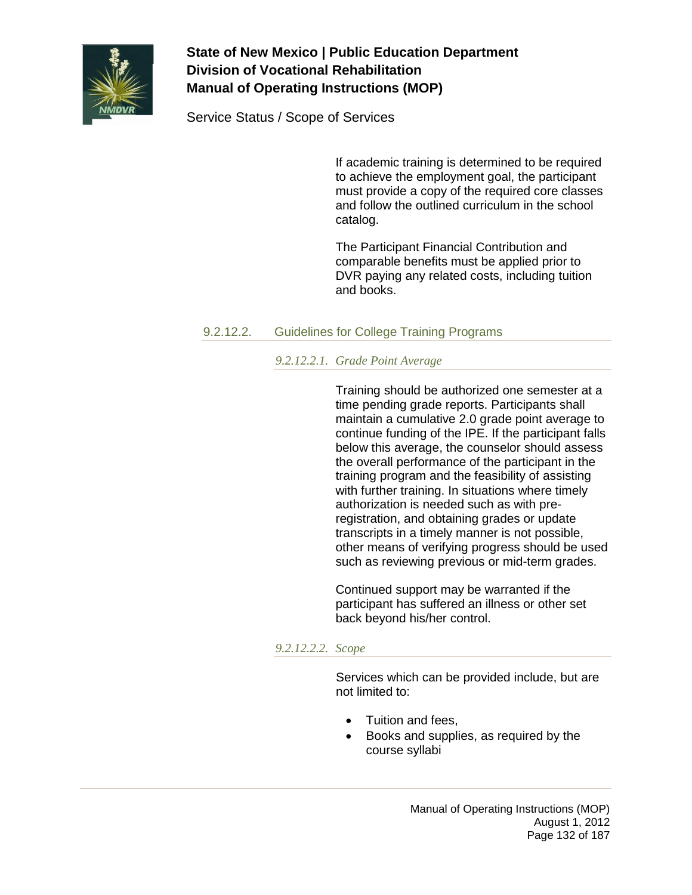

Service Status / Scope of Services

If academic training is determined to be required to achieve the employment goal, the participant must provide a copy of the required core classes and follow the outlined curriculum in the school catalog.

The Participant Financial Contribution and comparable benefits must be applied prior to DVR paying any related costs, including tuition and books.

### 9.2.12.2. Guidelines for College Training Programs

#### *9.2.12.2.1. Grade Point Average*

Training should be authorized one semester at a time pending grade reports. Participants shall maintain a cumulative 2.0 grade point average to continue funding of the IPE. If the participant falls below this average, the counselor should assess the overall performance of the participant in the training program and the feasibility of assisting with further training. In situations where timely authorization is needed such as with preregistration, and obtaining grades or update transcripts in a timely manner is not possible, other means of verifying progress should be used such as reviewing previous or mid-term grades.

Continued support may be warranted if the participant has suffered an illness or other set back beyond his/her control.

#### *9.2.12.2.2. Scope*

Services which can be provided include, but are not limited to:

- Tuition and fees,
- Books and supplies, as required by the course syllabi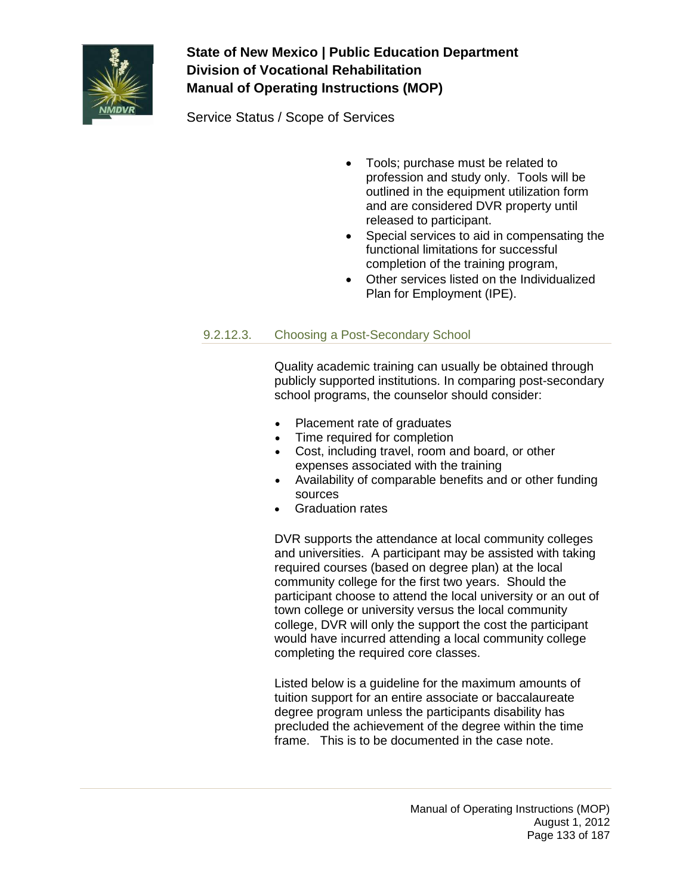

Service Status / Scope of Services

- Tools; purchase must be related to profession and study only. Tools will be outlined in the equipment utilization form and are considered DVR property until released to participant.
- Special services to aid in compensating the functional limitations for successful completion of the training program,
- Other services listed on the Individualized Plan for Employment (IPE).

### 9.2.12.3. Choosing a Post-Secondary School

Quality academic training can usually be obtained through publicly supported institutions. In comparing post-secondary school programs, the counselor should consider:

- Placement rate of graduates
- Time required for completion
- Cost, including travel, room and board, or other expenses associated with the training
- Availability of comparable benefits and or other funding sources
- Graduation rates

DVR supports the attendance at local community colleges and universities. A participant may be assisted with taking required courses (based on degree plan) at the local community college for the first two years. Should the participant choose to attend the local university or an out of town college or university versus the local community college, DVR will only the support the cost the participant would have incurred attending a local community college completing the required core classes.

Listed below is a guideline for the maximum amounts of tuition support for an entire associate or baccalaureate degree program unless the participants disability has precluded the achievement of the degree within the time frame. This is to be documented in the case note.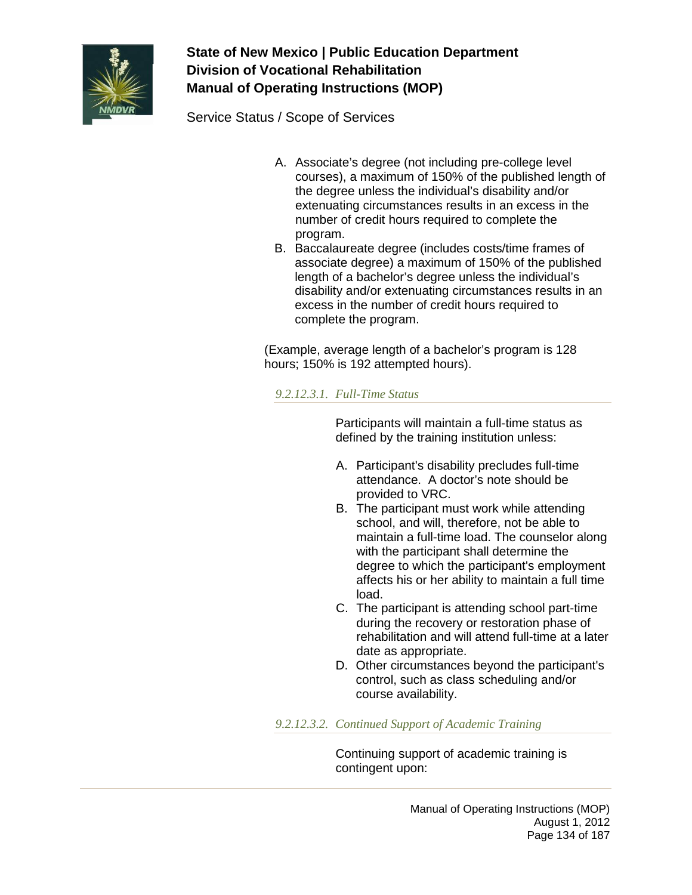

Service Status / Scope of Services

- A. Associate's degree (not including pre-college level courses), a maximum of 150% of the published length of the degree unless the individual's disability and/or extenuating circumstances results in an excess in the number of credit hours required to complete the program.
- B. Baccalaureate degree (includes costs/time frames of associate degree) a maximum of 150% of the published length of a bachelor's degree unless the individual's disability and/or extenuating circumstances results in an excess in the number of credit hours required to complete the program.

(Example, average length of a bachelor's program is 128 hours; 150% is 192 attempted hours).

### *9.2.12.3.1. Full-Time Status*

Participants will maintain a full-time status as defined by the training institution unless:

- A. Participant's disability precludes full-time attendance. A doctor's note should be provided to VRC.
- B. The participant must work while attending school, and will, therefore, not be able to maintain a full-time load. The counselor along with the participant shall determine the degree to which the participant's employment affects his or her ability to maintain a full time load.
- C. The participant is attending school part-time during the recovery or restoration phase of rehabilitation and will attend full-time at a later date as appropriate.
- D. Other circumstances beyond the participant's control, such as class scheduling and/or course availability.

*9.2.12.3.2. Continued Support of Academic Training*

Continuing support of academic training is contingent upon: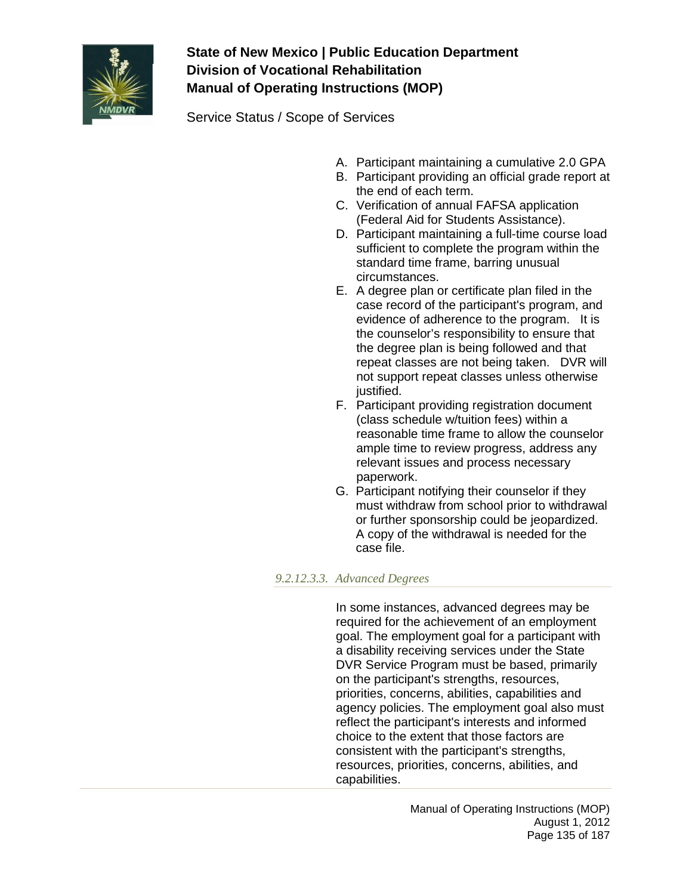

Service Status / Scope of Services

- A. Participant maintaining a cumulative 2.0 GPA
- B. Participant providing an official grade report at the end of each term.
- C. Verification of annual FAFSA application (Federal Aid for Students Assistance).
- D. Participant maintaining a full-time course load sufficient to complete the program within the standard time frame, barring unusual circumstances.
- E. A degree plan or certificate plan filed in the case record of the participant's program, and evidence of adherence to the program. It is the counselor's responsibility to ensure that the degree plan is being followed and that repeat classes are not being taken. DVR will not support repeat classes unless otherwise justified.
- F. Participant providing registration document (class schedule w/tuition fees) within a reasonable time frame to allow the counselor ample time to review progress, address any relevant issues and process necessary paperwork.
- G. Participant notifying their counselor if they must withdraw from school prior to withdrawal or further sponsorship could be jeopardized. A copy of the withdrawal is needed for the case file.

### *9.2.12.3.3. Advanced Degrees*

In some instances, advanced degrees may be required for the achievement of an employment goal. The employment goal for a participant with a disability receiving services under the State DVR Service Program must be based, primarily on the participant's strengths, resources, priorities, concerns, abilities, capabilities and agency policies. The employment goal also must reflect the participant's interests and informed choice to the extent that those factors are consistent with the participant's strengths, resources, priorities, concerns, abilities, and capabilities.

> Manual of Operating Instructions (MOP) August 1, 2012 Page 135 of 187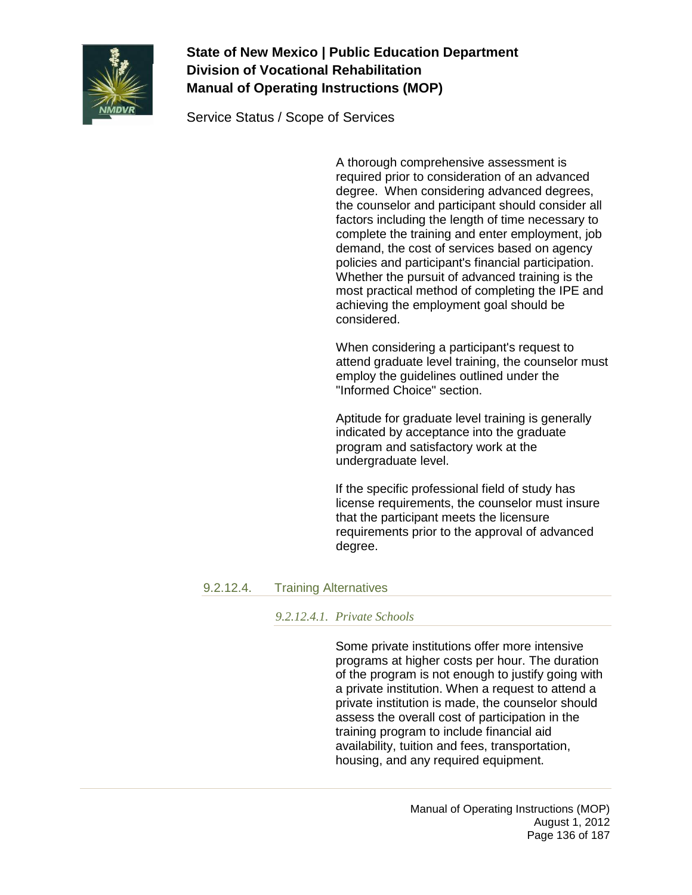

Service Status / Scope of Services

A thorough comprehensive assessment is required prior to consideration of an advanced degree. When considering advanced degrees, the counselor and participant should consider all factors including the length of time necessary to complete the training and enter employment, job demand, the cost of services based on agency policies and participant's financial participation. Whether the pursuit of advanced training is the most practical method of completing the IPE and achieving the employment goal should be considered.

When considering a participant's request to attend graduate level training, the counselor must employ the guidelines outlined under the "Informed Choice" section.

Aptitude for graduate level training is generally indicated by acceptance into the graduate program and satisfactory work at the undergraduate level.

If the specific professional field of study has license requirements, the counselor must insure that the participant meets the licensure requirements prior to the approval of advanced degree.

### 9.2.12.4. Training Alternatives

#### *9.2.12.4.1. Private Schools*

Some private institutions offer more intensive programs at higher costs per hour. The duration of the program is not enough to justify going with a private institution. When a request to attend a private institution is made, the counselor should assess the overall cost of participation in the training program to include financial aid availability, tuition and fees, transportation, housing, and any required equipment.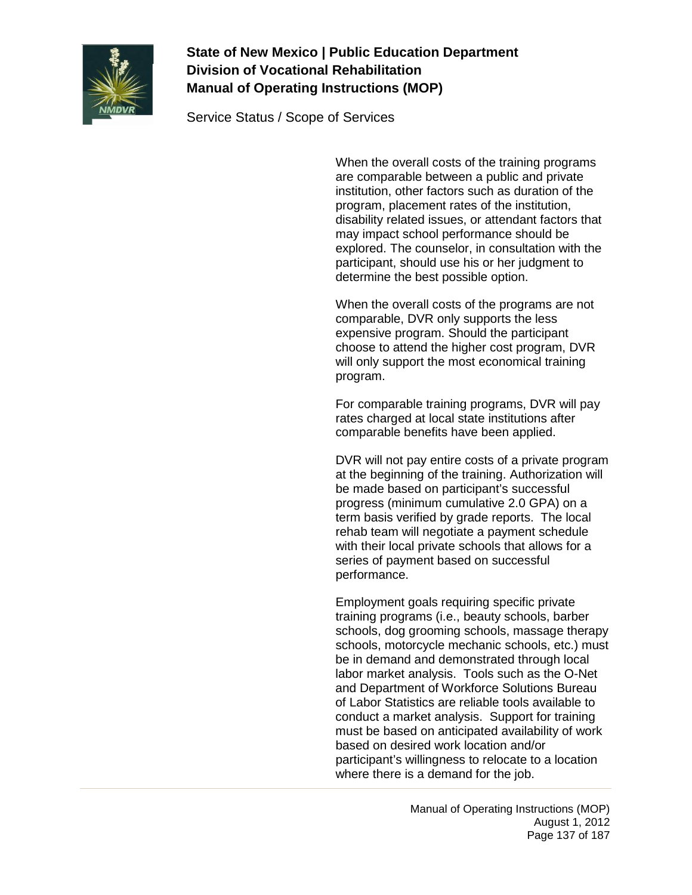

Service Status / Scope of Services

When the overall costs of the training programs are comparable between a public and private institution, other factors such as duration of the program, placement rates of the institution, disability related issues, or attendant factors that may impact school performance should be explored. The counselor, in consultation with the participant, should use his or her judgment to determine the best possible option.

When the overall costs of the programs are not comparable, DVR only supports the less expensive program. Should the participant choose to attend the higher cost program, DVR will only support the most economical training program.

For comparable training programs, DVR will pay rates charged at local state institutions after comparable benefits have been applied.

DVR will not pay entire costs of a private program at the beginning of the training. Authorization will be made based on participant's successful progress (minimum cumulative 2.0 GPA) on a term basis verified by grade reports. The local rehab team will negotiate a payment schedule with their local private schools that allows for a series of payment based on successful performance.

Employment goals requiring specific private training programs (i.e., beauty schools, barber schools, dog grooming schools, massage therapy schools, motorcycle mechanic schools, etc.) must be in demand and demonstrated through local labor market analysis. Tools such as the O-Net and Department of Workforce Solutions Bureau of Labor Statistics are reliable tools available to conduct a market analysis. Support for training must be based on anticipated availability of work based on desired work location and/or participant's willingness to relocate to a location where there is a demand for the job.

> Manual of Operating Instructions (MOP) August 1, 2012 Page 137 of 187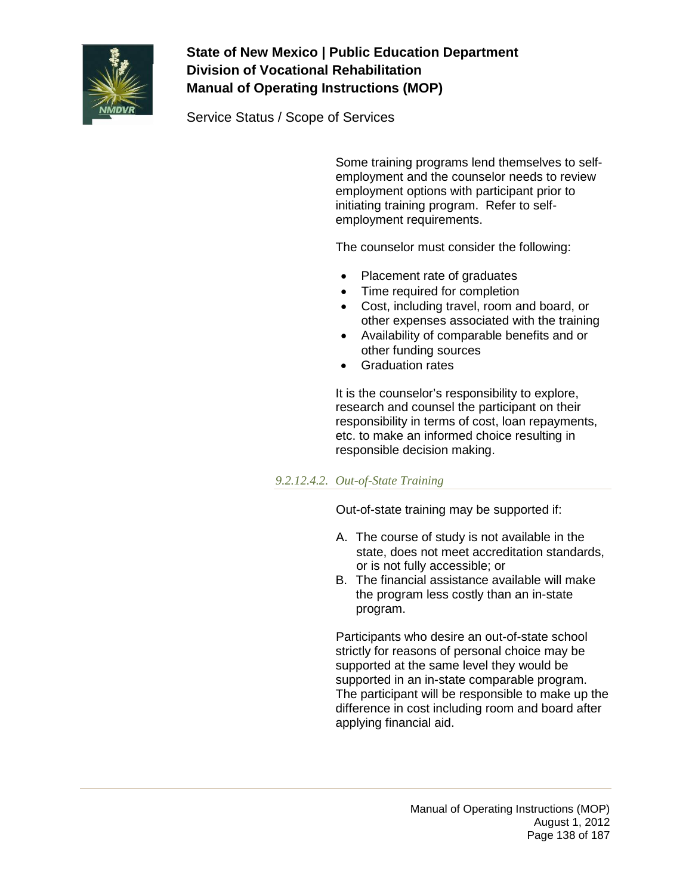

Service Status / Scope of Services

Some training programs lend themselves to selfemployment and the counselor needs to review employment options with participant prior to initiating training program. Refer to selfemployment requirements.

The counselor must consider the following:

- Placement rate of graduates
- Time required for completion
- Cost, including travel, room and board, or other expenses associated with the training
- Availability of comparable benefits and or other funding sources
- Graduation rates

It is the counselor's responsibility to explore, research and counsel the participant on their responsibility in terms of cost, loan repayments, etc. to make an informed choice resulting in responsible decision making.

### *9.2.12.4.2. Out-of-State Training*

Out-of-state training may be supported if:

- A. The course of study is not available in the state, does not meet accreditation standards, or is not fully accessible; or
- B. The financial assistance available will make the program less costly than an in-state program.

Participants who desire an out-of-state school strictly for reasons of personal choice may be supported at the same level they would be supported in an in-state comparable program. The participant will be responsible to make up the difference in cost including room and board after applying financial aid.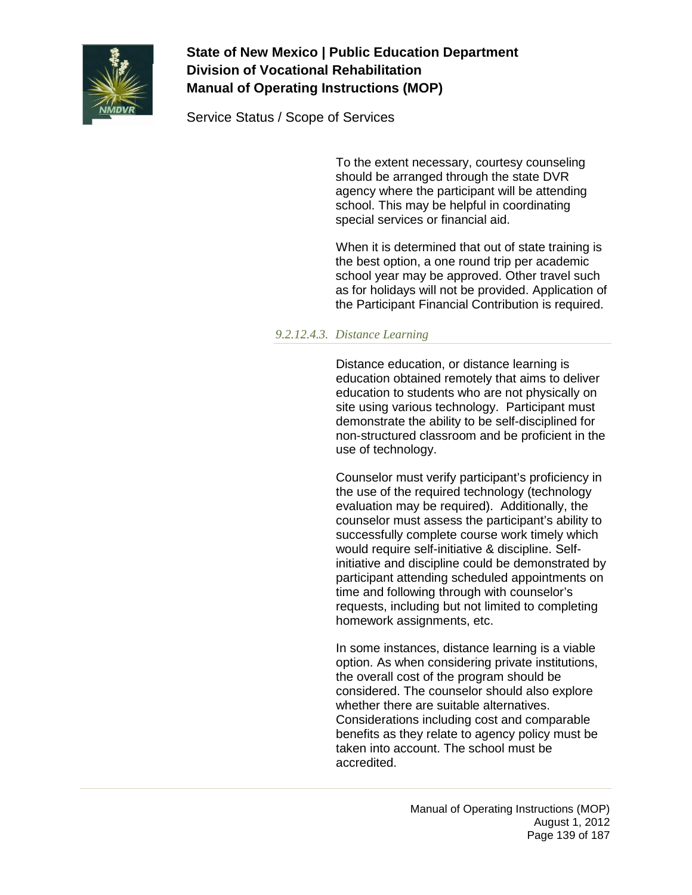

Service Status / Scope of Services

To the extent necessary, courtesy counseling should be arranged through the state DVR agency where the participant will be attending school. This may be helpful in coordinating special services or financial aid.

When it is determined that out of state training is the best option, a one round trip per academic school year may be approved. Other travel such as for holidays will not be provided. Application of the Participant Financial Contribution is required.

#### *9.2.12.4.3. Distance Learning*

Distance education, or distance learning is education obtained remotely that aims to deliver education to students who are not physically on site using various technology. Participant must demonstrate the ability to be self-disciplined for non-structured classroom and be proficient in the use of technology.

Counselor must verify participant's proficiency in the use of the required technology (technology evaluation may be required). Additionally, the counselor must assess the participant's ability to successfully complete course work timely which would require self-initiative & discipline. Selfinitiative and discipline could be demonstrated by participant attending scheduled appointments on time and following through with counselor's requests, including but not limited to completing homework assignments, etc.

In some instances, distance learning is a viable option. As when considering private institutions, the overall cost of the program should be considered. The counselor should also explore whether there are suitable alternatives. Considerations including cost and comparable benefits as they relate to agency policy must be taken into account. The school must be accredited.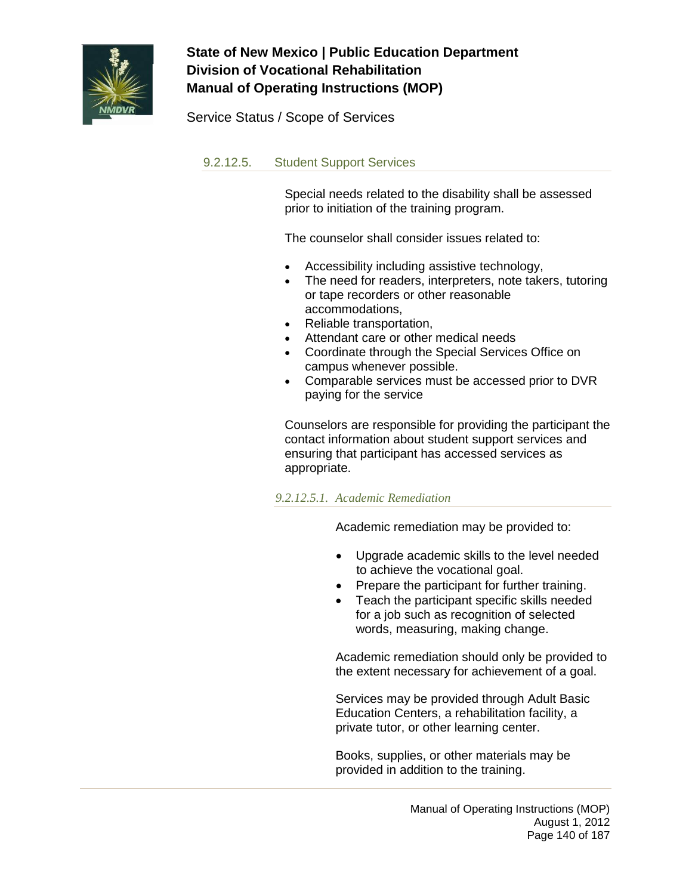

Service Status / Scope of Services

### 9.2.12.5. Student Support Services

Special needs related to the disability shall be assessed prior to initiation of the training program.

The counselor shall consider issues related to:

- Accessibility including assistive technology,
- The need for readers, interpreters, note takers, tutoring or tape recorders or other reasonable accommodations,
- Reliable transportation,
- Attendant care or other medical needs
- Coordinate through the Special Services Office on campus whenever possible.
- Comparable services must be accessed prior to DVR paying for the service

Counselors are responsible for providing the participant the contact information about student support services and ensuring that participant has accessed services as appropriate.

#### *9.2.12.5.1. Academic Remediation*

Academic remediation may be provided to:

- Upgrade academic skills to the level needed to achieve the vocational goal.
- Prepare the participant for further training.
- Teach the participant specific skills needed for a job such as recognition of selected words, measuring, making change.

Academic remediation should only be provided to the extent necessary for achievement of a goal.

Services may be provided through Adult Basic Education Centers, a rehabilitation facility, a private tutor, or other learning center.

Books, supplies, or other materials may be provided in addition to the training.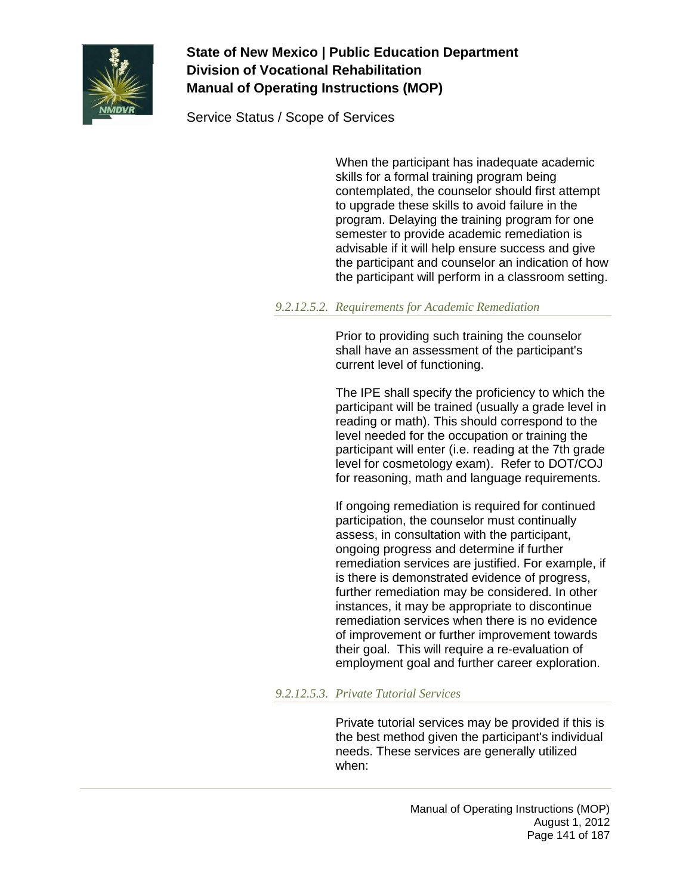

Service Status / Scope of Services

When the participant has inadequate academic skills for a formal training program being contemplated, the counselor should first attempt to upgrade these skills to avoid failure in the program. Delaying the training program for one semester to provide academic remediation is advisable if it will help ensure success and give the participant and counselor an indication of how the participant will perform in a classroom setting.

#### *9.2.12.5.2. Requirements for Academic Remediation*

Prior to providing such training the counselor shall have an assessment of the participant's current level of functioning.

The IPE shall specify the proficiency to which the participant will be trained (usually a grade level in reading or math). This should correspond to the level needed for the occupation or training the participant will enter (i.e. reading at the 7th grade level for cosmetology exam). Refer to DOT/COJ for reasoning, math and language requirements.

If ongoing remediation is required for continued participation, the counselor must continually assess, in consultation with the participant, ongoing progress and determine if further remediation services are justified. For example, if is there is demonstrated evidence of progress, further remediation may be considered. In other instances, it may be appropriate to discontinue remediation services when there is no evidence of improvement or further improvement towards their goal. This will require a re-evaluation of employment goal and further career exploration.

### *9.2.12.5.3. Private Tutorial Services*

Private tutorial services may be provided if this is the best method given the participant's individual needs. These services are generally utilized when: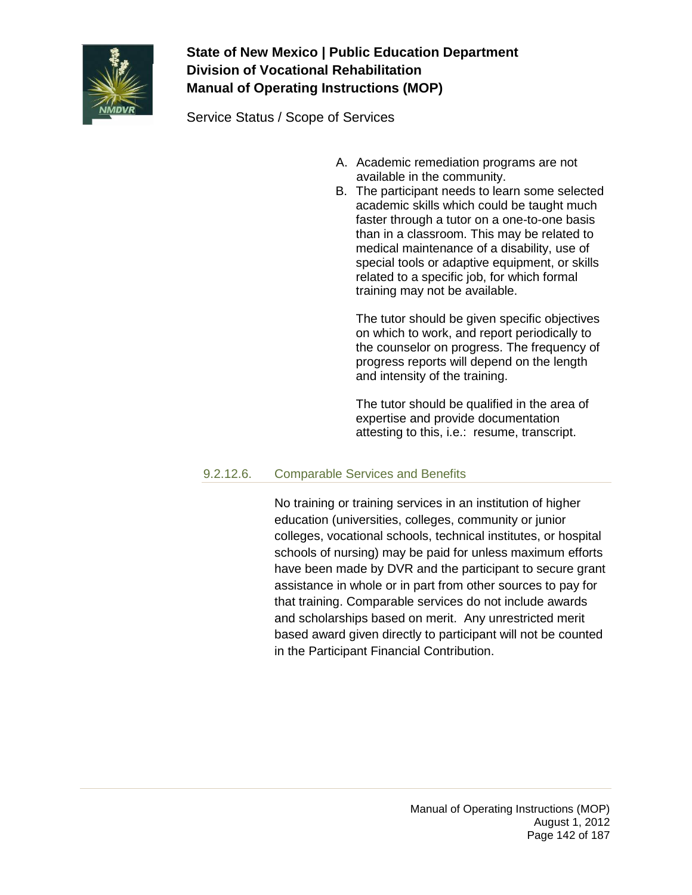

Service Status / Scope of Services

- A. Academic remediation programs are not available in the community.
- B. The participant needs to learn some selected academic skills which could be taught much faster through a tutor on a one-to-one basis than in a classroom. This may be related to medical maintenance of a disability, use of special tools or adaptive equipment, or skills related to a specific job, for which formal training may not be available.

The tutor should be given specific objectives on which to work, and report periodically to the counselor on progress. The frequency of progress reports will depend on the length and intensity of the training.

The tutor should be qualified in the area of expertise and provide documentation attesting to this, i.e.: resume, transcript.

### 9.2.12.6. Comparable Services and Benefits

No training or training services in an institution of higher education (universities, colleges, community or junior colleges, vocational schools, technical institutes, or hospital schools of nursing) may be paid for unless maximum efforts have been made by DVR and the participant to secure grant assistance in whole or in part from other sources to pay for that training. Comparable services do not include awards and scholarships based on merit. Any unrestricted merit based award given directly to participant will not be counted in the Participant Financial Contribution.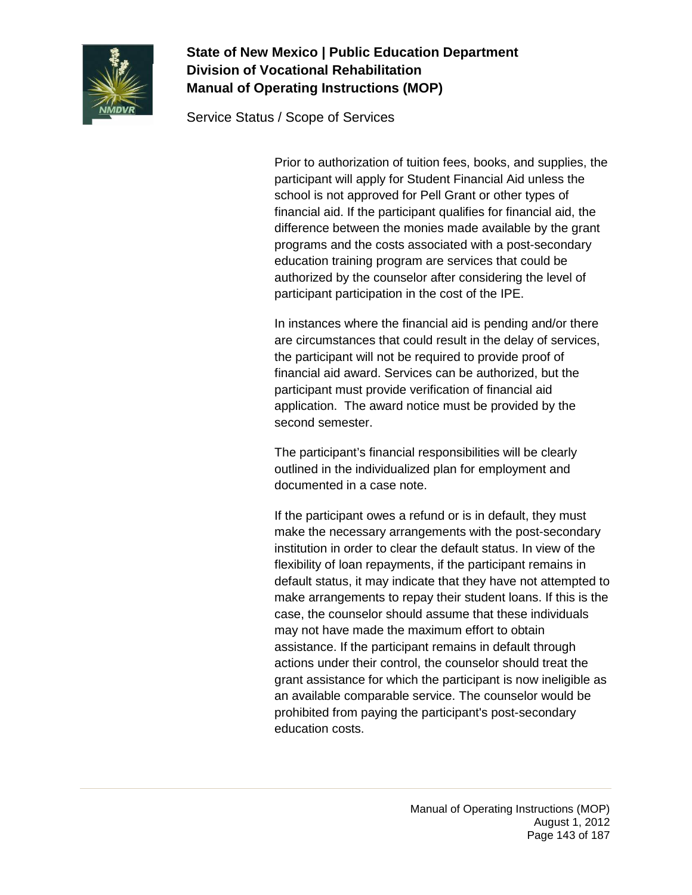

Service Status / Scope of Services

Prior to authorization of tuition fees, books, and supplies, the participant will apply for Student Financial Aid unless the school is not approved for Pell Grant or other types of financial aid. If the participant qualifies for financial aid, the difference between the monies made available by the grant programs and the costs associated with a post-secondary education training program are services that could be authorized by the counselor after considering the level of participant participation in the cost of the IPE.

In instances where the financial aid is pending and/or there are circumstances that could result in the delay of services, the participant will not be required to provide proof of financial aid award. Services can be authorized, but the participant must provide verification of financial aid application. The award notice must be provided by the second semester.

The participant's financial responsibilities will be clearly outlined in the individualized plan for employment and documented in a case note.

If the participant owes a refund or is in default, they must make the necessary arrangements with the post-secondary institution in order to clear the default status. In view of the flexibility of loan repayments, if the participant remains in default status, it may indicate that they have not attempted to make arrangements to repay their student loans. If this is the case, the counselor should assume that these individuals may not have made the maximum effort to obtain assistance. If the participant remains in default through actions under their control, the counselor should treat the grant assistance for which the participant is now ineligible as an available comparable service. The counselor would be prohibited from paying the participant's post-secondary education costs.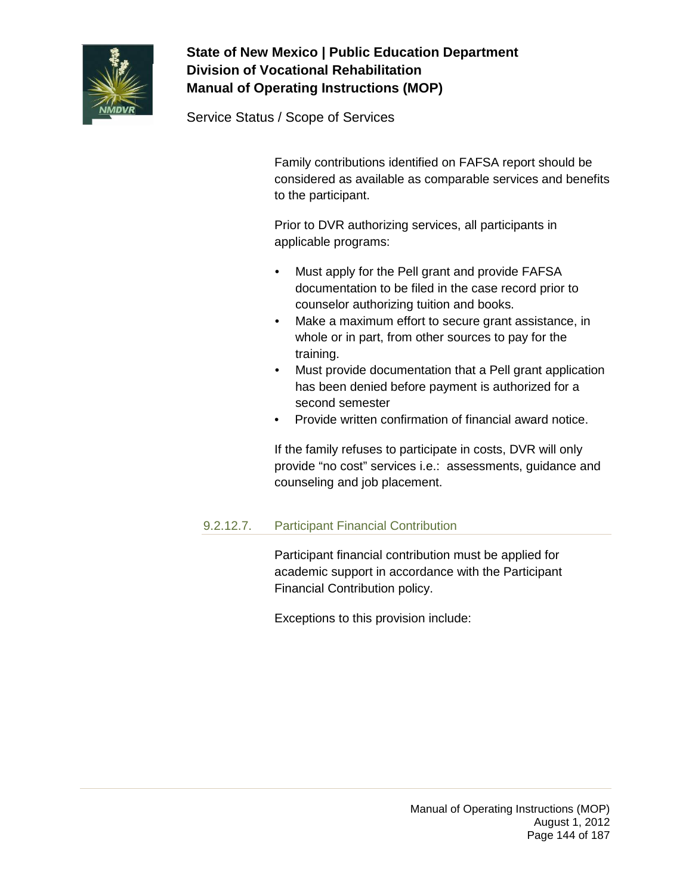

Service Status / Scope of Services

Family contributions identified on FAFSA report should be considered as available as comparable services and benefits to the participant.

Prior to DVR authorizing services, all participants in applicable programs:

- Must apply for the Pell grant and provide FAFSA documentation to be filed in the case record prior to counselor authorizing tuition and books.
- Make a maximum effort to secure grant assistance, in whole or in part, from other sources to pay for the training.
- Must provide documentation that a Pell grant application has been denied before payment is authorized for a second semester
- Provide written confirmation of financial award notice.

If the family refuses to participate in costs, DVR will only provide "no cost" services i.e.: assessments, guidance and counseling and job placement.

### 9.2.12.7. Participant Financial Contribution

Participant financial contribution must be applied for academic support in accordance with the Participant Financial Contribution policy.

Exceptions to this provision include: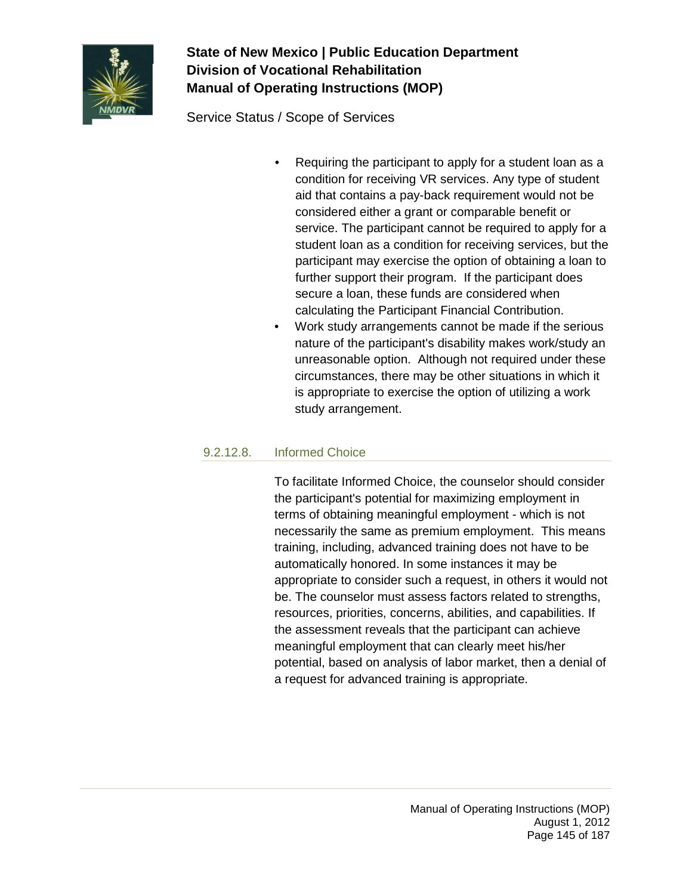

Service Status / Scope of Services

- Requiring the participant to apply for a student loan as a condition for receiving VR services. Any type of student aid that contains a pay-back requirement would not be considered either a grant or comparable benefit or service. The participant cannot be required to apply for a student loan as a condition for receiving services, but the participant may exercise the option of obtaining a loan to further support their program. If the participant does secure a loan, these funds are considered when calculating the Participant Financial Contribution.
- Work study arrangements cannot be made if the serious nature of the participant's disability makes work/study an unreasonable option. Although not required under these circumstances, there may be other situations in which it is appropriate to exercise the option of utilizing a work study arrangement.

## 9.2.12.8. Informed Choice

To facilitate Informed Choice, the counselor should consider the participant's potential for maximizing employment in terms of obtaining meaningful employment - which is not necessarily the same as premium employment. This means training, including, advanced training does not have to be automatically honored. In some instances it may be appropriate to consider such a request, in others it would not be. The counselor must assess factors related to strengths, resources, priorities, concerns, abilities, and capabilities. If the assessment reveals that the participant can achieve meaningful employment that can clearly meet his/her potential, based on analysis of labor market, then a denial of a request for advanced training is appropriate.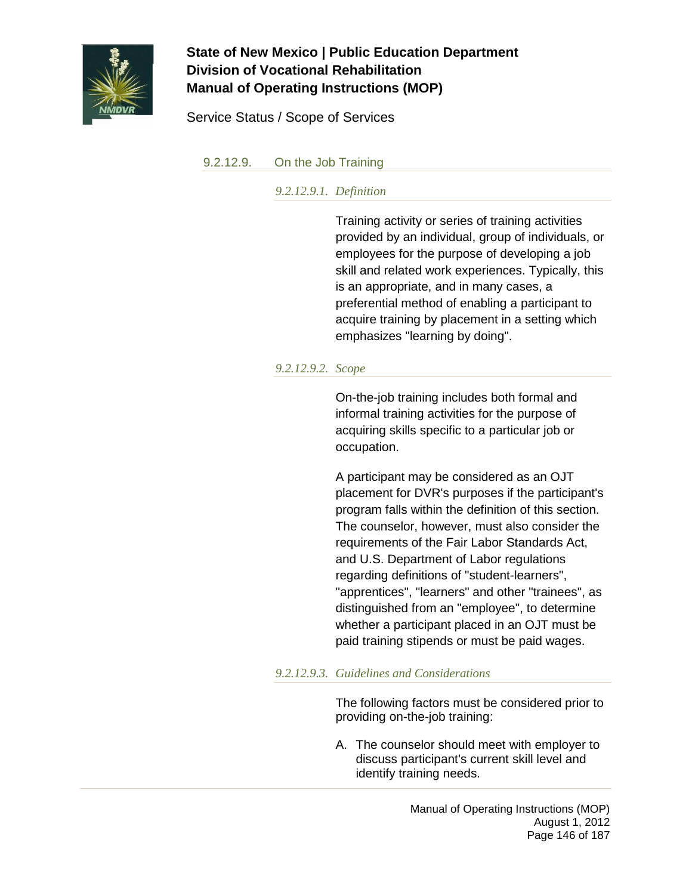

Service Status / Scope of Services

### 9.2.12.9. On the Job Training

*9.2.12.9.1. Definition*

Training activity or series of training activities provided by an individual, group of individuals, or employees for the purpose of developing a job skill and related work experiences. Typically, this is an appropriate, and in many cases, a preferential method of enabling a participant to acquire training by placement in a setting which emphasizes "learning by doing".

### *9.2.12.9.2. Scope*

On-the-job training includes both formal and informal training activities for the purpose of acquiring skills specific to a particular job or occupation.

A participant may be considered as an OJT placement for DVR's purposes if the participant's program falls within the definition of this section. The counselor, however, must also consider the requirements of the Fair Labor Standards Act, and U.S. Department of Labor regulations regarding definitions of "student-learners", "apprentices", "learners" and other "trainees", as distinguished from an "employee", to determine whether a participant placed in an OJT must be paid training stipends or must be paid wages.

### *9.2.12.9.3. Guidelines and Considerations*

The following factors must be considered prior to providing on-the-job training:

A. The counselor should meet with employer to discuss participant's current skill level and identify training needs.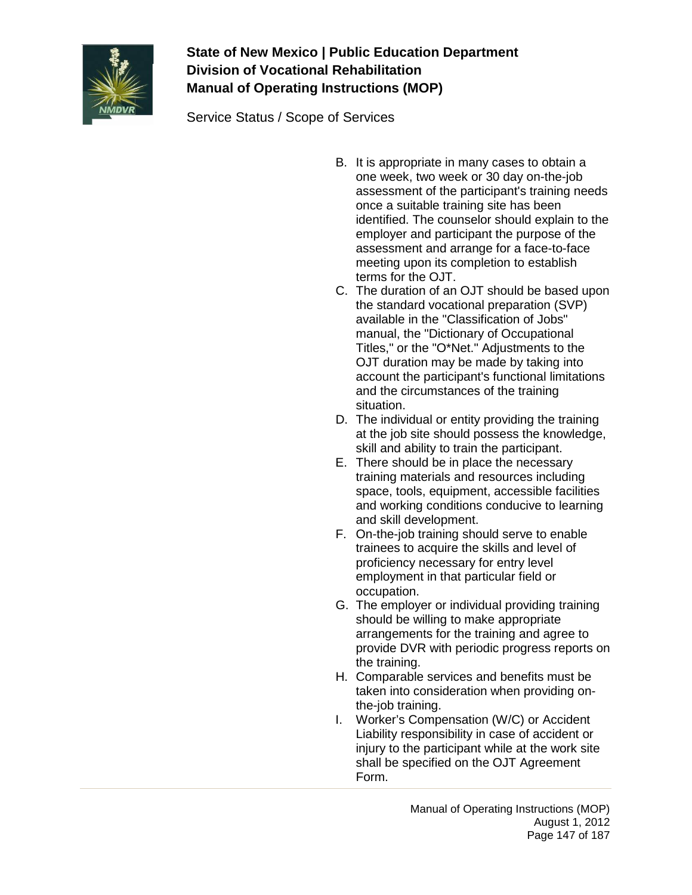

Service Status / Scope of Services

- B. It is appropriate in many cases to obtain a one week, two week or 30 day on-the-job assessment of the participant's training needs once a suitable training site has been identified. The counselor should explain to the employer and participant the purpose of the assessment and arrange for a face-to-face meeting upon its completion to establish terms for the OJT.
- C. The duration of an OJT should be based upon the standard vocational preparation (SVP) available in the "Classification of Jobs" manual, the "Dictionary of Occupational Titles," or the "O\*Net." Adjustments to the OJT duration may be made by taking into account the participant's functional limitations and the circumstances of the training situation.
- D. The individual or entity providing the training at the job site should possess the knowledge, skill and ability to train the participant.
- E. There should be in place the necessary training materials and resources including space, tools, equipment, accessible facilities and working conditions conducive to learning and skill development.
- F. On-the-job training should serve to enable trainees to acquire the skills and level of proficiency necessary for entry level employment in that particular field or occupation.
- G. The employer or individual providing training should be willing to make appropriate arrangements for the training and agree to provide DVR with periodic progress reports on the training.
- H. Comparable services and benefits must be taken into consideration when providing onthe-job training.
- I. Worker's Compensation (W/C) or Accident Liability responsibility in case of accident or injury to the participant while at the work site shall be specified on the OJT Agreement Form.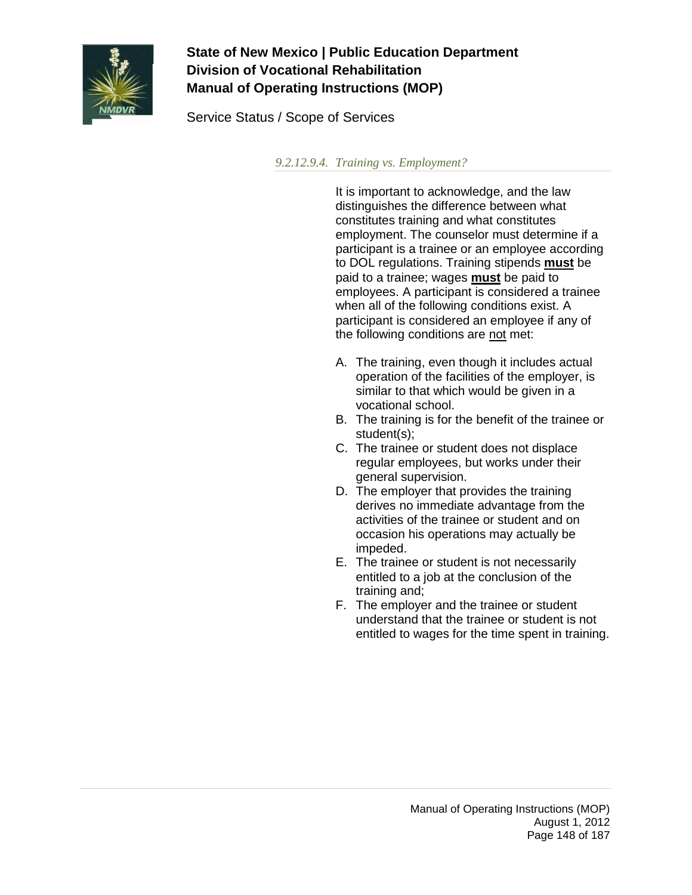

Service Status / Scope of Services

*9.2.12.9.4. Training vs. Employment?*

It is important to acknowledge, and the law distinguishes the difference between what constitutes training and what constitutes employment. The counselor must determine if a participant is a trainee or an employee according to DOL regulations. Training stipends **must** be paid to a trainee; wages **must** be paid to employees. A participant is considered a trainee when all of the following conditions exist. A participant is considered an employee if any of the following conditions are not met:

- A. The training, even though it includes actual operation of the facilities of the employer, is similar to that which would be given in a vocational school.
- B. The training is for the benefit of the trainee or student(s);
- C. The trainee or student does not displace regular employees, but works under their general supervision.
- D. The employer that provides the training derives no immediate advantage from the activities of the trainee or student and on occasion his operations may actually be impeded.
- E. The trainee or student is not necessarily entitled to a job at the conclusion of the training and;
- F. The employer and the trainee or student understand that the trainee or student is not entitled to wages for the time spent in training.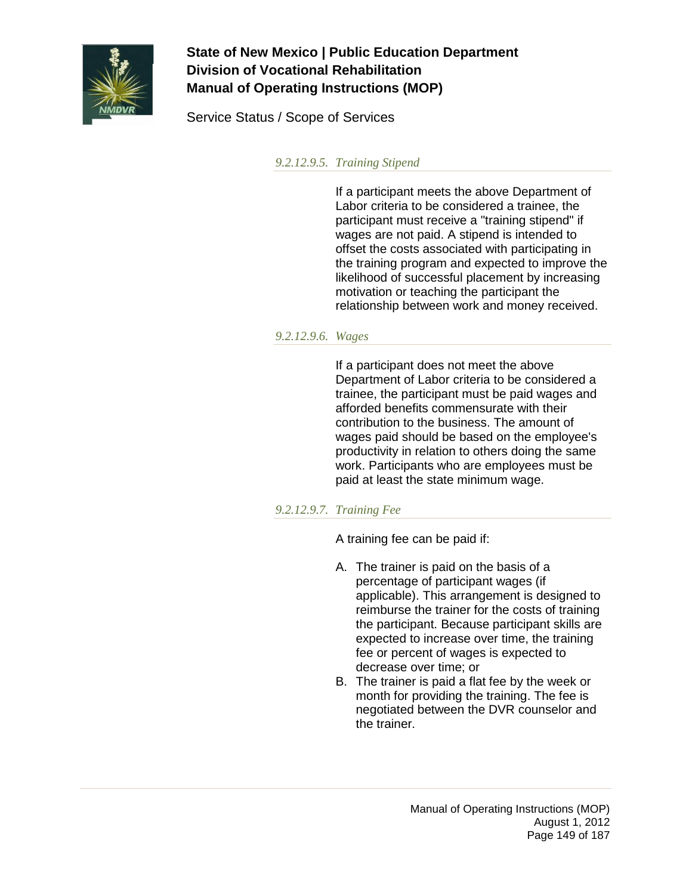

Service Status / Scope of Services

*9.2.12.9.5. Training Stipend*

If a participant meets the above Department of Labor criteria to be considered a trainee, the participant must receive a "training stipend" if wages are not paid. A stipend is intended to offset the costs associated with participating in the training program and expected to improve the likelihood of successful placement by increasing motivation or teaching the participant the relationship between work and money received.

### *9.2.12.9.6. Wages*

If a participant does not meet the above Department of Labor criteria to be considered a trainee, the participant must be paid wages and afforded benefits commensurate with their contribution to the business. The amount of wages paid should be based on the employee's productivity in relation to others doing the same work. Participants who are employees must be paid at least the state minimum wage.

## *9.2.12.9.7. Training Fee*

A training fee can be paid if:

- A. The trainer is paid on the basis of a percentage of participant wages (if applicable). This arrangement is designed to reimburse the trainer for the costs of training the participant. Because participant skills are expected to increase over time, the training fee or percent of wages is expected to decrease over time; or
- B. The trainer is paid a flat fee by the week or month for providing the training. The fee is negotiated between the DVR counselor and the trainer.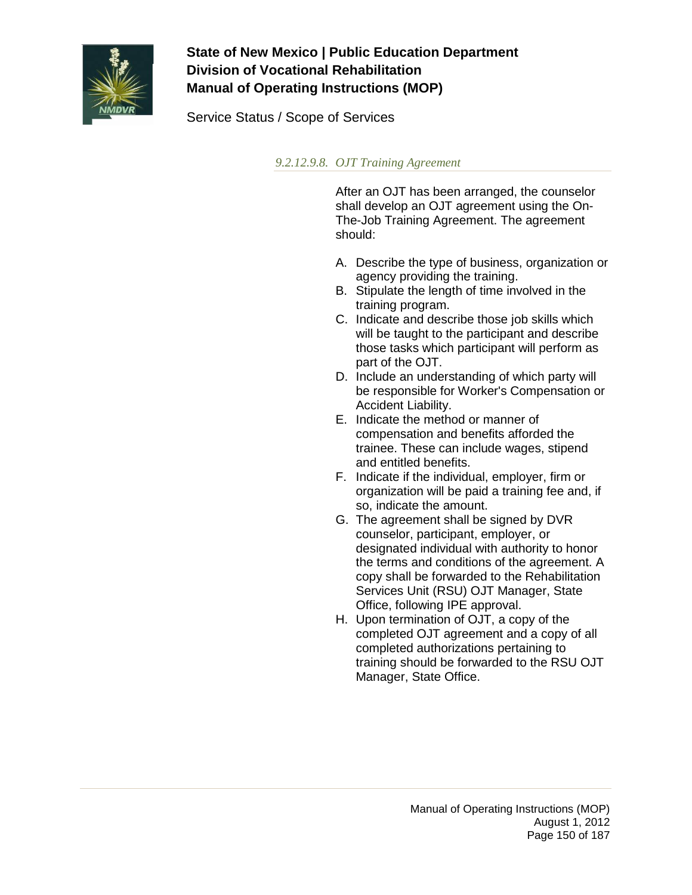

Service Status / Scope of Services

*9.2.12.9.8. OJT Training Agreement*

After an OJT has been arranged, the counselor shall develop an OJT agreement using the On-The-Job Training Agreement. The agreement should:

- A. Describe the type of business, organization or agency providing the training.
- B. Stipulate the length of time involved in the training program.
- C. Indicate and describe those job skills which will be taught to the participant and describe those tasks which participant will perform as part of the OJT.
- D. Include an understanding of which party will be responsible for Worker's Compensation or Accident Liability.
- E. Indicate the method or manner of compensation and benefits afforded the trainee. These can include wages, stipend and entitled benefits.
- F. Indicate if the individual, employer, firm or organization will be paid a training fee and, if so, indicate the amount.
- G. The agreement shall be signed by DVR counselor, participant, employer, or designated individual with authority to honor the terms and conditions of the agreement. A copy shall be forwarded to the Rehabilitation Services Unit (RSU) OJT Manager, State Office, following IPE approval.
- H. Upon termination of OJT, a copy of the completed OJT agreement and a copy of all completed authorizations pertaining to training should be forwarded to the RSU OJT Manager, State Office.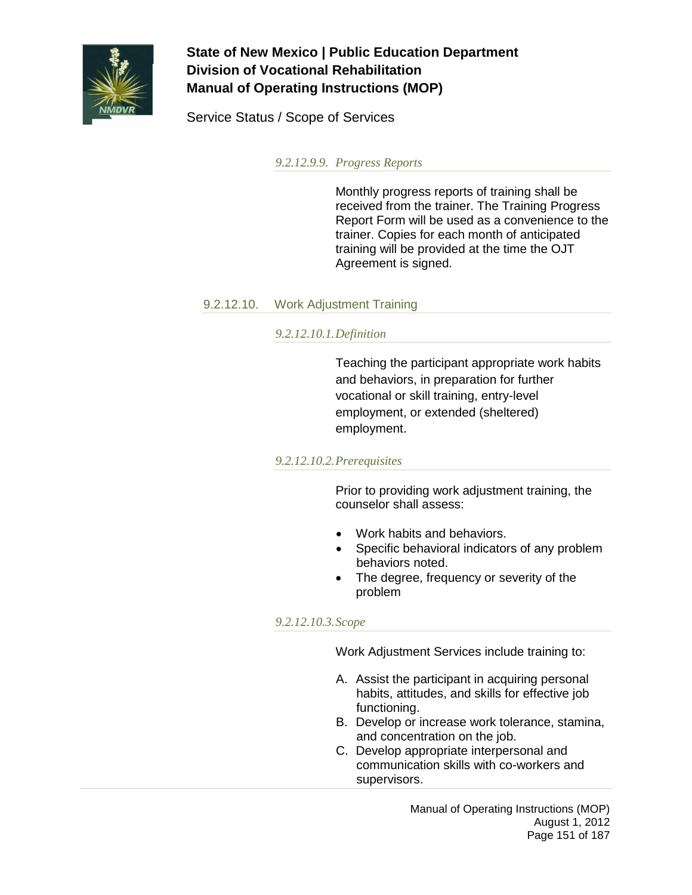

Service Status / Scope of Services

*9.2.12.9.9. Progress Reports*

Monthly progress reports of training shall be received from the trainer. The Training Progress Report Form will be used as a convenience to the trainer. Copies for each month of anticipated training will be provided at the time the OJT Agreement is signed.

## 9.2.12.10. Work Adjustment Training

### *9.2.12.10.1.Definition*

Teaching the participant appropriate work habits and behaviors, in preparation for further vocational or skill training, entry-level employment, or extended (sheltered) employment.

#### *9.2.12.10.2.Prerequisites*

Prior to providing work adjustment training, the counselor shall assess:

- Work habits and behaviors.
- Specific behavioral indicators of any problem behaviors noted.
- The degree, frequency or severity of the problem

### *9.2.12.10.3.Scope*

Work Adjustment Services include training to:

- A. Assist the participant in acquiring personal habits, attitudes, and skills for effective job functioning.
- B. Develop or increase work tolerance, stamina, and concentration on the job.
- C. Develop appropriate interpersonal and communication skills with co-workers and supervisors.

Manual of Operating Instructions (MOP) August 1, 2012 Page 151 of 187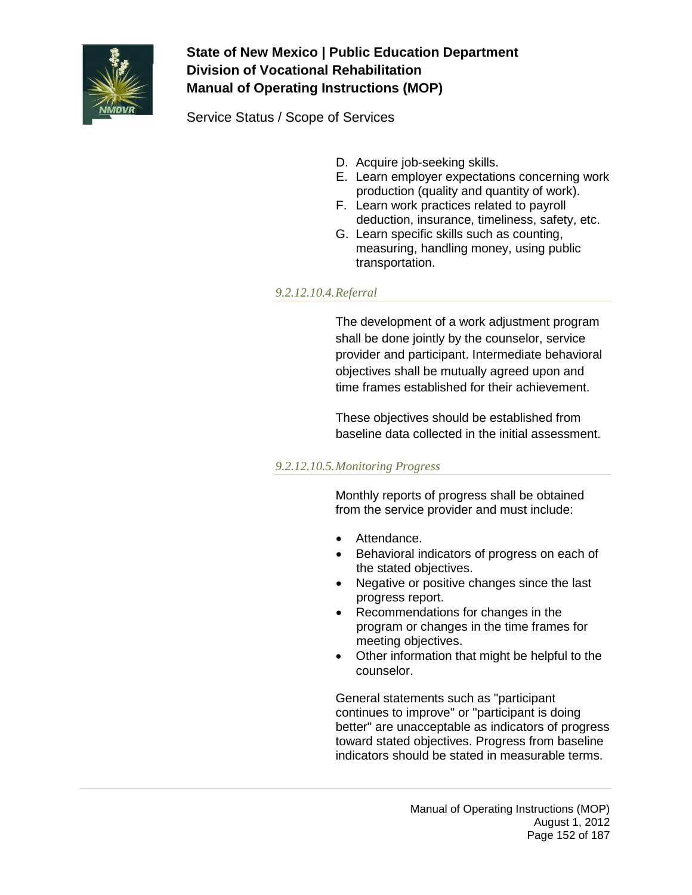

Service Status / Scope of Services

- D. Acquire job-seeking skills.
- E. Learn employer expectations concerning work production (quality and quantity of work).
- F. Learn work practices related to payroll deduction, insurance, timeliness, safety, etc.
- G. Learn specific skills such as counting, measuring, handling money, using public transportation.

## *9.2.12.10.4.Referral*

The development of a work adjustment program shall be done jointly by the counselor, service provider and participant. Intermediate behavioral objectives shall be mutually agreed upon and time frames established for their achievement.

These objectives should be established from baseline data collected in the initial assessment.

## *9.2.12.10.5.Monitoring Progress*

Monthly reports of progress shall be obtained from the service provider and must include:

- Attendance.
- Behavioral indicators of progress on each of the stated objectives.
- Negative or positive changes since the last progress report.
- Recommendations for changes in the program or changes in the time frames for meeting objectives.
- Other information that might be helpful to the counselor.

General statements such as "participant continues to improve" or "participant is doing better" are unacceptable as indicators of progress toward stated objectives. Progress from baseline indicators should be stated in measurable terms.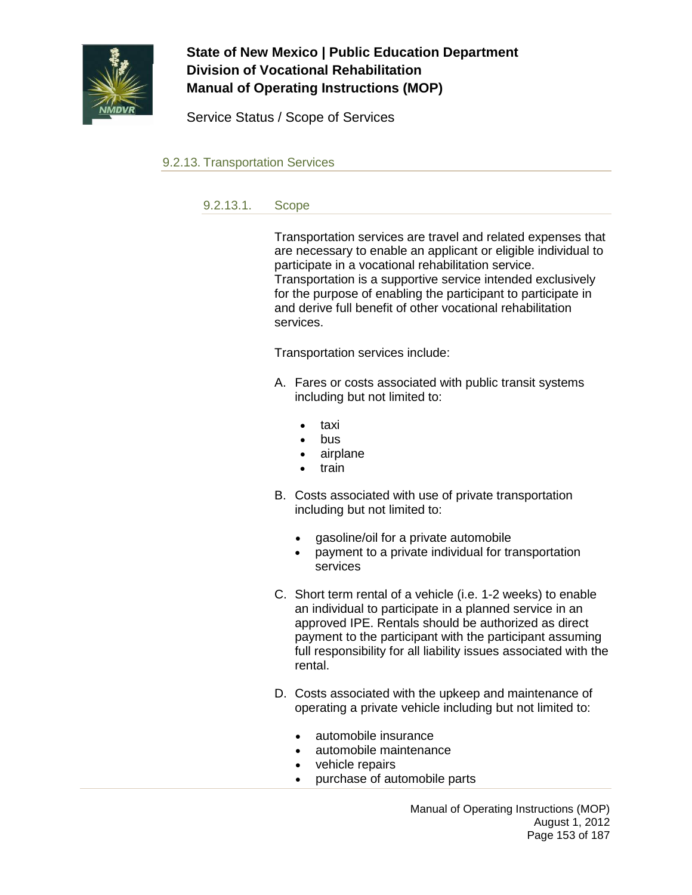

Service Status / Scope of Services

9.2.13. Transportation Services

9.2.13.1. Scope

Transportation services are travel and related expenses that are necessary to enable an applicant or eligible individual to participate in a vocational rehabilitation service. Transportation is a supportive service intended exclusively for the purpose of enabling the participant to participate in and derive full benefit of other vocational rehabilitation services.

Transportation services include:

- A. Fares or costs associated with public transit systems including but not limited to:
	- taxi
	- bus
	- airplane
	- train
- B. Costs associated with use of private transportation including but not limited to:
	- gasoline/oil for a private automobile
	- payment to a private individual for transportation services
- C. Short term rental of a vehicle (i.e. 1-2 weeks) to enable an individual to participate in a planned service in an approved IPE. Rentals should be authorized as direct payment to the participant with the participant assuming full responsibility for all liability issues associated with the rental.
- D. Costs associated with the upkeep and maintenance of operating a private vehicle including but not limited to:
	- automobile insurance
	- automobile maintenance
	- vehicle repairs
	- purchase of automobile parts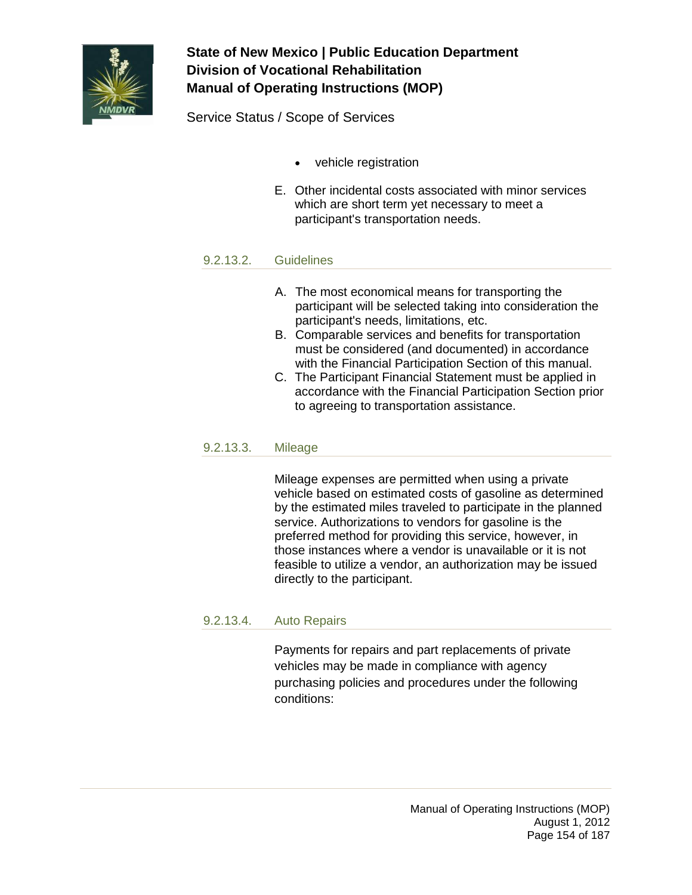

Service Status / Scope of Services

- vehicle registration
- E. Other incidental costs associated with minor services which are short term yet necessary to meet a participant's transportation needs.

### 9.2.13.2. Guidelines

- A. The most economical means for transporting the participant will be selected taking into consideration the participant's needs, limitations, etc.
- B. Comparable services and benefits for transportation must be considered (and documented) in accordance with the Financial Participation Section of this manual.
- C. The Participant Financial Statement must be applied in accordance with the Financial Participation Section prior to agreeing to transportation assistance.

#### 9.2.13.3. Mileage

Mileage expenses are permitted when using a private vehicle based on estimated costs of gasoline as determined by the estimated miles traveled to participate in the planned service. Authorizations to vendors for gasoline is the preferred method for providing this service, however, in those instances where a vendor is unavailable or it is not feasible to utilize a vendor, an authorization may be issued directly to the participant.

### 9.2.13.4. Auto Repairs

Payments for repairs and part replacements of private vehicles may be made in compliance with agency purchasing policies and procedures under the following conditions: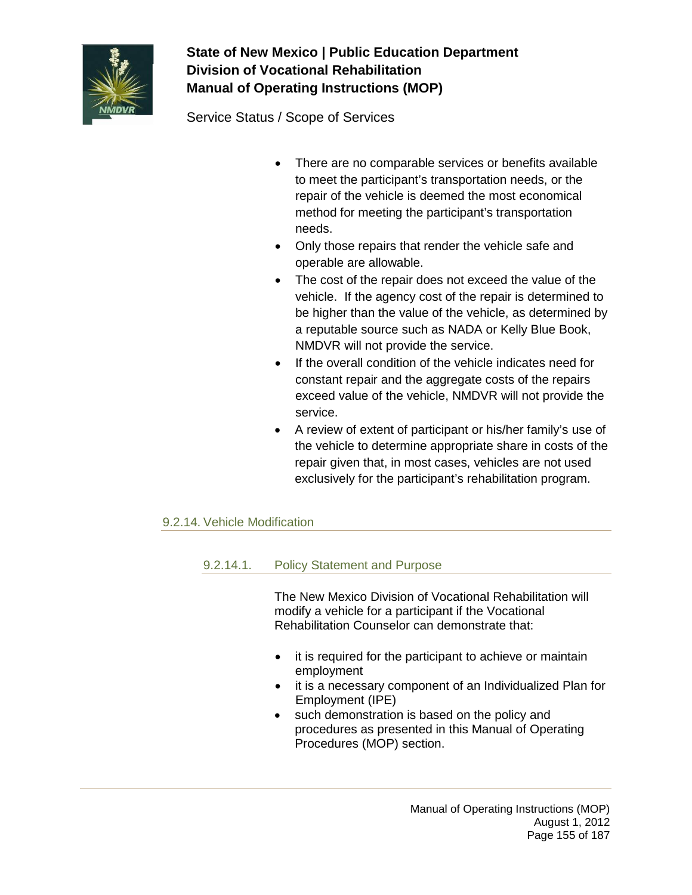

Service Status / Scope of Services

- There are no comparable services or benefits available to meet the participant's transportation needs, or the repair of the vehicle is deemed the most economical method for meeting the participant's transportation needs.
- Only those repairs that render the vehicle safe and operable are allowable.
- The cost of the repair does not exceed the value of the vehicle. If the agency cost of the repair is determined to be higher than the value of the vehicle, as determined by a reputable source such as NADA or Kelly Blue Book, NMDVR will not provide the service.
- If the overall condition of the vehicle indicates need for constant repair and the aggregate costs of the repairs exceed value of the vehicle, NMDVR will not provide the service.
- A review of extent of participant or his/her family's use of the vehicle to determine appropriate share in costs of the repair given that, in most cases, vehicles are not used exclusively for the participant's rehabilitation program.

## 9.2.14. Vehicle Modification

## 9.2.14.1. Policy Statement and Purpose

The New Mexico Division of Vocational Rehabilitation will modify a vehicle for a participant if the Vocational Rehabilitation Counselor can demonstrate that:

- it is required for the participant to achieve or maintain employment
- it is a necessary component of an Individualized Plan for Employment (IPE)
- such demonstration is based on the policy and procedures as presented in this Manual of Operating Procedures (MOP) section.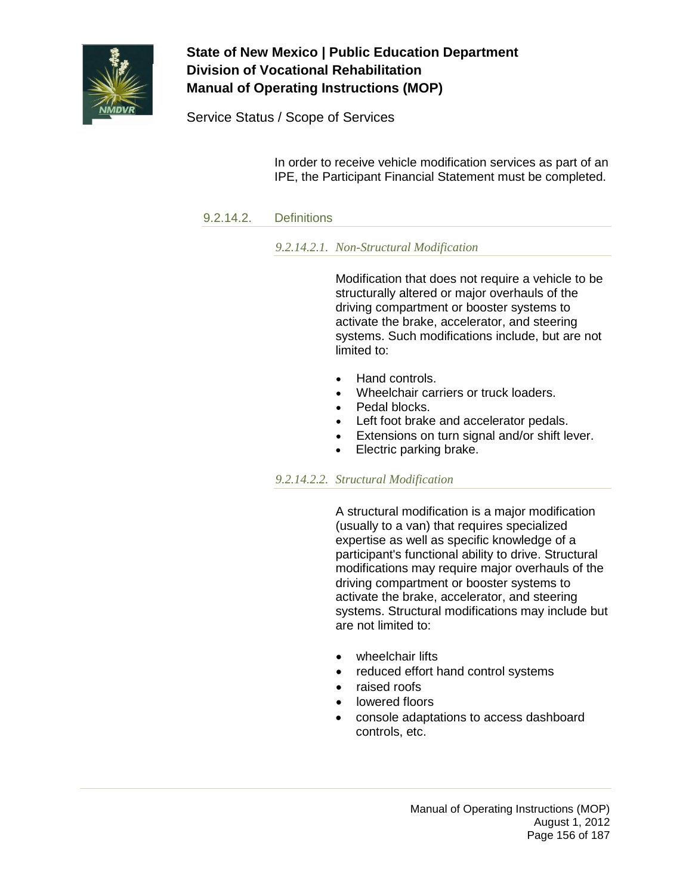

Service Status / Scope of Services

In order to receive vehicle modification services as part of an IPE, the Participant Financial Statement must be completed.

## 9.2.14.2. Definitions

### *9.2.14.2.1. Non-Structural Modification*

Modification that does not require a vehicle to be structurally altered or major overhauls of the driving compartment or booster systems to activate the brake, accelerator, and steering systems. Such modifications include, but are not limited to:

- Hand controls.
- Wheelchair carriers or truck loaders.
- Pedal blocks.
	- Left foot brake and accelerator pedals.
	- Extensions on turn signal and/or shift lever.
- Electric parking brake.

### *9.2.14.2.2. Structural Modification*

A structural modification is a major modification (usually to a van) that requires specialized expertise as well as specific knowledge of a participant's functional ability to drive. Structural modifications may require major overhauls of the driving compartment or booster systems to activate the brake, accelerator, and steering systems. Structural modifications may include but are not limited to:

- wheelchair lifts
- reduced effort hand control systems
- raised roofs
- lowered floors
- console adaptations to access dashboard controls, etc.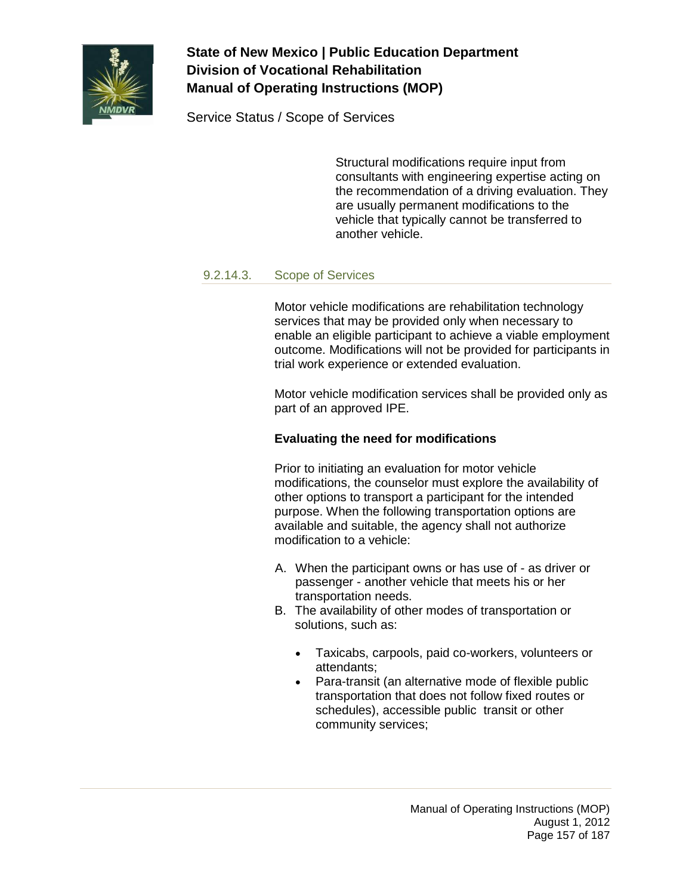

Service Status / Scope of Services

Structural modifications require input from consultants with engineering expertise acting on the recommendation of a driving evaluation. They are usually permanent modifications to the vehicle that typically cannot be transferred to another vehicle.

### 9.2.14.3. Scope of Services

Motor vehicle modifications are rehabilitation technology services that may be provided only when necessary to enable an eligible participant to achieve a viable employment outcome. Modifications will not be provided for participants in trial work experience or extended evaluation.

Motor vehicle modification services shall be provided only as part of an approved IPE.

## **Evaluating the need for modifications**

Prior to initiating an evaluation for motor vehicle modifications, the counselor must explore the availability of other options to transport a participant for the intended purpose. When the following transportation options are available and suitable, the agency shall not authorize modification to a vehicle:

- A. When the participant owns or has use of as driver or passenger - another vehicle that meets his or her transportation needs.
- B. The availability of other modes of transportation or solutions, such as:
	- Taxicabs, carpools, paid co-workers, volunteers or attendants;
	- Para-transit (an alternative mode of flexible public transportation that does not follow fixed routes or schedules), accessible public transit or other community services;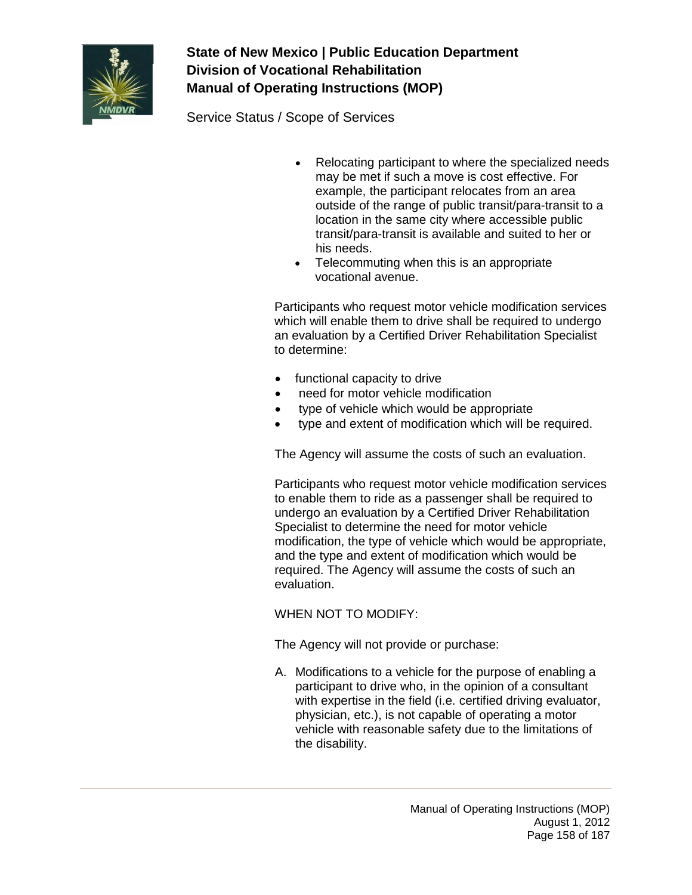

Service Status / Scope of Services

- Relocating participant to where the specialized needs may be met if such a move is cost effective. For example, the participant relocates from an area outside of the range of public transit/para-transit to a location in the same city where accessible public transit/para-transit is available and suited to her or his needs.
- Telecommuting when this is an appropriate vocational avenue.

Participants who request motor vehicle modification services which will enable them to drive shall be required to undergo an evaluation by a Certified Driver Rehabilitation Specialist to determine:

- functional capacity to drive
- need for motor vehicle modification
- type of vehicle which would be appropriate
- type and extent of modification which will be required.

The Agency will assume the costs of such an evaluation.

Participants who request motor vehicle modification services to enable them to ride as a passenger shall be required to undergo an evaluation by a Certified Driver Rehabilitation Specialist to determine the need for motor vehicle modification, the type of vehicle which would be appropriate, and the type and extent of modification which would be required. The Agency will assume the costs of such an evaluation.

## WHEN NOT TO MODIFY:

The Agency will not provide or purchase:

A. Modifications to a vehicle for the purpose of enabling a participant to drive who, in the opinion of a consultant with expertise in the field (i.e. certified driving evaluator, physician, etc.), is not capable of operating a motor vehicle with reasonable safety due to the limitations of the disability.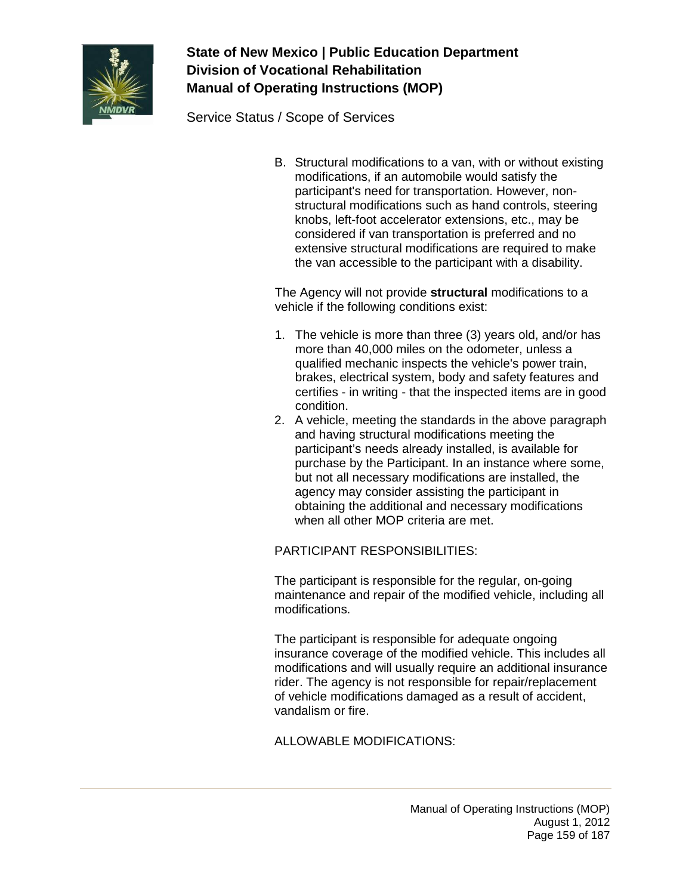

Service Status / Scope of Services

B. Structural modifications to a van, with or without existing modifications, if an automobile would satisfy the participant's need for transportation. However, nonstructural modifications such as hand controls, steering knobs, left-foot accelerator extensions, etc., may be considered if van transportation is preferred and no extensive structural modifications are required to make the van accessible to the participant with a disability.

The Agency will not provide **structural** modifications to a vehicle if the following conditions exist:

- 1. The vehicle is more than three (3) years old, and/or has more than 40,000 miles on the odometer, unless a qualified mechanic inspects the vehicle's power train, brakes, electrical system, body and safety features and certifies - in writing - that the inspected items are in good condition.
- 2. A vehicle, meeting the standards in the above paragraph and having structural modifications meeting the participant's needs already installed, is available for purchase by the Participant. In an instance where some, but not all necessary modifications are installed, the agency may consider assisting the participant in obtaining the additional and necessary modifications when all other MOP criteria are met.

## PARTICIPANT RESPONSIBILITIES:

The participant is responsible for the regular, on-going maintenance and repair of the modified vehicle, including all modifications.

The participant is responsible for adequate ongoing insurance coverage of the modified vehicle. This includes all modifications and will usually require an additional insurance rider. The agency is not responsible for repair/replacement of vehicle modifications damaged as a result of accident, vandalism or fire.

ALLOWABLE MODIFICATIONS: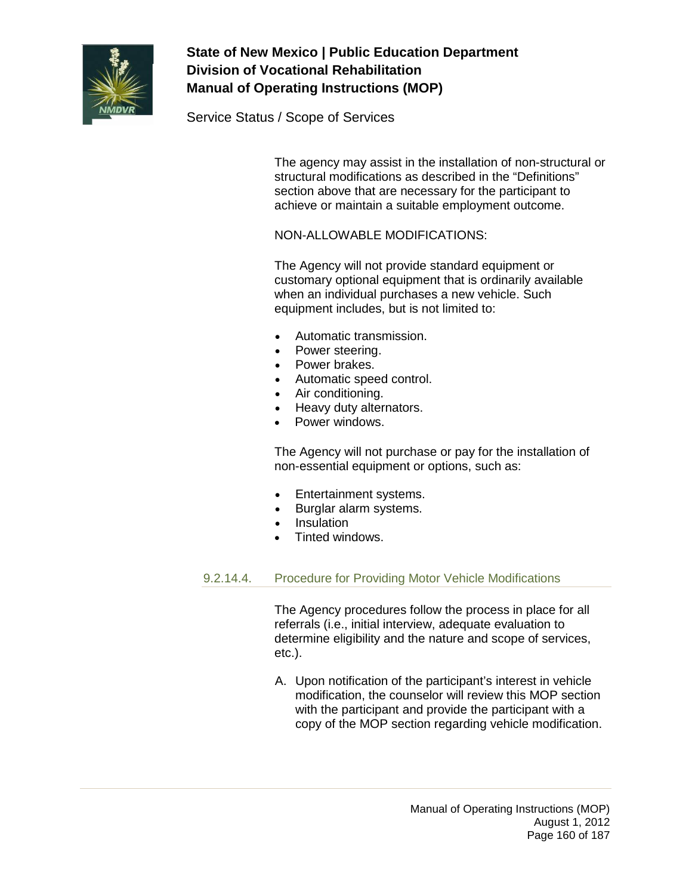

Service Status / Scope of Services

The agency may assist in the installation of non-structural or structural modifications as described in the "Definitions" section above that are necessary for the participant to achieve or maintain a suitable employment outcome.

## NON-ALLOWABLE MODIFICATIONS:

The Agency will not provide standard equipment or customary optional equipment that is ordinarily available when an individual purchases a new vehicle. Such equipment includes, but is not limited to:

- Automatic transmission.
- Power steering.
- Power brakes.
- Automatic speed control.
- Air conditioning.
- Heavy duty alternators.
- Power windows.

The Agency will not purchase or pay for the installation of non-essential equipment or options, such as:

- Entertainment systems.
- Burglar alarm systems.
- Insulation
- Tinted windows.

### 9.2.14.4. Procedure for Providing Motor Vehicle Modifications

The Agency procedures follow the process in place for all referrals (i.e., initial interview, adequate evaluation to determine eligibility and the nature and scope of services, etc.).

A. Upon notification of the participant's interest in vehicle modification, the counselor will review this MOP section with the participant and provide the participant with a copy of the MOP section regarding vehicle modification.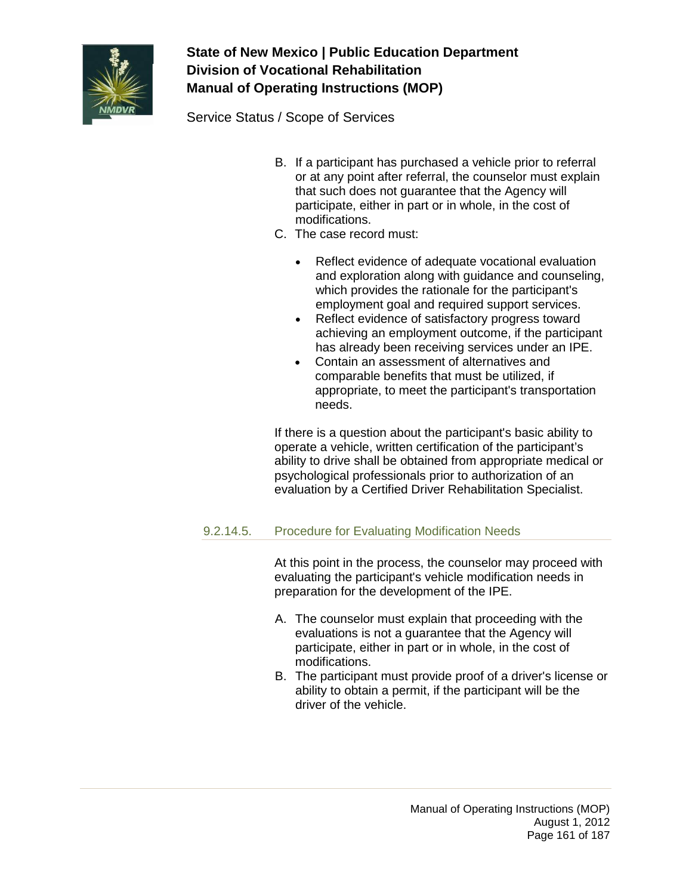

Service Status / Scope of Services

- B. If a participant has purchased a vehicle prior to referral or at any point after referral, the counselor must explain that such does not guarantee that the Agency will participate, either in part or in whole, in the cost of modifications.
- C. The case record must:
	- Reflect evidence of adequate vocational evaluation and exploration along with guidance and counseling, which provides the rationale for the participant's employment goal and required support services.
	- Reflect evidence of satisfactory progress toward achieving an employment outcome, if the participant has already been receiving services under an IPE.
	- Contain an assessment of alternatives and comparable benefits that must be utilized, if appropriate, to meet the participant's transportation needs.

If there is a question about the participant's basic ability to operate a vehicle, written certification of the participant's ability to drive shall be obtained from appropriate medical or psychological professionals prior to authorization of an evaluation by a Certified Driver Rehabilitation Specialist.

## 9.2.14.5. Procedure for Evaluating Modification Needs

At this point in the process, the counselor may proceed with evaluating the participant's vehicle modification needs in preparation for the development of the IPE.

- A. The counselor must explain that proceeding with the evaluations is not a guarantee that the Agency will participate, either in part or in whole, in the cost of modifications.
- B. The participant must provide proof of a driver's license or ability to obtain a permit, if the participant will be the driver of the vehicle.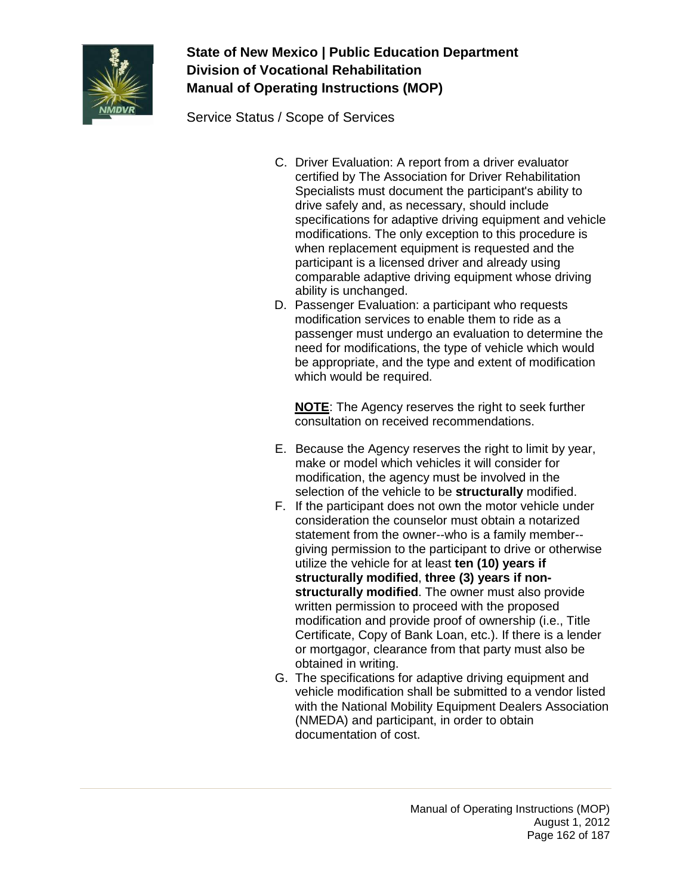

Service Status / Scope of Services

- C. Driver Evaluation: A report from a driver evaluator certified by The Association for Driver Rehabilitation Specialists must document the participant's ability to drive safely and, as necessary, should include specifications for adaptive driving equipment and vehicle modifications. The only exception to this procedure is when replacement equipment is requested and the participant is a licensed driver and already using comparable adaptive driving equipment whose driving ability is unchanged.
- D. Passenger Evaluation: a participant who requests modification services to enable them to ride as a passenger must undergo an evaluation to determine the need for modifications, the type of vehicle which would be appropriate, and the type and extent of modification which would be required.

**NOTE**: The Agency reserves the right to seek further consultation on received recommendations.

- E. Because the Agency reserves the right to limit by year, make or model which vehicles it will consider for modification, the agency must be involved in the selection of the vehicle to be **structurally** modified.
- F. If the participant does not own the motor vehicle under consideration the counselor must obtain a notarized statement from the owner--who is a family member- giving permission to the participant to drive or otherwise utilize the vehicle for at least **ten (10) years if structurally modified**, **three (3) years if nonstructurally modified**. The owner must also provide written permission to proceed with the proposed modification and provide proof of ownership (i.e., Title Certificate, Copy of Bank Loan, etc.). If there is a lender or mortgagor, clearance from that party must also be obtained in writing.
- G. The specifications for adaptive driving equipment and vehicle modification shall be submitted to a vendor listed with the National Mobility Equipment Dealers Association (NMEDA) and participant, in order to obtain documentation of cost.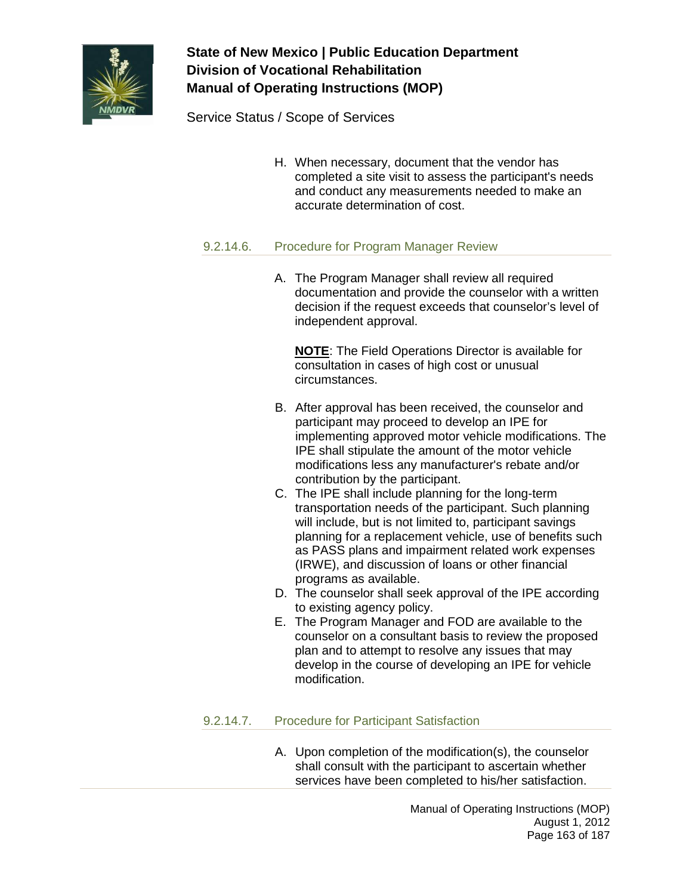

Service Status / Scope of Services

H. When necessary, document that the vendor has completed a site visit to assess the participant's needs and conduct any measurements needed to make an accurate determination of cost.

## 9.2.14.6. Procedure for Program Manager Review

A. The Program Manager shall review all required documentation and provide the counselor with a written decision if the request exceeds that counselor's level of independent approval.

**NOTE**: The Field Operations Director is available for consultation in cases of high cost or unusual circumstances.

- B. After approval has been received, the counselor and participant may proceed to develop an IPE for implementing approved motor vehicle modifications. The IPE shall stipulate the amount of the motor vehicle modifications less any manufacturer's rebate and/or contribution by the participant.
- C. The IPE shall include planning for the long-term transportation needs of the participant. Such planning will include, but is not limited to, participant savings planning for a replacement vehicle, use of benefits such as PASS plans and impairment related work expenses (IRWE), and discussion of loans or other financial programs as available.
- D. The counselor shall seek approval of the IPE according to existing agency policy.
- E. The Program Manager and FOD are available to the counselor on a consultant basis to review the proposed plan and to attempt to resolve any issues that may develop in the course of developing an IPE for vehicle modification.

## 9.2.14.7. Procedure for Participant Satisfaction

A. Upon completion of the modification(s), the counselor shall consult with the participant to ascertain whether services have been completed to his/her satisfaction.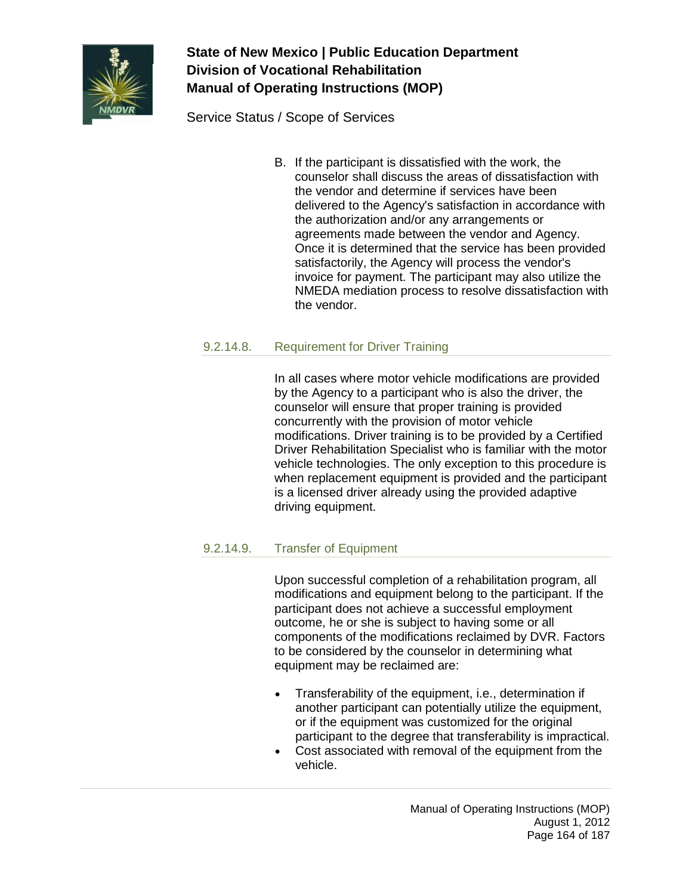

Service Status / Scope of Services

B. If the participant is dissatisfied with the work, the counselor shall discuss the areas of dissatisfaction with the vendor and determine if services have been delivered to the Agency's satisfaction in accordance with the authorization and/or any arrangements or agreements made between the vendor and Agency. Once it is determined that the service has been provided satisfactorily, the Agency will process the vendor's invoice for payment. The participant may also utilize the NMEDA mediation process to resolve dissatisfaction with the vendor.

## 9.2.14.8. Requirement for Driver Training

In all cases where motor vehicle modifications are provided by the Agency to a participant who is also the driver, the counselor will ensure that proper training is provided concurrently with the provision of motor vehicle modifications. Driver training is to be provided by a Certified Driver Rehabilitation Specialist who is familiar with the motor vehicle technologies. The only exception to this procedure is when replacement equipment is provided and the participant is a licensed driver already using the provided adaptive driving equipment.

## 9.2.14.9. Transfer of Equipment

Upon successful completion of a rehabilitation program, all modifications and equipment belong to the participant. If the participant does not achieve a successful employment outcome, he or she is subject to having some or all components of the modifications reclaimed by DVR. Factors to be considered by the counselor in determining what equipment may be reclaimed are:

- Transferability of the equipment, i.e., determination if another participant can potentially utilize the equipment, or if the equipment was customized for the original participant to the degree that transferability is impractical.
- Cost associated with removal of the equipment from the vehicle.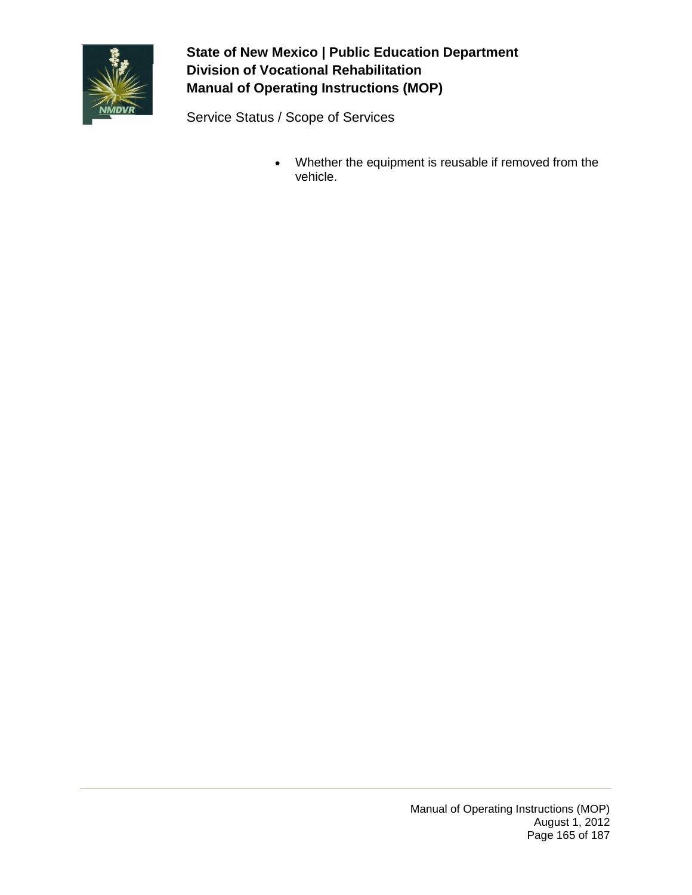

Service Status / Scope of Services

• Whether the equipment is reusable if removed from the vehicle.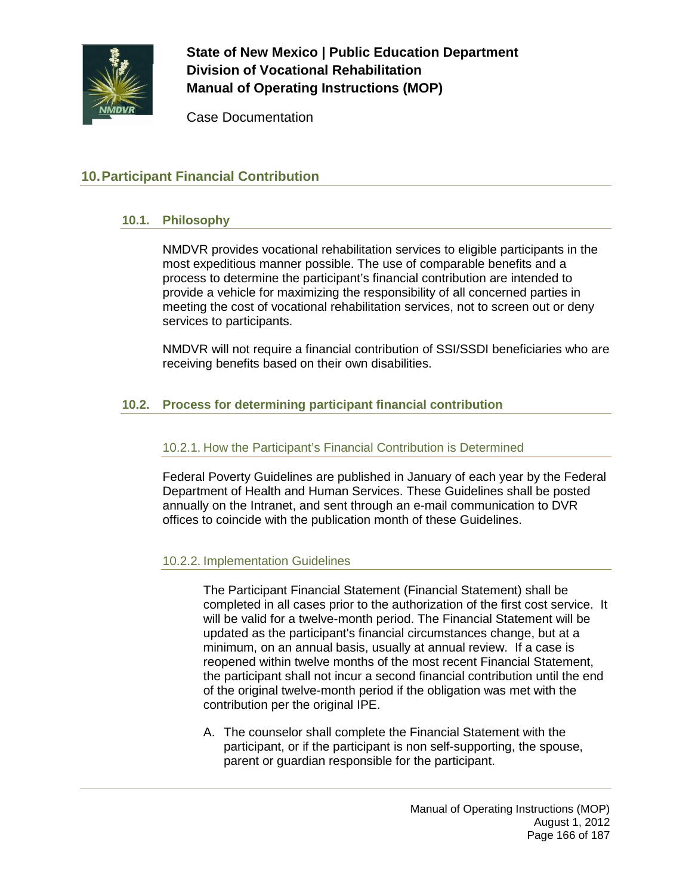

Case Documentation

## **10.Participant Financial Contribution**

### **10.1. Philosophy**

NMDVR provides vocational rehabilitation services to eligible participants in the most expeditious manner possible. The use of comparable benefits and a process to determine the participant's financial contribution are intended to provide a vehicle for maximizing the responsibility of all concerned parties in meeting the cost of vocational rehabilitation services, not to screen out or deny services to participants.

NMDVR will not require a financial contribution of SSI/SSDI beneficiaries who are receiving benefits based on their own disabilities.

## **10.2. Process for determining participant financial contribution**

### 10.2.1. How the Participant's Financial Contribution is Determined

Federal Poverty Guidelines are published in January of each year by the Federal Department of Health and Human Services. These Guidelines shall be posted annually on the Intranet, and sent through an e-mail communication to DVR offices to coincide with the publication month of these Guidelines.

## 10.2.2. Implementation Guidelines

The Participant Financial Statement (Financial Statement) shall be completed in all cases prior to the authorization of the first cost service. It will be valid for a twelve-month period. The Financial Statement will be updated as the participant's financial circumstances change, but at a minimum, on an annual basis, usually at annual review. If a case is reopened within twelve months of the most recent Financial Statement, the participant shall not incur a second financial contribution until the end of the original twelve-month period if the obligation was met with the contribution per the original IPE.

A. The counselor shall complete the Financial Statement with the participant, or if the participant is non self-supporting, the spouse, parent or guardian responsible for the participant.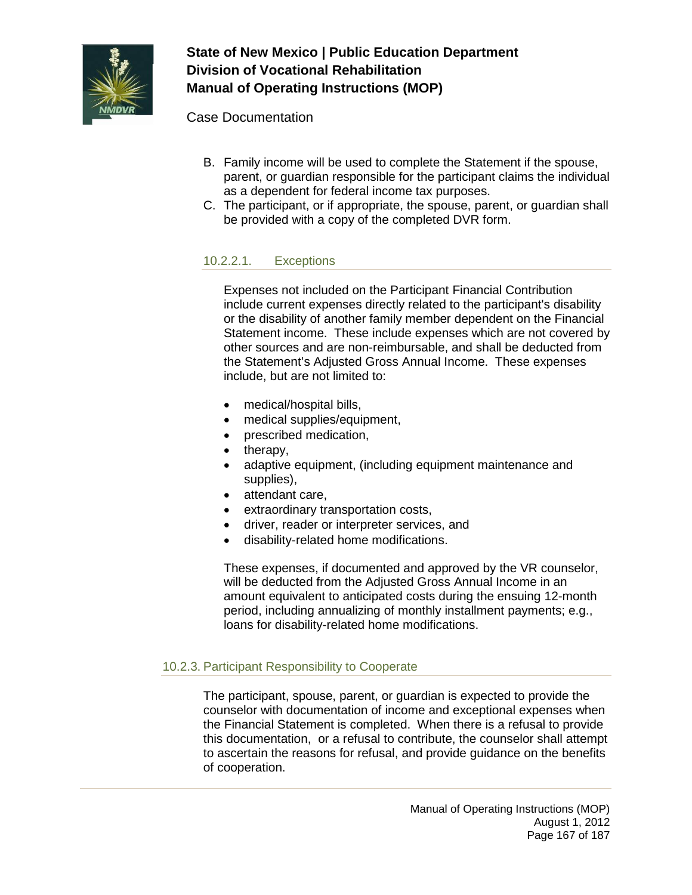

Case Documentation

- B. Family income will be used to complete the Statement if the spouse, parent, or guardian responsible for the participant claims the individual as a dependent for federal income tax purposes.
- C. The participant, or if appropriate, the spouse, parent, or guardian shall be provided with a copy of the completed DVR form.

## 10.2.2.1. Exceptions

Expenses not included on the Participant Financial Contribution include current expenses directly related to the participant's disability or the disability of another family member dependent on the Financial Statement income. These include expenses which are not covered by other sources and are non-reimbursable, and shall be deducted from the Statement's Adjusted Gross Annual Income. These expenses include, but are not limited to:

- medical/hospital bills,
- medical supplies/equipment,
- prescribed medication,
- therapy,
- adaptive equipment, (including equipment maintenance and supplies),
- attendant care,
- extraordinary transportation costs,
- driver, reader or interpreter services, and
- disability-related home modifications.

These expenses, if documented and approved by the VR counselor, will be deducted from the Adjusted Gross Annual Income in an amount equivalent to anticipated costs during the ensuing 12-month period, including annualizing of monthly installment payments; e.g., loans for disability-related home modifications.

## 10.2.3. Participant Responsibility to Cooperate

The participant, spouse, parent, or guardian is expected to provide the counselor with documentation of income and exceptional expenses when the Financial Statement is completed. When there is a refusal to provide this documentation, or a refusal to contribute, the counselor shall attempt to ascertain the reasons for refusal, and provide guidance on the benefits of cooperation.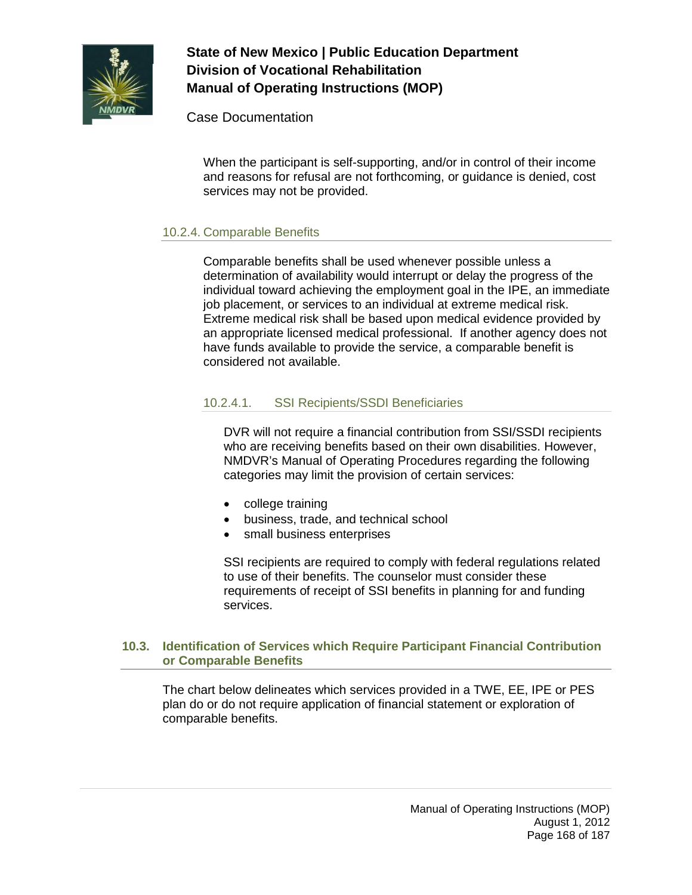

Case Documentation

When the participant is self-supporting, and/or in control of their income and reasons for refusal are not forthcoming, or guidance is denied, cost services may not be provided.

### 10.2.4. Comparable Benefits

Comparable benefits shall be used whenever possible unless a determination of availability would interrupt or delay the progress of the individual toward achieving the employment goal in the IPE, an immediate job placement, or services to an individual at extreme medical risk. Extreme medical risk shall be based upon medical evidence provided by an appropriate licensed medical professional. If another agency does not have funds available to provide the service, a comparable benefit is considered not available.

## 10.2.4.1. SSI Recipients/SSDI Beneficiaries

DVR will not require a financial contribution from SSI/SSDI recipients who are receiving benefits based on their own disabilities. However, NMDVR's Manual of Operating Procedures regarding the following categories may limit the provision of certain services:

- college training
- business, trade, and technical school
- small business enterprises

SSI recipients are required to comply with federal regulations related to use of their benefits. The counselor must consider these requirements of receipt of SSI benefits in planning for and funding services.

#### **10.3. Identification of Services which Require Participant Financial Contribution or Comparable Benefits**

The chart below delineates which services provided in a TWE, EE, IPE or PES plan do or do not require application of financial statement or exploration of comparable benefits.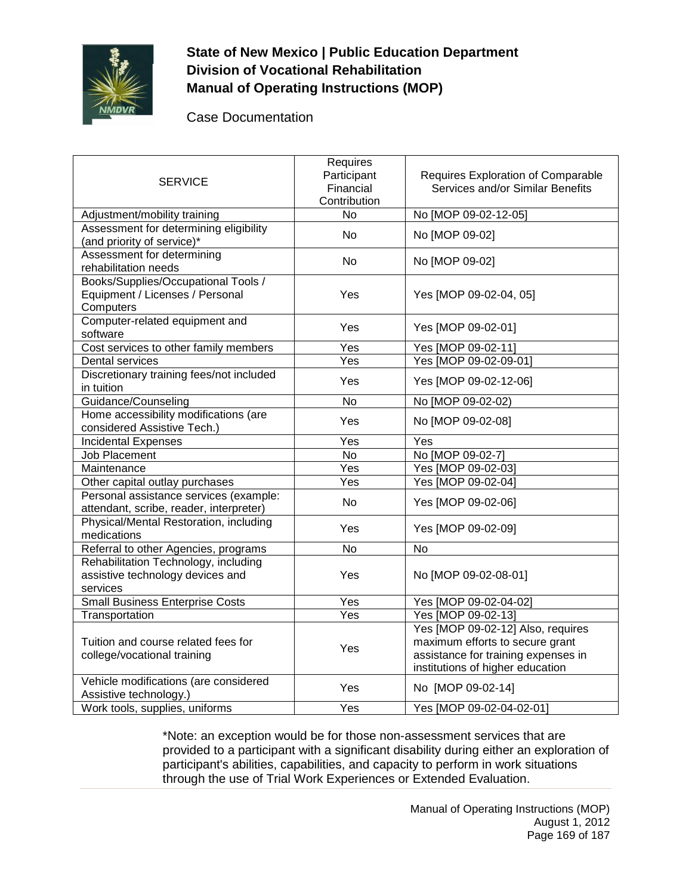

Case Documentation

| <b>SERVICE</b>                                                                       | Requires<br>Participant<br>Financial<br>Contribution | Requires Exploration of Comparable<br>Services and/or Similar Benefits                                                                          |
|--------------------------------------------------------------------------------------|------------------------------------------------------|-------------------------------------------------------------------------------------------------------------------------------------------------|
| Adjustment/mobility training                                                         | No                                                   | No [MOP 09-02-12-05]                                                                                                                            |
| Assessment for determining eligibility<br>(and priority of service)*                 | <b>No</b>                                            | No [MOP 09-02]                                                                                                                                  |
| Assessment for determining<br>rehabilitation needs                                   | No                                                   | No [MOP 09-02]                                                                                                                                  |
| Books/Supplies/Occupational Tools /<br>Equipment / Licenses / Personal<br>Computers  | Yes                                                  | Yes [MOP 09-02-04, 05]                                                                                                                          |
| Computer-related equipment and<br>software                                           | Yes                                                  | Yes [MOP 09-02-01]                                                                                                                              |
| Cost services to other family members                                                | Yes                                                  | Yes [MOP 09-02-11]                                                                                                                              |
| Dental services                                                                      | Yes                                                  | Yes [MOP 09-02-09-01]                                                                                                                           |
| Discretionary training fees/not included<br>in tuition                               | Yes                                                  | Yes [MOP 09-02-12-06]                                                                                                                           |
| Guidance/Counseling                                                                  | <b>No</b>                                            | No [MOP 09-02-02)                                                                                                                               |
| Home accessibility modifications (are<br>considered Assistive Tech.)                 | Yes                                                  | No [MOP 09-02-08]                                                                                                                               |
| <b>Incidental Expenses</b>                                                           | Yes                                                  | Yes                                                                                                                                             |
| <b>Job Placement</b>                                                                 | <b>No</b>                                            | No [MOP 09-02-7]                                                                                                                                |
| Maintenance                                                                          | Yes                                                  | Yes [MOP 09-02-03]                                                                                                                              |
| Other capital outlay purchases                                                       | Yes                                                  | Yes [MOP 09-02-04]                                                                                                                              |
| Personal assistance services (example:<br>attendant, scribe, reader, interpreter)    | N <sub>o</sub>                                       | Yes [MOP 09-02-06]                                                                                                                              |
| Physical/Mental Restoration, including<br>medications                                | Yes                                                  | Yes [MOP 09-02-09]                                                                                                                              |
| Referral to other Agencies, programs                                                 | $\overline{N}$                                       | $\overline{N}$                                                                                                                                  |
| Rehabilitation Technology, including<br>assistive technology devices and<br>services | Yes                                                  | No [MOP 09-02-08-01]                                                                                                                            |
| <b>Small Business Enterprise Costs</b>                                               | Yes                                                  | Yes [MOP 09-02-04-02]                                                                                                                           |
| Transportation                                                                       | Yes                                                  | Yes [MOP 09-02-13]                                                                                                                              |
| Tuition and course related fees for<br>college/vocational training                   | Yes                                                  | Yes [MOP 09-02-12] Also, requires<br>maximum efforts to secure grant<br>assistance for training expenses in<br>institutions of higher education |
| Vehicle modifications (are considered<br>Assistive technology.)                      | Yes                                                  | No [MOP 09-02-14]                                                                                                                               |
| Work tools, supplies, uniforms                                                       | Yes                                                  | Yes [MOP 09-02-04-02-01]                                                                                                                        |

\*Note: an exception would be for those non-assessment services that are provided to a participant with a significant disability during either an exploration of participant's abilities, capabilities, and capacity to perform in work situations through the use of Trial Work Experiences or Extended Evaluation.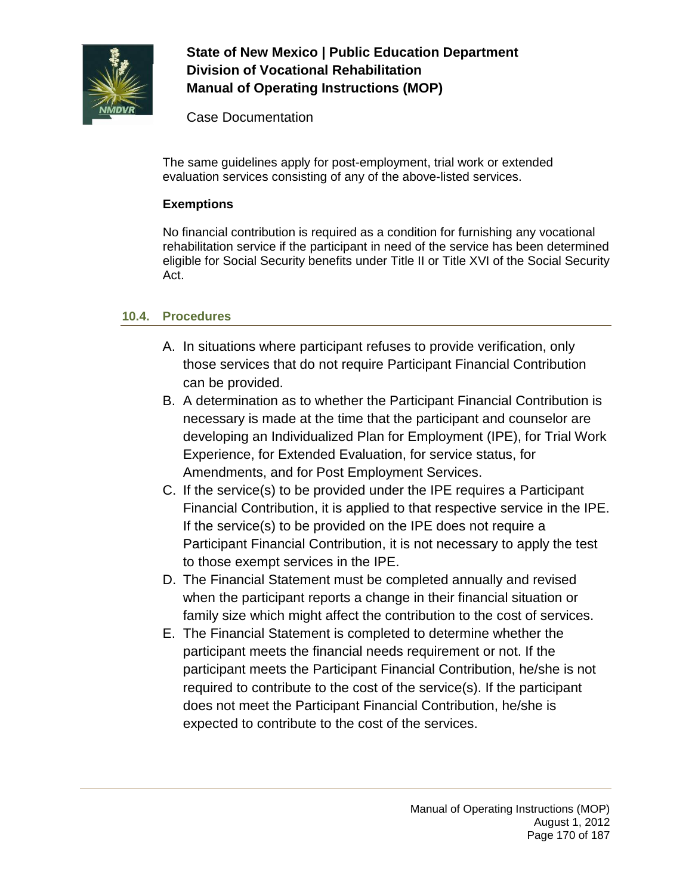

Case Documentation

The same guidelines apply for post-employment, trial work or extended evaluation services consisting of any of the above-listed services.

## **Exemptions**

No financial contribution is required as a condition for furnishing any vocational rehabilitation service if the participant in need of the service has been determined eligible for Social Security benefits under Title II or Title XVI of the Social Security Act.

## **10.4. Procedures**

- A. In situations where participant refuses to provide verification, only those services that do not require Participant Financial Contribution can be provided.
- B. A determination as to whether the Participant Financial Contribution is necessary is made at the time that the participant and counselor are developing an Individualized Plan for Employment (IPE), for Trial Work Experience, for Extended Evaluation, for service status, for Amendments, and for Post Employment Services.
- C. If the service(s) to be provided under the IPE requires a Participant Financial Contribution, it is applied to that respective service in the IPE. If the service(s) to be provided on the IPE does not require a Participant Financial Contribution, it is not necessary to apply the test to those exempt services in the IPE.
- D. The Financial Statement must be completed annually and revised when the participant reports a change in their financial situation or family size which might affect the contribution to the cost of services.
- E. The Financial Statement is completed to determine whether the participant meets the financial needs requirement or not. If the participant meets the Participant Financial Contribution, he/she is not required to contribute to the cost of the service(s). If the participant does not meet the Participant Financial Contribution, he/she is expected to contribute to the cost of the services.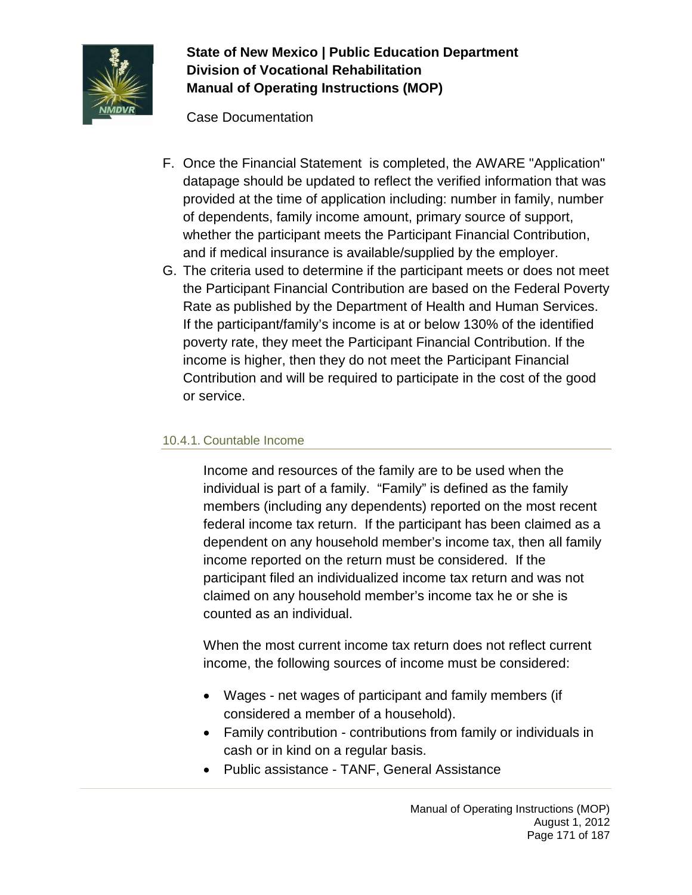

Case Documentation

- F. Once the Financial Statement is completed, the AWARE "Application" datapage should be updated to reflect the verified information that was provided at the time of application including: number in family, number of dependents, family income amount, primary source of support, whether the participant meets the Participant Financial Contribution, and if medical insurance is available/supplied by the employer.
- G. The criteria used to determine if the participant meets or does not meet the Participant Financial Contribution are based on the Federal Poverty Rate as published by the Department of Health and Human Services. If the participant/family's income is at or below 130% of the identified poverty rate, they meet the Participant Financial Contribution. If the income is higher, then they do not meet the Participant Financial Contribution and will be required to participate in the cost of the good or service.

## 10.4.1. Countable Income

Income and resources of the family are to be used when the individual is part of a family. "Family" is defined as the family members (including any dependents) reported on the most recent federal income tax return. If the participant has been claimed as a dependent on any household member's income tax, then all family income reported on the return must be considered. If the participant filed an individualized income tax return and was not claimed on any household member's income tax he or she is counted as an individual.

When the most current income tax return does not reflect current income, the following sources of income must be considered:

- Wages net wages of participant and family members (if considered a member of a household).
- Family contribution contributions from family or individuals in cash or in kind on a regular basis.
- Public assistance TANF, General Assistance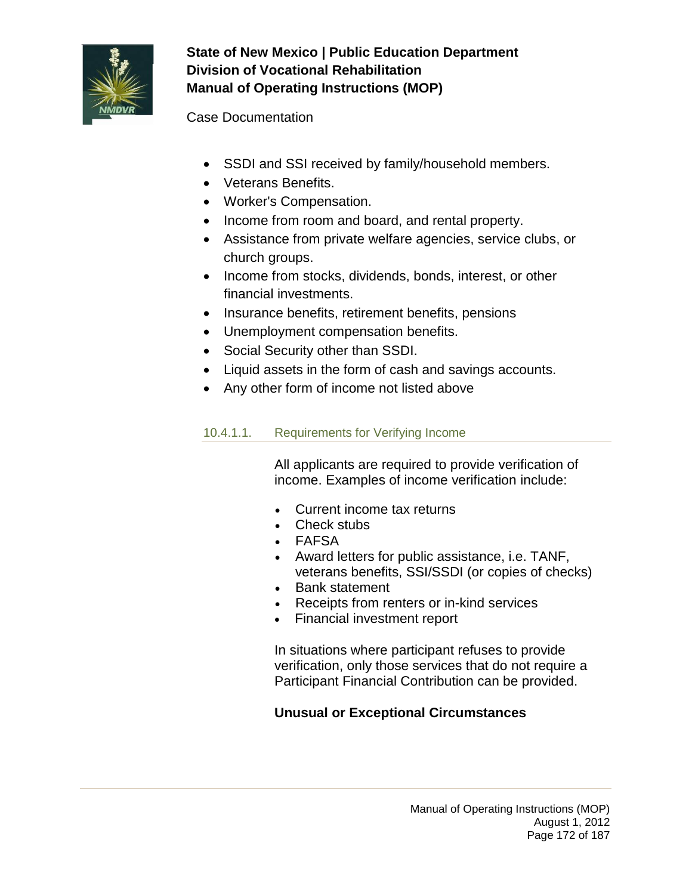

Case Documentation

- SSDI and SSI received by family/household members.
- Veterans Benefits.
- Worker's Compensation.
- Income from room and board, and rental property.
- Assistance from private welfare agencies, service clubs, or church groups.
- Income from stocks, dividends, bonds, interest, or other financial investments.
- Insurance benefits, retirement benefits, pensions
- Unemployment compensation benefits.
- Social Security other than SSDI.
- Liquid assets in the form of cash and savings accounts.
- Any other form of income not listed above

# 10.4.1.1. Requirements for Verifying Income

All applicants are required to provide verification of income. Examples of income verification include:

- Current income tax returns
- Check stubs
- FAFSA
- Award letters for public assistance, i.e. TANF, veterans benefits, SSI/SSDI (or copies of checks)
- Bank statement
- Receipts from renters or in-kind services
- Financial investment report

In situations where participant refuses to provide verification, only those services that do not require a Participant Financial Contribution can be provided.

# **Unusual or Exceptional Circumstances**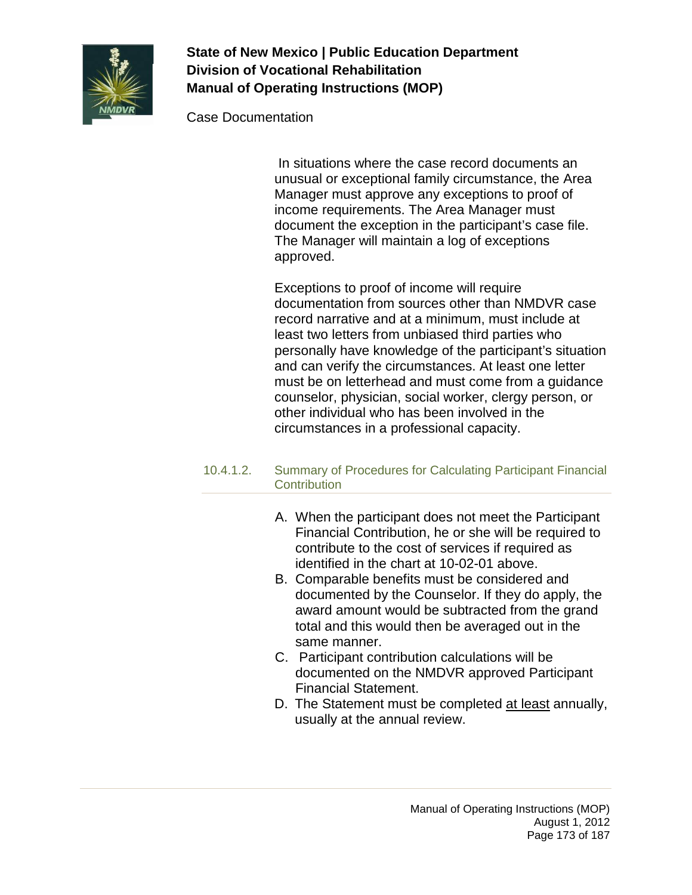

Case Documentation

In situations where the case record documents an unusual or exceptional family circumstance, the Area Manager must approve any exceptions to proof of income requirements. The Area Manager must document the exception in the participant's case file. The Manager will maintain a log of exceptions approved.

Exceptions to proof of income will require documentation from sources other than NMDVR case record narrative and at a minimum, must include at least two letters from unbiased third parties who personally have knowledge of the participant's situation and can verify the circumstances. At least one letter must be on letterhead and must come from a guidance counselor, physician, social worker, clergy person, or other individual who has been involved in the circumstances in a professional capacity.

### 10.4.1.2. Summary of Procedures for Calculating Participant Financial **Contribution**

- A. When the participant does not meet the Participant Financial Contribution, he or she will be required to contribute to the cost of services if required as identified in the chart at 10-02-01 above.
- B. Comparable benefits must be considered and documented by the Counselor. If they do apply, the award amount would be subtracted from the grand total and this would then be averaged out in the same manner.
- C. Participant contribution calculations will be documented on the NMDVR approved Participant Financial Statement.
- D. The Statement must be completed at least annually, usually at the annual review.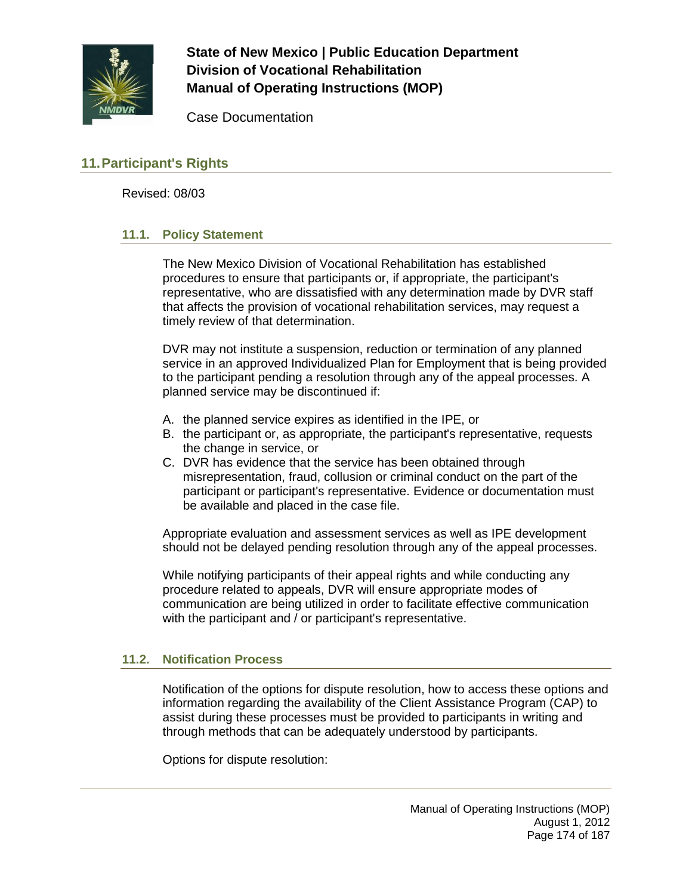

Case Documentation

## **11.Participant's Rights**

Revised: 08/03

### **11.1. Policy Statement**

The New Mexico Division of Vocational Rehabilitation has established procedures to ensure that participants or, if appropriate, the participant's representative, who are dissatisfied with any determination made by DVR staff that affects the provision of vocational rehabilitation services, may request a timely review of that determination.

DVR may not institute a suspension, reduction or termination of any planned service in an approved Individualized Plan for Employment that is being provided to the participant pending a resolution through any of the appeal processes. A planned service may be discontinued if:

- A. the planned service expires as identified in the IPE, or
- B. the participant or, as appropriate, the participant's representative, requests the change in service, or
- C. DVR has evidence that the service has been obtained through misrepresentation, fraud, collusion or criminal conduct on the part of the participant or participant's representative. Evidence or documentation must be available and placed in the case file.

Appropriate evaluation and assessment services as well as IPE development should not be delayed pending resolution through any of the appeal processes.

While notifying participants of their appeal rights and while conducting any procedure related to appeals, DVR will ensure appropriate modes of communication are being utilized in order to facilitate effective communication with the participant and / or participant's representative.

### **11.2. Notification Process**

Notification of the options for dispute resolution, how to access these options and information regarding the availability of the Client Assistance Program (CAP) to assist during these processes must be provided to participants in writing and through methods that can be adequately understood by participants.

Options for dispute resolution: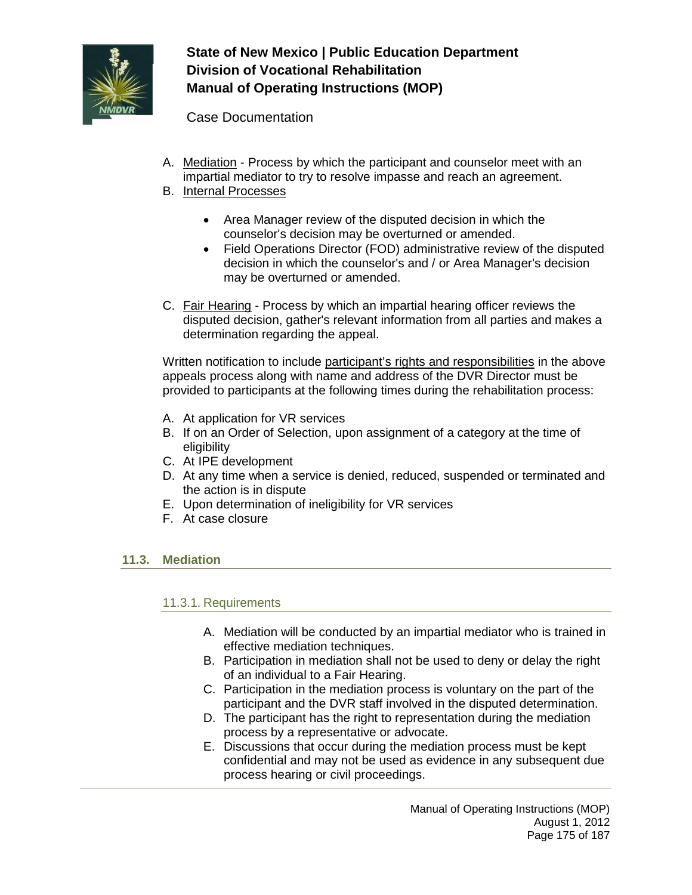

Case Documentation

- A. Mediation Process by which the participant and counselor meet with an impartial mediator to try to resolve impasse and reach an agreement.
- B. Internal Processes
	- Area Manager review of the disputed decision in which the counselor's decision may be overturned or amended.
	- Field Operations Director (FOD) administrative review of the disputed decision in which the counselor's and / or Area Manager's decision may be overturned or amended.
- C. Fair Hearing Process by which an impartial hearing officer reviews the disputed decision, gather's relevant information from all parties and makes a determination regarding the appeal.

Written notification to include participant's rights and responsibilities in the above appeals process along with name and address of the DVR Director must be provided to participants at the following times during the rehabilitation process:

- A. At application for VR services
- B. If on an Order of Selection, upon assignment of a category at the time of eligibility
- C. At IPE development
- D. At any time when a service is denied, reduced, suspended or terminated and the action is in dispute
- E. Upon determination of ineligibility for VR services
- F. At case closure

### **11.3. Mediation**

### 11.3.1. Requirements

- A. Mediation will be conducted by an impartial mediator who is trained in effective mediation techniques.
- B. Participation in mediation shall not be used to deny or delay the right of an individual to a Fair Hearing.
- C. Participation in the mediation process is voluntary on the part of the participant and the DVR staff involved in the disputed determination.
- D. The participant has the right to representation during the mediation process by a representative or advocate.
- E. Discussions that occur during the mediation process must be kept confidential and may not be used as evidence in any subsequent due process hearing or civil proceedings.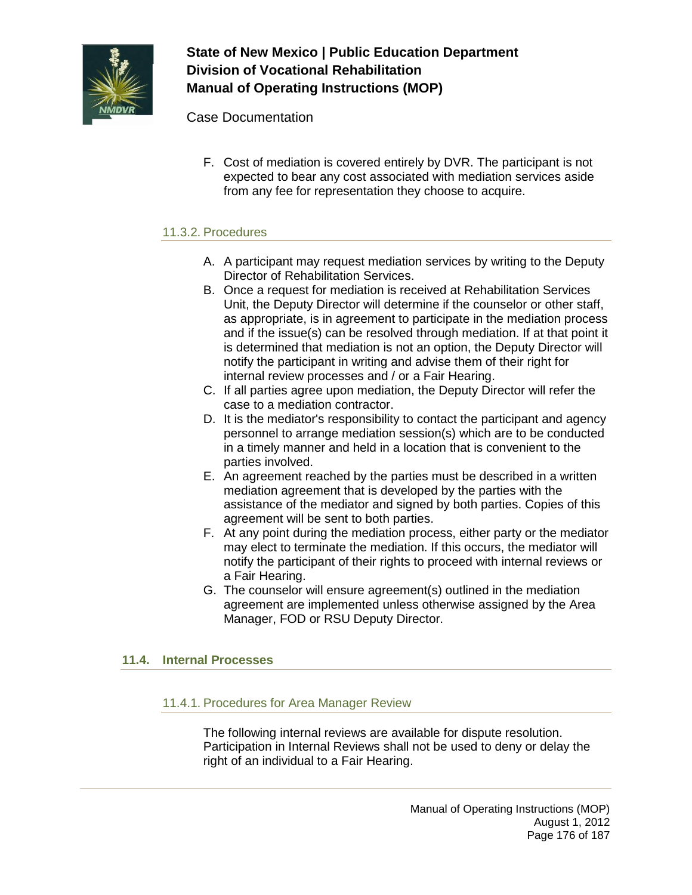

Case Documentation

F. Cost of mediation is covered entirely by DVR. The participant is not expected to bear any cost associated with mediation services aside from any fee for representation they choose to acquire.

## 11.3.2. Procedures

- A. A participant may request mediation services by writing to the Deputy Director of Rehabilitation Services.
- B. Once a request for mediation is received at Rehabilitation Services Unit, the Deputy Director will determine if the counselor or other staff, as appropriate, is in agreement to participate in the mediation process and if the issue(s) can be resolved through mediation. If at that point it is determined that mediation is not an option, the Deputy Director will notify the participant in writing and advise them of their right for internal review processes and / or a Fair Hearing.
- C. If all parties agree upon mediation, the Deputy Director will refer the case to a mediation contractor.
- D. It is the mediator's responsibility to contact the participant and agency personnel to arrange mediation session(s) which are to be conducted in a timely manner and held in a location that is convenient to the parties involved.
- E. An agreement reached by the parties must be described in a written mediation agreement that is developed by the parties with the assistance of the mediator and signed by both parties. Copies of this agreement will be sent to both parties.
- F. At any point during the mediation process, either party or the mediator may elect to terminate the mediation. If this occurs, the mediator will notify the participant of their rights to proceed with internal reviews or a Fair Hearing.
- G. The counselor will ensure agreement(s) outlined in the mediation agreement are implemented unless otherwise assigned by the Area Manager, FOD or RSU Deputy Director.

## **11.4. Internal Processes**

### 11.4.1. Procedures for Area Manager Review

The following internal reviews are available for dispute resolution. Participation in Internal Reviews shall not be used to deny or delay the right of an individual to a Fair Hearing.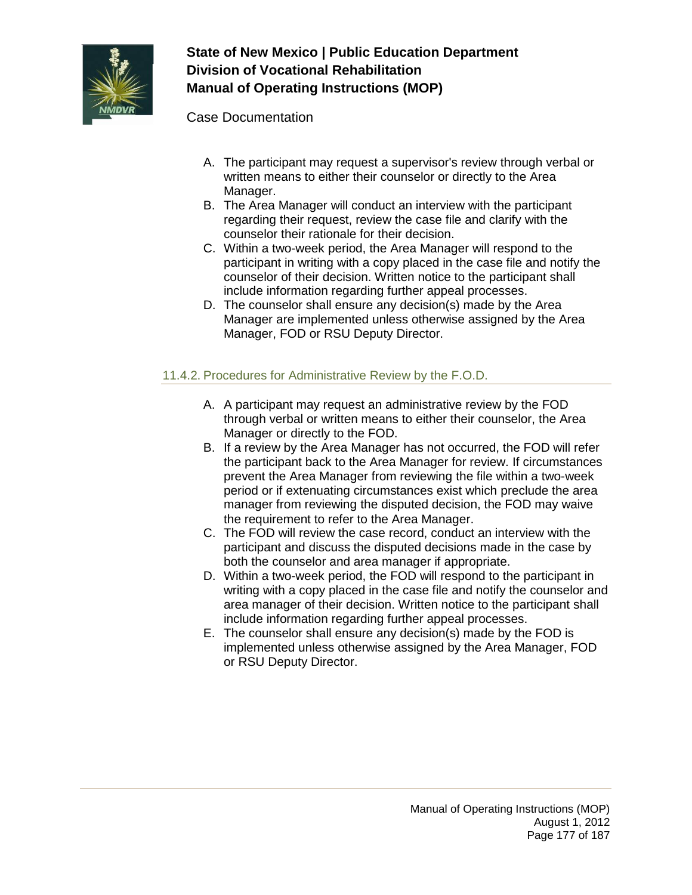

Case Documentation

- A. The participant may request a supervisor's review through verbal or written means to either their counselor or directly to the Area Manager.
- B. The Area Manager will conduct an interview with the participant regarding their request, review the case file and clarify with the counselor their rationale for their decision.
- C. Within a two-week period, the Area Manager will respond to the participant in writing with a copy placed in the case file and notify the counselor of their decision. Written notice to the participant shall include information regarding further appeal processes.
- D. The counselor shall ensure any decision(s) made by the Area Manager are implemented unless otherwise assigned by the Area Manager, FOD or RSU Deputy Director.

## 11.4.2. Procedures for Administrative Review by the F.O.D.

- A. A participant may request an administrative review by the FOD through verbal or written means to either their counselor, the Area Manager or directly to the FOD.
- B. If a review by the Area Manager has not occurred, the FOD will refer the participant back to the Area Manager for review. If circumstances prevent the Area Manager from reviewing the file within a two-week period or if extenuating circumstances exist which preclude the area manager from reviewing the disputed decision, the FOD may waive the requirement to refer to the Area Manager.
- C. The FOD will review the case record, conduct an interview with the participant and discuss the disputed decisions made in the case by both the counselor and area manager if appropriate.
- D. Within a two-week period, the FOD will respond to the participant in writing with a copy placed in the case file and notify the counselor and area manager of their decision. Written notice to the participant shall include information regarding further appeal processes.
- E. The counselor shall ensure any decision(s) made by the FOD is implemented unless otherwise assigned by the Area Manager, FOD or RSU Deputy Director.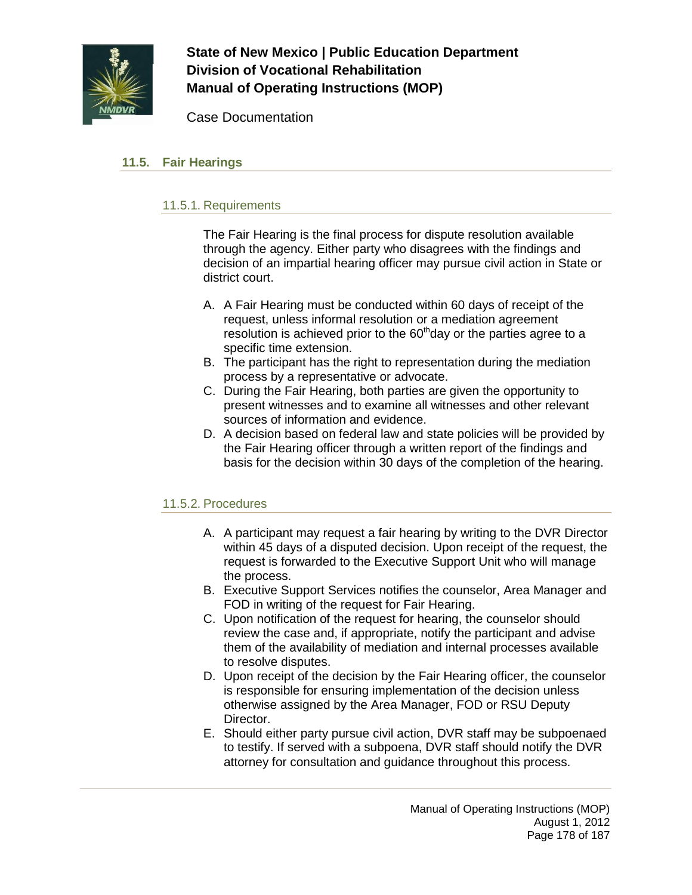

Case Documentation

## **11.5. Fair Hearings**

## 11.5.1. Requirements

The Fair Hearing is the final process for dispute resolution available through the agency. Either party who disagrees with the findings and decision of an impartial hearing officer may pursue civil action in State or district court.

- A. A Fair Hearing must be conducted within 60 days of receipt of the request, unless informal resolution or a mediation agreement resolution is achieved prior to the  $60<sup>th</sup>$ day or the parties agree to a specific time extension.
- B. The participant has the right to representation during the mediation process by a representative or advocate.
- C. During the Fair Hearing, both parties are given the opportunity to present witnesses and to examine all witnesses and other relevant sources of information and evidence.
- D. A decision based on federal law and state policies will be provided by the Fair Hearing officer through a written report of the findings and basis for the decision within 30 days of the completion of the hearing.

## 11.5.2. Procedures

- A. A participant may request a fair hearing by writing to the DVR Director within 45 days of a disputed decision. Upon receipt of the request, the request is forwarded to the Executive Support Unit who will manage the process.
- B. Executive Support Services notifies the counselor, Area Manager and FOD in writing of the request for Fair Hearing.
- C. Upon notification of the request for hearing, the counselor should review the case and, if appropriate, notify the participant and advise them of the availability of mediation and internal processes available to resolve disputes.
- D. Upon receipt of the decision by the Fair Hearing officer, the counselor is responsible for ensuring implementation of the decision unless otherwise assigned by the Area Manager, FOD or RSU Deputy Director.
- E. Should either party pursue civil action, DVR staff may be subpoenaed to testify. If served with a subpoena, DVR staff should notify the DVR attorney for consultation and guidance throughout this process.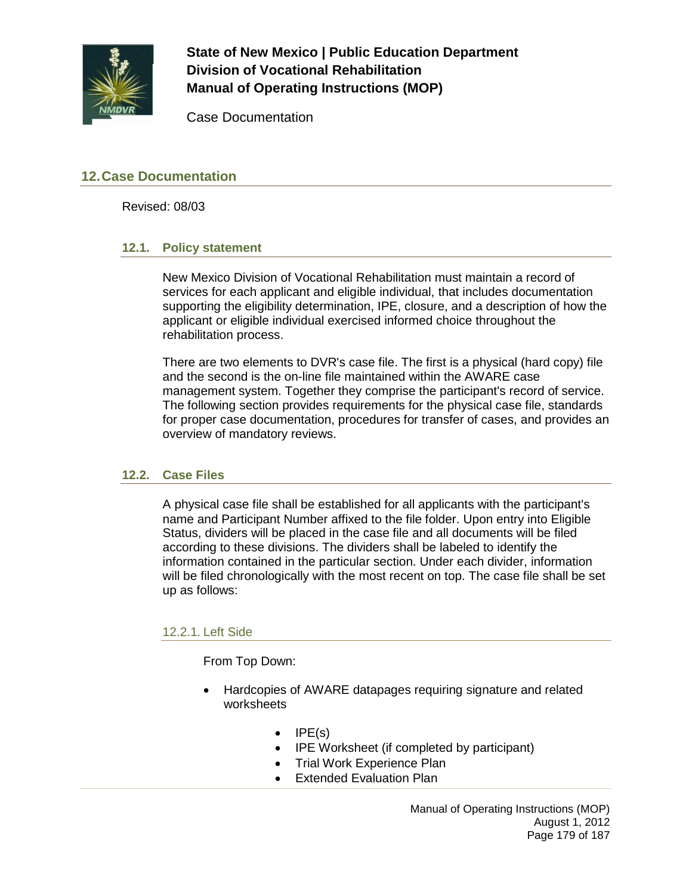

Case Documentation

## **12.Case Documentation**

Revised: 08/03

### **12.1. Policy statement**

New Mexico Division of Vocational Rehabilitation must maintain a record of services for each applicant and eligible individual, that includes documentation supporting the eligibility determination, IPE, closure, and a description of how the applicant or eligible individual exercised informed choice throughout the rehabilitation process.

There are two elements to DVR's case file. The first is a physical (hard copy) file and the second is the on-line file maintained within the AWARE case management system. Together they comprise the participant's record of service. The following section provides requirements for the physical case file, standards for proper case documentation, procedures for transfer of cases, and provides an overview of mandatory reviews.

### **12.2. Case Files**

A physical case file shall be established for all applicants with the participant's name and Participant Number affixed to the file folder. Upon entry into Eligible Status, dividers will be placed in the case file and all documents will be filed according to these divisions. The dividers shall be labeled to identify the information contained in the particular section. Under each divider, information will be filed chronologically with the most recent on top. The case file shall be set up as follows:

### 12.2.1. Left Side

From Top Down:

- Hardcopies of AWARE datapages requiring signature and related worksheets
	- $\bullet$  IPE(s)
	- IPE Worksheet (if completed by participant)
	- Trial Work Experience Plan
	- Extended Evaluation Plan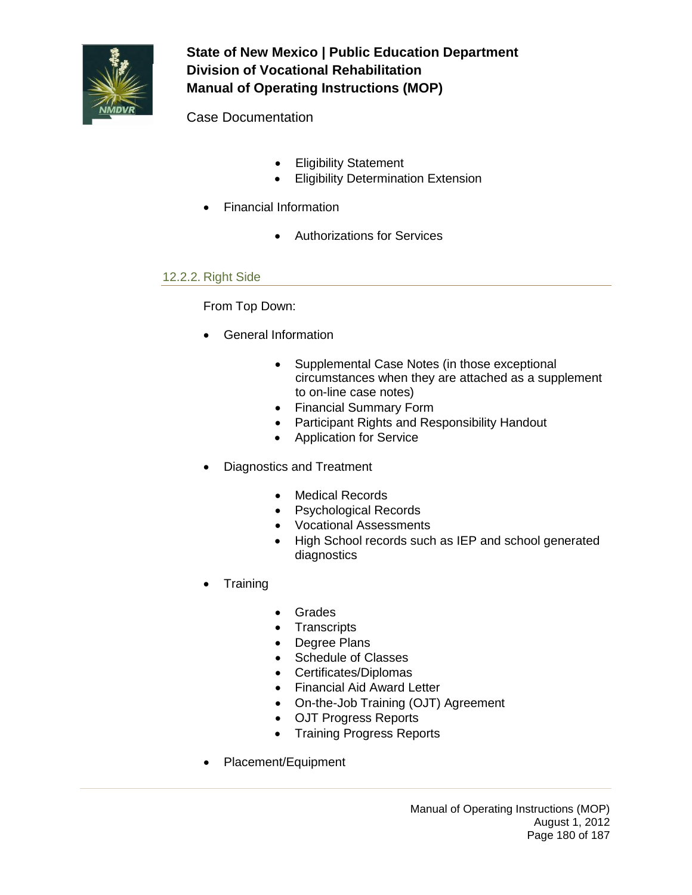

Case Documentation

- Eligibility Statement
- Eligibility Determination Extension
- Financial Information
	- Authorizations for Services

## 12.2.2. Right Side

## From Top Down:

- General Information
	- Supplemental Case Notes (in those exceptional circumstances when they are attached as a supplement to on-line case notes)
	- Financial Summary Form
	- Participant Rights and Responsibility Handout
	- Application for Service
- Diagnostics and Treatment
	- Medical Records
	- Psychological Records
	- Vocational Assessments
	- High School records such as IEP and school generated diagnostics
- Training
	- Grades
	- Transcripts
	- Degree Plans
	- Schedule of Classes
	- Certificates/Diplomas
	- Financial Aid Award Letter
	- On-the-Job Training (OJT) Agreement
	- OJT Progress Reports
	- Training Progress Reports
- Placement/Equipment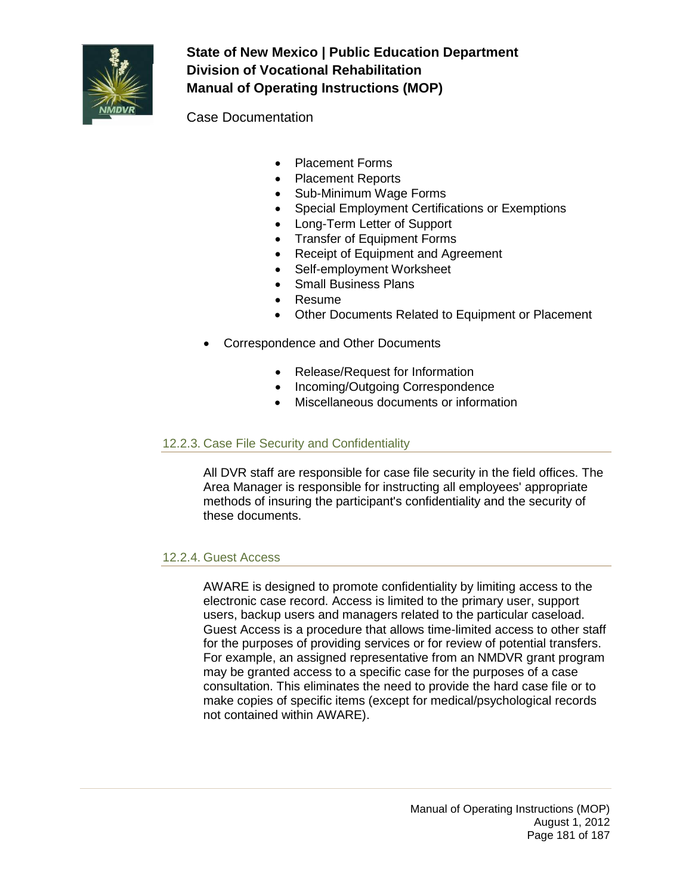

Case Documentation

- Placement Forms
- Placement Reports
- Sub-Minimum Wage Forms
- Special Employment Certifications or Exemptions
- Long-Term Letter of Support
- Transfer of Equipment Forms
- Receipt of Equipment and Agreement
- Self-employment Worksheet
- Small Business Plans
- Resume
- Other Documents Related to Equipment or Placement
- Correspondence and Other Documents
	- Release/Request for Information
	- Incoming/Outgoing Correspondence
	- Miscellaneous documents or information

### 12.2.3. Case File Security and Confidentiality

All DVR staff are responsible for case file security in the field offices. The Area Manager is responsible for instructing all employees' appropriate methods of insuring the participant's confidentiality and the security of these documents.

### 12.2.4. Guest Access

AWARE is designed to promote confidentiality by limiting access to the electronic case record. Access is limited to the primary user, support users, backup users and managers related to the particular caseload. Guest Access is a procedure that allows time-limited access to other staff for the purposes of providing services or for review of potential transfers. For example, an assigned representative from an NMDVR grant program may be granted access to a specific case for the purposes of a case consultation. This eliminates the need to provide the hard case file or to make copies of specific items (except for medical/psychological records not contained within AWARE).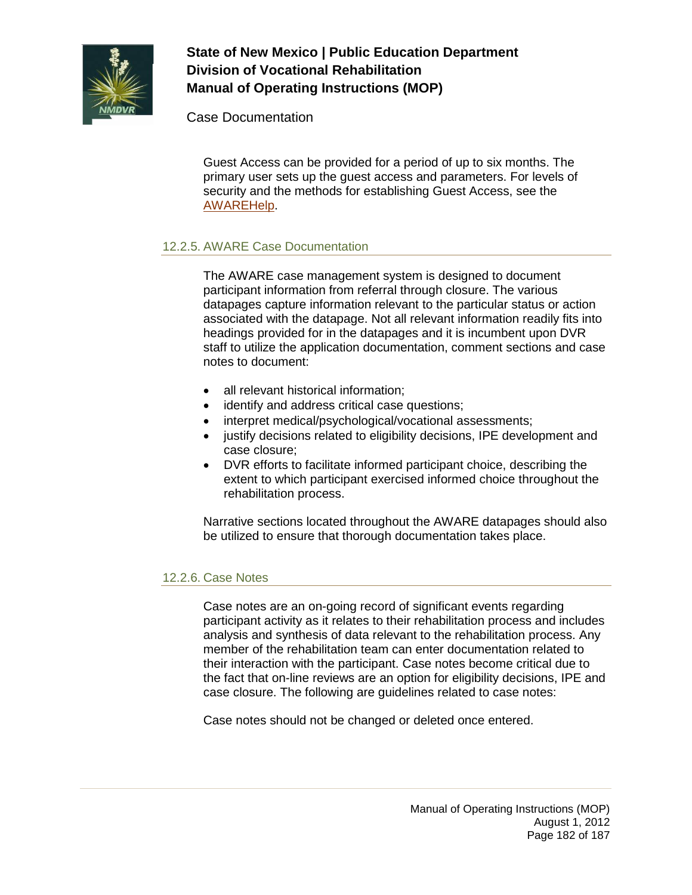

Case Documentation

Guest Access can be provided for a period of up to six months. The primary user sets up the guest access and parameters. For levels of security and the methods for establishing Guest Access, see the [AWAREHelp.](http://aware/XTEND/OnlineDoc/02Participant%20Module/Guest%20Access.htm)

# 12.2.5. AWARE Case Documentation

The AWARE case management system is designed to document participant information from referral through closure. The various datapages capture information relevant to the particular status or action associated with the datapage. Not all relevant information readily fits into headings provided for in the datapages and it is incumbent upon DVR staff to utilize the application documentation, comment sections and case notes to document:

- all relevant historical information;
- identify and address critical case questions;
- interpret medical/psychological/vocational assessments;
- justify decisions related to eligibility decisions, IPE development and case closure;
- DVR efforts to facilitate informed participant choice, describing the extent to which participant exercised informed choice throughout the rehabilitation process.

Narrative sections located throughout the AWARE datapages should also be utilized to ensure that thorough documentation takes place.

### 12.2.6. Case Notes

Case notes are an on-going record of significant events regarding participant activity as it relates to their rehabilitation process and includes analysis and synthesis of data relevant to the rehabilitation process. Any member of the rehabilitation team can enter documentation related to their interaction with the participant. Case notes become critical due to the fact that on-line reviews are an option for eligibility decisions, IPE and case closure. The following are guidelines related to case notes:

Case notes should not be changed or deleted once entered.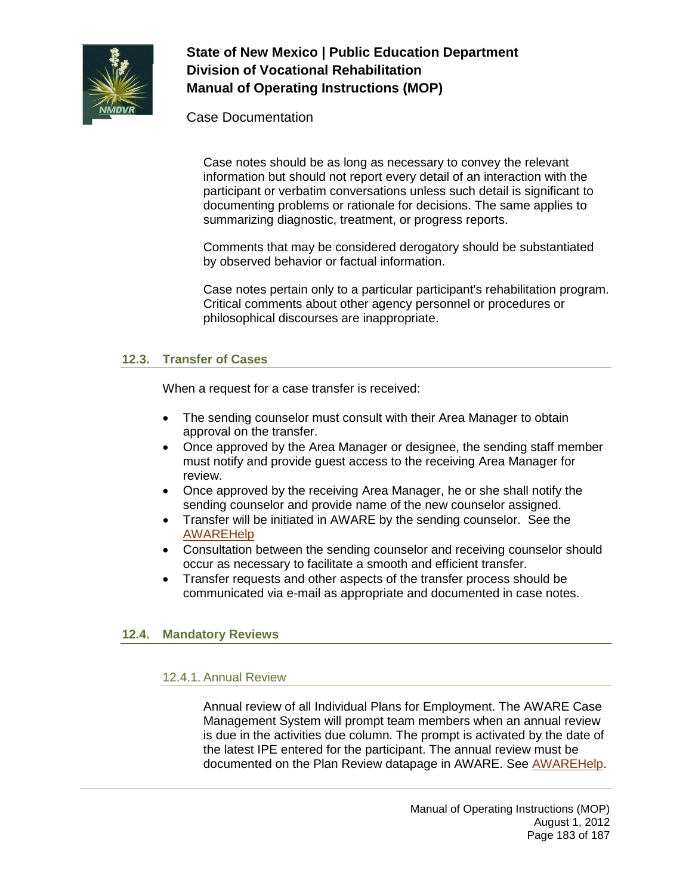

Case Documentation

Case notes should be as long as necessary to convey the relevant information but should not report every detail of an interaction with the participant or verbatim conversations unless such detail is significant to documenting problems or rationale for decisions. The same applies to summarizing diagnostic, treatment, or progress reports.

Comments that may be considered derogatory should be substantiated by observed behavior or factual information.

Case notes pertain only to a particular participant's rehabilitation program. Critical comments about other agency personnel or procedures or philosophical discourses are inappropriate.

### **12.3. Transfer of Cases**

When a request for a case transfer is received:

- The sending counselor must consult with their Area Manager to obtain approval on the transfer.
- Once approved by the Area Manager or designee, the sending staff member must notify and provide guest access to the receiving Area Manager for review.
- Once approved by the receiving Area Manager, he or she shall notify the sending counselor and provide name of the new counselor assigned.
- Transfer will be initiated in AWARE by the sending counselor. See the [AWAREHelp](http://aware/XTEND/OnlineDoc/04Case%20Transfer%20Module/Case%20Transfer.htm)
- Consultation between the sending counselor and receiving counselor should occur as necessary to facilitate a smooth and efficient transfer.
- Transfer requests and other aspects of the transfer process should be communicated via e-mail as appropriate and documented in case notes.

### **12.4. Mandatory Reviews**

### 12.4.1. Annual Review

Annual review of all Individual Plans for Employment. The AWARE Case Management System will prompt team members when an annual review is due in the activities due column. The prompt is activated by the date of the latest IPE entered for the participant. The annual review must be documented on the Plan Review datapage in AWARE. See [AWAREHelp.](http://sowap1:8080/)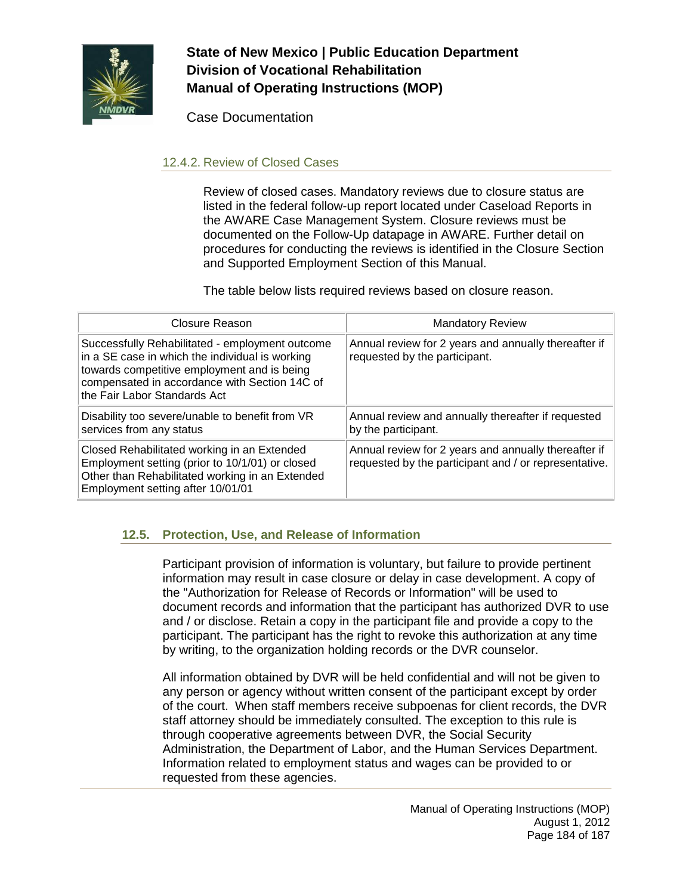

Case Documentation

## 12.4.2. Review of Closed Cases

Review of closed cases. Mandatory reviews due to closure status are listed in the federal follow-up report located under Caseload Reports in the AWARE Case Management System. Closure reviews must be documented on the Follow-Up datapage in AWARE. Further detail on procedures for conducting the reviews is identified in the Closure Section and Supported Employment Section of this Manual.

The table below lists required reviews based on closure reason.

| Closure Reason                                                                                                                                                                                                                     | <b>Mandatory Review</b>                                                                                       |
|------------------------------------------------------------------------------------------------------------------------------------------------------------------------------------------------------------------------------------|---------------------------------------------------------------------------------------------------------------|
| Successfully Rehabilitated - employment outcome<br>in a SE case in which the individual is working<br>towards competitive employment and is being<br>compensated in accordance with Section 14C of<br>the Fair Labor Standards Act | Annual review for 2 years and annually thereafter if<br>requested by the participant.                         |
| Disability too severe/unable to benefit from VR<br>services from any status                                                                                                                                                        | Annual review and annually thereafter if requested<br>by the participant.                                     |
| Closed Rehabilitated working in an Extended<br>Employment setting (prior to 10/1/01) or closed<br>Other than Rehabilitated working in an Extended<br>Employment setting after 10/01/01                                             | Annual review for 2 years and annually thereafter if<br>requested by the participant and / or representative. |

# **12.5. Protection, Use, and Release of Information**

Participant provision of information is voluntary, but failure to provide pertinent information may result in case closure or delay in case development. A copy of the "Authorization for Release of Records or Information" will be used to document records and information that the participant has authorized DVR to use and / or disclose. Retain a copy in the participant file and provide a copy to the participant. The participant has the right to revoke this authorization at any time by writing, to the organization holding records or the DVR counselor.

All information obtained by DVR will be held confidential and will not be given to any person or agency without written consent of the participant except by order of the court. When staff members receive subpoenas for client records, the DVR staff attorney should be immediately consulted. The exception to this rule is through cooperative agreements between DVR, the Social Security Administration, the Department of Labor, and the Human Services Department. Information related to employment status and wages can be provided to or requested from these agencies.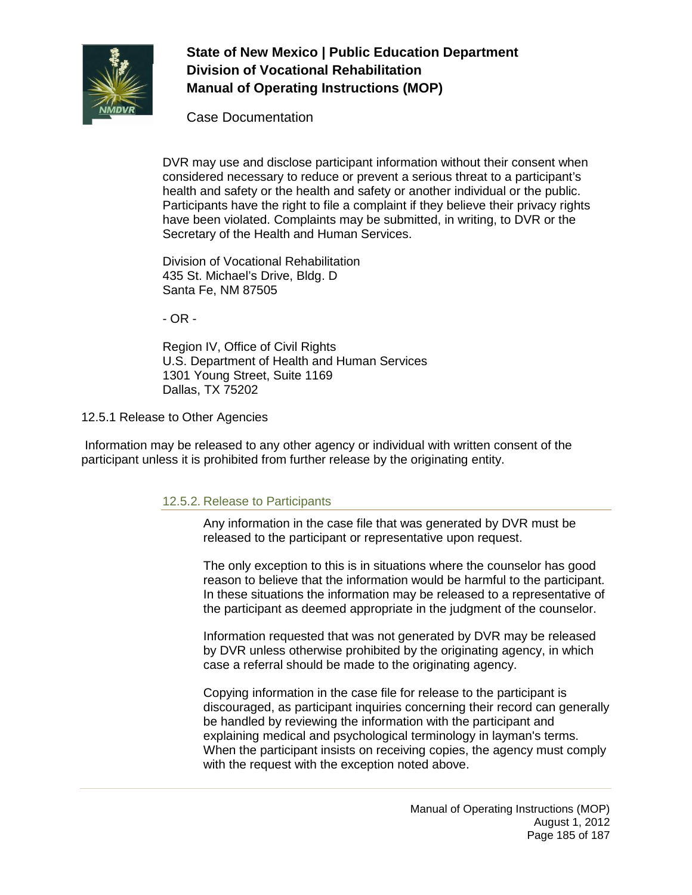

Case Documentation

DVR may use and disclose participant information without their consent when considered necessary to reduce or prevent a serious threat to a participant's health and safety or the health and safety or another individual or the public. Participants have the right to file a complaint if they believe their privacy rights have been violated. Complaints may be submitted, in writing, to DVR or the Secretary of the Health and Human Services.

Division of Vocational Rehabilitation 435 St. Michael's Drive, Bldg. D Santa Fe, NM 87505

- OR -

Region IV, Office of Civil Rights U.S. Department of Health and Human Services 1301 Young Street, Suite 1169 Dallas, TX 75202

12.5.1 Release to Other Agencies

Information may be released to any other agency or individual with written consent of the participant unless it is prohibited from further release by the originating entity.

### 12.5.2. Release to Participants

Any information in the case file that was generated by DVR must be released to the participant or representative upon request.

The only exception to this is in situations where the counselor has good reason to believe that the information would be harmful to the participant. In these situations the information may be released to a representative of the participant as deemed appropriate in the judgment of the counselor.

Information requested that was not generated by DVR may be released by DVR unless otherwise prohibited by the originating agency, in which case a referral should be made to the originating agency.

Copying information in the case file for release to the participant is discouraged, as participant inquiries concerning their record can generally be handled by reviewing the information with the participant and explaining medical and psychological terminology in layman's terms. When the participant insists on receiving copies, the agency must comply with the request with the exception noted above.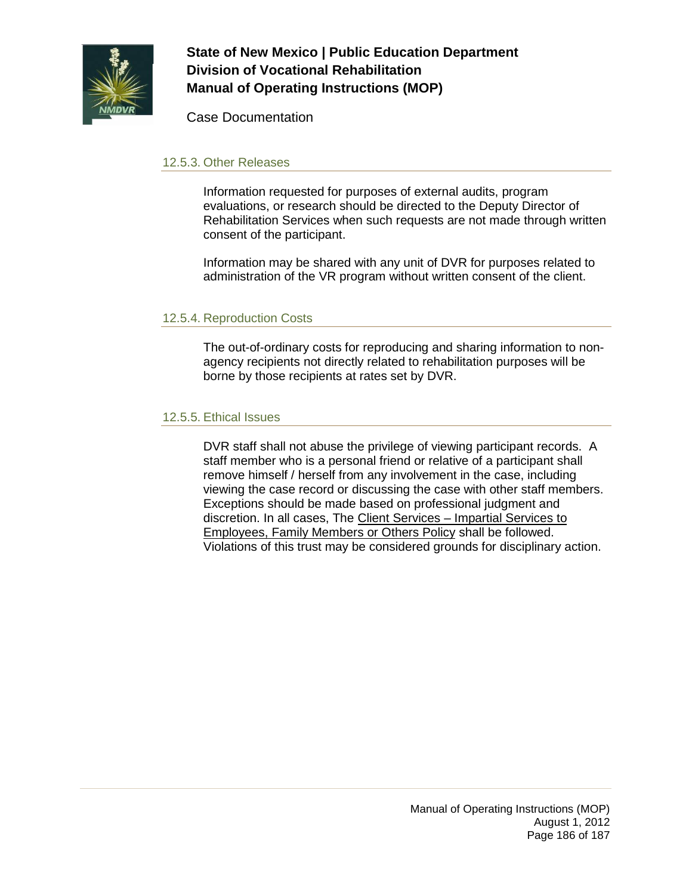

Case Documentation

### 12.5.3. Other Releases

Information requested for purposes of external audits, program evaluations, or research should be directed to the Deputy Director of Rehabilitation Services when such requests are not made through written consent of the participant.

Information may be shared with any unit of DVR for purposes related to administration of the VR program without written consent of the client.

### 12.5.4. Reproduction Costs

The out-of-ordinary costs for reproducing and sharing information to nonagency recipients not directly related to rehabilitation purposes will be borne by those recipients at rates set by DVR.

#### 12.5.5. Ethical Issues

DVR staff shall not abuse the privilege of viewing participant records. A staff member who is a personal friend or relative of a participant shall remove himself / herself from any involvement in the case, including viewing the case record or discussing the case with other staff members. Exceptions should be made based on professional judgment and discretion. In all cases, The Client Services – Impartial Services to Employees, Family Members or Others Policy shall be followed. Violations of this trust may be considered grounds for disciplinary action.